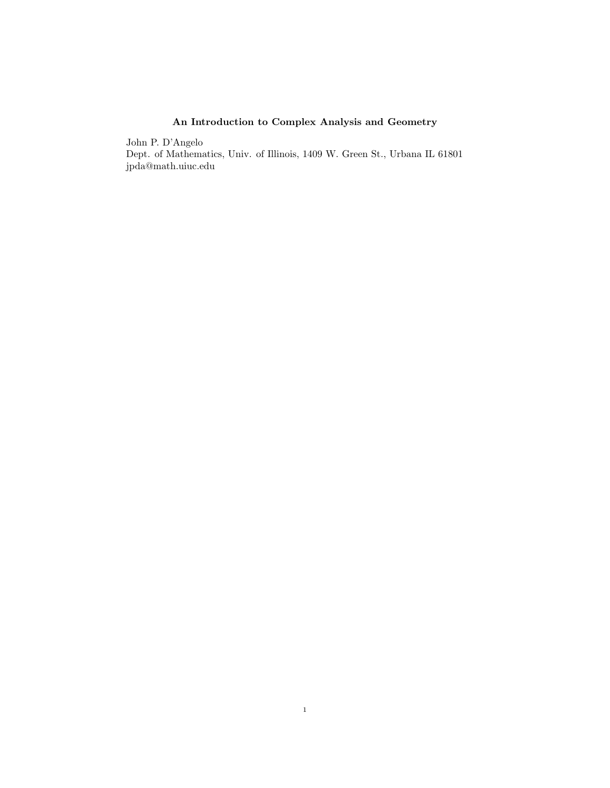## An Introduction to Complex Analysis and Geometry

John P. D'Angelo Dept. of Mathematics, Univ. of Illinois, 1409 W. Green St., Urbana IL 61801 jpda@math.uiuc.edu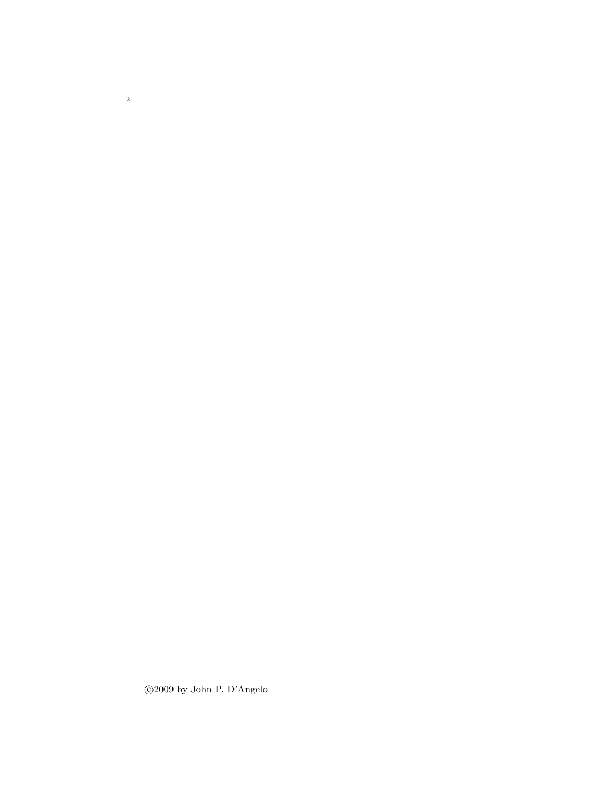c 2009 by John P. D'Angelo

2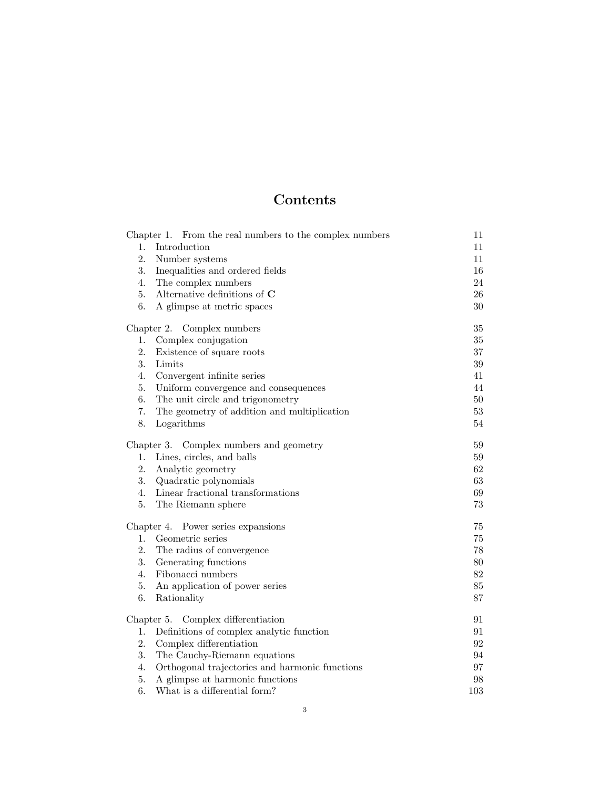# Contents

|                                         | Chapter 1. From the real numbers to the complex numbers | 11       |
|-----------------------------------------|---------------------------------------------------------|----------|
| 1.                                      | Introduction                                            | 11       |
| 2.                                      | Number systems                                          | 11       |
| 3.                                      | Inequalities and ordered fields                         | 16       |
| 4.                                      | The complex numbers                                     | 24       |
| 5.                                      | Alternative definitions of $C$                          | 26       |
| 6.                                      | A glimpse at metric spaces                              | 30       |
|                                         | Chapter 2. Complex numbers                              | $35\,$   |
| 1.                                      | Complex conjugation                                     | 35       |
| 2.                                      | Existence of square roots                               | $37\,$   |
| 3.                                      | Limits                                                  | 39       |
| 4.                                      | Convergent infinite series                              | 41       |
| 5.                                      | Uniform convergence and consequences                    | 44       |
| 6.                                      | The unit circle and trigonometry                        | 50       |
| 7.                                      | The geometry of addition and multiplication             | $53\,$   |
| 8.                                      | Logarithms                                              | $54\,$   |
| Chapter 3. Complex numbers and geometry |                                                         | 59       |
| 1.                                      | Lines, circles, and balls                               | 59       |
| 2.                                      | Analytic geometry                                       | 62       |
| 3.                                      | Quadratic polynomials                                   | 63       |
| 4.                                      | Linear fractional transformations                       | 69       |
| 5.                                      | The Riemann sphere                                      | 73       |
| Chapter 4. Power series expansions      |                                                         | 75       |
| 1.                                      | Geometric series                                        | 75       |
| 2.                                      | The radius of convergence                               | 78       |
| 3.                                      | Generating functions                                    | 80       |
| 4.                                      | Fibonacci numbers                                       | $82\,$   |
| 5.                                      | An application of power series                          | 85       |
| 6.                                      | Rationality                                             | 87       |
|                                         | Chapter 5. Complex differentiation                      | 91       |
| 1.                                      | Definitions of complex analytic function                | 91       |
| 2.                                      | Complex differentiation                                 | $\rm 92$ |
| 3.                                      | The Cauchy-Riemann equations                            | 94       |
| 4.                                      | Orthogonal trajectories and harmonic functions          | 97       |
| 5.                                      | A glimpse at harmonic functions                         | 98       |
| 6.                                      | What is a differential form?                            | 103      |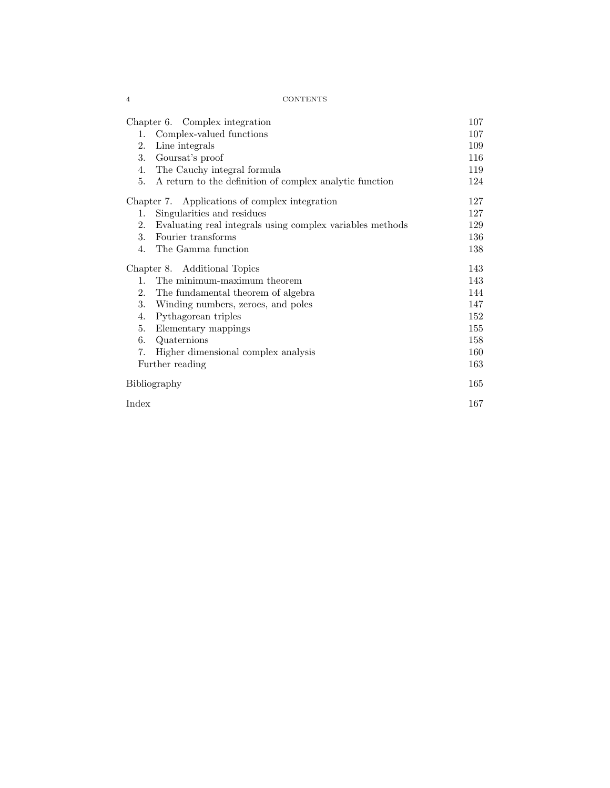| Chapter 6. Complex integration                                  | 107 |
|-----------------------------------------------------------------|-----|
| 1. Complex-valued functions                                     | 107 |
| Line integrals<br>2.                                            | 109 |
| 3.<br>Goursat's proof                                           | 116 |
| The Cauchy integral formula<br>4.                               | 119 |
| A return to the definition of complex analytic function<br>5.   | 124 |
| Chapter 7. Applications of complex integration                  | 127 |
| Singularities and residues<br>1.                                | 127 |
| Evaluating real integrals using complex variables methods<br>2. | 129 |
| Fourier transforms<br>3.                                        | 136 |
| 4. The Gamma function                                           | 138 |
| Chapter 8. Additional Topics                                    |     |
| The minimum-maximum theorem<br>$1_{-}$                          | 143 |
| 2.<br>The fundamental theorem of algebra                        | 144 |
| 3.<br>Winding numbers, zeroes, and poles                        | 147 |
| Pythagorean triples<br>4.                                       | 152 |
| Elementary mappings<br>5.                                       | 155 |
| Quaternions<br>6.                                               | 158 |
| Higher dimensional complex analysis<br>7.                       | 160 |
| Further reading                                                 | 163 |
| Bibliography                                                    |     |
| Index                                                           | 167 |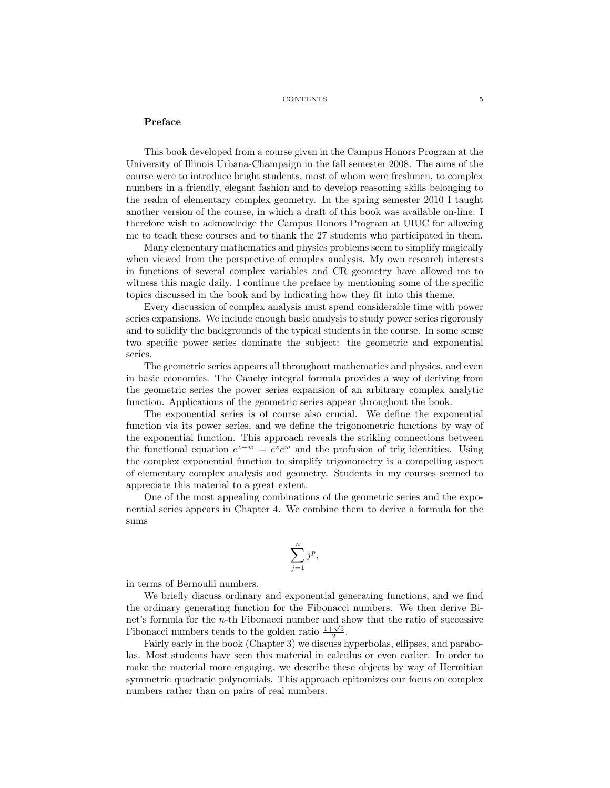#### Preface

This book developed from a course given in the Campus Honors Program at the University of Illinois Urbana-Champaign in the fall semester 2008. The aims of the course were to introduce bright students, most of whom were freshmen, to complex numbers in a friendly, elegant fashion and to develop reasoning skills belonging to the realm of elementary complex geometry. In the spring semester 2010 I taught another version of the course, in which a draft of this book was available on-line. I therefore wish to acknowledge the Campus Honors Program at UIUC for allowing me to teach these courses and to thank the 27 students who participated in them.

Many elementary mathematics and physics problems seem to simplify magically when viewed from the perspective of complex analysis. My own research interests in functions of several complex variables and CR geometry have allowed me to witness this magic daily. I continue the preface by mentioning some of the specific topics discussed in the book and by indicating how they fit into this theme.

Every discussion of complex analysis must spend considerable time with power series expansions. We include enough basic analysis to study power series rigorously and to solidify the backgrounds of the typical students in the course. In some sense two specific power series dominate the subject: the geometric and exponential series.

The geometric series appears all throughout mathematics and physics, and even in basic economics. The Cauchy integral formula provides a way of deriving from the geometric series the power series expansion of an arbitrary complex analytic function. Applications of the geometric series appear throughout the book.

The exponential series is of course also crucial. We define the exponential function via its power series, and we define the trigonometric functions by way of the exponential function. This approach reveals the striking connections between the functional equation  $e^{z+w} = e^z e^w$  and the profusion of trig identities. Using the complex exponential function to simplify trigonometry is a compelling aspect of elementary complex analysis and geometry. Students in my courses seemed to appreciate this material to a great extent.

One of the most appealing combinations of the geometric series and the exponential series appears in Chapter 4. We combine them to derive a formula for the sums

$$
\sum_{j=1}^n j^p,
$$

in terms of Bernoulli numbers.

We briefly discuss ordinary and exponential generating functions, and we find the ordinary generating function for the Fibonacci numbers. We then derive Binet's formula for the n-th Fibonacci number and show that the ratio of successive Fibonacci numbers tends to the golden ratio  $\frac{1+\sqrt{5}}{2}$ .

Fairly early in the book (Chapter 3) we discuss hyperbolas, ellipses, and parabolas. Most students have seen this material in calculus or even earlier. In order to make the material more engaging, we describe these objects by way of Hermitian symmetric quadratic polynomials. This approach epitomizes our focus on complex numbers rather than on pairs of real numbers.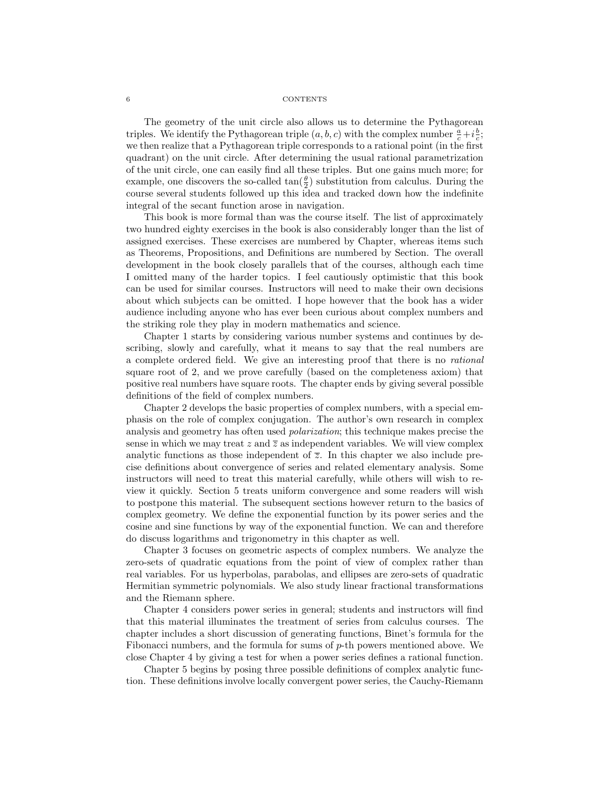The geometry of the unit circle also allows us to determine the Pythagorean triples. We identify the Pythagorean triple  $(a, b, c)$  with the complex number  $\frac{a}{c} + i\frac{b}{c}$ ; we then realize that a Pythagorean triple corresponds to a rational point (in the first quadrant) on the unit circle. After determining the usual rational parametrization of the unit circle, one can easily find all these triples. But one gains much more; for example, one discovers the so-called  $\tan(\frac{\theta}{2})$  substitution from calculus. During the course several students followed up this idea and tracked down how the indefinite integral of the secant function arose in navigation.

This book is more formal than was the course itself. The list of approximately two hundred eighty exercises in the book is also considerably longer than the list of assigned exercises. These exercises are numbered by Chapter, whereas items such as Theorems, Propositions, and Definitions are numbered by Section. The overall development in the book closely parallels that of the courses, although each time I omitted many of the harder topics. I feel cautiously optimistic that this book can be used for similar courses. Instructors will need to make their own decisions about which subjects can be omitted. I hope however that the book has a wider audience including anyone who has ever been curious about complex numbers and the striking role they play in modern mathematics and science.

Chapter 1 starts by considering various number systems and continues by describing, slowly and carefully, what it means to say that the real numbers are a complete ordered field. We give an interesting proof that there is no rational square root of 2, and we prove carefully (based on the completeness axiom) that positive real numbers have square roots. The chapter ends by giving several possible definitions of the field of complex numbers.

Chapter 2 develops the basic properties of complex numbers, with a special emphasis on the role of complex conjugation. The author's own research in complex analysis and geometry has often used polarization; this technique makes precise the sense in which we may treat z and  $\overline{z}$  as independent variables. We will view complex analytic functions as those independent of  $\overline{z}$ . In this chapter we also include precise definitions about convergence of series and related elementary analysis. Some instructors will need to treat this material carefully, while others will wish to review it quickly. Section 5 treats uniform convergence and some readers will wish to postpone this material. The subsequent sections however return to the basics of complex geometry. We define the exponential function by its power series and the cosine and sine functions by way of the exponential function. We can and therefore do discuss logarithms and trigonometry in this chapter as well.

Chapter 3 focuses on geometric aspects of complex numbers. We analyze the zero-sets of quadratic equations from the point of view of complex rather than real variables. For us hyperbolas, parabolas, and ellipses are zero-sets of quadratic Hermitian symmetric polynomials. We also study linear fractional transformations and the Riemann sphere.

Chapter 4 considers power series in general; students and instructors will find that this material illuminates the treatment of series from calculus courses. The chapter includes a short discussion of generating functions, Binet's formula for the Fibonacci numbers, and the formula for sums of p-th powers mentioned above. We close Chapter 4 by giving a test for when a power series defines a rational function.

Chapter 5 begins by posing three possible definitions of complex analytic function. These definitions involve locally convergent power series, the Cauchy-Riemann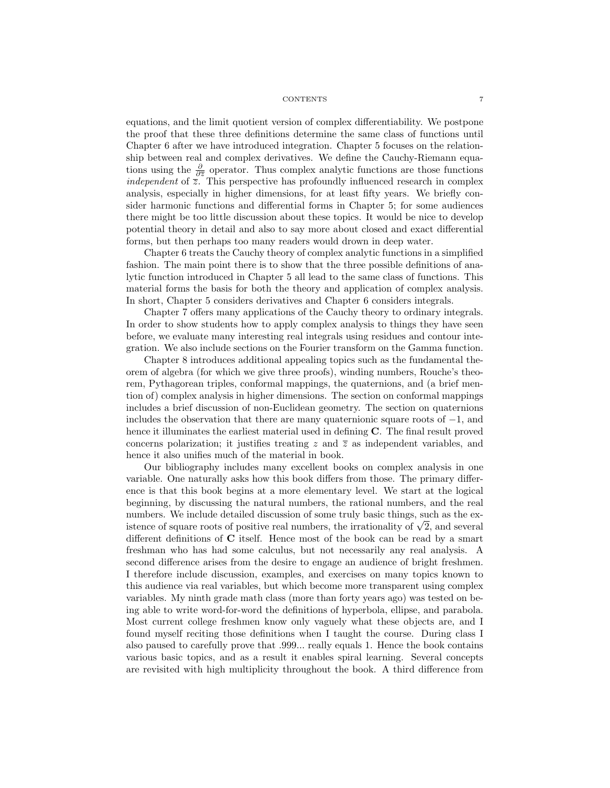equations, and the limit quotient version of complex differentiability. We postpone the proof that these three definitions determine the same class of functions until Chapter 6 after we have introduced integration. Chapter 5 focuses on the relationship between real and complex derivatives. We define the Cauchy-Riemann equations using the  $\frac{\partial}{\partial \overline{z}}$  operator. Thus complex analytic functions are those functions independent of  $\overline{z}$ . This perspective has profoundly influenced research in complex analysis, especially in higher dimensions, for at least fifty years. We briefly consider harmonic functions and differential forms in Chapter 5; for some audiences there might be too little discussion about these topics. It would be nice to develop potential theory in detail and also to say more about closed and exact differential forms, but then perhaps too many readers would drown in deep water.

Chapter 6 treats the Cauchy theory of complex analytic functions in a simplified fashion. The main point there is to show that the three possible definitions of analytic function introduced in Chapter 5 all lead to the same class of functions. This material forms the basis for both the theory and application of complex analysis. In short, Chapter 5 considers derivatives and Chapter 6 considers integrals.

Chapter 7 offers many applications of the Cauchy theory to ordinary integrals. In order to show students how to apply complex analysis to things they have seen before, we evaluate many interesting real integrals using residues and contour integration. We also include sections on the Fourier transform on the Gamma function.

Chapter 8 introduces additional appealing topics such as the fundamental theorem of algebra (for which we give three proofs), winding numbers, Rouche's theorem, Pythagorean triples, conformal mappings, the quaternions, and (a brief mention of) complex analysis in higher dimensions. The section on conformal mappings includes a brief discussion of non-Euclidean geometry. The section on quaternions includes the observation that there are many quaternionic square roots of  $-1$ , and hence it illuminates the earliest material used in defining C. The final result proved concerns polarization; it justifies treating z and  $\overline{z}$  as independent variables, and hence it also unifies much of the material in book.

Our bibliography includes many excellent books on complex analysis in one variable. One naturally asks how this book differs from those. The primary difference is that this book begins at a more elementary level. We start at the logical beginning, by discussing the natural numbers, the rational numbers, and the real numbers. We include detailed discussion of some truly basic things, such as the exnumbers. We include detailed discussion of some truly basic things, such as the ex-<br>istence of square roots of positive real numbers, the irrationality of  $\sqrt{2}$ , and several different definitions of C itself. Hence most of the book can be read by a smart freshman who has had some calculus, but not necessarily any real analysis. A second difference arises from the desire to engage an audience of bright freshmen. I therefore include discussion, examples, and exercises on many topics known to this audience via real variables, but which become more transparent using complex variables. My ninth grade math class (more than forty years ago) was tested on being able to write word-for-word the definitions of hyperbola, ellipse, and parabola. Most current college freshmen know only vaguely what these objects are, and I found myself reciting those definitions when I taught the course. During class I also paused to carefully prove that .999... really equals 1. Hence the book contains various basic topics, and as a result it enables spiral learning. Several concepts are revisited with high multiplicity throughout the book. A third difference from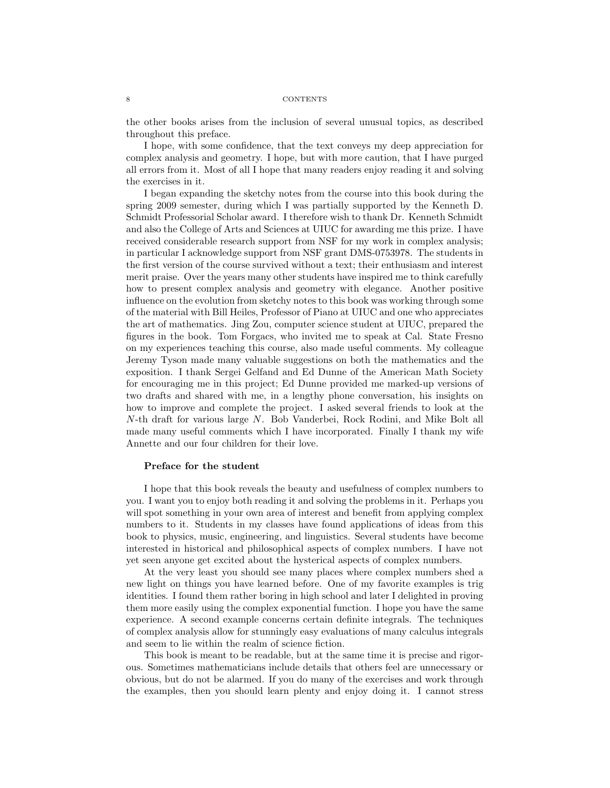the other books arises from the inclusion of several unusual topics, as described throughout this preface.

I hope, with some confidence, that the text conveys my deep appreciation for complex analysis and geometry. I hope, but with more caution, that I have purged all errors from it. Most of all I hope that many readers enjoy reading it and solving the exercises in it.

I began expanding the sketchy notes from the course into this book during the spring 2009 semester, during which I was partially supported by the Kenneth D. Schmidt Professorial Scholar award. I therefore wish to thank Dr. Kenneth Schmidt and also the College of Arts and Sciences at UIUC for awarding me this prize. I have received considerable research support from NSF for my work in complex analysis; in particular I acknowledge support from NSF grant DMS-0753978. The students in the first version of the course survived without a text; their enthusiasm and interest merit praise. Over the years many other students have inspired me to think carefully how to present complex analysis and geometry with elegance. Another positive influence on the evolution from sketchy notes to this book was working through some of the material with Bill Heiles, Professor of Piano at UIUC and one who appreciates the art of mathematics. Jing Zou, computer science student at UIUC, prepared the figures in the book. Tom Forgacs, who invited me to speak at Cal. State Fresno on my experiences teaching this course, also made useful comments. My colleague Jeremy Tyson made many valuable suggestions on both the mathematics and the exposition. I thank Sergei Gelfand and Ed Dunne of the American Math Society for encouraging me in this project; Ed Dunne provided me marked-up versions of two drafts and shared with me, in a lengthy phone conversation, his insights on how to improve and complete the project. I asked several friends to look at the N-th draft for various large N. Bob Vanderbei, Rock Rodini, and Mike Bolt all made many useful comments which I have incorporated. Finally I thank my wife Annette and our four children for their love.

#### Preface for the student

I hope that this book reveals the beauty and usefulness of complex numbers to you. I want you to enjoy both reading it and solving the problems in it. Perhaps you will spot something in your own area of interest and benefit from applying complex numbers to it. Students in my classes have found applications of ideas from this book to physics, music, engineering, and linguistics. Several students have become interested in historical and philosophical aspects of complex numbers. I have not yet seen anyone get excited about the hysterical aspects of complex numbers.

At the very least you should see many places where complex numbers shed a new light on things you have learned before. One of my favorite examples is trig identities. I found them rather boring in high school and later I delighted in proving them more easily using the complex exponential function. I hope you have the same experience. A second example concerns certain definite integrals. The techniques of complex analysis allow for stunningly easy evaluations of many calculus integrals and seem to lie within the realm of science fiction.

This book is meant to be readable, but at the same time it is precise and rigorous. Sometimes mathematicians include details that others feel are unnecessary or obvious, but do not be alarmed. If you do many of the exercises and work through the examples, then you should learn plenty and enjoy doing it. I cannot stress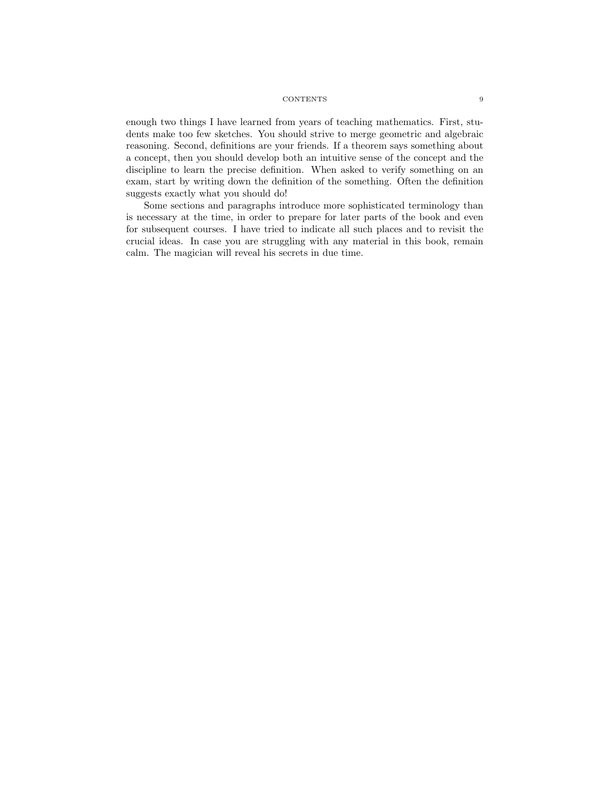enough two things I have learned from years of teaching mathematics. First, students make too few sketches. You should strive to merge geometric and algebraic reasoning. Second, definitions are your friends. If a theorem says something about a concept, then you should develop both an intuitive sense of the concept and the discipline to learn the precise definition. When asked to verify something on an exam, start by writing down the definition of the something. Often the definition suggests exactly what you should do!

Some sections and paragraphs introduce more sophisticated terminology than is necessary at the time, in order to prepare for later parts of the book and even for subsequent courses. I have tried to indicate all such places and to revisit the crucial ideas. In case you are struggling with any material in this book, remain calm. The magician will reveal his secrets in due time.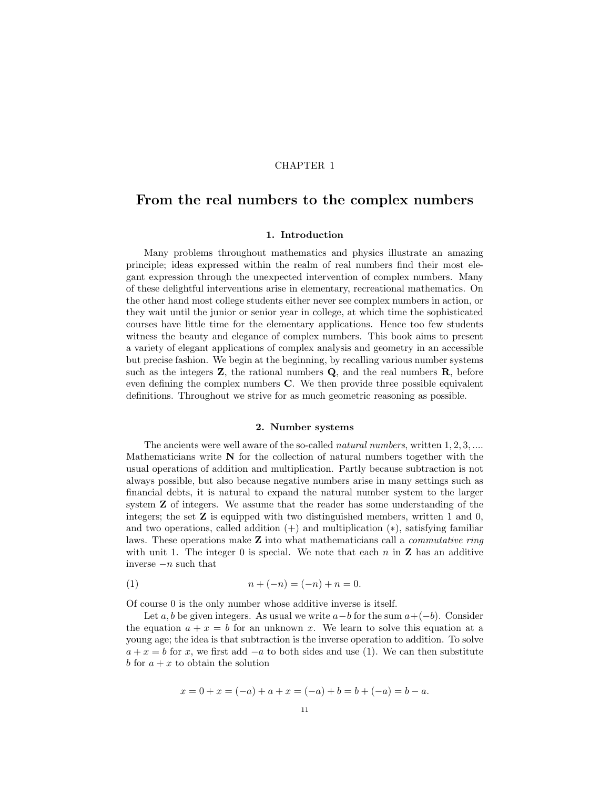#### CHAPTER 1

## From the real numbers to the complex numbers

#### 1. Introduction

Many problems throughout mathematics and physics illustrate an amazing principle; ideas expressed within the realm of real numbers find their most elegant expression through the unexpected intervention of complex numbers. Many of these delightful interventions arise in elementary, recreational mathematics. On the other hand most college students either never see complex numbers in action, or they wait until the junior or senior year in college, at which time the sophisticated courses have little time for the elementary applications. Hence too few students witness the beauty and elegance of complex numbers. This book aims to present a variety of elegant applications of complex analysis and geometry in an accessible but precise fashion. We begin at the beginning, by recalling various number systems such as the integers  $Z$ , the rational numbers  $Q$ , and the real numbers  $R$ , before even defining the complex numbers C. We then provide three possible equivalent definitions. Throughout we strive for as much geometric reasoning as possible.

#### 2. Number systems

The ancients were well aware of the so-called *natural numbers*, written 1, 2, 3, .... Mathematicians write  $N$  for the collection of natural numbers together with the usual operations of addition and multiplication. Partly because subtraction is not always possible, but also because negative numbers arise in many settings such as financial debts, it is natural to expand the natural number system to the larger system Z of integers. We assume that the reader has some understanding of the integers; the set  $\mathbf Z$  is equipped with two distinguished members, written 1 and 0, and two operations, called addition  $(+)$  and multiplication  $(*)$ , satisfying familiar laws. These operations make  $Z$  into what mathematicians call a *commutative ring* with unit 1. The integer 0 is special. We note that each  $n$  in  $\mathbf Z$  has an additive inverse −n such that

(1) 
$$
n + (-n) = (-n) + n = 0.
$$

Of course 0 is the only number whose additive inverse is itself.

Let a, b be given integers. As usual we write  $a-b$  for the sum  $a+(-b)$ . Consider the equation  $a + x = b$  for an unknown x. We learn to solve this equation at a young age; the idea is that subtraction is the inverse operation to addition. To solve  $a + x = b$  for x, we first add  $-a$  to both sides and use (1). We can then substitute b for  $a + x$  to obtain the solution

$$
x = 0 + x = (-a) + a + x = (-a) + b = b + (-a) = b - a.
$$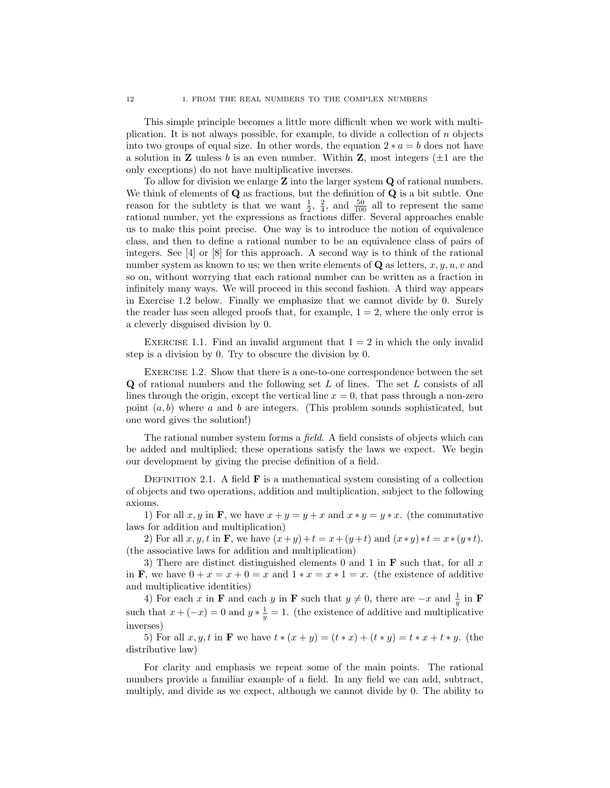This simple principle becomes a little more difficult when we work with multiplication. It is not always possible, for example, to divide a collection of n objects into two groups of equal size. In other words, the equation  $2 * a = b$  does not have a solution in **Z** unless b is an even number. Within **Z**, most integers  $(\pm 1$  are the only exceptions) do not have multiplicative inverses.

To allow for division we enlarge  $Z$  into the larger system  $Q$  of rational numbers. We think of elements of **Q** as fractions, but the definition of **Q** is a bit subtle. One reason for the subtlety is that we want  $\frac{1}{2}$ ,  $\frac{2}{4}$ , and  $\frac{50}{100}$  all to represent the same rational number, yet the expressions as fractions differ. Several approaches enable us to make this point precise. One way is to introduce the notion of equivalence class, and then to define a rational number to be an equivalence class of pairs of integers. See [4] or [8] for this approach. A second way is to think of the rational number system as known to us; we then write elements of  $\bf{Q}$  as letters, x, y, u, v and so on, without worrying that each rational number can be written as a fraction in infinitely many ways. We will proceed in this second fashion. A third way appears in Exercise 1.2 below. Finally we emphasize that we cannot divide by 0. Surely the reader has seen alleged proofs that, for example,  $1 = 2$ , where the only error is a cleverly disguised division by 0.

EXERCISE 1.1. Find an invalid argument that  $1 = 2$  in which the only invalid step is a division by 0. Try to obscure the division by 0.

Exercise 1.2. Show that there is a one-to-one correspondence between the set Q of rational numbers and the following set L of lines. The set L consists of all lines through the origin, except the vertical line  $x = 0$ , that pass through a non-zero point  $(a, b)$  where a and b are integers. (This problem sounds sophisticated, but one word gives the solution!)

The rational number system forms a *field*. A field consists of objects which can be added and multiplied; these operations satisfy the laws we expect. We begin our development by giving the precise definition of a field.

DEFINITION 2.1. A field  $\bf{F}$  is a mathematical system consisting of a collection of objects and two operations, addition and multiplication, subject to the following axioms.

1) For all  $x, y$  in **F**, we have  $x + y = y + x$  and  $x * y = y * x$ . (the commutative laws for addition and multiplication)

2) For all  $x, y, t$  in **F**, we have  $(x+y)+t = x+(y+t)$  and  $(x*y)*t = x*(y*t)$ . (the associative laws for addition and multiplication)

3) There are distinct distinguished elements 0 and 1 in  $\bf{F}$  such that, for all x in **F**, we have  $0 + x = x + 0 = x$  and  $1 * x = x * 1 = x$ . (the existence of additive and multiplicative identities)

4) For each x in **F** and each y in **F** such that  $y \neq 0$ , there are  $-x$  and  $\frac{1}{y}$  in **F** such that  $x + (-x) = 0$  and  $y * \frac{1}{y} = 1$ . (the existence of additive and multiplicative inverses)

5) For all  $x, y, t$  in **F** we have  $t * (x + y) = (t * x) + (t * y) = t * x + t * y$ . (the distributive law)

For clarity and emphasis we repeat some of the main points. The rational numbers provide a familiar example of a field. In any field we can add, subtract, multiply, and divide as we expect, although we cannot divide by 0. The ability to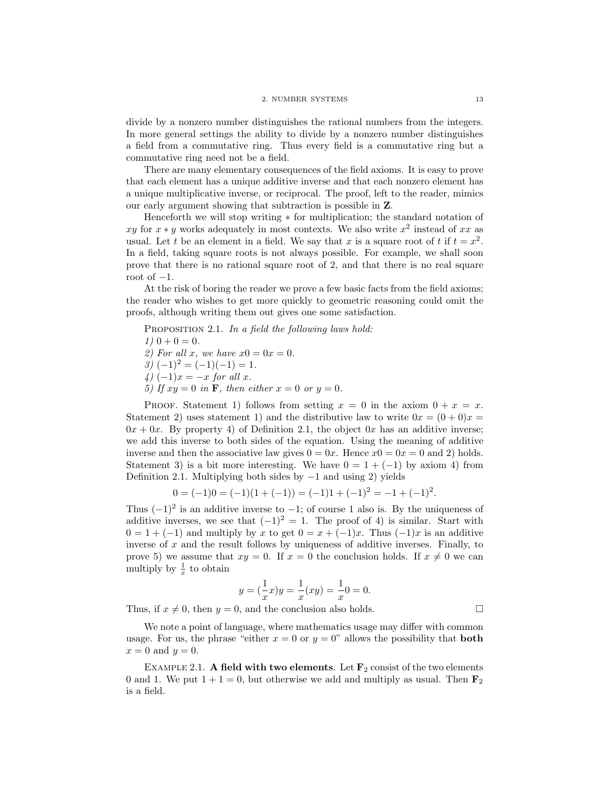divide by a nonzero number distinguishes the rational numbers from the integers. In more general settings the ability to divide by a nonzero number distinguishes a field from a commutative ring. Thus every field is a commutative ring but a commutative ring need not be a field.

There are many elementary consequences of the field axioms. It is easy to prove that each element has a unique additive inverse and that each nonzero element has a unique multiplicative inverse, or reciprocal. The proof, left to the reader, mimics our early argument showing that subtraction is possible in Z.

Henceforth we will stop writing ∗ for multiplication; the standard notation of xy for  $x * y$  works adequately in most contexts. We also write  $x^2$  instead of xx as usual. Let t be an element in a field. We say that x is a square root of t if  $t = x^2$ . In a field, taking square roots is not always possible. For example, we shall soon prove that there is no rational square root of 2, and that there is no real square root of  $-1$ .

At the risk of boring the reader we prove a few basic facts from the field axioms; the reader who wishes to get more quickly to geometric reasoning could omit the proofs, although writing them out gives one some satisfaction.

PROPOSITION 2.1. In a field the following laws hold:  $1)$  0 + 0 = 0. 2) For all x, we have  $x0 = 0x = 0$ .  $3)$   $(-1)^2 = (-1)(-1) = 1.$ 4)  $(-1)x = -x$  for all x. 5) If  $xy = 0$  in **F**, then either  $x = 0$  or  $y = 0$ .

PROOF. Statement 1) follows from setting  $x = 0$  in the axiom  $0 + x = x$ . Statement 2) uses statement 1) and the distributive law to write  $0x = (0+0)x =$  $0x + 0x$ . By property 4) of Definition 2.1, the object  $0x$  has an additive inverse; we add this inverse to both sides of the equation. Using the meaning of additive inverse and then the associative law gives  $0 = 0x$ . Hence  $x0 = 0x = 0$  and 2) holds. Statement 3) is a bit more interesting. We have  $0 = 1 + (-1)$  by axiom 4) from Definition 2.1. Multiplying both sides by  $-1$  and using 2) yields

$$
0 = (-1)0 = (-1)(1 + (-1)) = (-1)1 + (-1)^2 = -1 + (-1)^2.
$$

Thus  $(-1)^2$  is an additive inverse to  $-1$ ; of course 1 also is. By the uniqueness of additive inverses, we see that  $(-1)^2 = 1$ . The proof of 4) is similar. Start with  $0 = 1 + (-1)$  and multiply by x to get  $0 = x + (-1)x$ . Thus  $(-1)x$  is an additive inverse of  $x$  and the result follows by uniqueness of additive inverses. Finally, to prove 5) we assume that  $xy = 0$ . If  $x = 0$  the conclusion holds. If  $x \neq 0$  we can multiply by  $\frac{1}{x}$  to obtain

$$
y = \left(\frac{1}{x}x\right)y = \frac{1}{x}(xy) = \frac{1}{x}0 = 0.
$$

Thus, if  $x \neq 0$ , then  $y = 0$ , and the conclusion also holds.

We note a point of language, where mathematics usage may differ with common usage. For us, the phrase "either  $x = 0$  or  $y = 0$ " allows the possibility that **both**  $x = 0$  and  $y = 0$ .

EXAMPLE 2.1. A field with two elements. Let  $\mathbf{F}_2$  consist of the two elements 0 and 1. We put  $1 + 1 = 0$ , but otherwise we add and multiply as usual. Then  $\mathbf{F}_2$ is a field.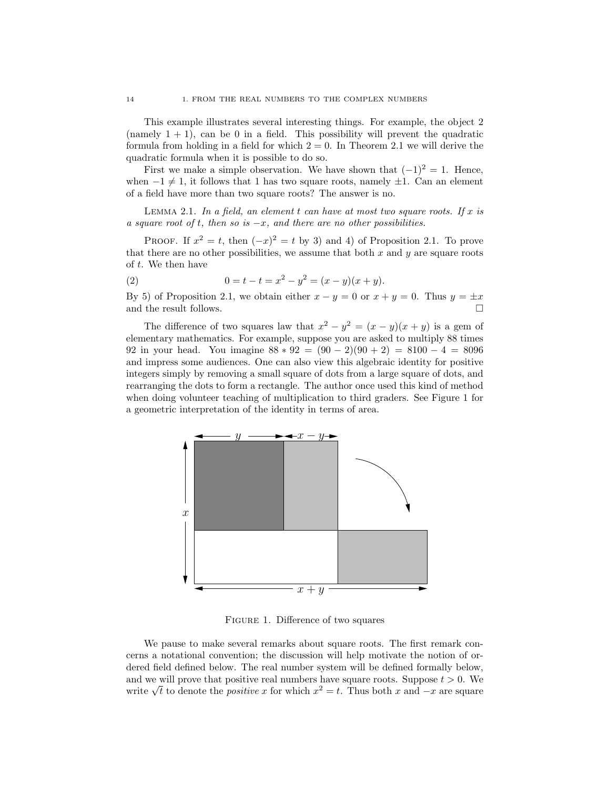This example illustrates several interesting things. For example, the object 2 (namely  $1 + 1$ ), can be 0 in a field. This possibility will prevent the quadratic formula from holding in a field for which  $2 = 0$ . In Theorem 2.1 we will derive the quadratic formula when it is possible to do so.

First we make a simple observation. We have shown that  $(-1)^2 = 1$ . Hence, when  $-1 \neq 1$ , it follows that 1 has two square roots, namely  $\pm 1$ . Can an element of a field have more than two square roots? The answer is no.

LEMMA 2.1. In a field, an element  $t$  can have at most two square roots. If  $x$  is a square root of t, then so is  $-x$ , and there are no other possibilities.

PROOF. If  $x^2 = t$ , then  $(-x)^2 = t$  by 3) and 4) of Proposition 2.1. To prove that there are no other possibilities, we assume that both  $x$  and  $y$  are square roots of t. We then have

(2) 
$$
0 = t - t = x^2 - y^2 = (x - y)(x + y).
$$

By 5) of Proposition 2.1, we obtain either  $x - y = 0$  or  $x + y = 0$ . Thus  $y = \pm x$ and the result follows.  $\Box$ 

The difference of two squares law that  $x^2 - y^2 = (x - y)(x + y)$  is a gem of elementary mathematics. For example, suppose you are asked to multiply 88 times 92 in your head. You imagine  $88 * 92 = (90 - 2)(90 + 2) = 8100 - 4 = 8096$ and impress some audiences. One can also view this algebraic identity for positive integers simply by removing a small square of dots from a large square of dots, and rearranging the dots to form a rectangle. The author once used this kind of method when doing volunteer teaching of multiplication to third graders. See Figure 1 for a geometric interpretation of the identity in terms of area.



Figure 1. Difference of two squares

We pause to make several remarks about square roots. The first remark concerns a notational convention; the discussion will help motivate the notion of ordered field defined below. The real number system will be defined formally below, and we will prove that positive real numbers have square roots. Suppose  $t > 0$ . We and we will prove that positive real numbers have square roots. Suppose  $t > 0$ . We write  $\sqrt{t}$  to denote the *positive x* for which  $x^2 = t$ . Thus both x and  $-x$  are square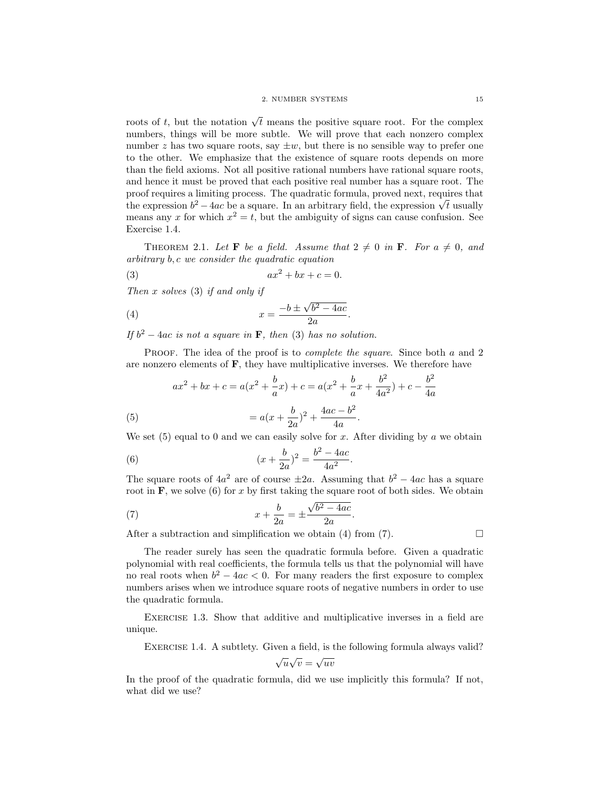roots of t, but the notation  $\sqrt{t}$  means the positive square root. For the complex numbers, things will be more subtle. We will prove that each nonzero complex number z has two square roots, say  $\pm w$ , but there is no sensible way to prefer one to the other. We emphasize that the existence of square roots depends on more than the field axioms. Not all positive rational numbers have rational square roots, and hence it must be proved that each positive real number has a square root. The proof requires a limiting process. The quadratic formula, proved next, requires that proof requires a limiting process. The quadratic formula, proved next, requires that the expression  $b^2 - 4ac$  be a square. In an arbitrary field, the expression  $\sqrt{t}$  usually means any x for which  $x^2 = t$ , but the ambiguity of signs can cause confusion. See Exercise 1.4.

THEOREM 2.1. Let **F** be a field. Assume that  $2 \neq 0$  in **F**. For  $a \neq 0$ , and arbitrary b, c we consider the quadratic equation

$$
(3) \t\t ax2 + bx + c = 0.
$$

Then  $x$  solves  $(3)$  if and only if

$$
(4) \t\t\t x = \frac{-b \pm \sqrt{b^2 - 4ac}}{2a}.
$$

If  $b^2 - 4ac$  is not a square in **F**, then (3) has no solution.

PROOF. The idea of the proof is to *complete the square*. Since both a and 2 are nonzero elements of  $\mathbf{F}$ , they have multiplicative inverses. We therefore have

(5) 
$$
ax^{2} + bx + c = a(x^{2} + \frac{b}{a}x) + c = a(x^{2} + \frac{b}{a}x + \frac{b^{2}}{4a^{2}}) + c - \frac{b^{2}}{4a}
$$

$$
= a(x + \frac{b}{2a})^{2} + \frac{4ac - b^{2}}{4a}.
$$

We set  $(5)$  equal to 0 and we can easily solve for x. After dividing by a we obtain

(6) 
$$
(x + \frac{b}{2a})^2 = \frac{b^2 - 4ac}{4a^2}.
$$

The square roots of  $4a^2$  are of course  $\pm 2a$ . Assuming that  $b^2 - 4ac$  has a square root in  $\mathbf{F}$ , we solve (6) for x by first taking the square root of both sides. We obtain

.

(7) 
$$
x + \frac{b}{2a} = \pm \frac{\sqrt{b^2 - 4ac}}{2a}
$$

After a subtraction and simplification we obtain (4) from (7).  $\Box$ 

The reader surely has seen the quadratic formula before. Given a quadratic polynomial with real coefficients, the formula tells us that the polynomial will have no real roots when  $b^2 - 4ac < 0$ . For many readers the first exposure to complex numbers arises when we introduce square roots of negative numbers in order to use the quadratic formula.

Exercise 1.3. Show that additive and multiplicative inverses in a field are unique.

EXERCISE 1.4. A subtlety. Given a field, is the following formula always valid?

$$
\sqrt{u}\sqrt{v} = \sqrt{uv}
$$

In the proof of the quadratic formula, did we use implicitly this formula? If not, what did we use?

 $b^2$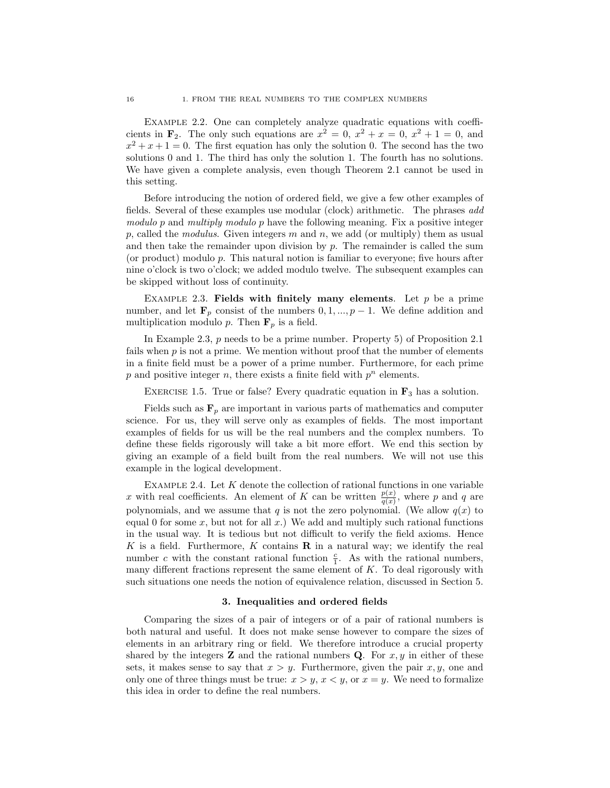EXAMPLE 2.2. One can completely analyze quadratic equations with coefficients in  $\mathbf{F}_2$ . The only such equations are  $x^2 = 0$ ,  $x^2 + x = 0$ ,  $x^2 + 1 = 0$ , and  $x^2 + x + 1 = 0$ . The first equation has only the solution 0. The second has the two solutions 0 and 1. The third has only the solution 1. The fourth has no solutions. We have given a complete analysis, even though Theorem 2.1 cannot be used in this setting.

Before introducing the notion of ordered field, we give a few other examples of fields. Several of these examples use modular (clock) arithmetic. The phrases add modulo p and multiply modulo p have the following meaning. Fix a positive integer p, called the modulus. Given integers m and n, we add (or multiply) them as usual and then take the remainder upon division by  $p$ . The remainder is called the sum (or product) modulo p. This natural notion is familiar to everyone; five hours after nine o'clock is two o'clock; we added modulo twelve. The subsequent examples can be skipped without loss of continuity.

EXAMPLE 2.3. Fields with finitely many elements. Let  $p$  be a prime number, and let  $\mathbf{F}_p$  consist of the numbers  $0, 1, ..., p - 1$ . We define addition and multiplication modulo p. Then  $\mathbf{F}_p$  is a field.

In Example 2.3, p needs to be a prime number. Property 5) of Proposition 2.1 fails when  $p$  is not a prime. We mention without proof that the number of elements in a finite field must be a power of a prime number. Furthermore, for each prime  $p$  and positive integer  $n$ , there exists a finite field with  $p^n$  elements.

EXERCISE 1.5. True or false? Every quadratic equation in  $\mathbf{F}_3$  has a solution.

Fields such as  $\mathbf{F}_p$  are important in various parts of mathematics and computer science. For us, they will serve only as examples of fields. The most important examples of fields for us will be the real numbers and the complex numbers. To define these fields rigorously will take a bit more effort. We end this section by giving an example of a field built from the real numbers. We will not use this example in the logical development.

EXAMPLE 2.4. Let  $K$  denote the collection of rational functions in one variable x with real coefficients. An element of K can be written  $\frac{p(x)}{q(x)}$ , where p and q are polynomials, and we assume that q is not the zero polynomial. (We allow  $q(x)$  to equal 0 for some x, but not for all  $x$ .) We add and multiply such rational functions in the usual way. It is tedious but not difficult to verify the field axioms. Hence K is a field. Furthermore, K contains  $\bf{R}$  in a natural way; we identify the real number c with the constant rational function  $\frac{c}{1}$ . As with the rational numbers, many different fractions represent the same element of  $K$ . To deal rigorously with such situations one needs the notion of equivalence relation, discussed in Section 5.

#### 3. Inequalities and ordered fields

Comparing the sizes of a pair of integers or of a pair of rational numbers is both natural and useful. It does not make sense however to compare the sizes of elements in an arbitrary ring or field. We therefore introduce a crucial property shared by the integers **Z** and the rational numbers **Q**. For  $x, y$  in either of these sets, it makes sense to say that  $x > y$ . Furthermore, given the pair  $x, y$ , one and only one of three things must be true:  $x > y$ ,  $x < y$ , or  $x = y$ . We need to formalize this idea in order to define the real numbers.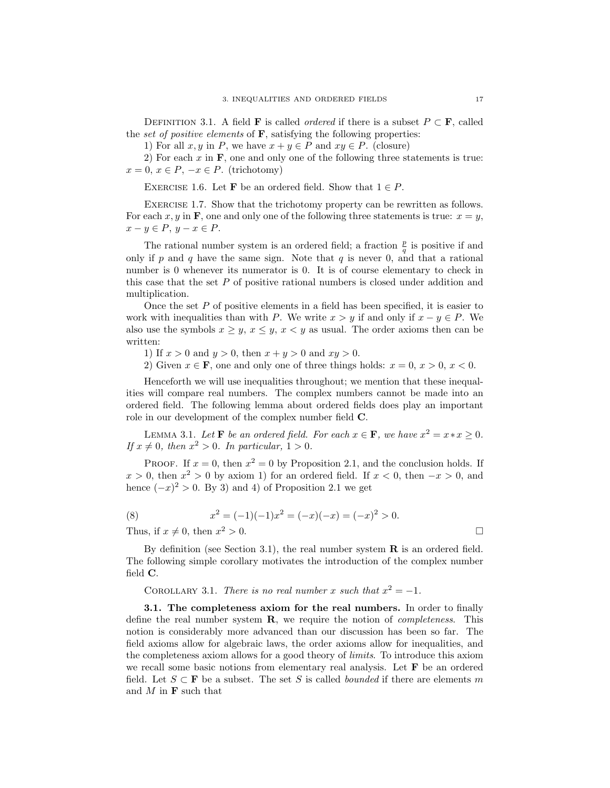DEFINITION 3.1. A field **F** is called *ordered* if there is a subset  $P \subset \mathbf{F}$ , called the set of positive elements of  $\bf{F}$ , satisfying the following properties:

1) For all  $x, y$  in P, we have  $x + y \in P$  and  $xy \in P$ . (closure)

2) For each  $x$  in  $\bf{F}$ , one and only one of the following three statements is true:  $x = 0, x \in P, -x \in P$ . (trichotomy)

EXERCISE 1.6. Let **F** be an ordered field. Show that  $1 \in P$ .

EXERCISE 1.7. Show that the trichotomy property can be rewritten as follows. For each x, y in **F**, one and only one of the following three statements is true:  $x = y$ ,  $x - y \in P$ ,  $y - x \in P$ .

The rational number system is an ordered field; a fraction  $\frac{p}{q}$  is positive if and only if p and q have the same sign. Note that q is never 0, and that a rational number is 0 whenever its numerator is 0. It is of course elementary to check in this case that the set  $P$  of positive rational numbers is closed under addition and multiplication.

Once the set  $P$  of positive elements in a field has been specified, it is easier to work with inequalities than with P. We write  $x > y$  if and only if  $x - y \in P$ . We also use the symbols  $x \geq y$ ,  $x \leq y$ ,  $x < y$  as usual. The order axioms then can be written:

1) If  $x > 0$  and  $y > 0$ , then  $x + y > 0$  and  $xy > 0$ .

2) Given  $x \in \mathbf{F}$ , one and only one of three things holds:  $x = 0, x > 0, x < 0$ .

Henceforth we will use inequalities throughout; we mention that these inequalities will compare real numbers. The complex numbers cannot be made into an ordered field. The following lemma about ordered fields does play an important role in our development of the complex number field C.

LEMMA 3.1. Let **F** be an ordered field. For each  $x \in \mathbf{F}$ , we have  $x^2 = x \cdot x \ge 0$ . If  $x \neq 0$ , then  $x^2 > 0$ . In particular,  $1 > 0$ .

PROOF. If  $x = 0$ , then  $x^2 = 0$  by Proposition 2.1, and the conclusion holds. If  $x > 0$ , then  $x<sup>2</sup> > 0$  by axiom 1) for an ordered field. If  $x < 0$ , then  $-x > 0$ , and hence  $(-x)^2 > 0$ . By 3) and 4) of Proposition 2.1 we get

(8) 
$$
x^2 = (-1)(-1)x^2 = (-x)(-x) = (-x)^2 > 0.
$$

Thus, if  $x \neq 0$ , then  $x^2 > 0$ .  $2 > 0$ .

By definition (see Section 3.1), the real number system  $\bf{R}$  is an ordered field. The following simple corollary motivates the introduction of the complex number field C.

COROLLARY 3.1. There is no real number x such that  $x^2 = -1$ .

3.1. The completeness axiom for the real numbers. In order to finally define the real number system  $R$ , we require the notion of *completeness*. This notion is considerably more advanced than our discussion has been so far. The field axioms allow for algebraic laws, the order axioms allow for inequalities, and the completeness axiom allows for a good theory of limits. To introduce this axiom we recall some basic notions from elementary real analysis. Let F be an ordered field. Let  $S \subset \mathbf{F}$  be a subset. The set S is called *bounded* if there are elements m and  $M$  in  $\bf{F}$  such that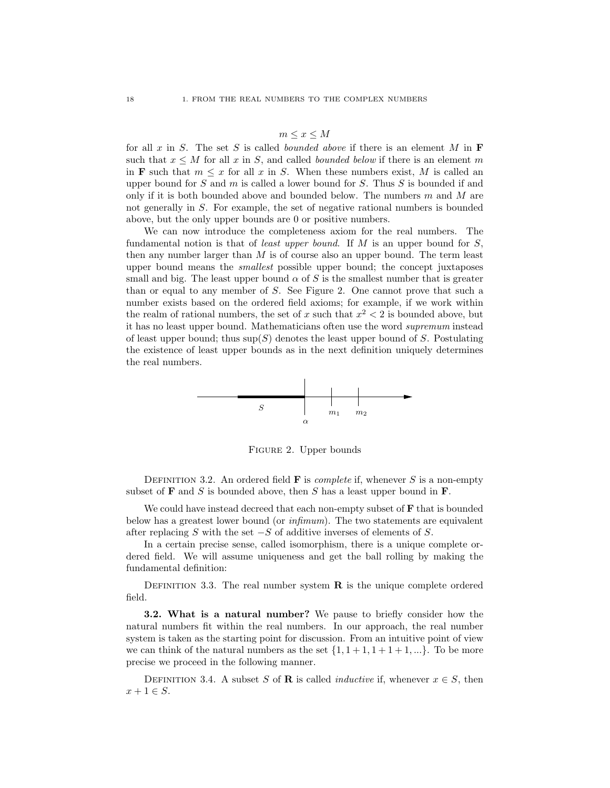#### $m \leq x \leq M$

for all  $x$  in  $S$ . The set  $S$  is called bounded above if there is an element  $M$  in  $\mathbf F$ such that  $x \leq M$  for all x in S, and called *bounded below* if there is an element m in **F** such that  $m \leq x$  for all x in S. When these numbers exist, M is called an upper bound for  $S$  and  $m$  is called a lower bound for  $S$ . Thus  $S$  is bounded if and only if it is both bounded above and bounded below. The numbers  $m$  and  $M$  are not generally in S. For example, the set of negative rational numbers is bounded above, but the only upper bounds are 0 or positive numbers.

We can now introduce the completeness axiom for the real numbers. The fundamental notion is that of *least upper bound*. If  $M$  is an upper bound for  $S$ , then any number larger than  $M$  is of course also an upper bound. The term least upper bound means the *smallest* possible upper bound; the concept juxtaposes small and big. The least upper bound  $\alpha$  of S is the smallest number that is greater than or equal to any member of S. See Figure 2. One cannot prove that such a number exists based on the ordered field axioms; for example, if we work within the realm of rational numbers, the set of x such that  $x^2 < 2$  is bounded above, but it has no least upper bound. Mathematicians often use the word supremum instead of least upper bound; thus  $\sup(S)$  denotes the least upper bound of S. Postulating the existence of least upper bounds as in the next definition uniquely determines the real numbers.



Figure 2. Upper bounds

DEFINITION 3.2. An ordered field **F** is *complete* if, whenever S is a non-empty subset of  **and**  $S$  **is bounded above, then**  $S$  **has a least upper bound in**  $**F**$ **.** 

We could have instead decreed that each non-empty subset of  $\bf{F}$  that is bounded below has a greatest lower bound (or infimum). The two statements are equivalent after replacing S with the set  $-S$  of additive inverses of elements of S.

In a certain precise sense, called isomorphism, there is a unique complete ordered field. We will assume uniqueness and get the ball rolling by making the fundamental definition:

DEFINITION 3.3. The real number system  $\bf{R}$  is the unique complete ordered field.

3.2. What is a natural number? We pause to briefly consider how the natural numbers fit within the real numbers. In our approach, the real number system is taken as the starting point for discussion. From an intuitive point of view we can think of the natural numbers as the set  $\{1, 1 + 1, 1 + 1 + 1, ...\}$ . To be more precise we proceed in the following manner.

DEFINITION 3.4. A subset S of **R** is called *inductive* if, whenever  $x \in S$ , then  $x+1 \in S$ .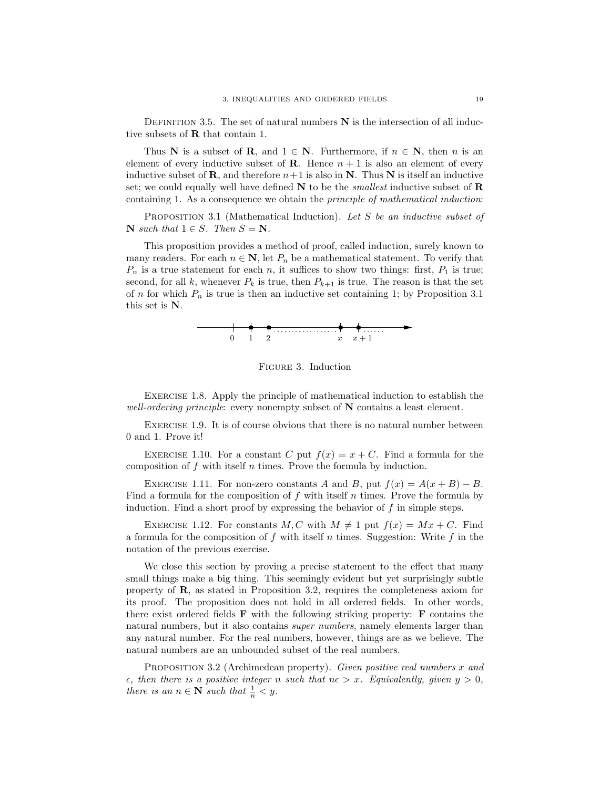DEFINITION 3.5. The set of natural numbers  $N$  is the intersection of all inductive subsets of R that contain 1.

Thus N is a subset of R, and  $1 \in N$ . Furthermore, if  $n \in N$ , then n is an element of every inductive subset of **R**. Hence  $n + 1$  is also an element of every inductive subset of **R**, and therefore  $n+1$  is also in **N**. Thus **N** is itself an inductive set; we could equally well have defined  $N$  to be the *smallest* inductive subset of  $R$ containing 1. As a consequence we obtain the principle of mathematical induction:

PROPOSITION 3.1 (Mathematical Induction). Let S be an inductive subset of  $\mathbf{N}$  such that  $1 \in S$ . Then  $S = \mathbf{N}$ .

This proposition provides a method of proof, called induction, surely known to many readers. For each  $n \in \mathbb{N}$ , let  $P_n$  be a mathematical statement. To verify that  $P_n$  is a true statement for each n, it suffices to show two things: first,  $P_1$  is true; second, for all k, whenever  $P_k$  is true, then  $P_{k+1}$  is true. The reason is that the set of n for which  $P_n$  is true is then an inductive set containing 1; by Proposition 3.1 this set is N.



Figure 3. Induction

Exercise 1.8. Apply the principle of mathematical induction to establish the well-ordering principle: every nonempty subset of  $N$  contains a least element.

Exercise 1.9. It is of course obvious that there is no natural number between 0 and 1. Prove it!

EXERCISE 1.10. For a constant C put  $f(x) = x + C$ . Find a formula for the composition of f with itself n times. Prove the formula by induction.

EXERCISE 1.11. For non-zero constants A and B, put  $f(x) = A(x + B) - B$ . Find a formula for the composition of f with itself n times. Prove the formula by induction. Find a short proof by expressing the behavior of  $f$  in simple steps.

EXERCISE 1.12. For constants  $M, C$  with  $M \neq 1$  put  $f(x) = Mx + C$ . Find a formula for the composition of f with itself n times. Suggestion: Write f in the notation of the previous exercise.

We close this section by proving a precise statement to the effect that many small things make a big thing. This seemingly evident but yet surprisingly subtle property of R, as stated in Proposition 3.2, requires the completeness axiom for its proof. The proposition does not hold in all ordered fields. In other words, there exist ordered fields  $\bf{F}$  with the following striking property:  $\bf{F}$  contains the natural numbers, but it also contains *super numbers*, namely elements larger than any natural number. For the real numbers, however, things are as we believe. The natural numbers are an unbounded subset of the real numbers.

PROPOSITION 3.2 (Archimedean property). Given positive real numbers x and  $\epsilon$ , then there is a positive integer n such that  $n\epsilon > x$ . Equivalently, given  $y > 0$ , there is an  $n \in \mathbb{N}$  such that  $\frac{1}{n} < y$ .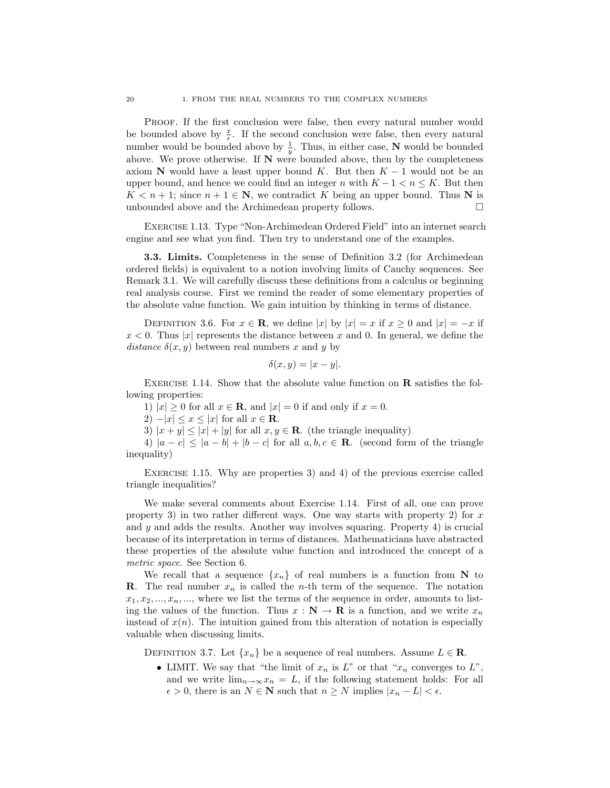Proof. If the first conclusion were false, then every natural number would be bounded above by  $\frac{x}{\epsilon}$ . If the second conclusion were false, then every natural number would be bounded above by  $\frac{1}{y}$ . Thus, in either case, **N** would be bounded above. We prove otherwise. If  $N$  were bounded above, then by the completeness axiom N would have a least upper bound K. But then  $K - 1$  would not be an upper bound, and hence we could find an integer n with  $K - 1 < n \leq K$ . But then  $K < n+1$ ; since  $n+1 \in \mathbb{N}$ , we contradict K being an upper bound. Thus N is unbounded above and the Archimedean property follows.  $\Box$ 

Exercise 1.13. Type "Non-Archimedean Ordered Field" into an internet search engine and see what you find. Then try to understand one of the examples.

3.3. Limits. Completeness in the sense of Definition 3.2 (for Archimedean ordered fields) is equivalent to a notion involving limits of Cauchy sequences. See Remark 3.1. We will carefully discuss these definitions from a calculus or beginning real analysis course. First we remind the reader of some elementary properties of the absolute value function. We gain intuition by thinking in terms of distance.

DEFINITION 3.6. For  $x \in \mathbf{R}$ , we define  $|x|$  by  $|x| = x$  if  $x \ge 0$  and  $|x| = -x$  if  $x < 0$ . Thus |x| represents the distance between x and 0. In general, we define the distance  $\delta(x, y)$  between real numbers x and y by

$$
\delta(x, y) = |x - y|.
$$

EXERCISE 1.14. Show that the absolute value function on  $\bf{R}$  satisfies the following properties:

1)  $|x| \geq 0$  for all  $x \in \mathbb{R}$ , and  $|x| = 0$  if and only if  $x = 0$ .

2)  $-|x| \leq x \leq |x|$  for all  $x \in \mathbf{R}$ .

3)  $|x + y| \le |x| + |y|$  for all  $x, y \in \mathbb{R}$ . (the triangle inequality)

4)  $|a - c| \leq |a - b| + |b - c|$  for all  $a, b, c \in \mathbb{R}$ . (second form of the triangle inequality)

EXERCISE 1.15. Why are properties 3) and 4) of the previous exercise called triangle inequalities?

We make several comments about Exercise 1.14. First of all, one can prove property 3) in two rather different ways. One way starts with property 2) for  $x$ and  $y$  and adds the results. Another way involves squaring. Property 4) is crucial because of its interpretation in terms of distances. Mathematicians have abstracted these properties of the absolute value function and introduced the concept of a metric space. See Section 6.

We recall that a sequence  $\{x_n\}$  of real numbers is a function from N to **R**. The real number  $x_n$  is called the *n*-th term of the sequence. The notation  $x_1, x_2, \ldots, x_n, \ldots$ , where we list the terms of the sequence in order, amounts to listing the values of the function. Thus  $x : \mathbf{N} \to \mathbf{R}$  is a function, and we write  $x_n$ instead of  $x(n)$ . The intuition gained from this alteration of notation is especially valuable when discussing limits.

DEFINITION 3.7. Let  $\{x_n\}$  be a sequence of real numbers. Assume  $L \in \mathbf{R}$ .

• LIMIT. We say that "the limit of  $x_n$  is  $L$ " or that " $x_n$  converges to  $L$ ", and we write  $\lim_{n\to\infty}x_n = L$ , if the following statement holds: For all  $\epsilon > 0$ , there is an  $N \in \mathbb{N}$  such that  $n \geq N$  implies  $|x_n - L| < \epsilon$ .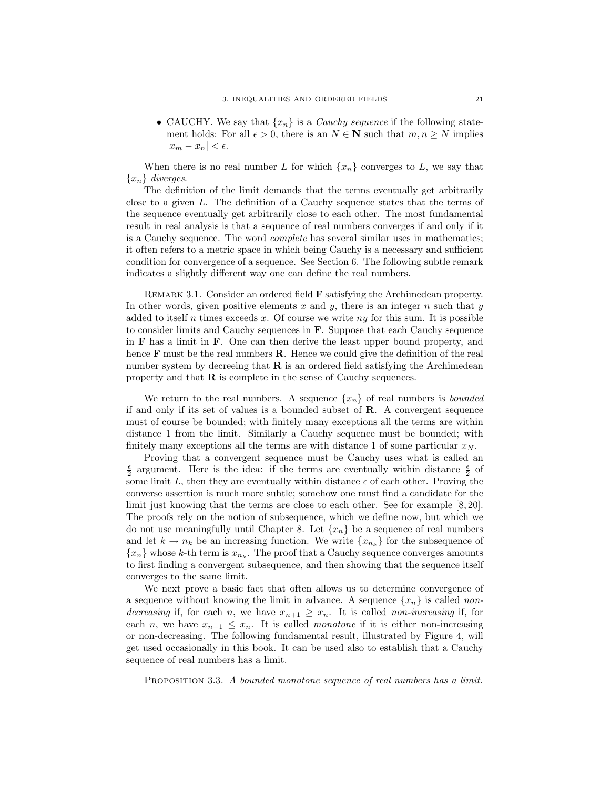• CAUCHY. We say that  $\{x_n\}$  is a *Cauchy sequence* if the following statement holds: For all  $\epsilon > 0$ , there is an  $N \in \mathbb{N}$  such that  $m, n \geq N$  implies  $|x_m - x_n| < \epsilon.$ 

When there is no real number L for which  $\{x_n\}$  converges to L, we say that  ${x_n}$  diverges.

The definition of the limit demands that the terms eventually get arbitrarily close to a given L. The definition of a Cauchy sequence states that the terms of the sequence eventually get arbitrarily close to each other. The most fundamental result in real analysis is that a sequence of real numbers converges if and only if it is a Cauchy sequence. The word complete has several similar uses in mathematics; it often refers to a metric space in which being Cauchy is a necessary and sufficient condition for convergence of a sequence. See Section 6. The following subtle remark indicates a slightly different way one can define the real numbers.

REMARK 3.1. Consider an ordered field **F** satisfying the Archimedean property. In other words, given positive elements  $x$  and  $y$ , there is an integer  $n$  such that  $y$ added to itself n times exceeds x. Of course we write ny for this sum. It is possible to consider limits and Cauchy sequences in F. Suppose that each Cauchy sequence in  $\bf{F}$  has a limit in  $\bf{F}$ . One can then derive the least upper bound property, and hence  $\bf{F}$  must be the real numbers  $\bf{R}$ . Hence we could give the definition of the real number system by decreeing that  $\bf{R}$  is an ordered field satisfying the Archimedean property and that  $\bf{R}$  is complete in the sense of Cauchy sequences.

We return to the real numbers. A sequence  $\{x_n\}$  of real numbers is *bounded* if and only if its set of values is a bounded subset of R. A convergent sequence must of course be bounded; with finitely many exceptions all the terms are within distance 1 from the limit. Similarly a Cauchy sequence must be bounded; with finitely many exceptions all the terms are with distance 1 of some particular  $x_N$ .

Proving that a convergent sequence must be Cauchy uses what is called an  $\frac{\epsilon}{2}$  argument. Here is the idea: if the terms are eventually within distance  $\frac{\epsilon}{2}$  of some limit  $L$ , then they are eventually within distance  $\epsilon$  of each other. Proving the converse assertion is much more subtle; somehow one must find a candidate for the limit just knowing that the terms are close to each other. See for example [8, 20]. The proofs rely on the notion of subsequence, which we define now, but which we do not use meaningfully until Chapter 8. Let  $\{x_n\}$  be a sequence of real numbers and let  $k \to n_k$  be an increasing function. We write  $\{x_{n_k}\}\$ for the subsequence of  ${x_n}$  whose k-th term is  ${x_{n_k}}$ . The proof that a Cauchy sequence converges amounts to first finding a convergent subsequence, and then showing that the sequence itself converges to the same limit.

We next prove a basic fact that often allows us to determine convergence of a sequence without knowing the limit in advance. A sequence  $\{x_n\}$  is called nondecreasing if, for each n, we have  $x_{n+1} \geq x_n$ . It is called non-increasing if, for each n, we have  $x_{n+1} \leq x_n$ . It is called monotone if it is either non-increasing or non-decreasing. The following fundamental result, illustrated by Figure 4, will get used occasionally in this book. It can be used also to establish that a Cauchy sequence of real numbers has a limit.

PROPOSITION 3.3. A bounded monotone sequence of real numbers has a limit.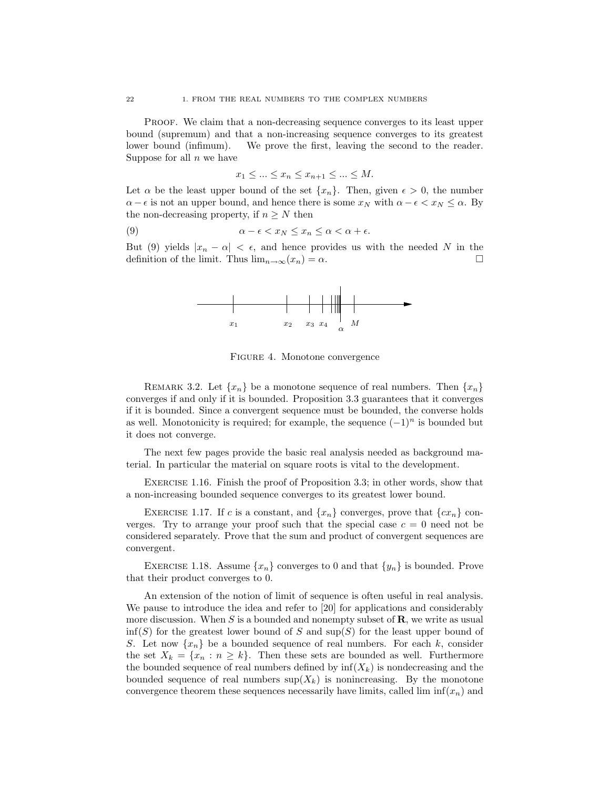Proof. We claim that a non-decreasing sequence converges to its least upper bound (supremum) and that a non-increasing sequence converges to its greatest lower bound (infimum). We prove the first, leaving the second to the reader. Suppose for all  $n$  we have

$$
x_1 \le \dots \le x_n \le x_{n+1} \le \dots \le M.
$$

Let  $\alpha$  be the least upper bound of the set  $\{x_n\}$ . Then, given  $\epsilon > 0$ , the number  $\alpha - \epsilon$  is not an upper bound, and hence there is some  $x_N$  with  $\alpha - \epsilon < x_N \leq \alpha$ . By the non-decreasing property, if  $n \geq N$  then

(9) 
$$
\alpha - \epsilon < x_N \leq x_n \leq \alpha < \alpha + \epsilon.
$$

But (9) yields  $|x_n - \alpha| < \epsilon$ , and hence provides us with the needed N in the definition of the limit. Thus  $\lim_{n\to\infty}$   $(x_n) = \alpha$ .



Figure 4. Monotone convergence

REMARK 3.2. Let  $\{x_n\}$  be a monotone sequence of real numbers. Then  $\{x_n\}$ converges if and only if it is bounded. Proposition 3.3 guarantees that it converges if it is bounded. Since a convergent sequence must be bounded, the converse holds as well. Monotonicity is required; for example, the sequence  $(-1)^n$  is bounded but it does not converge.

The next few pages provide the basic real analysis needed as background material. In particular the material on square roots is vital to the development.

Exercise 1.16. Finish the proof of Proposition 3.3; in other words, show that a non-increasing bounded sequence converges to its greatest lower bound.

EXERCISE 1.17. If c is a constant, and  $\{x_n\}$  converges, prove that  $\{cx_n\}$  converges. Try to arrange your proof such that the special case  $c = 0$  need not be considered separately. Prove that the sum and product of convergent sequences are convergent.

EXERCISE 1.18. Assume  $\{x_n\}$  converges to 0 and that  $\{y_n\}$  is bounded. Prove that their product converges to 0.

An extension of the notion of limit of sequence is often useful in real analysis. We pause to introduce the idea and refer to [20] for applications and considerably more discussion. When S is a bounded and nonempty subset of  $\mathbf{R}$ , we write as usual  $\inf(S)$  for the greatest lower bound of S and  $\sup(S)$  for the least upper bound of S. Let now  $\{x_n\}$  be a bounded sequence of real numbers. For each k, consider the set  $X_k = \{x_n : n \geq k\}$ . Then these sets are bounded as well. Furthermore the bounded sequence of real numbers defined by  $\inf(X_k)$  is nondecreasing and the bounded sequence of real numbers  $\sup(X_k)$  is nonincreasing. By the monotone convergence theorem these sequences necessarily have limits, called lim  $\inf(x_n)$  and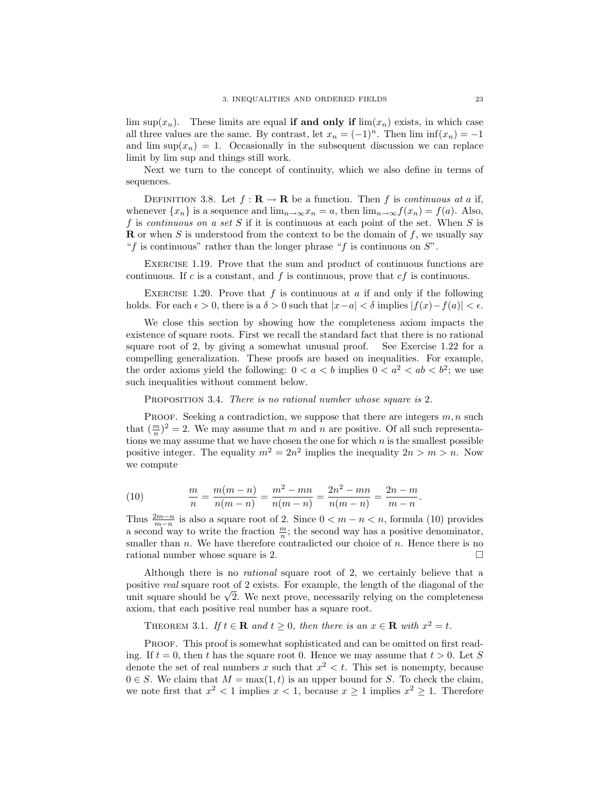lim sup( $x_n$ ). These limits are equal **if and only if** lim( $x_n$ ) exists, in which case all three values are the same. By contrast, let  $x_n = (-1)^n$ . Then  $\liminf(x_n) = -1$ and  $\limsup(x_n) = 1$ . Occasionally in the subsequent discussion we can replace limit by lim sup and things still work.

Next we turn to the concept of continuity, which we also define in terms of sequences.

DEFINITION 3.8. Let  $f: \mathbf{R} \to \mathbf{R}$  be a function. Then f is continuous at a if, whenever  $\{x_n\}$  is a sequence and  $\lim_{n\to\infty}x_n=a$ , then  $\lim_{n\to\infty}f(x_n)=f(a)$ . Also, f is continuous on a set S if it is continuous at each point of the set. When S is **R** or when S is understood from the context to be the domain of  $f$ , we usually say "f is continuous" rather than the longer phrase "f is continuous on  $S$ ".

Exercise 1.19. Prove that the sum and product of continuous functions are continuous. If c is a constant, and f is continuous, prove that  $cf$  is continuous.

EXERCISE 1.20. Prove that f is continuous at a if and only if the following holds. For each  $\epsilon > 0$ , there is a  $\delta > 0$  such that  $|x-a| < \delta$  implies  $|f(x)-f(a)| < \epsilon$ .

We close this section by showing how the completeness axiom impacts the existence of square roots. First we recall the standard fact that there is no rational square root of 2, by giving a somewhat unusual proof. See Exercise 1.22 for a compelling generalization. These proofs are based on inequalities. For example, the order axioms yield the following:  $0 < a < b$  implies  $0 < a<sup>2</sup> < ab < b<sup>2</sup>$ ; we use such inequalities without comment below.

PROPOSITION 3.4. There is no rational number whose square is 2.

PROOF. Seeking a contradiction, we suppose that there are integers  $m, n$  such that  $(\frac{m}{n})^2 = 2$ . We may assume that m and n are positive. Of all such representations we may assume that we have chosen the one for which  $n$  is the smallest possible positive integer. The equality  $m^2 = 2n^2$  implies the inequality  $2n > m > n$ . Now we compute

(10) 
$$
\frac{m}{n} = \frac{m(m-n)}{n(m-n)} = \frac{m^2 - mn}{n(m-n)} = \frac{2n^2 - mn}{n(m-n)} = \frac{2n - m}{m-n}.
$$

Thus  $\frac{2m-n}{m-n}$  is also a square root of 2. Since  $0 < m-n < n$ , formula (10) provides a second way to write the fraction  $\frac{m}{n}$ ; the second way has a positive denominator, smaller than n. We have therefore contradicted our choice of n. Hence there is no rational number whose square is 2.

Although there is no *rational* square root of 2, we certainly believe that a positive real square root of 2 exists. For example, the length of the diagonal of the positive *real* square root or 2 exists. For example, the length of the diagonal of the unit square should be  $\sqrt{2}$ . We next prove, necessarily relying on the completeness axiom, that each positive real number has a square root.

THEOREM 3.1. If  $t \in \mathbf{R}$  and  $t \geq 0$ , then there is an  $x \in \mathbf{R}$  with  $x^2 = t$ .

PROOF. This proof is somewhat sophisticated and can be omitted on first reading. If  $t = 0$ , then t has the square root 0. Hence we may assume that  $t > 0$ . Let S denote the set of real numbers x such that  $x^2 < t$ . This set is nonempty, because  $0 \in S$ . We claim that  $M = \max(1, t)$  is an upper bound for S. To check the claim, we note first that  $x^2 < 1$  implies  $x < 1$ , because  $x \ge 1$  implies  $x^2 \ge 1$ . Therefore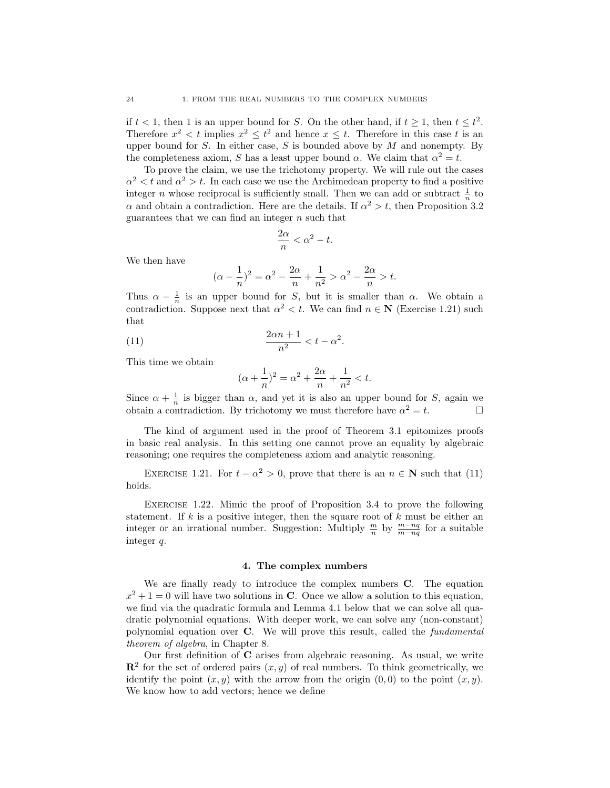if  $t < 1$ , then 1 is an upper bound for S. On the other hand, if  $t \geq 1$ , then  $t \leq t^2$ . Therefore  $x^2 < t$  implies  $x^2 \leq t^2$  and hence  $x \leq t$ . Therefore in this case t is an upper bound for  $S$ . In either case,  $S$  is bounded above by  $M$  and nonempty. By the completeness axiom, S has a least upper bound  $\alpha$ . We claim that  $\alpha^2 = t$ .

To prove the claim, we use the trichotomy property. We will rule out the cases  $\alpha^2 < t$  and  $\alpha^2 > t$ . In each case we use the Archimedean property to find a positive integer *n* whose reciprocal is sufficiently small. Then we can add or subtract  $\frac{1}{n}$  to  $\alpha$  and obtain a contradiction. Here are the details. If  $\alpha^2 > t$ , then Proposition 3.2 guarantees that we can find an integer  $n$  such that

$$
\frac{2\alpha}{n} < \alpha^2 - t.
$$

We then have

$$
(\alpha - \frac{1}{n})^2 = \alpha^2 - \frac{2\alpha}{n} + \frac{1}{n^2} > \alpha^2 - \frac{2\alpha}{n} > t.
$$

Thus  $\alpha - \frac{1}{n}$  is an upper bound for S, but it is smaller than  $\alpha$ . We obtain a contradiction. Suppose next that  $\alpha^2 < t$ . We can find  $n \in \mathbb{N}$  (Exercise 1.21) such that

$$
\frac{2\alpha n+1}{n^2} < t - \alpha^2.
$$

This time we obtain

$$
(\alpha + \frac{1}{n})^2 = \alpha^2 + \frac{2\alpha}{n} + \frac{1}{n^2} < t.
$$

Since  $\alpha + \frac{1}{n}$  is bigger than  $\alpha$ , and yet it is also an upper bound for S, again we obtain a contradiction. By trichotomy we must therefore have  $\alpha^2 = t$ .

The kind of argument used in the proof of Theorem 3.1 epitomizes proofs in basic real analysis. In this setting one cannot prove an equality by algebraic reasoning; one requires the completeness axiom and analytic reasoning.

EXERCISE 1.21. For  $t - \alpha^2 > 0$ , prove that there is an  $n \in \mathbb{N}$  such that (11) holds.

Exercise 1.22. Mimic the proof of Proposition 3.4 to prove the following statement. If k is a positive integer, then the square root of  $k$  must be either an integer or an irrational number. Suggestion: Multiply  $\frac{m}{n}$  by  $\frac{m-nq}{m-nq}$  for a suitable integer q.

#### 4. The complex numbers

We are finally ready to introduce the complex numbers C. The equation  $x^2 + 1 = 0$  will have two solutions in C. Once we allow a solution to this equation, we find via the quadratic formula and Lemma 4.1 below that we can solve all quadratic polynomial equations. With deeper work, we can solve any (non-constant) polynomial equation over C. We will prove this result, called the fundamental theorem of algebra, in Chapter 8.

Our first definition of C arises from algebraic reasoning. As usual, we write  $\mathbb{R}^2$  for the set of ordered pairs  $(x, y)$  of real numbers. To think geometrically, we identify the point  $(x, y)$  with the arrow from the origin  $(0, 0)$  to the point  $(x, y)$ . We know how to add vectors; hence we define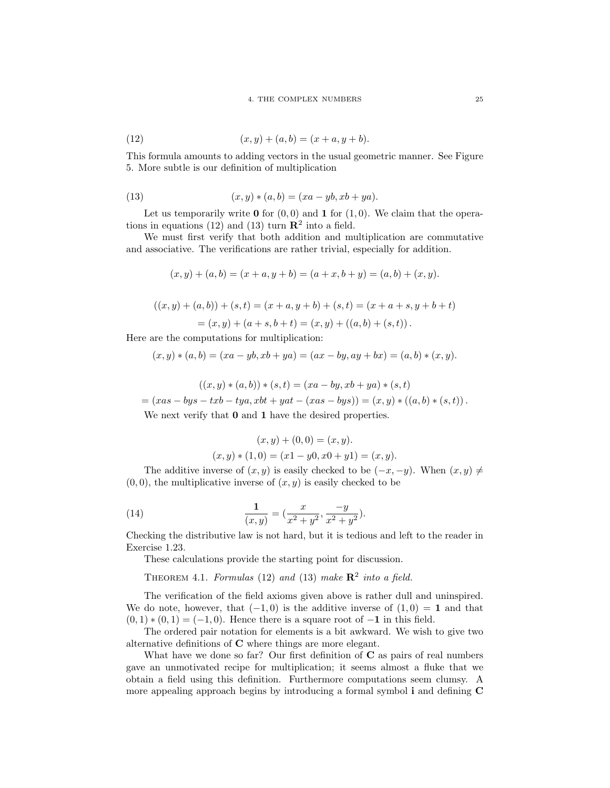(12) 
$$
(x, y) + (a, b) = (x + a, y + b).
$$

This formula amounts to adding vectors in the usual geometric manner. See Figure 5. More subtle is our definition of multiplication

(13) 
$$
(x, y) * (a, b) = (xa - yb, xb + ya).
$$

Let us temporarily write  $\mathbf 0$  for  $(0,0)$  and  $\mathbf 1$  for  $(1,0)$ . We claim that the operations in equations (12) and (13) turn  $\mathbb{R}^2$  into a field.

We must first verify that both addition and multiplication are commutative and associative. The verifications are rather trivial, especially for addition.

$$
(x, y) + (a, b) = (x + a, y + b) = (a + x, b + y) = (a, b) + (x, y).
$$

$$
((x, y) + (a, b)) + (s, t) = (x + a, y + b) + (s, t) = (x + a + s, y + b + t)
$$

 $=(x, y) + (a + s, b + t) = (x, y) + ((a, b) + (s, t)).$ 

Here are the computations for multiplication:

$$
(x, y) * (a, b) = (xa - yb, xb + ya) = (ax - by, ay + bx) = (a, b) * (x, y).
$$

$$
((x, y) * (a, b)) * (s, t) = (xa - by, xb + ya) * (s, t)
$$

$$
= (xas - bys - txb - tya, xbt + yat - (xas - bys)) = (x, y) * ((a, b) * (s, t)).
$$
  
We next verify that **0** and **1** have the desired properties.

$$
(x, y) + (0, 0) = (x, y).
$$
  

$$
(x, y) * (1, 0) = (x1 - y0, x0 + y1) = (x, y).
$$

The additive inverse of  $(x, y)$  is easily checked to be  $(-x, -y)$ . When  $(x, y) \neq$  $(0, 0)$ , the multiplicative inverse of  $(x, y)$  is easily checked to be

(14) 
$$
\frac{1}{(x,y)} = \left(\frac{x}{x^2 + y^2}, \frac{-y}{x^2 + y^2}\right).
$$

Checking the distributive law is not hard, but it is tedious and left to the reader in Exercise 1.23.

These calculations provide the starting point for discussion.

THEOREM 4.1. Formulas (12) and (13) make  $\mathbb{R}^2$  into a field.

The verification of the field axioms given above is rather dull and uninspired. We do note, however, that  $(-1,0)$  is the additive inverse of  $(1,0) = 1$  and that  $(0, 1) * (0, 1) = (-1, 0)$ . Hence there is a square root of  $-1$  in this field.

The ordered pair notation for elements is a bit awkward. We wish to give two alternative definitions of C where things are more elegant.

What have we done so far? Our first definition of  $C$  as pairs of real numbers gave an unmotivated recipe for multiplication; it seems almost a fluke that we obtain a field using this definition. Furthermore computations seem clumsy. A more appealing approach begins by introducing a formal symbol i and defining C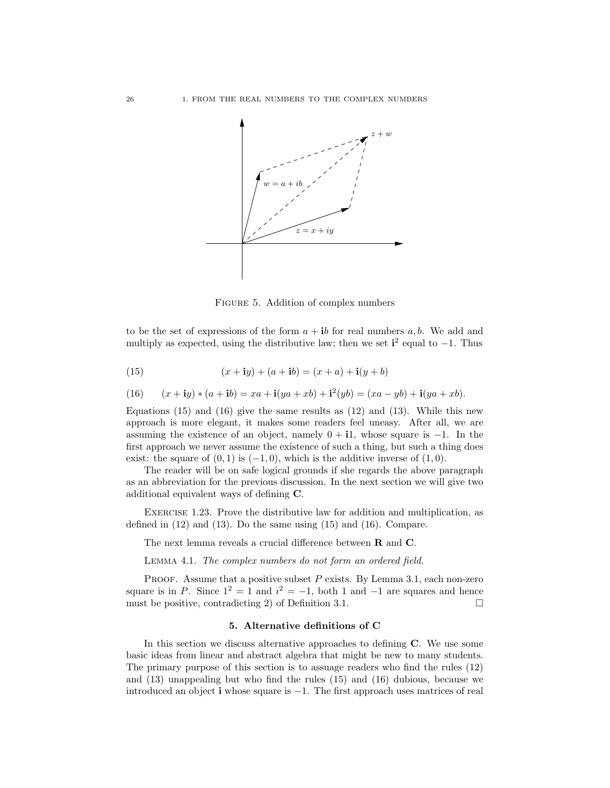

Figure 5. Addition of complex numbers

to be the set of expressions of the form  $a + ib$  for real numbers a, b. We add and multiply as expected, using the distributive law; then we set  $\mathbf{i}^2$  equal to  $-1$ . Thus

(15) 
$$
(x + iy) + (a + ib) = (x + a) + i(y + b)
$$

(16) 
$$
(x + iy) * (a + ib) = xa + i(ya + xb) + i^{2}(yb) = (xa - yb) + i(ya + xb).
$$

Equations  $(15)$  and  $(16)$  give the same results as  $(12)$  and  $(13)$ . While this new approach is more elegant, it makes some readers feel uneasy. After all, we are assuming the existence of an object, namely  $0 + i1$ , whose square is  $-1$ . In the first approach we never assume the existence of such a thing, but such a thing does exist: the square of  $(0, 1)$  is  $(-1, 0)$ , which is the additive inverse of  $(1, 0)$ .

The reader will be on safe logical grounds if she regards the above paragraph as an abbreviation for the previous discussion. In the next section we will give two additional equivalent ways of defining C.

Exercise 1.23. Prove the distributive law for addition and multiplication, as defined in (12) and (13). Do the same using (15) and (16). Compare.

The next lemma reveals a crucial difference between R and C.

Lemma 4.1. The complex numbers do not form an ordered field.

PROOF. Assume that a positive subset  $P$  exists. By Lemma 3.1, each non-zero square is in P. Since  $1^2 = 1$  and  $i^2 = -1$ , both 1 and  $-1$  are squares and hence must be positive, contradicting 2) of Definition 3.1.

#### 5. Alternative definitions of C

In this section we discuss alternative approaches to defining C. We use some basic ideas from linear and abstract algebra that might be new to many students. The primary purpose of this section is to assuage readers who find the rules (12) and (13) unappealing but who find the rules (15) and (16) dubious, because we introduced an object i whose square is −1. The first approach uses matrices of real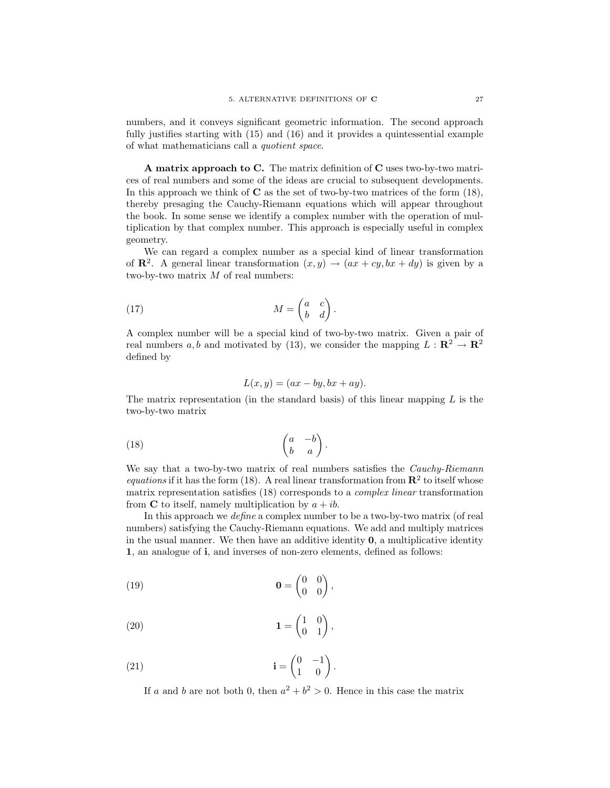numbers, and it conveys significant geometric information. The second approach fully justifies starting with (15) and (16) and it provides a quintessential example of what mathematicians call a quotient space.

A matrix approach to C. The matrix definition of C uses two-by-two matrices of real numbers and some of the ideas are crucial to subsequent developments. In this approach we think of  $C$  as the set of two-by-two matrices of the form  $(18)$ , thereby presaging the Cauchy-Riemann equations which will appear throughout the book. In some sense we identify a complex number with the operation of multiplication by that complex number. This approach is especially useful in complex geometry.

We can regard a complex number as a special kind of linear transformation of  $\mathbb{R}^2$ . A general linear transformation  $(x, y) \rightarrow (ax + cy, bx + dy)$  is given by a two-by-two matrix  $M$  of real numbers:

(17) 
$$
M = \begin{pmatrix} a & c \\ b & d \end{pmatrix}.
$$

A complex number will be a special kind of two-by-two matrix. Given a pair of real numbers a, b and motivated by (13), we consider the mapping  $L : \mathbb{R}^2 \to \mathbb{R}^2$ defined by

$$
L(x, y) = (ax - by, bx + ay).
$$

The matrix representation (in the standard basis) of this linear mapping  $L$  is the two-by-two matrix

$$
\begin{pmatrix} 18 \end{pmatrix} \qquad \qquad \begin{pmatrix} a & -b \\ b & a \end{pmatrix}.
$$

We say that a two-by-two matrix of real numbers satisfies the *Cauchy-Riemann* equations if it has the form (18). A real linear transformation from  $\mathbb{R}^2$  to itself whose matrix representation satisfies (18) corresponds to a complex linear transformation from **C** to itself, namely multiplication by  $a + ib$ .

In this approach we *define* a complex number to be a two-by-two matrix (of real numbers) satisfying the Cauchy-Riemann equations. We add and multiply matrices in the usual manner. We then have an additive identity  $\mathbf{0}$ , a multiplicative identity 1, an analogue of i, and inverses of non-zero elements, defined as follows:

,

$$
\mathbf{0} = \begin{pmatrix} 0 & 0 \\ 0 & 0 \end{pmatrix}
$$

$$
(20) \t\t\t\t1 = \begin{pmatrix} 1 & 0 \\ 0 & 1 \end{pmatrix},
$$

(21) 
$$
\mathbf{i} = \begin{pmatrix} 0 & -1 \\ 1 & 0 \end{pmatrix}.
$$

If a and b are not both 0, then  $a^2 + b^2 > 0$ . Hence in this case the matrix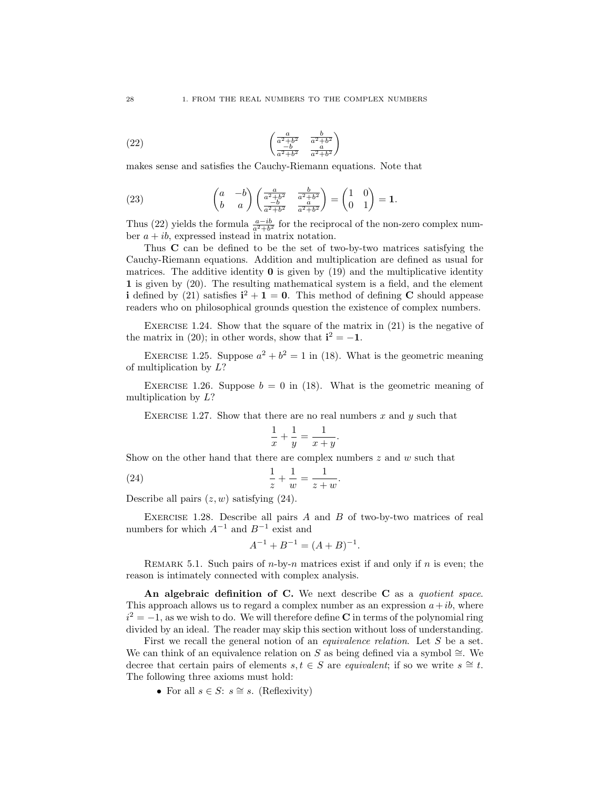(22) 
$$
\begin{pmatrix} \frac{a}{a^2 + b^2} & \frac{b}{a^2 + b^2} \\ \frac{-b}{a^2 + b^2} & \frac{a}{a^2 + b^2} \end{pmatrix}
$$

makes sense and satisfies the Cauchy-Riemann equations. Note that

(23) 
$$
\begin{pmatrix} a & -b \ b & a \end{pmatrix} \begin{pmatrix} \frac{a}{a^2 + b^2} & \frac{b}{a^2 + b^2} \\ \frac{-b}{a^2 + b^2} & \frac{a}{a^2 + b^2} \end{pmatrix} = \begin{pmatrix} 1 & 0 \\ 0 & 1 \end{pmatrix} = 1.
$$

Thus (22) yields the formula  $\frac{a-ib}{a^2+b^2}$  for the reciprocal of the non-zero complex number  $a + ib$ , expressed instead in matrix notation.

Thus C can be defined to be the set of two-by-two matrices satisfying the Cauchy-Riemann equations. Addition and multiplication are defined as usual for matrices. The additive identity  $\bf{0}$  is given by (19) and the multiplicative identity 1 is given by  $(20)$ . The resulting mathematical system is a field, and the element i defined by (21) satisfies  $i^2 + 1 = 0$ . This method of defining C should appease readers who on philosophical grounds question the existence of complex numbers.

EXERCISE 1.24. Show that the square of the matrix in  $(21)$  is the negative of the matrix in (20); in other words, show that  $\mathbf{i}^2 = -1$ .

EXERCISE 1.25. Suppose  $a^2 + b^2 = 1$  in (18). What is the geometric meaning of multiplication by L?

EXERCISE 1.26. Suppose  $b = 0$  in (18). What is the geometric meaning of multiplication by L?

EXERCISE 1.27. Show that there are no real numbers  $x$  and  $y$  such that

$$
\frac{1}{x} + \frac{1}{y} = \frac{1}{x+y}.
$$

.

Show on the other hand that there are complex numbers  $z$  and  $w$  such that

(24) 
$$
\frac{1}{z} + \frac{1}{w} = \frac{1}{z+w}
$$

Describe all pairs  $(z, w)$  satisfying  $(24)$ .

EXERCISE 1.28. Describe all pairs  $A$  and  $B$  of two-by-two matrices of real numbers for which  $A^{-1}$  and  $B^{-1}$  exist and

$$
A^{-1} + B^{-1} = (A + B)^{-1}.
$$

REMARK 5.1. Such pairs of  $n$ -by- $n$  matrices exist if and only if  $n$  is even; the reason is intimately connected with complex analysis.

An algebraic definition of C. We next describe  $C$  as a quotient space. This approach allows us to regard a complex number as an expression  $a+ib$ , where  $i^2 = -1$ , as we wish to do. We will therefore define C in terms of the polynomial ring divided by an ideal. The reader may skip this section without loss of understanding.

First we recall the general notion of an *equivalence relation*. Let S be a set. We can think of an equivalence relation on S as being defined via a symbol  $\cong$ . We decree that certain pairs of elements  $s, t \in S$  are *equivalent*; if so we write  $s \cong t$ . The following three axioms must hold:

• For all  $s \in S: s \cong s$ . (Reflexivity)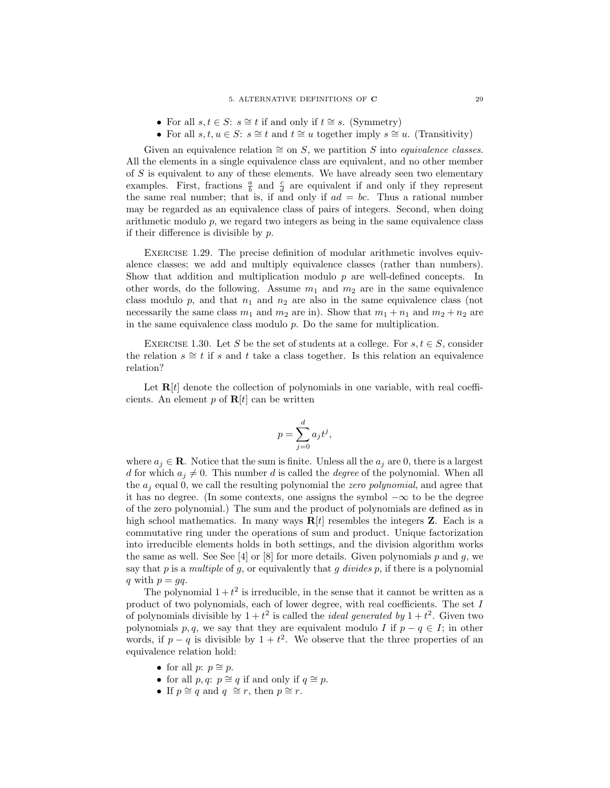- For all  $s, t \in S: s \cong t$  if and only if  $t \cong s$ . (Symmetry)
- For all  $s, t, u \in S: s \cong t$  and  $t \cong u$  together imply  $s \cong u$ . (Transitivity)

Given an equivalence relation  $\cong$  on S, we partition S into *equivalence classes*. All the elements in a single equivalence class are equivalent, and no other member of  $S$  is equivalent to any of these elements. We have already seen two elementary examples. First, fractions  $\frac{a}{b}$  and  $\frac{c}{d}$  are equivalent if and only if they represent the same real number; that is, if and only if  $ad = bc$ . Thus a rational number may be regarded as an equivalence class of pairs of integers. Second, when doing arithmetic modulo  $p$ , we regard two integers as being in the same equivalence class if their difference is divisible by  $p$ .

Exercise 1.29. The precise definition of modular arithmetic involves equivalence classes; we add and multiply equivalence classes (rather than numbers). Show that addition and multiplication modulo  $p$  are well-defined concepts. In other words, do the following. Assume  $m_1$  and  $m_2$  are in the same equivalence class modulo  $p$ , and that  $n_1$  and  $n_2$  are also in the same equivalence class (not necessarily the same class  $m_1$  and  $m_2$  are in). Show that  $m_1 + n_1$  and  $m_2 + n_2$  are in the same equivalence class modulo  $p$ . Do the same for multiplication.

EXERCISE 1.30. Let S be the set of students at a college. For  $s, t \in S$ , consider the relation  $s \cong t$  if s and t take a class together. Is this relation an equivalence relation?

Let  $R[t]$  denote the collection of polynomials in one variable, with real coefficients. An element  $p$  of  $R[t]$  can be written

$$
p = \sum_{j=0}^{d} a_j t^j,
$$

where  $a_j \in \mathbf{R}$ . Notice that the sum is finite. Unless all the  $a_j$  are 0, there is a largest d for which  $a_j \neq 0$ . This number d is called the degree of the polynomial. When all the  $a_i$  equal 0, we call the resulting polynomial the *zero polynomial*, and agree that it has no degree. (In some contexts, one assigns the symbol  $-\infty$  to be the degree of the zero polynomial.) The sum and the product of polynomials are defined as in high school mathematics. In many ways  $R[t]$  resembles the integers **Z**. Each is a commutative ring under the operations of sum and product. Unique factorization into irreducible elements holds in both settings, and the division algorithm works the same as well. See See [4] or [8] for more details. Given polynomials  $p$  and  $q$ , we say that p is a multiple of g, or equivalently that g divides  $p$ , if there is a polynomial q with  $p = qq$ .

The polynomial  $1 + t^2$  is irreducible, in the sense that it cannot be written as a product of two polynomials, each of lower degree, with real coefficients. The set I of polynomials divisible by  $1+t^2$  is called the *ideal generated by*  $1+t^2$ . Given two polynomials p, q, we say that they are equivalent modulo I if  $p - q \in I$ ; in other words, if  $p - q$  is divisible by  $1 + t^2$ . We observe that the three properties of an equivalence relation hold:

- for all  $p: p \cong p$ .
- for all  $p, q: p \cong q$  if and only if  $q \cong p$ .
- If  $p \cong q$  and  $q \cong r$ , then  $p \cong r$ .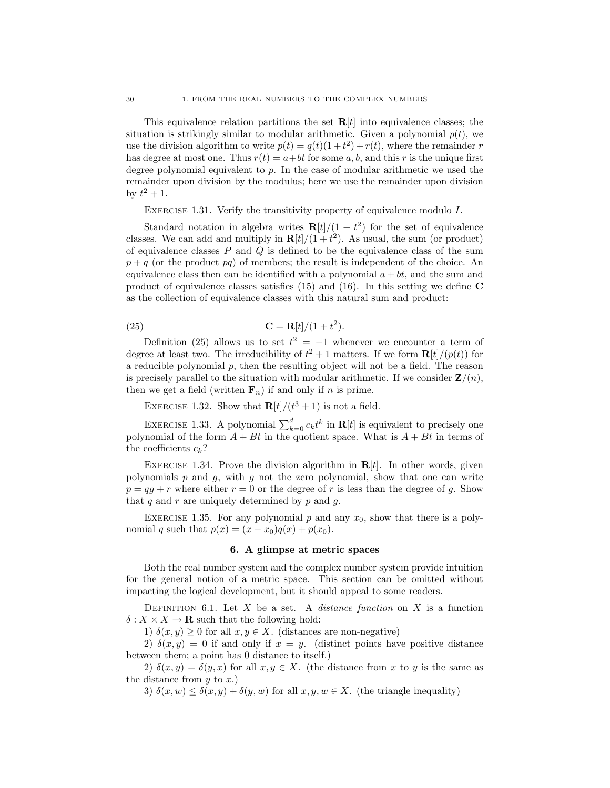This equivalence relation partitions the set  $R[t]$  into equivalence classes; the situation is strikingly similar to modular arithmetic. Given a polynomial  $p(t)$ , we use the division algorithm to write  $p(t) = q(t)(1+t^2) + r(t)$ , where the remainder r has degree at most one. Thus  $r(t) = a + bt$  for some a, b, and this r is the unique first degree polynomial equivalent to  $p$ . In the case of modular arithmetic we used the remainder upon division by the modulus; here we use the remainder upon division by  $t^2 + 1$ .

EXERCISE 1.31. Verify the transitivity property of equivalence modulo I.

Standard notation in algebra writes  $R[t]/(1+t^2)$  for the set of equivalence classes. We can add and multiply in  $R[t]/(1+t^2)$ . As usual, the sum (or product) of equivalence classes  $P$  and  $Q$  is defined to be the equivalence class of the sum  $p + q$  (or the product pq) of members; the result is independent of the choice. An equivalence class then can be identified with a polynomial  $a + bt$ , and the sum and product of equivalence classes satisfies  $(15)$  and  $(16)$ . In this setting we define C as the collection of equivalence classes with this natural sum and product:

$$
\mathbf{C} = \mathbf{R}[t]/(1+t^2).
$$

Definition (25) allows us to set  $t^2 = -1$  whenever we encounter a term of degree at least two. The irreducibility of  $t^2 + 1$  matters. If we form  $\mathbf{R}[t]/(p(t))$  for a reducible polynomial  $p$ , then the resulting object will not be a field. The reason is precisely parallel to the situation with modular arithmetic. If we consider  $\mathbf{Z}/(n)$ , then we get a field (written  $\mathbf{F}_n$ ) if and only if n is prime.

EXERCISE 1.32. Show that  $\mathbf{R}[t]/(t^3+1)$  is not a field.

EXERCISE 1.33. A polynomial  $\sum_{k=0}^{d} c_k t^k$  in  $\mathbf{R}[t]$  is equivalent to precisely one polynomial of the form  $A + Bt$  in the quotient space. What is  $A + Bt$  in terms of the coefficients  $c_k$ ?

EXERCISE 1.34. Prove the division algorithm in  $R[t]$ . In other words, given polynomials  $p$  and  $q$ , with  $q$  not the zero polynomial, show that one can write  $p = qa + r$  where either  $r = 0$  or the degree of r is less than the degree of q. Show that  $q$  and  $r$  are uniquely determined by  $p$  and  $q$ .

EXERCISE 1.35. For any polynomial  $p$  and any  $x_0$ , show that there is a polynomial q such that  $p(x) = (x - x_0)q(x) + p(x_0)$ .

#### 6. A glimpse at metric spaces

Both the real number system and the complex number system provide intuition for the general notion of a metric space. This section can be omitted without impacting the logical development, but it should appeal to some readers.

DEFINITION 6.1. Let  $X$  be a set. A *distance function* on  $X$  is a function  $\delta: X \times X \to \mathbf{R}$  such that the following hold:

1)  $\delta(x, y) \geq 0$  for all  $x, y \in X$ . (distances are non-negative)

2)  $\delta(x, y) = 0$  if and only if  $x = y$ . (distinct points have positive distance between them; a point has 0 distance to itself.)

2)  $\delta(x, y) = \delta(y, x)$  for all  $x, y \in X$ . (the distance from x to y is the same as the distance from  $y$  to  $x$ .)

3)  $\delta(x, w) \leq \delta(x, y) + \delta(y, w)$  for all  $x, y, w \in X$ . (the triangle inequality)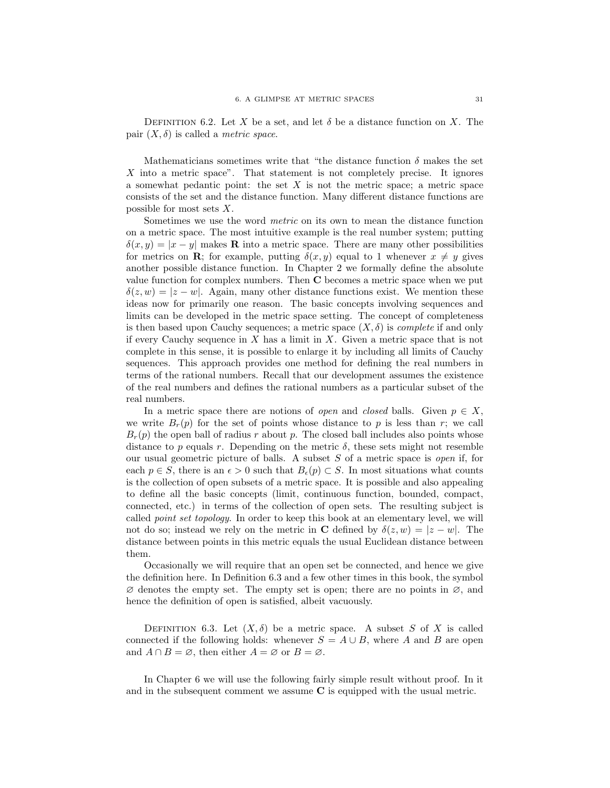DEFINITION 6.2. Let X be a set, and let  $\delta$  be a distance function on X. The pair  $(X, \delta)$  is called a *metric space*.

Mathematicians sometimes write that "the distance function  $\delta$  makes the set X into a metric space". That statement is not completely precise. It ignores a somewhat pedantic point: the set  $X$  is not the metric space; a metric space consists of the set and the distance function. Many different distance functions are possible for most sets  $X$ .

Sometimes we use the word metric on its own to mean the distance function on a metric space. The most intuitive example is the real number system; putting  $\delta(x, y) = |x - y|$  makes **R** into a metric space. There are many other possibilities for metrics on **R**; for example, putting  $\delta(x, y)$  equal to 1 whenever  $x \neq y$  gives another possible distance function. In Chapter 2 we formally define the absolute value function for complex numbers. Then  $C$  becomes a metric space when we put  $\delta(z, w) = |z - w|$ . Again, many other distance functions exist. We mention these ideas now for primarily one reason. The basic concepts involving sequences and limits can be developed in the metric space setting. The concept of completeness is then based upon Cauchy sequences; a metric space  $(X, \delta)$  is *complete* if and only if every Cauchy sequence in  $X$  has a limit in  $X$ . Given a metric space that is not complete in this sense, it is possible to enlarge it by including all limits of Cauchy sequences. This approach provides one method for defining the real numbers in terms of the rational numbers. Recall that our development assumes the existence of the real numbers and defines the rational numbers as a particular subset of the real numbers.

In a metric space there are notions of *open* and *closed* balls. Given  $p \in X$ , we write  $B_r(p)$  for the set of points whose distance to p is less than r; we call  $B_r(p)$  the open ball of radius r about p. The closed ball includes also points whose distance to p equals r. Depending on the metric  $\delta$ , these sets might not resemble our usual geometric picture of balls. A subset S of a metric space is open if, for each  $p \in S$ , there is an  $\epsilon > 0$  such that  $B_{\epsilon}(p) \subset S$ . In most situations what counts is the collection of open subsets of a metric space. It is possible and also appealing to define all the basic concepts (limit, continuous function, bounded, compact, connected, etc.) in terms of the collection of open sets. The resulting subject is called point set topology. In order to keep this book at an elementary level, we will not do so; instead we rely on the metric in C defined by  $\delta(z, w) = |z - w|$ . The distance between points in this metric equals the usual Euclidean distance between them.

Occasionally we will require that an open set be connected, and hence we give the definition here. In Definition 6.3 and a few other times in this book, the symbol  $\varnothing$  denotes the empty set. The empty set is open; there are no points in  $\varnothing$ , and hence the definition of open is satisfied, albeit vacuously.

DEFINITION 6.3. Let  $(X, \delta)$  be a metric space. A subset S of X is called connected if the following holds: whenever  $S = A \cup B$ , where A and B are open and  $A \cap B = \emptyset$ , then either  $A = \emptyset$  or  $B = \emptyset$ .

In Chapter 6 we will use the following fairly simple result without proof. In it and in the subsequent comment we assume  $C$  is equipped with the usual metric.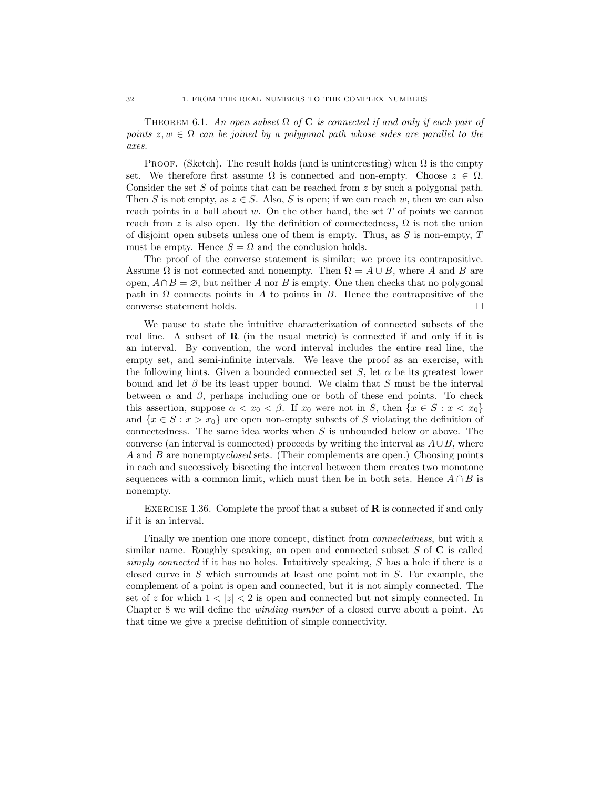THEOREM 6.1. An open subset  $\Omega$  of C is connected if and only if each pair of points  $z, w \in \Omega$  can be joined by a polygonal path whose sides are parallel to the axes.

PROOF. (Sketch). The result holds (and is uninteresting) when  $\Omega$  is the empty set. We therefore first assume  $\Omega$  is connected and non-empty. Choose  $z \in \Omega$ . Consider the set S of points that can be reached from  $z$  by such a polygonal path. Then S is not empty, as  $z \in S$ . Also, S is open; if we can reach w, then we can also reach points in a ball about  $w$ . On the other hand, the set  $T$  of points we cannot reach from z is also open. By the definition of connectedness,  $\Omega$  is not the union of disjoint open subsets unless one of them is empty. Thus, as  $S$  is non-empty,  $T$ must be empty. Hence  $S = \Omega$  and the conclusion holds.

The proof of the converse statement is similar; we prove its contrapositive. Assume  $\Omega$  is not connected and nonempty. Then  $\Omega = A \cup B$ , where A and B are open,  $A \cap B = \emptyset$ , but neither A nor B is empty. One then checks that no polygonal path in  $\Omega$  connects points in A to points in B. Hence the contrapositive of the converse statement holds.

We pause to state the intuitive characterization of connected subsets of the real line. A subset of  $\bf{R}$  (in the usual metric) is connected if and only if it is an interval. By convention, the word interval includes the entire real line, the empty set, and semi-infinite intervals. We leave the proof as an exercise, with the following hints. Given a bounded connected set S, let  $\alpha$  be its greatest lower bound and let  $\beta$  be its least upper bound. We claim that S must be the interval between  $\alpha$  and  $\beta$ , perhaps including one or both of these end points. To check this assertion, suppose  $\alpha < x_0 < \beta$ . If  $x_0$  were not in S, then  $\{x \in S : x < x_0\}$ and  $\{x \in S : x > x_0\}$  are open non-empty subsets of S violating the definition of connectedness. The same idea works when  $S$  is unbounded below or above. The converse (an interval is connected) proceeds by writing the interval as  $A\cup B$ , where A and B are nonemptyclosed sets. (Their complements are open.) Choosing points in each and successively bisecting the interval between them creates two monotone sequences with a common limit, which must then be in both sets. Hence  $A \cap B$  is nonempty.

EXERCISE 1.36. Complete the proof that a subset of  $\bf{R}$  is connected if and only if it is an interval.

Finally we mention one more concept, distinct from *connectedness*, but with a similar name. Roughly speaking, an open and connected subset  $S$  of  $C$  is called simply connected if it has no holes. Intuitively speaking, S has a hole if there is a closed curve in S which surrounds at least one point not in S. For example, the complement of a point is open and connected, but it is not simply connected. The set of z for which  $1 < |z| < 2$  is open and connected but not simply connected. In Chapter 8 we will define the winding number of a closed curve about a point. At that time we give a precise definition of simple connectivity.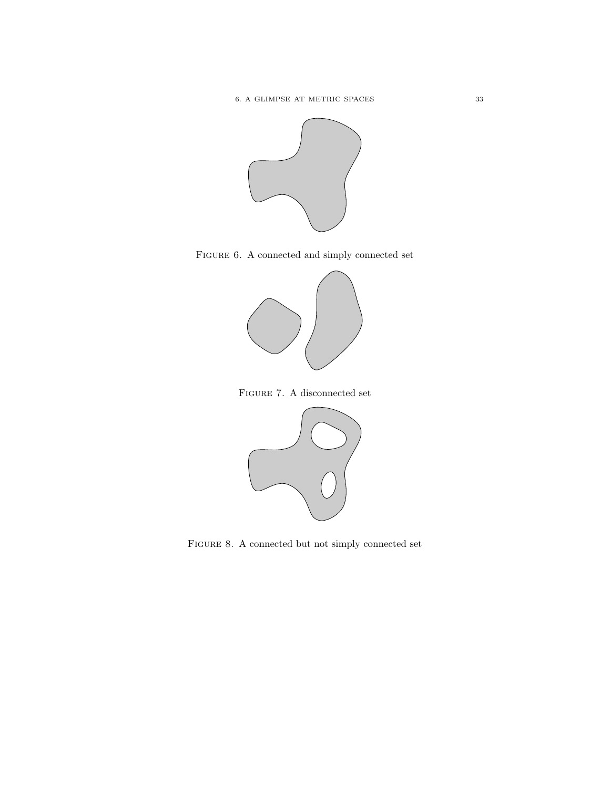

FIGURE 6. A connected and simply connected set







FIGURE 8. A connected but not simply connected set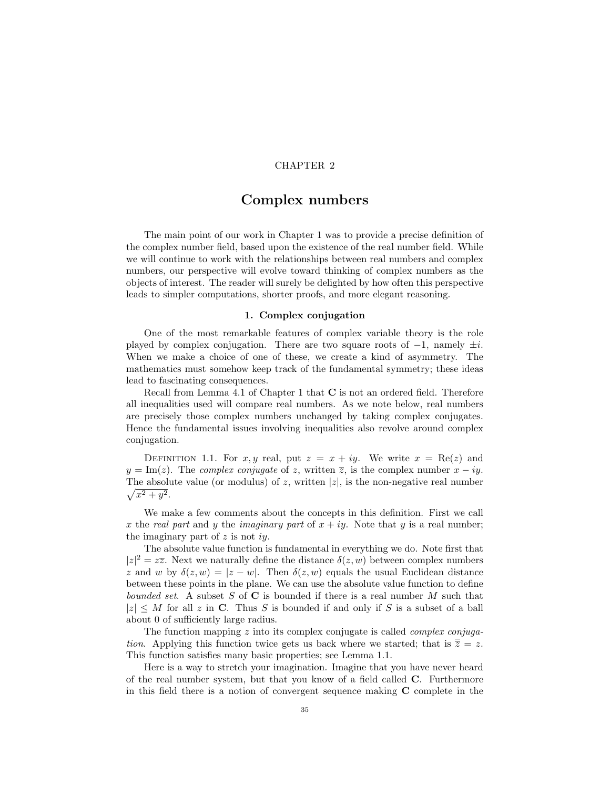#### CHAPTER 2

## Complex numbers

The main point of our work in Chapter 1 was to provide a precise definition of the complex number field, based upon the existence of the real number field. While we will continue to work with the relationships between real numbers and complex numbers, our perspective will evolve toward thinking of complex numbers as the objects of interest. The reader will surely be delighted by how often this perspective leads to simpler computations, shorter proofs, and more elegant reasoning.

#### 1. Complex conjugation

One of the most remarkable features of complex variable theory is the role played by complex conjugation. There are two square roots of  $-1$ , namely  $\pm i$ . When we make a choice of one of these, we create a kind of asymmetry. The mathematics must somehow keep track of the fundamental symmetry; these ideas lead to fascinating consequences.

Recall from Lemma 4.1 of Chapter 1 that  $C$  is not an ordered field. Therefore all inequalities used will compare real numbers. As we note below, real numbers are precisely those complex numbers unchanged by taking complex conjugates. Hence the fundamental issues involving inequalities also revolve around complex conjugation.

DEFINITION 1.1. For x, y real, put  $z = x + iy$ . We write  $x = \text{Re}(z)$  and  $y = \text{Im}(z)$ . The *complex conjugate* of z, written  $\overline{z}$ , is the complex number  $x - iy$ .  $\sqrt{x^2+y^2}$ . The absolute value (or modulus) of z, written  $|z|$ , is the non-negative real number

We make a few comments about the concepts in this definition. First we call x the real part and y the *imaginary part* of  $x + iy$ . Note that y is a real number; the imaginary part of  $z$  is not iy.

The absolute value function is fundamental in everything we do. Note first that  $|z|^2 = z\overline{z}$ . Next we naturally define the distance  $\delta(z, w)$  between complex numbers z and w by  $\delta(z, w) = |z - w|$ . Then  $\delta(z, w)$  equals the usual Euclidean distance between these points in the plane. We can use the absolute value function to define bounded set. A subset S of C is bounded if there is a real number M such that  $|z| \leq M$  for all z in C. Thus S is bounded if and only if S is a subset of a ball about 0 of sufficiently large radius.

The function mapping  $z$  into its complex conjugate is called *complex conjuga*tion. Applying this function twice gets us back where we started; that is  $\overline{\overline{z}} = z$ . This function satisfies many basic properties; see Lemma 1.1.

Here is a way to stretch your imagination. Imagine that you have never heard of the real number system, but that you know of a field called C. Furthermore in this field there is a notion of convergent sequence making C complete in the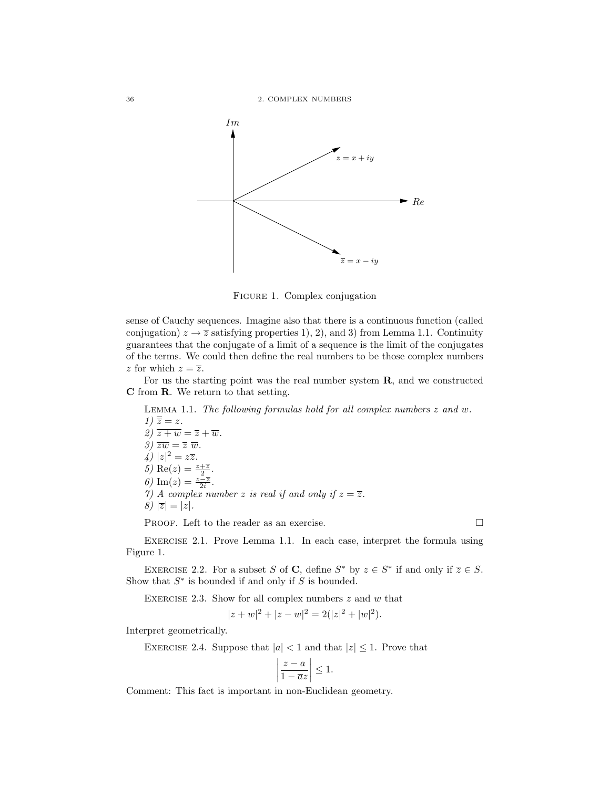

Figure 1. Complex conjugation

sense of Cauchy sequences. Imagine also that there is a continuous function (called conjugation)  $z \to \overline{z}$  satisfying properties 1), 2), and 3) from Lemma 1.1. Continuity guarantees that the conjugate of a limit of a sequence is the limit of the conjugates of the terms. We could then define the real numbers to be those complex numbers z for which  $z = \overline{z}$ .

For us the starting point was the real number system R, and we constructed C from R. We return to that setting.

LEMMA 1.1. The following formulas hold for all complex numbers  $z$  and  $w$ .  $1) \overline{\overline{z}} = z.$ 2)  $\overline{z+w} = \overline{z} + \overline{w}$ . 3)  $\overline{zw} = \overline{z} \ \overline{w}$ .  $\sqrt{4}$   $|z|^2 = z\overline{z}$ . 5) Re(z) =  $\frac{z+\overline{z}}{2}$ . 6) Im(z) =  $\frac{z-\overline{z}}{2i}$ . 7) A complex number z is real if and only if  $z = \overline{z}$ . 8)  $|\overline{z}| = |z|$ .

PROOF. Left to the reader as an exercise.

Exercise 2.1. Prove Lemma 1.1. In each case, interpret the formula using Figure 1.

EXERCISE 2.2. For a subset S of C, define  $S^*$  by  $z \in S^*$  if and only if  $\overline{z} \in S$ . Show that  $S^*$  is bounded if and only if  $S$  is bounded.

EXERCISE 2.3. Show for all complex numbers  $z$  and  $w$  that

$$
|z+w|^2 + |z-w|^2 = 2(|z|^2 + |w|^2).
$$

Interpret geometrically.

EXERCISE 2.4. Suppose that  $|a| < 1$  and that  $|z| \leq 1$ . Prove that

$$
\left|\frac{z-a}{1-\overline{a}z}\right| \le 1.
$$

Comment: This fact is important in non-Euclidean geometry.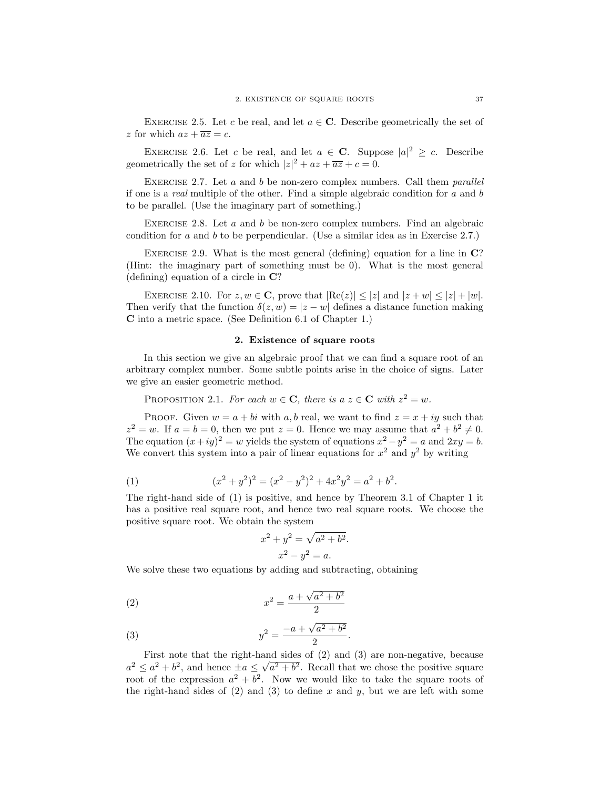EXERCISE 2.5. Let c be real, and let  $a \in \mathbb{C}$ . Describe geometrically the set of z for which  $az + \overline{az} = c$ .

EXERCISE 2.6. Let c be real, and let  $a \in \mathbb{C}$ . Suppose  $|a|^2 \geq c$ . Describe geometrically the set of z for which  $|z|^2 + az + \overline{az} + c = 0$ .

EXERCISE 2.7. Let  $a$  and  $b$  be non-zero complex numbers. Call them *parallel* if one is a real multiple of the other. Find a simple algebraic condition for a and b to be parallel. (Use the imaginary part of something.)

EXERCISE 2.8. Let  $a$  and  $b$  be non-zero complex numbers. Find an algebraic condition for  $a$  and  $b$  to be perpendicular. (Use a similar idea as in Exercise 2.7.)

EXERCISE 2.9. What is the most general (defining) equation for a line in  $\mathbb{C}^n$ ? (Hint: the imaginary part of something must be 0). What is the most general (defining) equation of a circle in C?

EXERCISE 2.10. For  $z, w \in \mathbb{C}$ , prove that  $|\text{Re}(z)| \leq |z|$  and  $|z + w| \leq |z| + |w|$ . Then verify that the function  $\delta(z, w) = |z - w|$  defines a distance function making C into a metric space. (See Definition 6.1 of Chapter 1.)

## 2. Existence of square roots

In this section we give an algebraic proof that we can find a square root of an arbitrary complex number. Some subtle points arise in the choice of signs. Later we give an easier geometric method.

PROPOSITION 2.1. For each  $w \in \mathbf{C}$ , there is  $a \ z \in \mathbf{C}$  with  $z^2 = w$ .

PROOF. Given  $w = a + bi$  with a, b real, we want to find  $z = x + iy$  such that  $z^2 = w$ . If  $a = b = 0$ , then we put  $z = 0$ . Hence we may assume that  $a^2 + b^2 \neq 0$ . The equation  $(x+iy)^2 = w$  yields the system of equations  $x^2 - y^2 = a$  and  $2xy = b$ . We convert this system into a pair of linear equations for  $x^2$  and  $y^2$  by writing

(1) 
$$
(x^2 + y^2)^2 = (x^2 - y^2)^2 + 4x^2y^2 = a^2 + b^2.
$$

The right-hand side of (1) is positive, and hence by Theorem 3.1 of Chapter 1 it has a positive real square root, and hence two real square roots. We choose the positive square root. We obtain the system

$$
x2 + y2 = \sqrt{a2 + b2}.
$$
  

$$
x2 - y2 = a.
$$

We solve these two equations by adding and subtracting, obtaining

(2) 
$$
x^2 = \frac{a + \sqrt{a^2 + b^2}}{2}
$$

(3) 
$$
y^2 = \frac{-a + \sqrt{a^2 + b^2}}{2}.
$$

First note that the right-hand sides of (2) and (3) are non-negative, because  $a^2 \le a^2 + b^2$ , and hence  $\pm a \le$ √  $a^2 + b^2$ . Recall that we chose the positive square root of the expression  $a^2 + b^2$ . Now we would like to take the square roots of the right-hand sides of (2) and (3) to define x and y, but we are left with some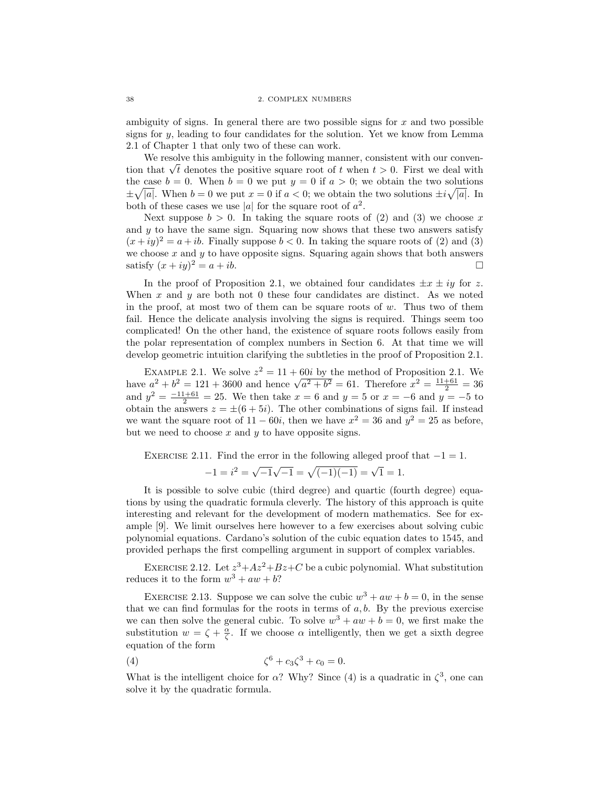ambiguity of signs. In general there are two possible signs for  $x$  and two possible signs for  $y$ , leading to four candidates for the solution. Yet we know from Lemma 2.1 of Chapter 1 that only two of these can work.

We resolve this ambiguity in the following manner, consistent with our conven-We resolve this amoiguity in the following manner, consistent with our convention that  $\sqrt{t}$  denotes the positive square root of t when  $t > 0$ . First we deal with the case  $b = 0$ . When  $b = 0$  we put  $y = 0$  if  $a > 0$ ; we obtain the two solutions  $\pm \sqrt{|a|}$ . When  $b=0$  we put  $x=0$  if  $a<0$ ; we obtain the two solutions  $\pm i\sqrt{|a|}$ . In both of these cases we use |a| for the square root of  $a^2$ .

Next suppose  $b > 0$ . In taking the square roots of (2) and (3) we choose x and  $y$  to have the same sign. Squaring now shows that these two answers satisfy  $(x+iy)^2 = a + ib$ . Finally suppose  $b < 0$ . In taking the square roots of (2) and (3) we choose  $x$  and  $y$  to have opposite signs. Squaring again shows that both answers satisfy  $(x+iy)^2 = a + ib$ .

In the proof of Proposition 2.1, we obtained four candidates  $\pm x \pm iy$  for z. When  $x$  and  $y$  are both not 0 these four candidates are distinct. As we noted in the proof, at most two of them can be square roots of  $w$ . Thus two of them fail. Hence the delicate analysis involving the signs is required. Things seem too complicated! On the other hand, the existence of square roots follows easily from the polar representation of complex numbers in Section 6. At that time we will develop geometric intuition clarifying the subtleties in the proof of Proposition 2.1.

EXAMPLE 2.1. We solve  $z^2 = 11 + 60i$  by the method of Proposition 2.1. We EXAMPLE 2.1. We solve  $z^2 = 11 + 60i$  by the method of Proposition 2.1. We have  $a^2 + b^2 = 121 + 3600$  and hence  $\sqrt{a^2 + b^2} = 61$ . Therefore  $x^2 = \frac{11+61}{2} = 36$ and  $y^2 = \frac{-11+61}{2} = 25$ . We then take  $x = 6$  and  $y = 5$  or  $x = -6$  and  $y = -5$  to obtain the answers  $z = \pm (6 + 5i)$ . The other combinations of signs fail. If instead we want the square root of  $11 - 60i$ , then we have  $x^2 = 36$  and  $y^2 = 25$  as before, but we need to choose  $x$  and  $y$  to have opposite signs.

EXERCISE 2.11. Find the error in the following alleged proof that  $-1 = 1$ .

$$
-1 = i^2 = \sqrt{-1}\sqrt{-1} = \sqrt{(-1)(-1)} = \sqrt{1} = 1.
$$

It is possible to solve cubic (third degree) and quartic (fourth degree) equations by using the quadratic formula cleverly. The history of this approach is quite interesting and relevant for the development of modern mathematics. See for example [9]. We limit ourselves here however to a few exercises about solving cubic polynomial equations. Cardano's solution of the cubic equation dates to 1545, and provided perhaps the first compelling argument in support of complex variables.

EXERCISE 2.12. Let  $z^3 + Az^2 + Bz + C$  be a cubic polynomial. What substitution reduces it to the form  $w^3 + aw + b$ ?

EXERCISE 2.13. Suppose we can solve the cubic  $w^3 + aw + b = 0$ , in the sense that we can find formulas for the roots in terms of  $a, b$ . By the previous exercise we can then solve the general cubic. To solve  $w^3 + aw + b = 0$ , we first make the substitution  $w = \zeta + \frac{\alpha}{\zeta}$ . If we choose  $\alpha$  intelligently, then we get a sixth degree equation of the form

(4) 
$$
\zeta^6 + c_3 \zeta^3 + c_0 = 0.
$$

What is the intelligent choice for  $\alpha$ ? Why? Since (4) is a quadratic in  $\zeta^3$ , one can solve it by the quadratic formula.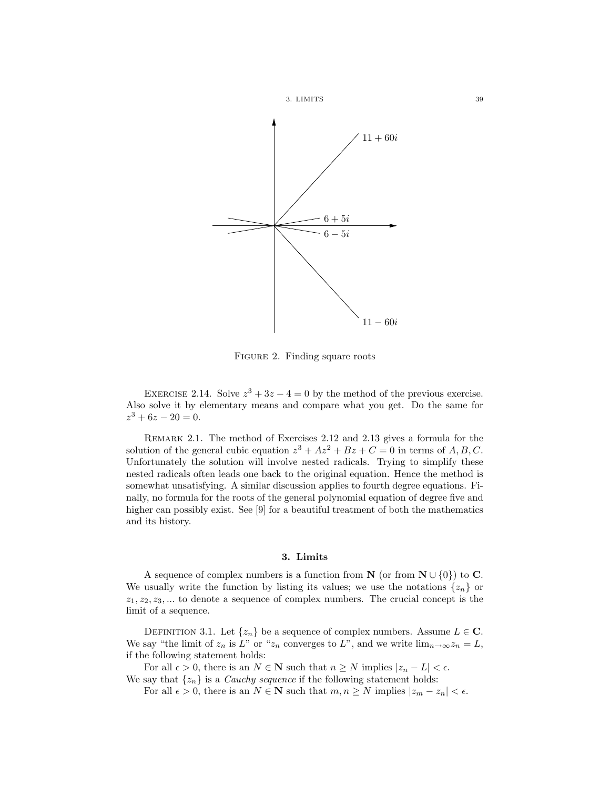

FIGURE 2. Finding square roots

EXERCISE 2.14. Solve  $z^3 + 3z - 4 = 0$  by the method of the previous exercise. Also solve it by elementary means and compare what you get. Do the same for  $z^3 + 6z - 20 = 0.$ 

Remark 2.1. The method of Exercises 2.12 and 2.13 gives a formula for the solution of the general cubic equation  $z^3 + Az^2 + Bz + C = 0$  in terms of  $A, B, C$ . Unfortunately the solution will involve nested radicals. Trying to simplify these nested radicals often leads one back to the original equation. Hence the method is somewhat unsatisfying. A similar discussion applies to fourth degree equations. Finally, no formula for the roots of the general polynomial equation of degree five and higher can possibly exist. See [9] for a beautiful treatment of both the mathematics and its history.

## 3. Limits

A sequence of complex numbers is a function from  $\mathbf{N}$  (or from  $\mathbf{N} \cup \{0\}$ ) to **C**. We usually write the function by listing its values; we use the notations  $\{z_n\}$  or  $z_1, z_2, z_3, \ldots$  to denote a sequence of complex numbers. The crucial concept is the limit of a sequence.

DEFINITION 3.1. Let  $\{z_n\}$  be a sequence of complex numbers. Assume  $L \in \mathbb{C}$ . We say "the limit of  $z_n$  is L" or " $z_n$  converges to L", and we write  $\lim_{n\to\infty}z_n=L$ , if the following statement holds:

For all  $\epsilon > 0$ , there is an  $N \in \mathbb{N}$  such that  $n \geq N$  implies  $|z_n - L| < \epsilon$ .

We say that  $\{z_n\}$  is a *Cauchy sequence* if the following statement holds: For all  $\epsilon > 0$ , there is an  $N \in \mathbb{N}$  such that  $m, n \ge N$  implies  $|z_m - z_n| < \epsilon$ .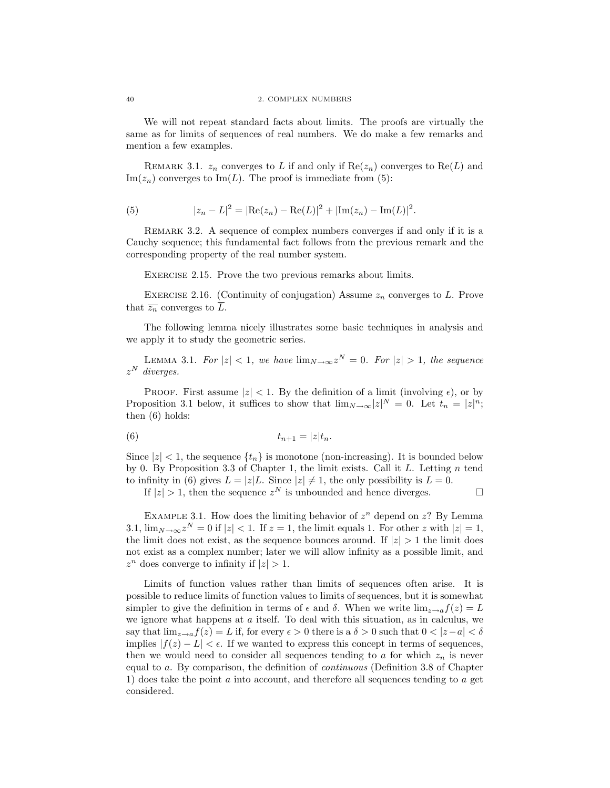We will not repeat standard facts about limits. The proofs are virtually the same as for limits of sequences of real numbers. We do make a few remarks and mention a few examples.

REMARK 3.1.  $z_n$  converges to L if and only if  $\text{Re}(z_n)$  converges to  $\text{Re}(L)$  and  $\text{Im}(z_n)$  converges to  $\text{Im}(L)$ . The proof is immediate from (5):

(5) 
$$
|z_n - L|^2 = |\text{Re}(z_n) - \text{Re}(L)|^2 + |\text{Im}(z_n) - \text{Im}(L)|^2.
$$

REMARK 3.2. A sequence of complex numbers converges if and only if it is a Cauchy sequence; this fundamental fact follows from the previous remark and the corresponding property of the real number system.

EXERCISE 2.15. Prove the two previous remarks about limits.

EXERCISE 2.16. (Continuity of conjugation) Assume  $z_n$  converges to L. Prove that  $\overline{z_n}$  converges to  $\overline{L}$ .

The following lemma nicely illustrates some basic techniques in analysis and we apply it to study the geometric series.

LEMMA 3.1. For  $|z| < 1$ , we have  $\lim_{N \to \infty} z^N = 0$ . For  $|z| > 1$ , the sequence  $z^N$  diverges.

PROOF. First assume  $|z| < 1$ . By the definition of a limit (involving  $\epsilon$ ), or by Proposition 3.1 below, it suffices to show that  $\lim_{N\to\infty}|z|^N=0$ . Let  $t_n=|z|^n$ ; then (6) holds:

$$
(6) \t t_{n+1} = |z|t_n.
$$

Since  $|z| < 1$ , the sequence  $\{t_n\}$  is monotone (non-increasing). It is bounded below by 0. By Proposition 3.3 of Chapter 1, the limit exists. Call it  $L$ . Letting  $n$  tend to infinity in (6) gives  $L = |z|L$ . Since  $|z| \neq 1$ , the only possibility is  $L = 0$ .

If  $|z| > 1$ , then the sequence  $z^N$  is unbounded and hence diverges.

EXAMPLE 3.1. How does the limiting behavior of  $z^n$  depend on  $z$ ? By Lemma 3.1,  $\lim_{N\to\infty} z^N = 0$  if  $|z| < 1$ . If  $z = 1$ , the limit equals 1. For other z with  $|z| = 1$ , the limit does not exist, as the sequence bounces around. If  $|z| > 1$  the limit does not exist as a complex number; later we will allow infinity as a possible limit, and  $z^n$  does converge to infinity if  $|z| > 1$ .

Limits of function values rather than limits of sequences often arise. It is possible to reduce limits of function values to limits of sequences, but it is somewhat simpler to give the definition in terms of  $\epsilon$  and  $\delta$ . When we write  $\lim_{z\to a}f(z)=L$ we ignore what happens at  $a$  itself. To deal with this situation, as in calculus, we say that  $\lim_{z\to a}f(z)=L$  if, for every  $\epsilon>0$  there is a  $\delta>0$  such that  $0<|z-a|<\delta$ implies  $|f(z) - L| < \epsilon$ . If we wanted to express this concept in terms of sequences, then we would need to consider all sequences tending to a for which  $z_n$  is never equal to a. By comparison, the definition of continuous (Definition 3.8 of Chapter 1) does take the point a into account, and therefore all sequences tending to a get considered.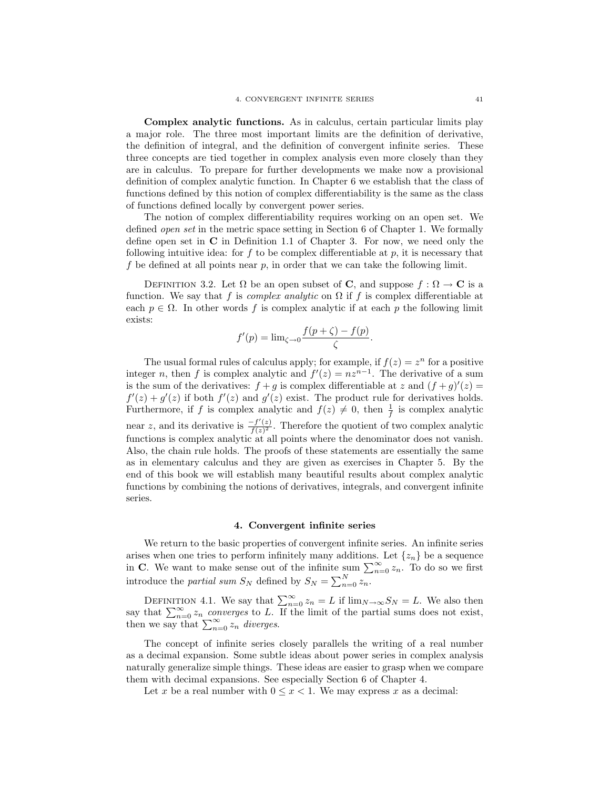Complex analytic functions. As in calculus, certain particular limits play a major role. The three most important limits are the definition of derivative, the definition of integral, and the definition of convergent infinite series. These three concepts are tied together in complex analysis even more closely than they are in calculus. To prepare for further developments we make now a provisional definition of complex analytic function. In Chapter 6 we establish that the class of functions defined by this notion of complex differentiability is the same as the class of functions defined locally by convergent power series.

The notion of complex differentiability requires working on an open set. We defined open set in the metric space setting in Section 6 of Chapter 1. We formally define open set in C in Definition 1.1 of Chapter 3. For now, we need only the following intuitive idea: for  $f$  to be complex differentiable at  $p$ , it is necessary that f be defined at all points near  $p$ , in order that we can take the following limit.

DEFINITION 3.2. Let  $\Omega$  be an open subset of **C**, and suppose  $f : \Omega \to \mathbb{C}$  is a function. We say that f is complex analytic on  $\Omega$  if f is complex differentiable at each  $p \in \Omega$ . In other words f is complex analytic if at each p the following limit exists:

$$
f'(p) = \lim_{\zeta \to 0} \frac{f(p+\zeta) - f(p)}{\zeta}.
$$

The usual formal rules of calculus apply; for example, if  $f(z) = z^n$  for a positive integer n, then f is complex analytic and  $f'(z) = nz^{n-1}$ . The derivative of a sum is the sum of the derivatives:  $f + g$  is complex differentiable at z and  $(f + g)'(z) =$  $f'(z) + g'(z)$  if both  $f'(z)$  and  $g'(z)$  exist. The product rule for derivatives holds. Furthermore, if f is complex analytic and  $f(z) \neq 0$ , then  $\frac{1}{f}$  is complex analytic near z, and its derivative is  $\frac{-f'(z)}{f(z)^2}$  $\frac{-f(z)}{f(z)^2}$ . Therefore the quotient of two complex analytic functions is complex analytic at all points where the denominator does not vanish. Also, the chain rule holds. The proofs of these statements are essentially the same as in elementary calculus and they are given as exercises in Chapter 5. By the end of this book we will establish many beautiful results about complex analytic functions by combining the notions of derivatives, integrals, and convergent infinite series.

# 4. Convergent infinite series

We return to the basic properties of convergent infinite series. An infinite series arises when one tries to perform infinitely many additions. Let  $\{z_n\}$  be a sequence in C. We want to make sense out of the infinite sum  $\sum_{n=0}^{\infty} z_n$ . To do so we first introduce the *partial sum*  $S_N$  defined by  $S_N = \sum_{n=0}^N z_n$ .

DEFINITION 4.1. We say that  $\sum_{n=0}^{\infty} z_n = L$  if  $\lim_{N \to \infty} S_N = L$ . We also then say that  $\sum_{n=0}^{\infty} z_n$  converges to L. If the limit of the partial sums does not exist, then we say that  $\sum_{n=0}^{\infty} z_n$  diverges.

The concept of infinite series closely parallels the writing of a real number as a decimal expansion. Some subtle ideas about power series in complex analysis naturally generalize simple things. These ideas are easier to grasp when we compare them with decimal expansions. See especially Section 6 of Chapter 4.

Let x be a real number with  $0 \leq x < 1$ . We may express x as a decimal: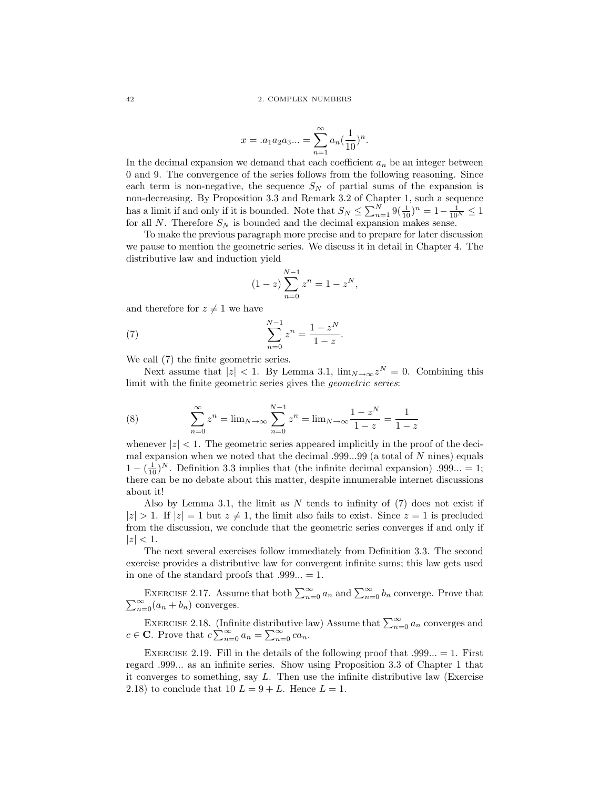$$
x = .a_1 a_2 a_3 ... = \sum_{n=1}^{\infty} a_n \left(\frac{1}{10}\right)^n.
$$

In the decimal expansion we demand that each coefficient  $a_n$  be an integer between 0 and 9. The convergence of the series follows from the following reasoning. Since each term is non-negative, the sequence  $S_N$  of partial sums of the expansion is non-decreasing. By Proposition 3.3 and Remark 3.2 of Chapter 1, such a sequence has a limit if and only if it is bounded. Note that  $S_N \le \sum_{n=1}^N 9(\frac{1}{10})^n = 1 - \frac{1}{10^N} \le 1$ for all N. Therefore  $S_N$  is bounded and the decimal expansion makes sense.

To make the previous paragraph more precise and to prepare for later discussion we pause to mention the geometric series. We discuss it in detail in Chapter 4. The distributive law and induction yield

$$
(1-z)\sum_{n=0}^{N-1} z^n = 1 - z^N,
$$

and therefore for  $z \neq 1$  we have

(7) 
$$
\sum_{n=0}^{N-1} z^n = \frac{1 - z^N}{1 - z}.
$$

We call (7) the finite geometric series.

Next assume that  $|z| < 1$ . By Lemma 3.1,  $\lim_{N \to \infty} z^N = 0$ . Combining this limit with the finite geometric series gives the geometric series:

(8) 
$$
\sum_{n=0}^{\infty} z^n = \lim_{N \to \infty} \sum_{n=0}^{N-1} z^n = \lim_{N \to \infty} \frac{1 - z^N}{1 - z} = \frac{1}{1 - z}
$$

whenever  $|z| < 1$ . The geometric series appeared implicitly in the proof of the decimal expansion when we noted that the decimal  $.999...99$  (a total of N nines) equals  $1 - (\frac{1}{10})^N$ . Definition 3.3 implies that (the infinite decimal expansion) .999... = 1; there can be no debate about this matter, despite innumerable internet discussions about it!

Also by Lemma 3.1, the limit as  $N$  tends to infinity of  $(7)$  does not exist if  $|z| > 1$ . If  $|z| = 1$  but  $z \neq 1$ , the limit also fails to exist. Since  $z = 1$  is precluded from the discussion, we conclude that the geometric series converges if and only if  $|z| < 1$ .

The next several exercises follow immediately from Definition 3.3. The second exercise provides a distributive law for convergent infinite sums; this law gets used in one of the standard proofs that  $.999... = 1$ .

EXERCISE 2.17. Assume that both  $\sum_{n=0}^{\infty} a_n$  and  $\sum_{n=0}^{\infty} \sum_{n=0}^{\infty} (a_n + b_n)$  converges. EXERCISE 2.17. Assume that both  $\sum_{n=0}^{\infty} a_n$  and  $\sum_{n=0}^{\infty} b_n$  converge. Prove that  $\sum_{n=0}^{\infty} (a_n + b_n)$  converges.

EXERCISE 2.18. (Infinite distributive law) Assume that  $\sum_{n=0}^{\infty} a_n$  converges and  $c \in \mathbf{C}$ . Prove that  $c \sum_{n=0}^{\infty} a_n = \sum_{n=0}^{\infty} c a_n$ .

EXERCISE 2.19. Fill in the details of the following proof that  $.999... = 1$ . First regard .999... as an infinite series. Show using Proposition 3.3 of Chapter 1 that it converges to something, say  $L$ . Then use the infinite distributive law (Exercise 2.18) to conclude that 10  $L = 9 + L$ . Hence  $L = 1$ .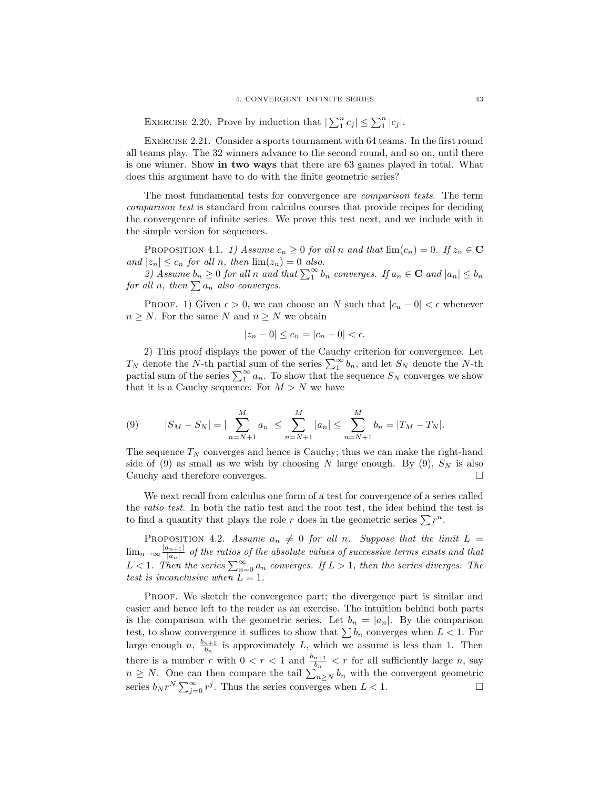EXERCISE 2.20. Prove by induction that  $|\sum_1^n c_j| \leq \sum_1^n |c_j|$ .

Exercise 2.21. Consider a sports tournament with 64 teams. In the first round all teams play. The 32 winners advance to the second round, and so on, until there is one winner. Show in two ways that there are 63 games played in total. What does this argument have to do with the finite geometric series?

The most fundamental tests for convergence are comparison tests. The term comparison test is standard from calculus courses that provide recipes for deciding the convergence of infinite series. We prove this test next, and we include with it the simple version for sequences.

PROPOSITION 4.1. 1) Assume  $c_n \geq 0$  for all n and that  $\lim(c_n) = 0$ . If  $z_n \in \mathbb{C}$ and  $|z_n| \leq c_n$  for all n, then  $\lim(z_n) = 0$  also.

2) Assume  $b_n \geq 0$  for all n and that  $\sum_1^{\infty} b_n$  converges. If  $a_n \in \mathbb{C}$  and  $|a_n| \leq b_n$ for all n, then  $\sum a_n$  also converges.

PROOF. 1) Given  $\epsilon > 0$ , we can choose an N such that  $|c_n - 0| < \epsilon$  whenever  $n \geq N$ . For the same N and  $n \geq N$  we obtain

$$
|z_n - 0| \le c_n = |c_n - 0| < \epsilon.
$$

2) This proof displays the power of the Cauchy criterion for convergence. Let  $T_N$  denote the N-th partial sum of the series  $\sum_1^{\infty} b_n$ , and let  $S_N$  denote the N-th partial sum of the series  $\sum_{1}^{\infty} a_n$ . To show that the sequence  $S_N$  converges we show that it is a Cauchy sequence. For  $M > N$  we have

(9) 
$$
|S_M - S_N| = |\sum_{n=N+1}^M a_n| \leq \sum_{n=N+1}^M |a_n| \leq \sum_{n=N+1}^M b_n = |T_M - T_N|.
$$

The sequence  $T_N$  converges and hence is Cauchy; thus we can make the right-hand side of (9) as small as we wish by choosing N large enough. By (9),  $S_N$  is also Cauchy and therefore converges.

We next recall from calculus one form of a test for convergence of a series called the ratio test. In both the ratio test and the root test, the idea behind the test is to find a quantity that plays the role r does in the geometric series  $\sum r^n$ .

PROPOSITION 4.2. Assume  $a_n \neq 0$  for all n. Suppose that the limit  $L =$  $\lim_{n\to\infty} \frac{|a_{n+1}|}{|a_n|}$  $\frac{|a_{n+1}|}{|a_n|}$  of the ratios of the absolute values of successive terms exists and that  $L < 1$ . Then the series  $\sum_{n=0}^{\infty} a_n$  converges. If  $L > 1$ , then the series diverges. The test is inconclusive when  $L = 1$ .

PROOF. We sketch the convergence part; the divergence part is similar and easier and hence left to the reader as an exercise. The intuition behind both parts is the comparison with the geometric series. Let  $b_n = |a_n|$ . By the comparison test, to show convergence it suffices to show that  $\sum b_n$  converges when  $L < 1$ . For large enough  $n, \frac{b_{n+1}}{b}$  $\frac{n+1}{b_n}$  is approximately L, which we assume is less than 1. Then there is a number r with  $0 < r < 1$  and  $\frac{b_{n+1}}{b_n} < r$  for all sufficiently large n, say  $n \geq N$ . One can then compare the tail  $\sum_{n \geq N} b_n$  with the convergent geometric series  $b_N r^N \sum_{j=0}^{\infty} r^j$ . Thus the series converges when  $L < 1$ .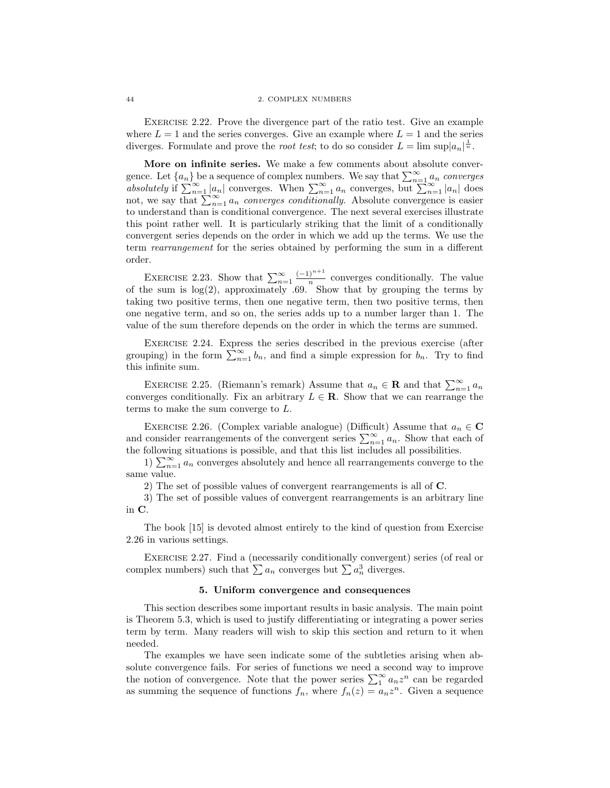#### 44 2. COMPLEX NUMBERS

Exercise 2.22. Prove the divergence part of the ratio test. Give an example where  $L = 1$  and the series converges. Give an example where  $L = 1$  and the series diverges. Formulate and prove the *root test*; to do so consider  $L = \limsup |a_n|^{\frac{1}{n}}$ .

More on infinite series. We make a few comments about absolute convergence. Let  $\{a_n\}$  be a sequence of complex numbers. We say that  $\sum_{n=1}^{\infty} a_n$  converges absolutely if  $\sum_{n=1}^{\infty} |a_n|$  converges. When  $\sum_{n=1}^{\infty} a_n$  converges, but  $\sum_{n=1}^{\infty} |a_n|$  does not, we say that  $\sum_{n=1}^{\infty} a_n$  converges conditionally. Absolute convergence is easier to understand than is conditional convergence. The next several exercises illustrate this point rather well. It is particularly striking that the limit of a conditionally convergent series depends on the order in which we add up the terms. We use the term rearrangement for the series obtained by performing the sum in a different order.

EXERCISE 2.23. Show that  $\sum_{n=1}^{\infty} \frac{(-1)^{n+1}}{n}$  $\frac{1}{n}$  converges conditionally. The value of the sum is  $log(2)$ , approximately .69. Show that by grouping the terms by taking two positive terms, then one negative term, then two positive terms, then one negative term, and so on, the series adds up to a number larger than 1. The value of the sum therefore depends on the order in which the terms are summed.

Exercise 2.24. Express the series described in the previous exercise (after grouping) in the form  $\sum_{n=1}^{\infty} b_n$ , and find a simple expression for  $b_n$ . Try to find this infinite sum.

EXERCISE 2.25. (Riemann's remark) Assume that  $a_n \in \mathbf{R}$  and that  $\sum_{n=1}^{\infty} a_n$ converges conditionally. Fix an arbitrary  $L \in \mathbf{R}$ . Show that we can rearrange the terms to make the sum converge to L.

EXERCISE 2.26. (Complex variable analogue) (Difficult) Assume that  $a_n \in \mathbb{C}$ and consider rearrangements of the convergent series  $\sum_{n=1}^{\infty} a_n$ . Show that each of the following situations is possible, and that this list includes all possibilities.

1)  $\sum_{n=1}^{\infty} a_n$  converges absolutely and hence all rearrangements converge to the same value.

2) The set of possible values of convergent rearrangements is all of C.

3) The set of possible values of convergent rearrangements is an arbitrary line in C.

The book [15] is devoted almost entirely to the kind of question from Exercise 2.26 in various settings.

Exercise 2.27. Find a (necessarily conditionally convergent) series (of real or complex numbers) such that  $\sum a_n$  converges but  $\sum a_n^3$  diverges.

## 5. Uniform convergence and consequences

This section describes some important results in basic analysis. The main point is Theorem 5.3, which is used to justify differentiating or integrating a power series term by term. Many readers will wish to skip this section and return to it when needed.

The examples we have seen indicate some of the subtleties arising when absolute convergence fails. For series of functions we need a second way to improve the notion of convergence. Note that the power series  $\sum_1^{\infty} a_n z^n$  can be regarded as summing the sequence of functions  $f_n$ , where  $f_n(z) = a_n z^n$ . Given a sequence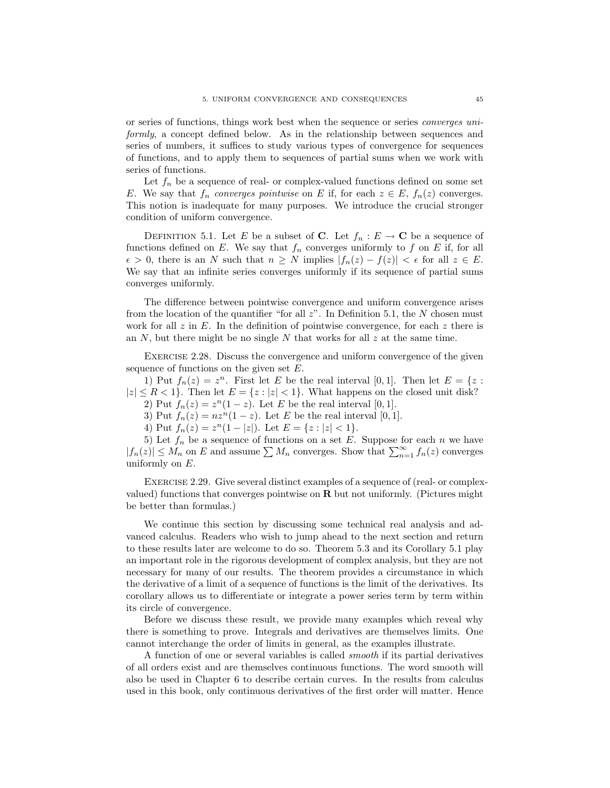or series of functions, things work best when the sequence or series converges uniformly, a concept defined below. As in the relationship between sequences and series of numbers, it suffices to study various types of convergence for sequences of functions, and to apply them to sequences of partial sums when we work with series of functions.

Let  $f_n$  be a sequence of real- or complex-valued functions defined on some set E. We say that  $f_n$  converges pointwise on E if, for each  $z \in E$ ,  $f_n(z)$  converges. This notion is inadequate for many purposes. We introduce the crucial stronger condition of uniform convergence.

DEFINITION 5.1. Let E be a subset of C. Let  $f_n : E \to \mathbb{C}$  be a sequence of functions defined on E. We say that  $f_n$  converges uniformly to f on E if, for all  $\epsilon > 0$ , there is an N such that  $n \geq N$  implies  $|f_n(z) - f(z)| < \epsilon$  for all  $z \in E$ . We say that an infinite series converges uniformly if its sequence of partial sums converges uniformly.

The difference between pointwise convergence and uniform convergence arises from the location of the quantifier "for all  $z$ ". In Definition 5.1, the N chosen must work for all z in E. In the definition of pointwise convergence, for each z there is an  $N$ , but there might be no single  $N$  that works for all  $z$  at the same time.

Exercise 2.28. Discuss the convergence and uniform convergence of the given sequence of functions on the given set E.

1) Put  $f_n(z) = z^n$ . First let E be the real interval [0,1]. Then let  $E = \{z :$  $|z| \le R < 1$ . Then let  $E = \{z : |z| < 1\}$ . What happens on the closed unit disk? 2) Put  $f_n(z) = z^n(1-z)$ . Let E be the real interval [0, 1].

3) Put  $f_n(z) = nz^n(1-z)$ . Let E be the real interval [0, 1].

4) Put  $f_n(z) = z^n(1-|z|)$ . Let  $E = \{z : |z| < 1\}$ .

5) Let  $f_n$  be a sequence of functions on a set E. Suppose for each n we have  $|f_n(z)| \leq M_n$  on E and assume  $\sum M_n$  converges. Show that  $\sum_{n=1}^{\infty} f_n(z)$  converges uniformly on  $E$ .

EXERCISE 2.29. Give several distinct examples of a sequence of (real- or complexvalued) functions that converges pointwise on  $\bf{R}$  but not uniformly. (Pictures might be better than formulas.)

We continue this section by discussing some technical real analysis and advanced calculus. Readers who wish to jump ahead to the next section and return to these results later are welcome to do so. Theorem 5.3 and its Corollary 5.1 play an important role in the rigorous development of complex analysis, but they are not necessary for many of our results. The theorem provides a circumstance in which the derivative of a limit of a sequence of functions is the limit of the derivatives. Its corollary allows us to differentiate or integrate a power series term by term within its circle of convergence.

Before we discuss these result, we provide many examples which reveal why there is something to prove. Integrals and derivatives are themselves limits. One cannot interchange the order of limits in general, as the examples illustrate.

A function of one or several variables is called smooth if its partial derivatives of all orders exist and are themselves continuous functions. The word smooth will also be used in Chapter 6 to describe certain curves. In the results from calculus used in this book, only continuous derivatives of the first order will matter. Hence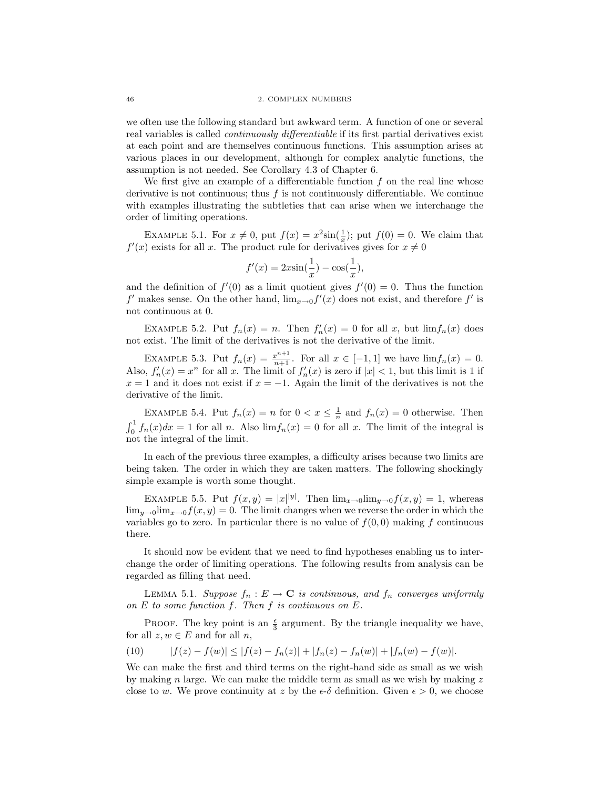we often use the following standard but awkward term. A function of one or several real variables is called continuously differentiable if its first partial derivatives exist at each point and are themselves continuous functions. This assumption arises at various places in our development, although for complex analytic functions, the assumption is not needed. See Corollary 4.3 of Chapter 6.

We first give an example of a differentiable function  $f$  on the real line whose derivative is not continuous; thus  $f$  is not continuously differentiable. We continue with examples illustrating the subtleties that can arise when we interchange the order of limiting operations.

EXAMPLE 5.1. For  $x \neq 0$ , put  $f(x) = x^2 \sin(\frac{1}{x})$ ; put  $f(0) = 0$ . We claim that  $f'(x)$  exists for all x. The product rule for derivatives gives for  $x \neq 0$ 

$$
f'(x) = 2x\sin(\frac{1}{x}) - \cos(\frac{1}{x}),
$$

and the definition of  $f'(0)$  as a limit quotient gives  $f'(0) = 0$ . Thus the function  $f'$  makes sense. On the other hand,  $\lim_{x\to 0} f'(x)$  does not exist, and therefore  $f'$  is not continuous at 0.

EXAMPLE 5.2. Put  $f_n(x) = n$ . Then  $f'_n(x) = 0$  for all x, but  $\lim f_n(x)$  does not exist. The limit of the derivatives is not the derivative of the limit.

EXAMPLE 5.3. Put  $f_n(x) = \frac{x^{n+1}}{n+1}$ . For all  $x \in [-1,1]$  we have  $\lim f_n(x) = 0$ . Also,  $f'_n(x) = x^n$  for all x. The limit of  $f'_n(x)$  is zero if  $|x| < 1$ , but this limit is 1 if  $x = 1$  and it does not exist if  $x = -1$ . Again the limit of the derivatives is not the derivative of the limit.

EXAMPLE 5.4. Put  $f_n(x) = n$  for  $0 < x \leq \frac{1}{n}$  and  $f_n(x) = 0$  otherwise. Then  $\int_0^1 f_n(x)dx = 1$  for all n. Also  $\lim f_n(x) = 0$  for all x. The limit of the integral is not the integral of the limit.

In each of the previous three examples, a difficulty arises because two limits are being taken. The order in which they are taken matters. The following shockingly simple example is worth some thought.

EXAMPLE 5.5. Put  $f(x,y) = |x| |y|$ . Then  $\lim_{x\to 0} \lim_{y\to 0} f(x,y) = 1$ , whereas  $\lim_{u\to 0}$ lim<sub> $x\to 0$ </sub> $f(x, y) = 0$ . The limit changes when we reverse the order in which the variables go to zero. In particular there is no value of  $f(0, 0)$  making f continuous there.

It should now be evident that we need to find hypotheses enabling us to interchange the order of limiting operations. The following results from analysis can be regarded as filling that need.

LEMMA 5.1. Suppose  $f_n : E \to \mathbf{C}$  is continuous, and  $f_n$  converges uniformly on  $E$  to some function  $f$ . Then  $f$  is continuous on  $E$ .

PROOF. The key point is an  $\frac{\epsilon}{3}$  argument. By the triangle inequality we have, for all  $z, w \in E$  and for all  $n$ ,

(10) 
$$
|f(z) - f(w)| \le |f(z) - f_n(z)| + |f_n(z) - f_n(w)| + |f_n(w) - f(w)|.
$$

We can make the first and third terms on the right-hand side as small as we wish by making n large. We can make the middle term as small as we wish by making  $z$ close to w. We prove continuity at z by the  $\epsilon$ - $\delta$  definition. Given  $\epsilon > 0$ , we choose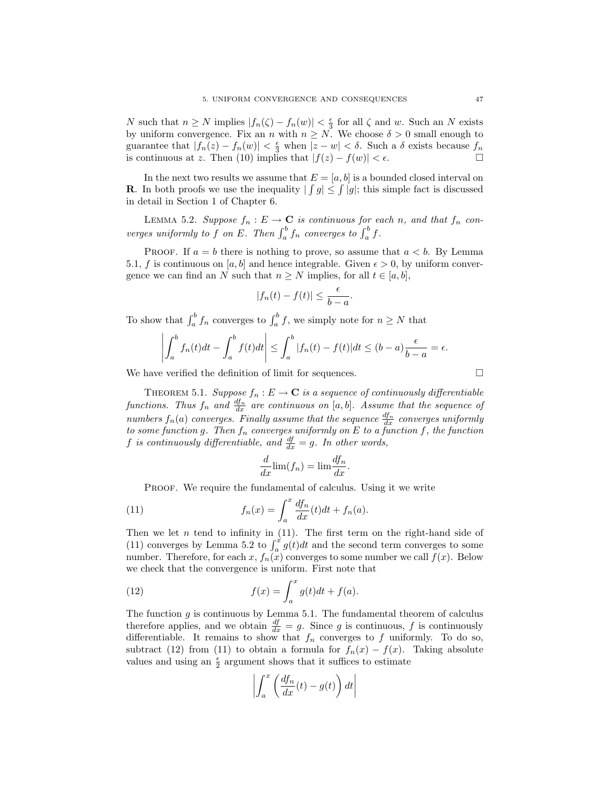N such that  $n \geq N$  implies  $|f_n(\zeta) - f_n(w)| < \frac{\epsilon}{3}$  for all  $\zeta$  and w. Such an N exists by uniform convergence. Fix an n with  $n \geq N$ . We choose  $\delta > 0$  small enough to guarantee that  $|f_n(z) - f_n(w)| < \frac{\epsilon}{3}$  when  $|z - w| < \delta$ . Such a  $\delta$  exists because  $f_n$ is continuous at z. Then (10) implies that  $|f(z) - f(w)| < \epsilon$ .

In the next two results we assume that  $E = [a, b]$  is a bounded closed interval on **R**. In both proofs we use the inequality  $| \int g | \leq \int |g|$ ; this simple fact is discussed in detail in Section 1 of Chapter 6.

LEMMA 5.2. Suppose  $f_n : E \to \mathbf{C}$  is continuous for each n, and that  $f_n$  converges uniformly to f on E. Then  $\int_a^b f_n$  converges to  $\int_a^b f$ .

PROOF. If  $a = b$  there is nothing to prove, so assume that  $a < b$ . By Lemma 5.1, f is continuous on [a, b] and hence integrable. Given  $\epsilon > 0$ , by uniform convergence we can find an N such that  $n \geq N$  implies, for all  $t \in [a, b]$ ,

$$
|f_n(t) - f(t)| \le \frac{\epsilon}{b - a}.
$$

To show that  $\int_a^b f_n$  converges to  $\int_a^b f$ , we simply note for  $n \ge N$  that

$$
\left| \int_a^b f_n(t)dt - \int_a^b f(t)dt \right| \leq \int_a^b |f_n(t) - f(t)|dt \leq (b - a)\frac{\epsilon}{b - a} = \epsilon.
$$

We have verified the definition of limit for sequences.  $\Box$ 

THEOREM 5.1. Suppose  $f_n : E \to \mathbf{C}$  is a sequence of continuously differentiable functions. Thus  $f_n$  and  $\frac{df_n}{dx}$  are continuous on [a, b]. Assume that the sequence of numbers  $f_n(a)$  converges. Finally assume that the sequence  $\frac{df_n}{dx}$  converges uniformly to some function g. Then  $f_n$  converges uniformly on E to a function f, the function f is continuously differentiable, and  $\frac{df}{dx} = g$ . In other words,

$$
\frac{d}{dx}\lim(f_n) = \lim \frac{df_n}{dx}.
$$

PROOF. We require the fundamental of calculus. Using it we write

(11) 
$$
f_n(x) = \int_a^x \frac{df_n}{dx}(t)dt + f_n(a).
$$

Then we let n tend to infinity in  $(11)$ . The first term on the right-hand side of (11) converges by Lemma 5.2 to  $\int_a^x g(t)dt$  and the second term converges to some number. Therefore, for each x,  $f_n(x)$  converges to some number we call  $f(x)$ . Below we check that the convergence is uniform. First note that

(12) 
$$
f(x) = \int_a^x g(t)dt + f(a).
$$

The function  $g$  is continuous by Lemma 5.1. The fundamental theorem of calculus therefore applies, and we obtain  $\frac{df}{dx} = g$ . Since g is continuous, f is continuously differentiable. It remains to show that  $f_n$  converges to f uniformly. To do so, subtract (12) from (11) to obtain a formula for  $f_n(x) - f(x)$ . Taking absolute values and using an  $\frac{\epsilon}{2}$  argument shows that it suffices to estimate

$$
\left| \int_{a}^{x} \left( \frac{df_n}{dx}(t) - g(t) \right) dt \right|
$$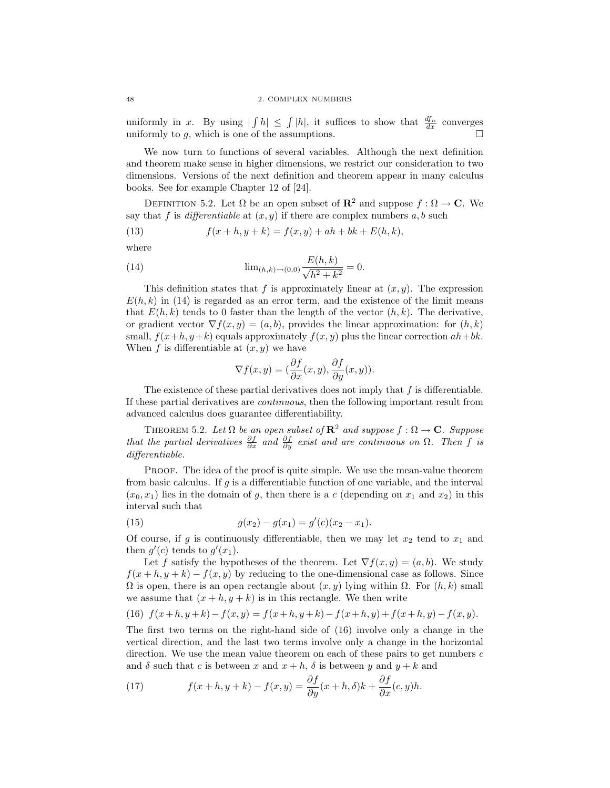uniformly in x. By using  $| \int h | \leq \int |h|$ , it suffices to show that  $\frac{df_n}{dx}$  converges uniformly to  $g$ , which is one of the assumptions.

We now turn to functions of several variables. Although the next definition and theorem make sense in higher dimensions, we restrict our consideration to two dimensions. Versions of the next definition and theorem appear in many calculus books. See for example Chapter 12 of [24].

DEFINITION 5.2. Let  $\Omega$  be an open subset of  $\mathbb{R}^2$  and suppose  $f : \Omega \to \mathbb{C}$ . We say that f is differentiable at  $(x, y)$  if there are complex numbers a, b such

(13) 
$$
f(x+h, y+k) = f(x, y) + ah + bk + E(h, k),
$$

where

(14) 
$$
\lim_{(h,k)\to(0,0)} \frac{E(h,k)}{\sqrt{h^2+k^2}} = 0.
$$

This definition states that f is approximately linear at  $(x, y)$ . The expression  $E(h, k)$  in (14) is regarded as an error term, and the existence of the limit means that  $E(h, k)$  tends to 0 faster than the length of the vector  $(h, k)$ . The derivative, or gradient vector  $\nabla f(x, y) = (a, b)$ , provides the linear approximation: for  $(h, k)$ small,  $f(x+h, y+k)$  equals approximately  $f(x, y)$  plus the linear correction  $ah+bk$ . When  $f$  is differentiable at  $(x, y)$  we have

$$
\nabla f(x, y) = \left(\frac{\partial f}{\partial x}(x, y), \frac{\partial f}{\partial y}(x, y)\right).
$$

The existence of these partial derivatives does not imply that  $f$  is differentiable. If these partial derivatives are continuous, then the following important result from advanced calculus does guarantee differentiability.

THEOREM 5.2. Let  $\Omega$  be an open subset of  $\mathbb{R}^2$  and suppose  $f : \Omega \to \mathbb{C}$ . Suppose that the partial derivatives  $\frac{\partial f}{\partial x}$  and  $\frac{\partial f}{\partial y}$  exist and are continuous on  $\Omega$ . Then f is differentiable.

PROOF. The idea of the proof is quite simple. We use the mean-value theorem from basic calculus. If  $q$  is a differentiable function of one variable, and the interval  $(x_0, x_1)$  lies in the domain of g, then there is a c (depending on  $x_1$  and  $x_2$ ) in this interval such that

(15) 
$$
g(x_2) - g(x_1) = g'(c)(x_2 - x_1).
$$

Of course, if g is continuously differentiable, then we may let  $x_2$  tend to  $x_1$  and then  $g'(c)$  tends to  $g'(x_1)$ .

Let f satisfy the hypotheses of the theorem. Let  $\nabla f(x, y) = (a, b)$ . We study  $f(x+h, y+k) - f(x, y)$  by reducing to the one-dimensional case as follows. Since  $\Omega$  is open, there is an open rectangle about  $(x, y)$  lying within  $\Omega$ . For  $(h, k)$  small we assume that  $(x + h, y + k)$  is in this rectangle. We then write

(16) 
$$
f(x+h, y+k) - f(x, y) = f(x+h, y+k) - f(x+h, y) + f(x+h, y) - f(x, y)
$$
.

The first two terms on the right-hand side of (16) involve only a change in the vertical direction, and the last two terms involve only a change in the horizontal direction. We use the mean value theorem on each of these pairs to get numbers  $c$ and  $\delta$  such that c is between x and  $x + h$ ,  $\delta$  is between y and  $y + k$  and

(17) 
$$
f(x+h, y+k) - f(x,y) = \frac{\partial f}{\partial y}(x+h, \delta)k + \frac{\partial f}{\partial x}(c, y)h.
$$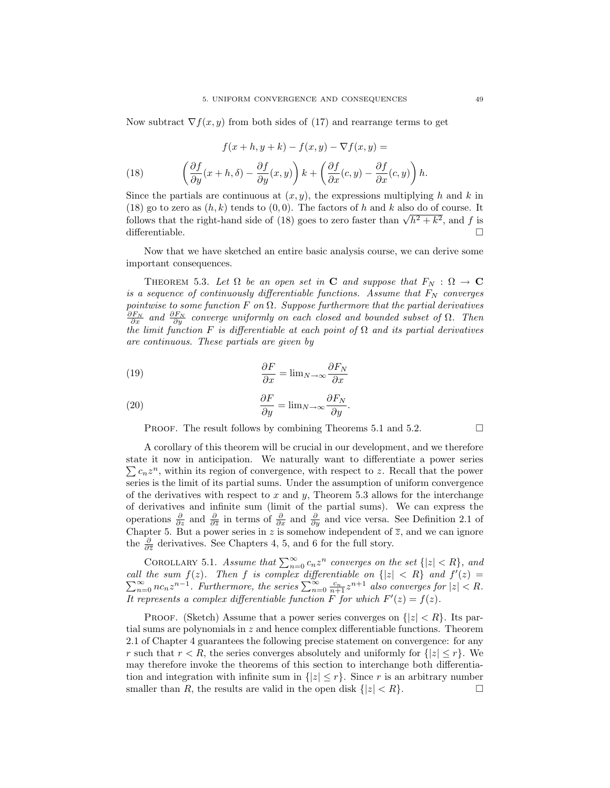Now subtract  $\nabla f(x, y)$  from both sides of (17) and rearrange terms to get

(18) 
$$
f(x+h, y+k) - f(x, y) - \nabla f(x, y) =
$$

$$
\left(\frac{\partial f}{\partial y}(x+h, \delta) - \frac{\partial f}{\partial y}(x, y)\right)k + \left(\frac{\partial f}{\partial x}(c, y) - \frac{\partial f}{\partial x}(c, y)\right)h.
$$

Since the partials are continuous at  $(x, y)$ , the expressions multiplying h and k in (18) go to zero as  $(h, k)$  tends to  $(0, 0)$ . The factors of h and k also do of course. It (18) go to zero as  $(n, \kappa)$  tends to  $(0, 0)$ . The factors of *h* and *k* also do of course. It follows that the right-hand side of (18) goes to zero faster than  $\sqrt{h^2 + k^2}$ , and *f* is differentiable.  $\Box$ 

Now that we have sketched an entire basic analysis course, we can derive some important consequences.

THEOREM 5.3. Let  $\Omega$  be an open set in **C** and suppose that  $F_N : \Omega \to \mathbf{C}$ is a sequence of continuously differentiable functions. Assume that  $F_N$  converges pointwise to some function  $F$  on  $\Omega$ . Suppose furthermore that the partial derivatives  $\frac{\partial F_N}{\partial x}$  and  $\frac{\partial F_N}{\partial y}$  converge uniformly on each closed and bounded subset of  $\Omega$ . Then the limit function F is differentiable at each point of  $\Omega$  and its partial derivatives are continuous. These partials are given by

(19) 
$$
\frac{\partial F}{\partial x} = \lim_{N \to \infty} \frac{\partial F_N}{\partial x}
$$

(20) 
$$
\frac{\partial F}{\partial y} = \lim_{N \to \infty} \frac{\partial F_N}{\partial y}.
$$

**PROOF.** The result follows by combining Theorems 5.1 and 5.2.  $\Box$ 

A corollary of this theorem will be crucial in our development, and we therefore state it now in anticipation. We naturally want to differentiate a power series  $\sum c_n z^n$ , within its region of convergence, with respect to z. Recall that the power series is the limit of its partial sums. Under the assumption of uniform convergence of the derivatives with respect to  $x$  and  $y$ , Theorem 5.3 allows for the interchange of derivatives and infinite sum (limit of the partial sums). We can express the operations  $\frac{\partial}{\partial z}$  and  $\frac{\partial}{\partial \overline{z}}$  in terms of  $\frac{\partial}{\partial x}$  and  $\frac{\partial}{\partial y}$  and vice versa. See Definition 2.1 of Chapter 5. But a power series in z is somehow independent of  $\overline{z}$ , and we can ignore the  $\frac{\partial}{\partial \overline{z}}$  derivatives. See Chapters 4, 5, and 6 for the full story.

COROLLARY 5.1. Assume that  $\sum_{n=0}^{\infty} c_n z^n$  converges on the set  $\{|z| < R\}$ , and call the sum  $f(z)$ . Then f is complex differentiable on  $\{|z| < R\}$  and  $f'$ P It the sum  $f(z)$ . Then  $f$  is complex differentiable on  $\{|z| < R\}$  and  $f'(z) = \sum_{n=0}^{\infty} n c_n z^{n-1}$ . Furthermore, the series  $\sum_{n=0}^{\infty} \frac{c_n}{n+1} z^{n+1}$  also converges for  $|z| < R$ . It represents a complex differentiable function F for which  $F'(z) = f(z)$ .

PROOF. (Sketch) Assume that a power series converges on  $\{|z| < R\}$ . Its partial sums are polynomials in  $z$  and hence complex differentiable functions. Theorem 2.1 of Chapter 4 guarantees the following precise statement on convergence: for any r such that  $r < R$ , the series converges absolutely and uniformly for  $\{|z| \le r\}$ . We may therefore invoke the theorems of this section to interchange both differentiation and integration with infinite sum in  $\{|z| \leq r\}$ . Since r is an arbitrary number smaller than R, the results are valid in the open disk  $\{|z| < R\}$ .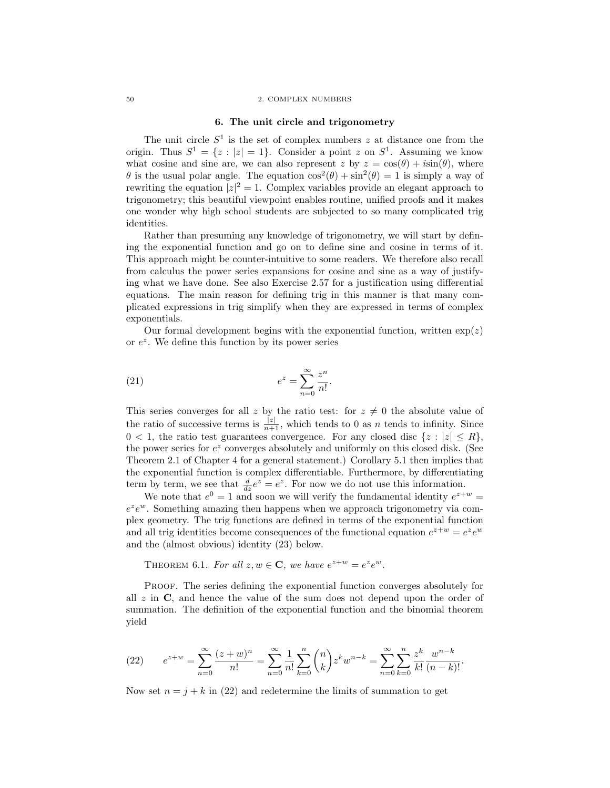## 50 2. COMPLEX NUMBERS

## 6. The unit circle and trigonometry

The unit circle  $S^1$  is the set of complex numbers z at distance one from the origin. Thus  $S^1 = \{z : |z| = 1\}$ . Consider a point z on  $S^1$ . Assuming we know what cosine and sine are, we can also represent z by  $z = \cos(\theta) + i\sin(\theta)$ , where  $\theta$  is the usual polar angle. The equation  $\cos^2(\theta) + \sin^2(\theta) = 1$  is simply a way of rewriting the equation  $|z|^2 = 1$ . Complex variables provide an elegant approach to trigonometry; this beautiful viewpoint enables routine, unified proofs and it makes one wonder why high school students are subjected to so many complicated trig identities.

Rather than presuming any knowledge of trigonometry, we will start by defining the exponential function and go on to define sine and cosine in terms of it. This approach might be counter-intuitive to some readers. We therefore also recall from calculus the power series expansions for cosine and sine as a way of justifying what we have done. See also Exercise 2.57 for a justification using differential equations. The main reason for defining trig in this manner is that many complicated expressions in trig simplify when they are expressed in terms of complex exponentials.

Our formal development begins with the exponential function, written  $\exp(z)$ or  $e^z$ . We define this function by its power series

(21) 
$$
e^z = \sum_{n=0}^{\infty} \frac{z^n}{n!}.
$$

This series converges for all z by the ratio test: for  $z \neq 0$  the absolute value of the ratio of successive terms is  $\frac{|z|}{n+1}$ , which tends to 0 as n tends to infinity. Since  $0 < 1$ , the ratio test guarantees convergence. For any closed disc  $\{z : |z| \leq R\}$ , the power series for  $e^z$  converges absolutely and uniformly on this closed disk. (See Theorem 2.1 of Chapter 4 for a general statement.) Corollary 5.1 then implies that the exponential function is complex differentiable. Furthermore, by differentiating term by term, we see that  $\frac{d}{dz}e^z = e^z$ . For now we do not use this information.

We note that  $e^0 = 1$  and soon we will verify the fundamental identity  $e^{z+w} =$  $e^z e^w$ . Something amazing then happens when we approach trigonometry via complex geometry. The trig functions are defined in terms of the exponential function and all trig identities become consequences of the functional equation  $e^{z+w} = e^z e^w$ and the (almost obvious) identity (23) below.

THEOREM 6.1. For all  $z, w \in \mathbf{C}$ , we have  $e^{z+w} = e^z e^w$ .

PROOF. The series defining the exponential function converges absolutely for all  $z$  in  $\bf{C}$ , and hence the value of the sum does not depend upon the order of summation. The definition of the exponential function and the binomial theorem yield

(22) 
$$
e^{z+w} = \sum_{n=0}^{\infty} \frac{(z+w)^n}{n!} = \sum_{n=0}^{\infty} \frac{1}{n!} \sum_{k=0}^{n} {n \choose k} z^k w^{n-k} = \sum_{n=0}^{\infty} \sum_{k=0}^{n} \frac{z^k}{k!} \frac{w^{n-k}}{(n-k)!}.
$$

Now set  $n = i + k$  in (22) and redetermine the limits of summation to get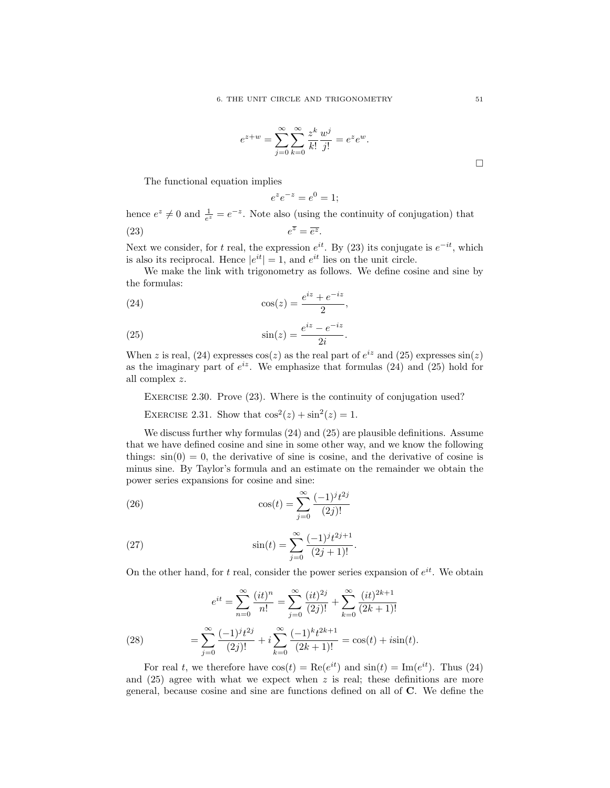$$
e^{z+w} = \sum_{j=0}^{\infty} \sum_{k=0}^{\infty} \frac{z^k}{k!} \frac{w^j}{j!} = e^z e^w.
$$

The functional equation implies

$$
e^z e^{-z} = e^0 = 1;
$$

hence  $e^z \neq 0$  and  $\frac{1}{e^z} = e^{-z}$ . Note also (using the continuity of conjugation) that  $(23)$  e  $\overline{z} = \overline{e^z}.$ 

Next we consider, for t real, the expression  $e^{it}$ . By (23) its conjugate is  $e^{-it}$ , which is also its reciprocal. Hence  $|e^{it}| = 1$ , and  $e^{it}$  lies on the unit circle.

We make the link with trigonometry as follows. We define cosine and sine by the formulas:

$$
(24) \qquad \qquad \cos(z) = \frac{e^{iz} + e^{-iz}}{2},
$$

$$
\sin(z) = \frac{e^{iz} - e^{-iz}}{2i}.
$$

When z is real, (24) expresses  $cos(z)$  as the real part of  $e^{iz}$  and (25) expresses  $sin(z)$ as the imaginary part of  $e^{iz}$ . We emphasize that formulas (24) and (25) hold for all complex z.

EXERCISE 2.30. Prove (23). Where is the continuity of conjugation used?

EXERCISE 2.31. Show that  $\cos^2(z) + \sin^2(z) = 1$ .

We discuss further why formulas (24) and (25) are plausible definitions. Assume that we have defined cosine and sine in some other way, and we know the following things:  $sin(0) = 0$ , the derivative of sine is cosine, and the derivative of cosine is minus sine. By Taylor's formula and an estimate on the remainder we obtain the power series expansions for cosine and sine:

(26) 
$$
\cos(t) = \sum_{j=0}^{\infty} \frac{(-1)^j t^{2j}}{(2j)!}
$$

(27) 
$$
\sin(t) = \sum_{j=0}^{\infty} \frac{(-1)^j t^{2j+1}}{(2j+1)!}.
$$

On the other hand, for t real, consider the power series expansion of  $e^{it}$ . We obtain

(28) 
$$
e^{it} = \sum_{n=0}^{\infty} \frac{(it)^n}{n!} = \sum_{j=0}^{\infty} \frac{(it)^{2j}}{(2j)!} + \sum_{k=0}^{\infty} \frac{(it)^{2k+1}}{(2k+1)!}
$$

$$
= \sum_{j=0}^{\infty} \frac{(-1)^j t^{2j}}{(2j)!} + i \sum_{k=0}^{\infty} \frac{(-1)^k t^{2k+1}}{(2k+1)!} = \cos(t) + i\sin(t).
$$

For real t, we therefore have  $cos(t) = Re(e^{it})$  and  $sin(t) = Im(e^{it})$ . Thus (24) and  $(25)$  agree with what we expect when z is real; these definitions are more general, because cosine and sine are functions defined on all of C. We define the

 $\Box$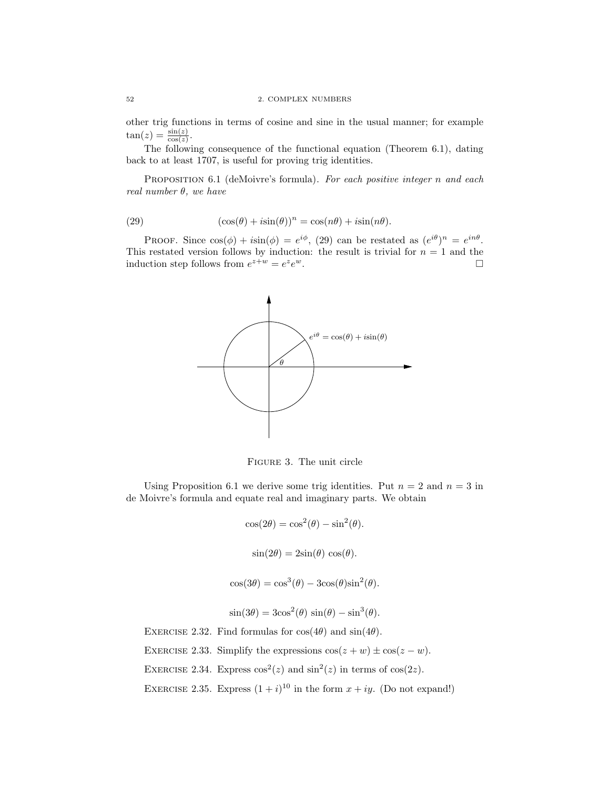other trig functions in terms of cosine and sine in the usual manner; for example  $\tan(z) = \frac{\sin(z)}{\cos(z)}$ .

The following consequence of the functional equation (Theorem 6.1), dating back to at least 1707, is useful for proving trig identities.

PROPOSITION 6.1 (deMoivre's formula). For each positive integer n and each real number  $\theta$ , we have

(29) 
$$
(\cos(\theta) + i\sin(\theta))^n = \cos(n\theta) + i\sin(n\theta).
$$

PROOF. Since  $cos(\phi) + i sin(\phi) = e^{i\phi}$ , (29) can be restated as  $(e^{i\theta})^n = e^{in\theta}$ . This restated version follows by induction: the result is trivial for  $n = 1$  and the induction step follows from  $e^{z+w} = e^z e$  $w$ .



Figure 3. The unit circle

Using Proposition 6.1 we derive some trig identities. Put  $n = 2$  and  $n = 3$  in de Moivre's formula and equate real and imaginary parts. We obtain

$$
\cos(2\theta) = \cos^2(\theta) - \sin^2(\theta).
$$
  

$$
\sin(2\theta) = 2\sin(\theta)\cos(\theta).
$$

$$
\mathcal{L}(\mathcal{L}) = \mathcal{L}(\mathcal{L}) = \mathcal{L}(\mathcal{L})
$$

$$
\cos(3\theta) = \cos^3(\theta) - 3\cos(\theta)\sin^2(\theta).
$$

$$
\sin(3\theta) = 3\cos^2(\theta)\,\sin(\theta) - \sin^3(\theta).
$$

EXERCISE 2.32. Find formulas for  $cos(4\theta)$  and  $sin(4\theta)$ .

EXERCISE 2.33. Simplify the expressions  $cos(z + w) \pm cos(z - w)$ .

EXERCISE 2.34. Express  $\cos^2(z)$  and  $\sin^2(z)$  in terms of  $\cos(2z)$ .

EXERCISE 2.35. Express  $(1 + i)^{10}$  in the form  $x + iy$ . (Do not expand!)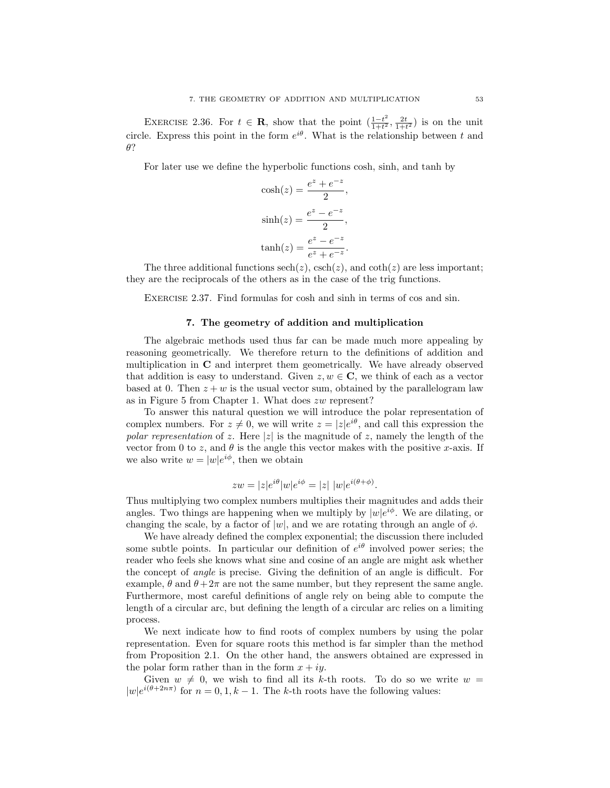EXERCISE 2.36. For  $t \in \mathbf{R}$ , show that the point  $\left(\frac{1-t^2}{1+t^2}\right)$  $\frac{1-t^2}{1+t^2}, \frac{2t}{1+t^2}$  is on the unit circle. Express this point in the form  $e^{i\theta}$ . What is the relationship between t and θ?

For later use we define the hyperbolic functions cosh, sinh, and tanh by

$$
\cosh(z) = \frac{e^z + e^{-z}}{2},
$$

$$
\sinh(z) = \frac{e^z - e^{-z}}{2},
$$

$$
\tanh(z) = \frac{e^z - e^{-z}}{e^z + e^{-z}}.
$$

The three additional functions  $\operatorname{sech}(z)$ ,  $\operatorname{csch}(z)$ , and  $\operatorname{coth}(z)$  are less important; they are the reciprocals of the others as in the case of the trig functions.

EXERCISE 2.37. Find formulas for cosh and sinh in terms of cos and sin.

## 7. The geometry of addition and multiplication

The algebraic methods used thus far can be made much more appealing by reasoning geometrically. We therefore return to the definitions of addition and multiplication in C and interpret them geometrically. We have already observed that addition is easy to understand. Given  $z, w \in \mathbb{C}$ , we think of each as a vector based at 0. Then  $z + w$  is the usual vector sum, obtained by the parallelogram law as in Figure 5 from Chapter 1. What does zw represent?

To answer this natural question we will introduce the polar representation of complex numbers. For  $z \neq 0$ , we will write  $z = |z|e^{i\theta}$ , and call this expression the polar representation of z. Here |z| is the magnitude of z, namely the length of the vector from 0 to z, and  $\theta$  is the angle this vector makes with the positive x-axis. If we also write  $w = |w|e^{i\phi}$ , then we obtain

$$
zw = |z|e^{i\theta}|w|e^{i\phi} = |z| |w|e^{i(\theta + \phi)}.
$$

Thus multiplying two complex numbers multiplies their magnitudes and adds their angles. Two things are happening when we multiply by  $|w|e^{i\phi}$ . We are dilating, or changing the scale, by a factor of  $|w|$ , and we are rotating through an angle of  $\phi$ .

We have already defined the complex exponential; the discussion there included some subtle points. In particular our definition of  $e^{i\theta}$  involved power series; the reader who feels she knows what sine and cosine of an angle are might ask whether the concept of angle is precise. Giving the definition of an angle is difficult. For example,  $\theta$  and  $\theta + 2\pi$  are not the same number, but they represent the same angle. Furthermore, most careful definitions of angle rely on being able to compute the length of a circular arc, but defining the length of a circular arc relies on a limiting process.

We next indicate how to find roots of complex numbers by using the polar representation. Even for square roots this method is far simpler than the method from Proposition 2.1. On the other hand, the answers obtained are expressed in the polar form rather than in the form  $x + iy$ .

Given  $w \neq 0$ , we wish to find all its k-th roots. To do so we write  $w =$  $|w|e^{i(\theta+2n\pi)}$  for  $n=0,1,k-1$ . The k-th roots have the following values: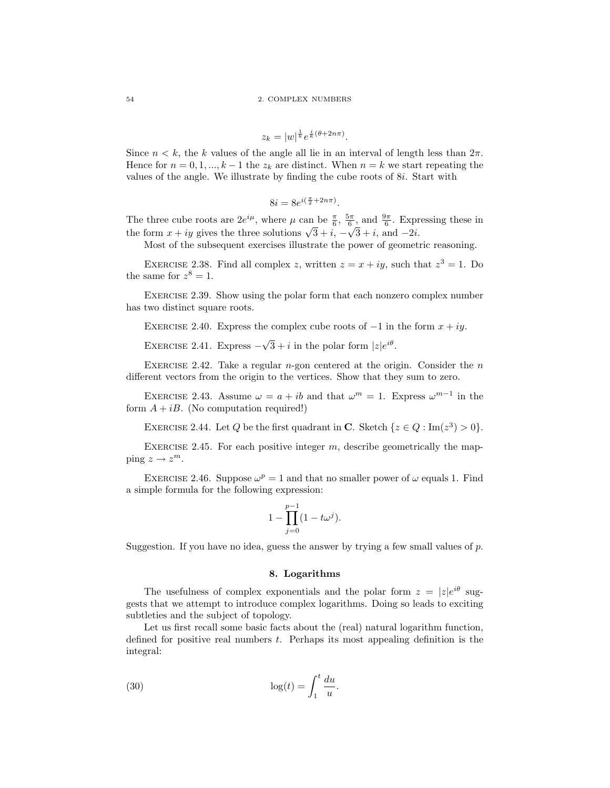$$
z_k = |w|^{\frac{1}{k}} e^{\frac{i}{k}(\theta + 2n\pi)}.
$$

Since  $n < k$ , the k values of the angle all lie in an interval of length less than  $2\pi$ . Hence for  $n = 0, 1, ..., k-1$  the  $z_k$  are distinct. When  $n = k$  we start repeating the values of the angle. We illustrate by finding the cube roots of 8i. Start with

$$
8i = 8e^{i\left(\frac{\pi}{2} + 2n\pi\right)}.
$$

The three cube roots are  $2e^{i\mu}$ , where  $\mu$  can be  $\frac{\pi}{6}$ ,  $\frac{5\pi}{6}$ , and  $\frac{9\pi}{6}$ . Expressing these in The time cube roots are  $2e^x$ , where  $\mu$  can be  $\frac{2}{6}$ ,  $\frac{2}{6}$ , and  $\frac{2}{6}$ . Expirition the form  $x + iy$  gives the three solutions  $\sqrt{3} + i$ ,  $-\sqrt{3} + i$ , and  $-2i$ .

Most of the subsequent exercises illustrate the power of geometric reasoning.

EXERCISE 2.38. Find all complex z, written  $z = x + iy$ , such that  $z^3 = 1$ . Do the same for  $z^8 = 1$ .

EXERCISE 2.39. Show using the polar form that each nonzero complex number has two distinct square roots.

EXERCISE 2.40. Express the complex cube roots of  $-1$  in the form  $x + iy$ .

EXERCISE 2.41. Express  $-\sqrt{ }$  $\overline{3} + i$  in the polar form  $|z|e^{i\theta}$ .

EXERCISE 2.42. Take a regular  $n$ -gon centered at the origin. Consider the  $n$ different vectors from the origin to the vertices. Show that they sum to zero.

EXERCISE 2.43. Assume  $\omega = a + ib$  and that  $\omega^m = 1$ . Express  $\omega^{m-1}$  in the form  $A + iB$ . (No computation required!)

EXERCISE 2.44. Let Q be the first quadrant in C. Sketch  $\{z \in Q : \text{Im}(z^3) > 0\}.$ 

EXERCISE 2.45. For each positive integer  $m$ , describe geometrically the mapping  $z \to z^m$ .

EXERCISE 2.46. Suppose  $\omega^p = 1$  and that no smaller power of  $\omega$  equals 1. Find a simple formula for the following expression:

$$
1 - \prod_{j=0}^{p-1} (1 - t\omega^j).
$$

Suggestion. If you have no idea, guess the answer by trying a few small values of  $p$ .

## 8. Logarithms

The usefulness of complex exponentials and the polar form  $z = |z|e^{i\theta}$  suggests that we attempt to introduce complex logarithms. Doing so leads to exciting subtleties and the subject of topology.

Let us first recall some basic facts about the (real) natural logarithm function, defined for positive real numbers t. Perhaps its most appealing definition is the integral:

(30) 
$$
\log(t) = \int_1^t \frac{du}{u}.
$$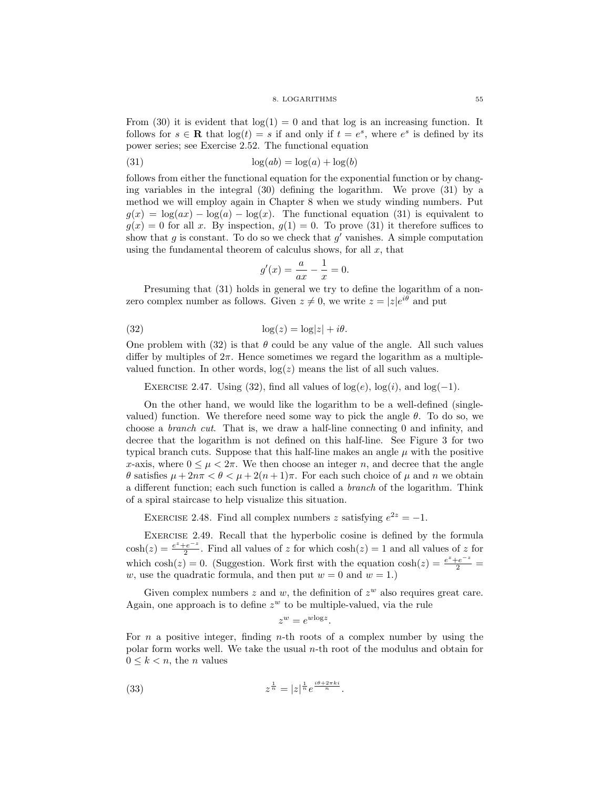#### 8. LOGARITHMS 55

From (30) it is evident that  $log(1) = 0$  and that log is an increasing function. It follows for  $s \in \mathbf{R}$  that  $\log(t) = s$  if and only if  $t = e^s$ , where  $e^s$  is defined by its power series; see Exercise 2.52. The functional equation

(31) 
$$
\log(ab) = \log(a) + \log(b)
$$

follows from either the functional equation for the exponential function or by changing variables in the integral (30) defining the logarithm. We prove (31) by a method we will employ again in Chapter 8 when we study winding numbers. Put  $g(x) = \log(ax) - \log(a) - \log(x)$ . The functional equation (31) is equivalent to  $g(x) = 0$  for all x. By inspection,  $g(1) = 0$ . To prove (31) it therefore suffices to show that  $g$  is constant. To do so we check that  $g'$  vanishes. A simple computation using the fundamental theorem of calculus shows, for all  $x$ , that

$$
g'(x) = \frac{a}{ax} - \frac{1}{x} = 0.
$$

Presuming that  $(31)$  holds in general we try to define the logarithm of a nonzero complex number as follows. Given  $z \neq 0$ , we write  $z = |z|e^{i\theta}$  and put

(32) 
$$
\log(z) = \log|z| + i\theta.
$$

One problem with (32) is that  $\theta$  could be any value of the angle. All such values differ by multiples of  $2\pi$ . Hence sometimes we regard the logarithm as a multiplevalued function. In other words,  $log(z)$  means the list of all such values.

EXERCISE 2.47. Using (32), find all values of  $log(e)$ ,  $log(i)$ , and  $log(-1)$ .

On the other hand, we would like the logarithm to be a well-defined (singlevalued) function. We therefore need some way to pick the angle  $\theta$ . To do so, we choose a branch cut. That is, we draw a half-line connecting 0 and infinity, and decree that the logarithm is not defined on this half-line. See Figure 3 for two typical branch cuts. Suppose that this half-line makes an angle  $\mu$  with the positive x-axis, where  $0 \leq \mu < 2\pi$ . We then choose an integer n, and decree that the angle θ satisfies  $\mu + 2n\pi < \theta < \mu + 2(n+1)\pi$ . For each such choice of  $\mu$  and  $n$  we obtain a different function; each such function is called a branch of the logarithm. Think of a spiral staircase to help visualize this situation.

EXERCISE 2.48. Find all complex numbers z satisfying  $e^{2z} = -1$ .

Exercise 2.49. Recall that the hyperbolic cosine is defined by the formula  $cosh(z) = \frac{e^z + e^{-z}}{2}$  $\frac{e^{-z}}{2}$ . Find all values of z for which  $\cosh(z) = 1$  and all values of z for which  $\cosh(z) = 0$ . (Suggestion. Work first with the equation  $\cosh(z) = \frac{e^z + e^{-z}}{2}$ w, use the quadratic formula, and then put  $w = 0$  and  $w = 1$ .

Given complex numbers  $z$  and  $w$ , the definition of  $z^w$  also requires great care. Again, one approach is to define  $z^w$  to be multiple-valued, via the rule

$$
z^w = e^{w \log z}.
$$

For n a positive integer, finding n-th roots of a complex number by using the polar form works well. We take the usual n-th root of the modulus and obtain for  $0 \leq k < n$ , the *n* values

(33) 
$$
z^{\frac{1}{n}} = |z|^{\frac{1}{n}} e^{\frac{i\theta + 2\pi ki}{n}}.
$$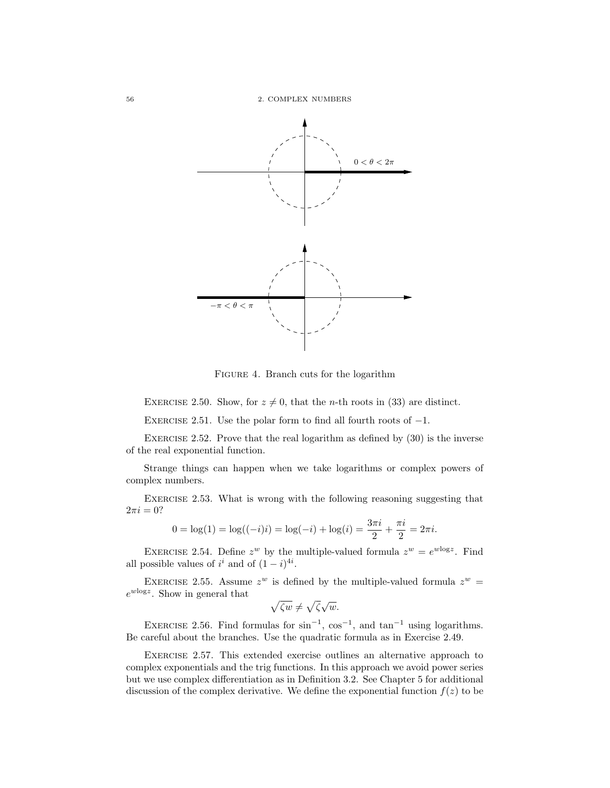56 2. COMPLEX NUMBERS



Figure 4. Branch cuts for the logarithm

EXERCISE 2.50. Show, for  $z \neq 0$ , that the *n*-th roots in (33) are distinct.

EXERCISE 2.51. Use the polar form to find all fourth roots of  $-1$ .

Exercise 2.52. Prove that the real logarithm as defined by (30) is the inverse of the real exponential function.

Strange things can happen when we take logarithms or complex powers of complex numbers.

EXERCISE 2.53. What is wrong with the following reasoning suggesting that  $2\pi i = 0?$ 

$$
0 = \log(1) = \log((-i)i) = \log(-i) + \log(i) = \frac{3\pi i}{2} + \frac{\pi i}{2} = 2\pi i.
$$

EXERCISE 2.54. Define  $z^w$  by the multiple-valued formula  $z^w = e^{w \log z}$ . Find all possible values of  $i^i$  and of  $(1-i)^{4i}$ .

EXERCISE 2.55. Assume  $z^w$  is defined by the multiple-valued formula  $z^w$  =  $e^{w \log z}$ . Show in general that

$$
\sqrt{\zeta w} \neq \sqrt{\zeta} \sqrt{w}.
$$

EXERCISE 2.56. Find formulas for  $\sin^{-1}$ ,  $\cos^{-1}$ , and  $\tan^{-1}$  using logarithms. Be careful about the branches. Use the quadratic formula as in Exercise 2.49.

Exercise 2.57. This extended exercise outlines an alternative approach to complex exponentials and the trig functions. In this approach we avoid power series but we use complex differentiation as in Definition 3.2. See Chapter 5 for additional discussion of the complex derivative. We define the exponential function  $f(z)$  to be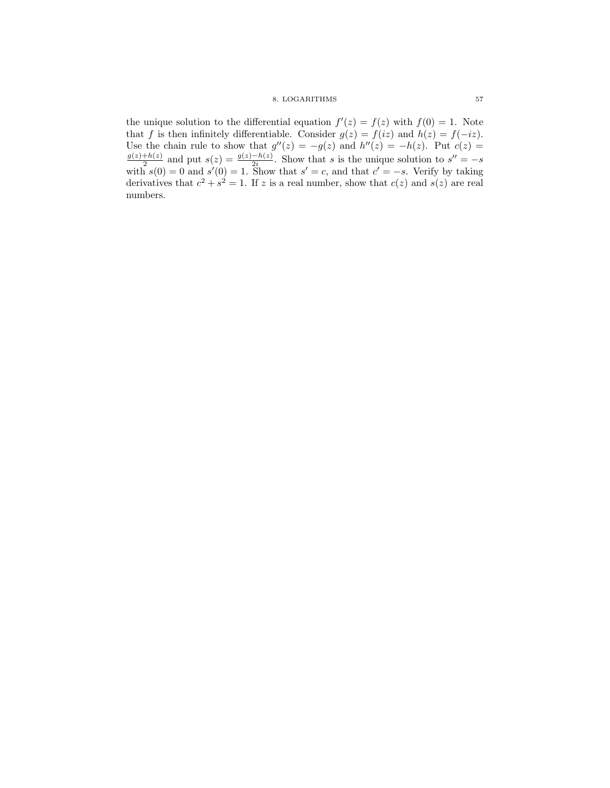the unique solution to the differential equation  $f'(z) = f(z)$  with  $f(0) = 1$ . Note that f is then infinitely differentiable. Consider  $g(z) = f(iz)$  and  $h(z) = f(-iz)$ . Use the chain rule to show that  $g''(z) = -g(z)$  and  $h''(z) = -h(z)$ . Put  $c(z) =$  $g(z)+h(z)$  $\frac{1+h(z)}{2}$  and put  $s(z) = \frac{g(z)-h(z)}{2i}$ . Show that s is the unique solution to  $s'' = -s$ with  $s(0) = 0$  and  $s'(0) = 1$ . Show that  $s' = c$ , and that  $c' = -s$ . Verify by taking derivatives that  $c^2 + s^2 = 1$ . If z is a real number, show that  $c(z)$  and  $s(z)$  are real numbers.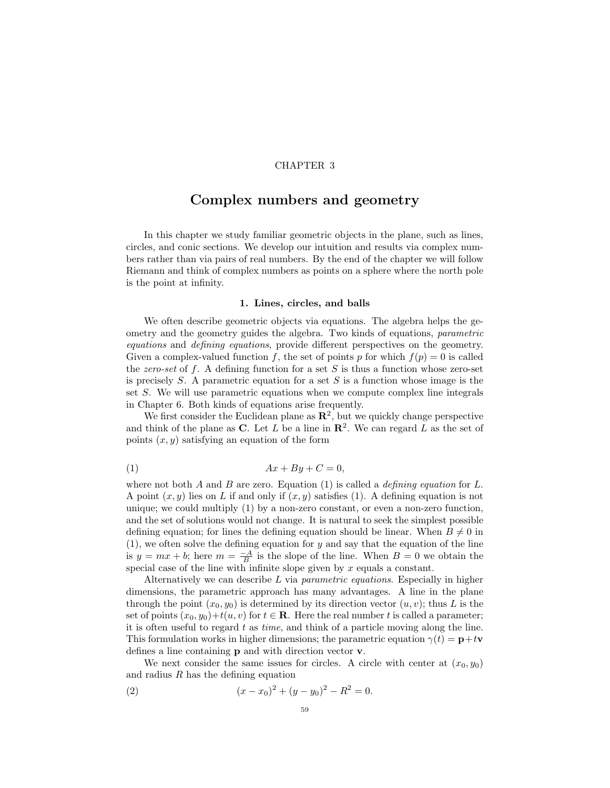# CHAPTER 3

# Complex numbers and geometry

In this chapter we study familiar geometric objects in the plane, such as lines, circles, and conic sections. We develop our intuition and results via complex numbers rather than via pairs of real numbers. By the end of the chapter we will follow Riemann and think of complex numbers as points on a sphere where the north pole is the point at infinity.

## 1. Lines, circles, and balls

We often describe geometric objects via equations. The algebra helps the geometry and the geometry guides the algebra. Two kinds of equations, parametric equations and defining equations, provide different perspectives on the geometry. Given a complex-valued function f, the set of points p for which  $f(p) = 0$  is called the zero-set of f. A defining function for a set  $S$  is thus a function whose zero-set is precisely  $S$ . A parametric equation for a set  $S$  is a function whose image is the set S. We will use parametric equations when we compute complex line integrals in Chapter 6. Both kinds of equations arise frequently.

We first consider the Euclidean plane as  $\mathbb{R}^2$ , but we quickly change perspective and think of the plane as C. Let L be a line in  $\mathbb{R}^2$ . We can regard L as the set of points  $(x, y)$  satisfying an equation of the form

$$
(1) \t\t Ax + By + C = 0,
$$

where not both A and B are zero. Equation (1) is called a *defining equation* for L. A point  $(x, y)$  lies on L if and only if  $(x, y)$  satisfies (1). A defining equation is not unique; we could multiply (1) by a non-zero constant, or even a non-zero function, and the set of solutions would not change. It is natural to seek the simplest possible defining equation; for lines the defining equation should be linear. When  $B \neq 0$  in  $(1)$ , we often solve the defining equation for y and say that the equation of the line is  $y = mx + b$ ; here  $m = \frac{-A}{B}$  is the slope of the line. When  $B = 0$  we obtain the special case of the line with infinite slope given by  $x$  equals a constant.

Alternatively we can describe  $L$  via *parametric equations*. Especially in higher dimensions, the parametric approach has many advantages. A line in the plane through the point  $(x_0, y_0)$  is determined by its direction vector  $(u, v)$ ; thus L is the set of points  $(x_0, y_0) + t(u, v)$  for  $t \in \mathbb{R}$ . Here the real number t is called a parameter; it is often useful to regard  $t$  as *time*, and think of a particle moving along the line. This formulation works in higher dimensions; the parametric equation  $\gamma(t) = \mathbf{p} + t\mathbf{v}$ defines a line containing p and with direction vector v.

We next consider the same issues for circles. A circle with center at  $(x_0, y_0)$ and radius  $R$  has the defining equation

(2) 
$$
(x-x_0)^2 + (y-y_0)^2 - R^2 = 0.
$$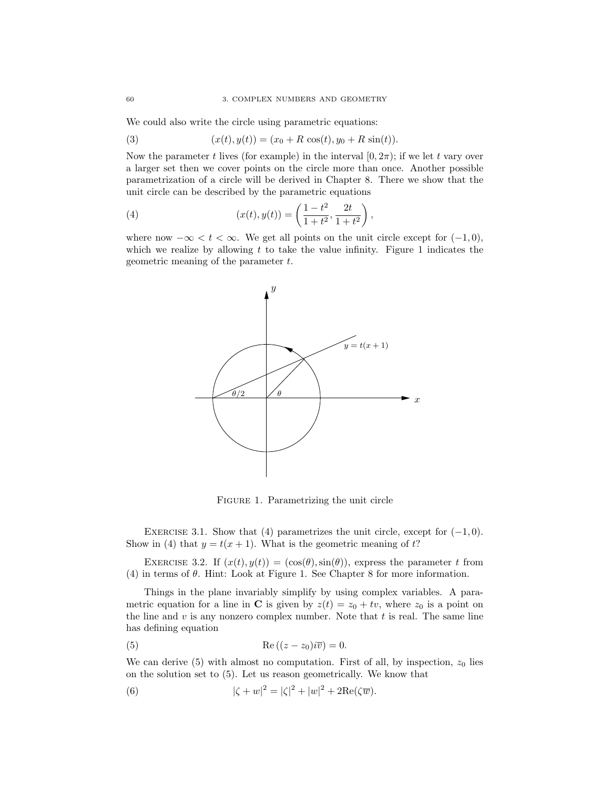We could also write the circle using parametric equations:

(3) 
$$
(x(t), y(t)) = (x_0 + R \cos(t), y_0 + R \sin(t)).
$$

Now the parameter t lives (for example) in the interval  $[0, 2\pi)$ ; if we let t vary over a larger set then we cover points on the circle more than once. Another possible parametrization of a circle will be derived in Chapter 8. There we show that the unit circle can be described by the parametric equations

(4) 
$$
(x(t), y(t)) = \left(\frac{1-t^2}{1+t^2}, \frac{2t}{1+t^2}\right),
$$

where now  $-\infty < t < \infty$ . We get all points on the unit circle except for  $(-1,0)$ , which we realize by allowing  $t$  to take the value infinity. Figure 1 indicates the geometric meaning of the parameter t.



FIGURE 1. Parametrizing the unit circle

EXERCISE 3.1. Show that (4) parametrizes the unit circle, except for  $(-1, 0)$ . Show in (4) that  $y = t(x + 1)$ . What is the geometric meaning of t?

EXERCISE 3.2. If  $(x(t), y(t)) = (\cos(\theta), \sin(\theta))$ , express the parameter t from (4) in terms of  $\theta$ . Hint: Look at Figure 1. See Chapter 8 for more information.

Things in the plane invariably simplify by using complex variables. A parametric equation for a line in C is given by  $z(t) = z_0 + tv$ , where  $z_0$  is a point on the line and  $v$  is any nonzero complex number. Note that  $t$  is real. The same line has defining equation

(5) 
$$
\operatorname{Re}\left((z-z_0)i\overline{v}\right) = 0.
$$

We can derive  $(5)$  with almost no computation. First of all, by inspection,  $z_0$  lies on the solution set to (5). Let us reason geometrically. We know that

(6) 
$$
|\zeta + w|^2 = |\zeta|^2 + |w|^2 + 2\text{Re}(\zeta \overline{w}).
$$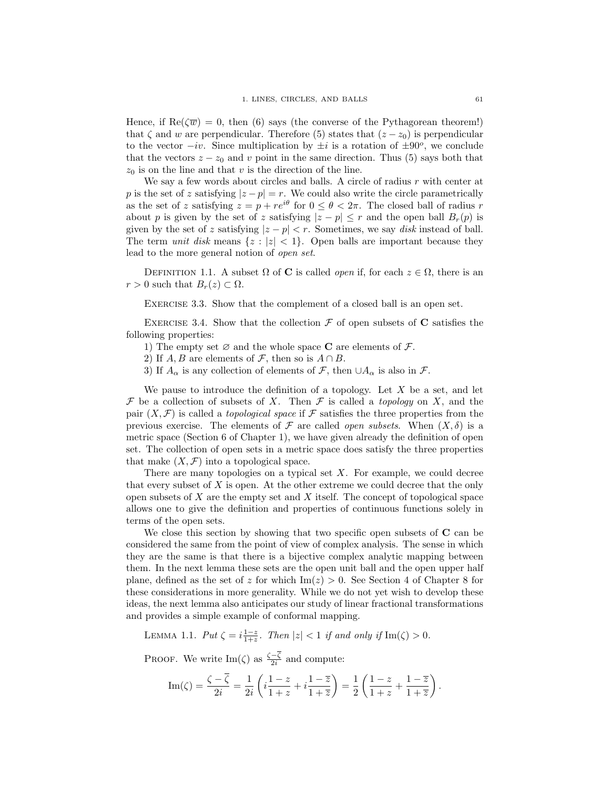Hence, if  $\text{Re}(\overline{\mathbf{w}}) = 0$ , then (6) says (the converse of the Pythagorean theorem!) that  $\zeta$  and w are perpendicular. Therefore (5) states that  $(z - z_0)$  is perpendicular to the vector  $-iv$ . Since multiplication by  $\pm i$  is a rotation of  $\pm 90^{\circ}$ , we conclude that the vectors  $z - z_0$  and v point in the same direction. Thus (5) says both that  $z_0$  is on the line and that v is the direction of the line.

We say a few words about circles and balls. A circle of radius  $r$  with center at p is the set of z satisfying  $|z - p| = r$ . We could also write the circle parametrically as the set of z satisfying  $z = p + re^{i\theta}$  for  $0 \le \theta < 2\pi$ . The closed ball of radius r about p is given by the set of z satisfying  $|z - p| \leq r$  and the open ball  $B_r(p)$  is given by the set of z satisfying  $|z - p| < r$ . Sometimes, we say *disk* instead of ball. The term unit disk means  $\{z : |z| < 1\}$ . Open balls are important because they lead to the more general notion of open set.

DEFINITION 1.1. A subset  $\Omega$  of **C** is called *open* if, for each  $z \in \Omega$ , there is an  $r > 0$  such that  $B_r(z) \subset \Omega$ .

EXERCISE 3.3. Show that the complement of a closed ball is an open set.

EXERCISE 3.4. Show that the collection  $\mathcal F$  of open subsets of  $C$  satisfies the following properties:

1) The empty set  $\varnothing$  and the whole space **C** are elements of  $\mathcal{F}$ .

2) If  $A, B$  are elements of  $\mathcal{F}$ , then so is  $A \cap B$ .

3) If  $A_{\alpha}$  is any collection of elements of F, then  $\cup A_{\alpha}$  is also in F.

We pause to introduce the definition of a topology. Let  $X$  be a set, and let F be a collection of subsets of X. Then F is called a *topology* on X, and the pair  $(X, \mathcal{F})$  is called a *topological space* if  $\mathcal F$  satisfies the three properties from the previous exercise. The elements of  $\mathcal F$  are called *open subsets*. When  $(X, \delta)$  is a metric space (Section 6 of Chapter 1), we have given already the definition of open set. The collection of open sets in a metric space does satisfy the three properties that make  $(X, \mathcal{F})$  into a topological space.

There are many topologies on a typical set  $X$ . For example, we could decree that every subset of  $X$  is open. At the other extreme we could decree that the only open subsets of  $X$  are the empty set and  $X$  itself. The concept of topological space allows one to give the definition and properties of continuous functions solely in terms of the open sets.

We close this section by showing that two specific open subsets of  $C$  can be considered the same from the point of view of complex analysis. The sense in which they are the same is that there is a bijective complex analytic mapping between them. In the next lemma these sets are the open unit ball and the open upper half plane, defined as the set of z for which  $\text{Im}(z) > 0$ . See Section 4 of Chapter 8 for these considerations in more generality. While we do not yet wish to develop these ideas, the next lemma also anticipates our study of linear fractional transformations and provides a simple example of conformal mapping.

LEMMA 1.1.  $Put \zeta = i\frac{1-z}{1+z}$ . Then  $|z| < 1$  if and only if  $\text{Im}(\zeta) > 0$ .

PROOF. We write Im( $\zeta$ ) as  $\frac{\zeta-\overline{\zeta}}{2i}$  and compute:

$$
\operatorname{Im}(\zeta) = \frac{\zeta - \overline{\zeta}}{2i} = \frac{1}{2i} \left( i \frac{1-z}{1+z} + i \frac{1-\overline{z}}{1+\overline{z}} \right) = \frac{1}{2} \left( \frac{1-z}{1+z} + \frac{1-\overline{z}}{1+\overline{z}} \right).
$$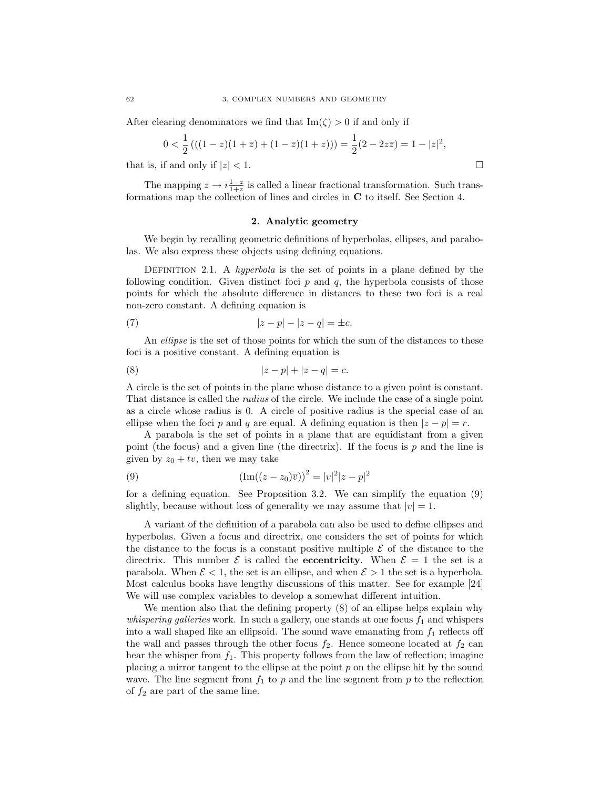After clearing denominators we find that  $\text{Im}(\zeta) > 0$  if and only if

$$
0 < \frac{1}{2} \left( \left( (1-z)(1+\overline{z}) + (1-\overline{z})(1+z) \right) \right) = \frac{1}{2} (2 - 2z\overline{z}) = 1 - |z|^2,
$$

that is, if and only if  $|z| < 1$ .

The mapping  $z \to i \frac{1-z}{1+z}$  is called a linear fractional transformation. Such transformations map the collection of lines and circles in C to itself. See Section 4.

## 2. Analytic geometry

We begin by recalling geometric definitions of hyperbolas, ellipses, and parabolas. We also express these objects using defining equations.

DEFINITION 2.1. A *hyperbola* is the set of points in a plane defined by the following condition. Given distinct foci  $p$  and  $q$ , the hyperbola consists of those points for which the absolute difference in distances to these two foci is a real non-zero constant. A defining equation is

(7) 
$$
|z - p| - |z - q| = \pm c.
$$

An *ellipse* is the set of those points for which the sum of the distances to these foci is a positive constant. A defining equation is

(8) 
$$
|z - p| + |z - q| = c.
$$

A circle is the set of points in the plane whose distance to a given point is constant. That distance is called the radius of the circle. We include the case of a single point as a circle whose radius is 0. A circle of positive radius is the special case of an ellipse when the foci p and q are equal. A defining equation is then  $|z - p| = r$ .

A parabola is the set of points in a plane that are equidistant from a given point (the focus) and a given line (the directrix). If the focus is  $p$  and the line is given by  $z_0 + tv$ , then we may take

(9) 
$$
(\text{Im}((z - z_0)\overline{v}))^2 = |v|^2 |z - p|^2
$$

for a defining equation. See Proposition 3.2. We can simplify the equation (9) slightly, because without loss of generality we may assume that  $|v|=1$ .

A variant of the definition of a parabola can also be used to define ellipses and hyperbolas. Given a focus and directrix, one considers the set of points for which the distance to the focus is a constant positive multiple  $\mathcal E$  of the distance to the directrix. This number  $\mathcal E$  is called the **eccentricity**. When  $\mathcal E = 1$  the set is a parabola. When  $\mathcal{E} < 1$ , the set is an ellipse, and when  $\mathcal{E} > 1$  the set is a hyperbola. Most calculus books have lengthy discussions of this matter. See for example [24] We will use complex variables to develop a somewhat different intuition.

We mention also that the defining property (8) of an ellipse helps explain why *whispering galleries* work. In such a gallery, one stands at one focus  $f_1$  and whispers into a wall shaped like an ellipsoid. The sound wave emanating from  $f_1$  reflects off the wall and passes through the other focus  $f_2$ . Hence someone located at  $f_2$  can hear the whisper from  $f_1$ . This property follows from the law of reflection; imagine placing a mirror tangent to the ellipse at the point  $p$  on the ellipse hit by the sound wave. The line segment from  $f_1$  to p and the line segment from p to the reflection of  $f_2$  are part of the same line.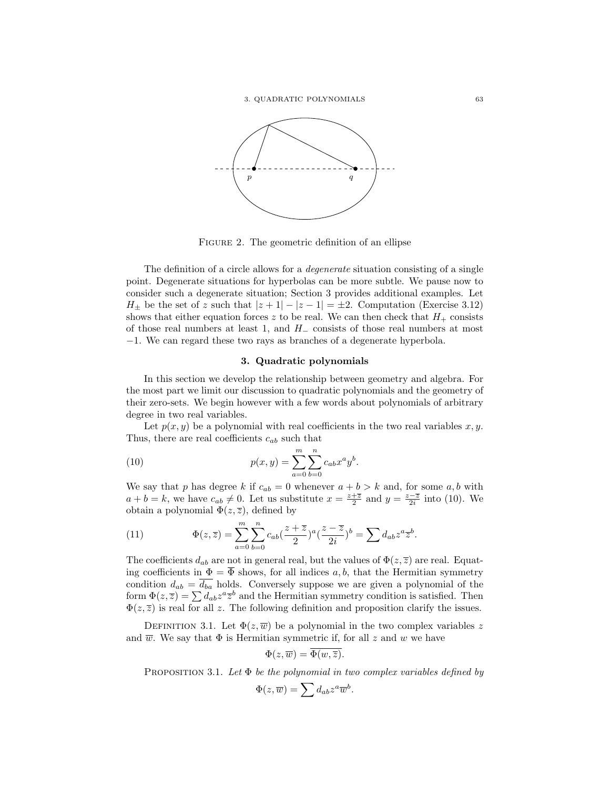

Figure 2. The geometric definition of an ellipse

The definition of a circle allows for a *degenerate* situation consisting of a single point. Degenerate situations for hyperbolas can be more subtle. We pause now to consider such a degenerate situation; Section 3 provides additional examples. Let  $H_{\pm}$  be the set of z such that  $|z + 1| - |z - 1| = \pm 2$ . Computation (Exercise 3.12) shows that either equation forces z to be real. We can then check that  $H_+$  consists of those real numbers at least 1, and  $H_-\$  consists of those real numbers at most −1. We can regard these two rays as branches of a degenerate hyperbola.

# 3. Quadratic polynomials

In this section we develop the relationship between geometry and algebra. For the most part we limit our discussion to quadratic polynomials and the geometry of their zero-sets. We begin however with a few words about polynomials of arbitrary degree in two real variables.

Let  $p(x, y)$  be a polynomial with real coefficients in the two real variables  $x, y$ . Thus, there are real coefficients  $c_{ab}$  such that

(10) 
$$
p(x,y) = \sum_{a=0}^{m} \sum_{b=0}^{n} c_{ab} x^a y^b.
$$

We say that p has degree k if  $c_{ab} = 0$  whenever  $a + b > k$  and, for some  $a, b$  with  $a + b = k$ , we have  $c_{ab} \neq 0$ . Let us substitute  $x = \frac{z + \overline{z}}{2}$  and  $y = \frac{z - \overline{z}}{2i}$  into (10). We obtain a polynomial  $\Phi(z,\overline{z})$ , defined by

(11) 
$$
\Phi(z,\overline{z}) = \sum_{a=0}^{m} \sum_{b=0}^{n} c_{ab} (\frac{z+\overline{z}}{2})^a (\frac{z-\overline{z}}{2i})^b = \sum d_{ab} z^a \overline{z}^b.
$$

The coefficients  $d_{ab}$  are not in general real, but the values of  $\Phi(z,\overline{z})$  are real. Equating coefficients in  $\Phi = \overline{\Phi}$  shows, for all indices a, b, that the Hermitian symmetry condition  $d_{ab} = d_{ba}$  holds. Conversely suppose we are given a polynomial of the form  $\Phi(z,\overline{z}) = \sum d_{ab}z^a \overline{z}^b$  and the Hermitian symmetry condition is satisfied. Then  $\Phi(z,\overline{z})$  is real for all z. The following definition and proposition clarify the issues.

DEFINITION 3.1. Let  $\Phi(z,\overline{w})$  be a polynomial in the two complex variables z and  $\overline{w}$ . We say that  $\Phi$  is Hermitian symmetric if, for all z and w we have

$$
\Phi(z,\overline{w}) = \overline{\Phi(w,\overline{z})}.
$$

PROPOSITION 3.1. Let  $\Phi$  be the polynomial in two complex variables defined by

$$
\Phi(z,\overline{w}) = \sum d_{ab} z^a \overline{w}^b.
$$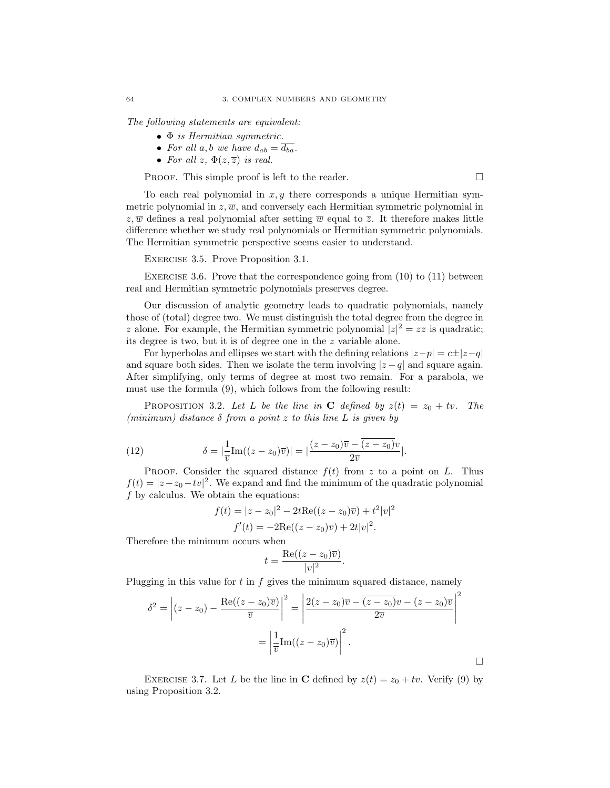The following statements are equivalent:

- Φ is Hermitian symmetric.
- For all a, b we have  $d_{ab} = \overline{d_{ba}}$ .
- For all  $z, \Phi(z,\overline{z})$  is real.

PROOF. This simple proof is left to the reader.  $\Box$ 

 $\Box$ 

To each real polynomial in  $x, y$  there corresponds a unique Hermitian symmetric polynomial in  $z, \overline{w}$ , and conversely each Hermitian symmetric polynomial in  $z, \overline{w}$  defines a real polynomial after setting  $\overline{w}$  equal to  $\overline{z}$ . It therefore makes little difference whether we study real polynomials or Hermitian symmetric polynomials. The Hermitian symmetric perspective seems easier to understand.

EXERCISE 3.5. Prove Proposition 3.1.

EXERCISE 3.6. Prove that the correspondence going from  $(10)$  to  $(11)$  between real and Hermitian symmetric polynomials preserves degree.

Our discussion of analytic geometry leads to quadratic polynomials, namely those of (total) degree two. We must distinguish the total degree from the degree in z alone. For example, the Hermitian symmetric polynomial  $|z|^2 = z\overline{z}$  is quadratic; its degree is two, but it is of degree one in the z variable alone.

For hyperbolas and ellipses we start with the defining relations  $|z-p| = c \pm |z-q|$ and square both sides. Then we isolate the term involving  $|z - q|$  and square again. After simplifying, only terms of degree at most two remain. For a parabola, we must use the formula (9), which follows from the following result:

PROPOSITION 3.2. Let L be the line in C defined by  $z(t) = z_0 + tv$ . The (minimum) distance  $\delta$  from a point z to this line L is given by

(12) 
$$
\delta = |\frac{1}{\overline{v}}\text{Im}((z-z_0)\overline{v})| = |\frac{(z-z_0)\overline{v} - \overline{(z-z_0)v}}{2\overline{v}}|.
$$

PROOF. Consider the squared distance  $f(t)$  from z to a point on L. Thus  $f(t) = |z - z_0 - tv|^2$ . We expand and find the minimum of the quadratic polynomial  $f$  by calculus. We obtain the equations:

$$
f(t) = |z - z_0|^2 - 2t \text{Re}((z - z_0)\overline{v}) + t^2 |v|^2
$$
  

$$
f'(t) = -2\text{Re}((z - z_0)\overline{v}) + 2t |v|^2.
$$

Therefore the minimum occurs when

$$
t = \frac{\operatorname{Re}((z - z_0)\overline{v})}{|v|^2}.
$$

Plugging in this value for  $t$  in  $f$  gives the minimum squared distance, namely

$$
\delta^2 = \left| (z - z_0) - \frac{\operatorname{Re}((z - z_0)\overline{v})}{\overline{v}} \right|^2 = \left| \frac{2(z - z_0)\overline{v} - \overline{(z - z_0)v} - (z - z_0)\overline{v}}{2\overline{v}} \right|^2
$$

$$
= \left| \frac{1}{\overline{v}} \operatorname{Im}((z - z_0)\overline{v}) \right|^2.
$$

EXERCISE 3.7. Let L be the line in C defined by  $z(t) = z_0 + tv$ . Verify (9) by using Proposition 3.2.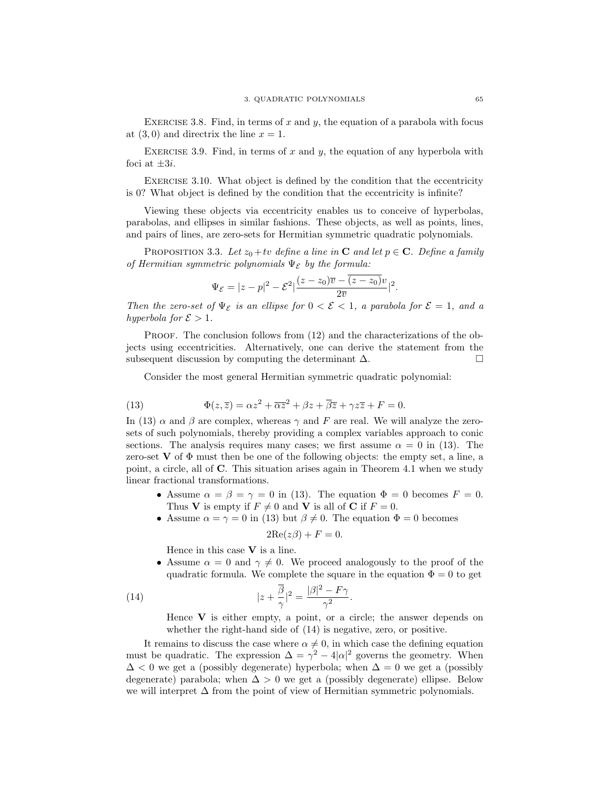EXERCISE 3.8. Find, in terms of x and y, the equation of a parabola with focus at  $(3, 0)$  and directrix the line  $x = 1$ .

EXERCISE 3.9. Find, in terms of x and y, the equation of any hyperbola with foci at  $\pm 3i$ .

Exercise 3.10. What object is defined by the condition that the eccentricity is 0? What object is defined by the condition that the eccentricity is infinite?

Viewing these objects via eccentricity enables us to conceive of hyperbolas, parabolas, and ellipses in similar fashions. These objects, as well as points, lines, and pairs of lines, are zero-sets for Hermitian symmetric quadratic polynomials.

PROPOSITION 3.3. Let  $z_0+tv$  define a line in **C** and let  $p \in \mathbb{C}$ . Define a family of Hermitian symmetric polynomials  $\Psi_{\mathcal{E}}$  by the formula:

$$
\Psi_{\mathcal{E}}=|z-p|^2-\mathcal{E}^2\left|\frac{(z-z_0)\overline{v}-(\overline{z-z_0)v}}{2\overline{v}}\right|^2.
$$

Then the zero-set of  $\Psi_{\mathcal{E}}$  is an ellipse for  $0 < \mathcal{E} < 1$ , a parabola for  $\mathcal{E} = 1$ , and a hyperbola for  $\mathcal{E} > 1$ .

PROOF. The conclusion follows from  $(12)$  and the characterizations of the objects using eccentricities. Alternatively, one can derive the statement from the subsequent discussion by computing the determinant  $\Delta$ .

Consider the most general Hermitian symmetric quadratic polynomial:

(13) 
$$
\Phi(z,\overline{z}) = \alpha z^2 + \overline{\alpha z}^2 + \beta z + \overline{\beta z} + \gamma z \overline{z} + F = 0.
$$

In (13)  $\alpha$  and  $\beta$  are complex, whereas  $\gamma$  and F are real. We will analyze the zerosets of such polynomials, thereby providing a complex variables approach to conic sections. The analysis requires many cases; we first assume  $\alpha = 0$  in (13). The zero-set  $V$  of  $\Phi$  must then be one of the following objects: the empty set, a line, a point, a circle, all of C. This situation arises again in Theorem 4.1 when we study linear fractional transformations.

- Assume  $\alpha = \beta = \gamma = 0$  in (13). The equation  $\Phi = 0$  becomes  $F = 0$ . Thus V is empty if  $F \neq 0$  and V is all of C if  $F = 0$ .
- Assume  $\alpha = \gamma = 0$  in (13) but  $\beta \neq 0$ . The equation  $\Phi = 0$  becomes

$$
2\mathrm{Re}(z\beta) + F = 0.
$$

Hence in this case V is a line.

• Assume  $\alpha = 0$  and  $\gamma \neq 0$ . We proceed analogously to the proof of the quadratic formula. We complete the square in the equation  $\Phi = 0$  to get

(14) 
$$
|z + \frac{\overline{\beta}}{\gamma}|^2 = \frac{|\beta|^2 - F\gamma}{\gamma^2}.
$$

Hence  $V$  is either empty, a point, or a circle; the answer depends on whether the right-hand side of (14) is negative, zero, or positive.

It remains to discuss the case where  $\alpha \neq 0$ , in which case the defining equation must be quadratic. The expression  $\Delta = \gamma^2 - 4|\alpha|^2$  governs the geometry. When  $\Delta$  < 0 we get a (possibly degenerate) hyperbola; when  $\Delta = 0$  we get a (possibly degenerate) parabola; when  $\Delta > 0$  we get a (possibly degenerate) ellipse. Below we will interpret  $\Delta$  from the point of view of Hermitian symmetric polynomials.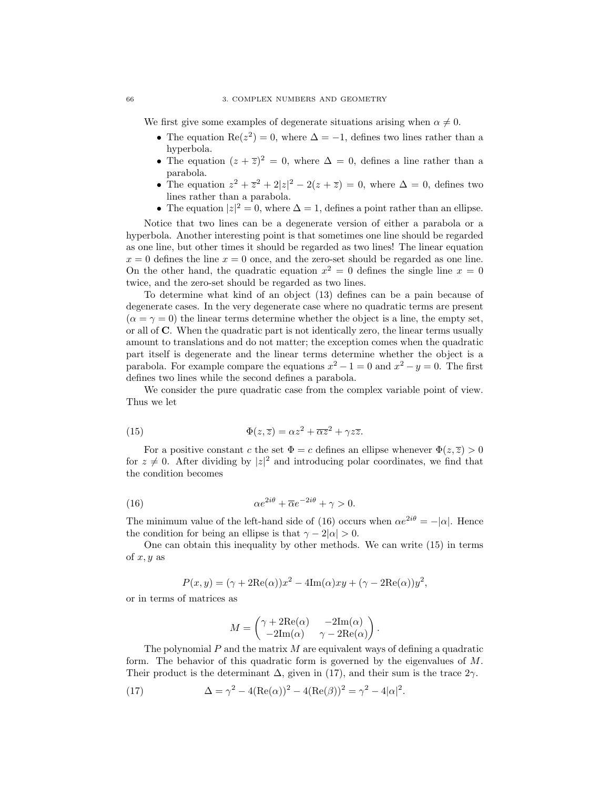We first give some examples of degenerate situations arising when  $\alpha \neq 0$ .

- The equation Re( $z^2$ ) = 0, where  $\Delta = -1$ , defines two lines rather than a hyperbola.
- The equation  $(z + \overline{z})^2 = 0$ , where  $\Delta = 0$ , defines a line rather than a parabola.
- The equation  $z^2 + \overline{z}^2 + 2|z|^2 2(z + \overline{z}) = 0$ , where  $\Delta = 0$ , defines two lines rather than a parabola.
- The equation  $|z|^2 = 0$ , where  $\Delta = 1$ , defines a point rather than an ellipse.

Notice that two lines can be a degenerate version of either a parabola or a hyperbola. Another interesting point is that sometimes one line should be regarded as one line, but other times it should be regarded as two lines! The linear equation  $x = 0$  defines the line  $x = 0$  once, and the zero-set should be regarded as one line. On the other hand, the quadratic equation  $x^2 = 0$  defines the single line  $x = 0$ twice, and the zero-set should be regarded as two lines.

To determine what kind of an object (13) defines can be a pain because of degenerate cases. In the very degenerate case where no quadratic terms are present  $(\alpha = \gamma = 0)$  the linear terms determine whether the object is a line, the empty set, or all of C. When the quadratic part is not identically zero, the linear terms usually amount to translations and do not matter; the exception comes when the quadratic part itself is degenerate and the linear terms determine whether the object is a parabola. For example compare the equations  $x^2 - 1 = 0$  and  $x^2 - y = 0$ . The first defines two lines while the second defines a parabola.

We consider the pure quadratic case from the complex variable point of view. Thus we let

(15) 
$$
\Phi(z,\overline{z}) = \alpha z^2 + \overline{\alpha z}^2 + \gamma z \overline{z}.
$$

For a positive constant c the set  $\Phi = c$  defines an ellipse whenever  $\Phi(z,\overline{z}) > 0$ for  $z \neq 0$ . After dividing by  $|z|^2$  and introducing polar coordinates, we find that the condition becomes

(16) 
$$
\alpha e^{2i\theta} + \overline{\alpha}e^{-2i\theta} + \gamma > 0.
$$

The minimum value of the left-hand side of (16) occurs when  $\alpha e^{2i\theta} = -|\alpha|$ . Hence the condition for being an ellipse is that  $\gamma - 2|\alpha| > 0$ .

One can obtain this inequality by other methods. We can write (15) in terms of  $x, y$  as

$$
P(x, y) = (\gamma + 2\text{Re}(\alpha))x^{2} - 4\text{Im}(\alpha)xy + (\gamma - 2\text{Re}(\alpha))y^{2},
$$

or in terms of matrices as

$$
M = \begin{pmatrix} \gamma + 2\text{Re}(\alpha) & -2\text{Im}(\alpha) \\ -2\text{Im}(\alpha) & \gamma - 2\text{Re}(\alpha) \end{pmatrix}.
$$

The polynomial  $P$  and the matrix  $M$  are equivalent ways of defining a quadratic form. The behavior of this quadratic form is governed by the eigenvalues of M. Their product is the determinant  $\Delta$ , given in (17), and their sum is the trace  $2\gamma$ .

(17) 
$$
\Delta = \gamma^2 - 4(\text{Re}(\alpha))^2 - 4(\text{Re}(\beta))^2 = \gamma^2 - 4|\alpha|^2.
$$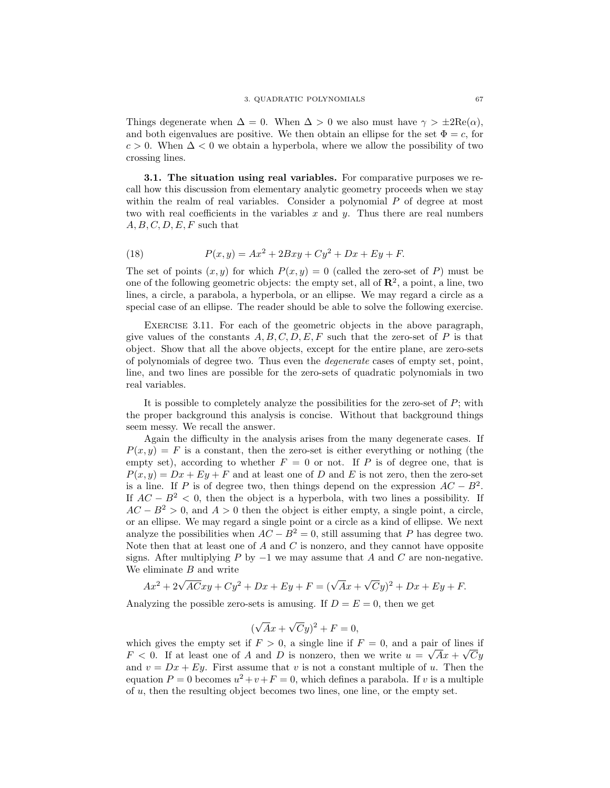Things degenerate when  $\Delta = 0$ . When  $\Delta > 0$  we also must have  $\gamma > \pm 2\text{Re}(\alpha)$ , and both eigenvalues are positive. We then obtain an ellipse for the set  $\Phi = c$ , for  $c > 0$ . When  $\Delta < 0$  we obtain a hyperbola, where we allow the possibility of two crossing lines.

3.1. The situation using real variables. For comparative purposes we recall how this discussion from elementary analytic geometry proceeds when we stay within the realm of real variables. Consider a polynomial  $P$  of degree at most two with real coefficients in the variables  $x$  and  $y$ . Thus there are real numbers  $A, B, C, D, E, F$  such that

(18) 
$$
P(x, y) = Ax^2 + 2Bxy + Cy^2 + Dx + Ey + F.
$$

The set of points  $(x, y)$  for which  $P(x, y) = 0$  (called the zero-set of P) must be one of the following geometric objects: the empty set, all of  $\mathbb{R}^2$ , a point, a line, two lines, a circle, a parabola, a hyperbola, or an ellipse. We may regard a circle as a special case of an ellipse. The reader should be able to solve the following exercise.

Exercise 3.11. For each of the geometric objects in the above paragraph, give values of the constants  $A, B, C, D, E, F$  such that the zero-set of P is that object. Show that all the above objects, except for the entire plane, are zero-sets of polynomials of degree two. Thus even the degenerate cases of empty set, point, line, and two lines are possible for the zero-sets of quadratic polynomials in two real variables.

It is possible to completely analyze the possibilities for the zero-set of  $P$ ; with the proper background this analysis is concise. Without that background things seem messy. We recall the answer.

Again the difficulty in the analysis arises from the many degenerate cases. If  $P(x, y) = F$  is a constant, then the zero-set is either everything or nothing (the empty set), according to whether  $F = 0$  or not. If P is of degree one, that is  $P(x, y) = Dx + Ey + F$  and at least one of D and E is not zero, then the zero-set is a line. If P is of degree two, then things depend on the expression  $AC - B^2$ . If  $AC - B^2 < 0$ , then the object is a hyperbola, with two lines a possibility. If  $AC - B<sup>2</sup> > 0$ , and  $A > 0$  then the object is either empty, a single point, a circle, or an ellipse. We may regard a single point or a circle as a kind of ellipse. We next analyze the possibilities when  $AC - B^2 = 0$ , still assuming that P has degree two. Note then that at least one of  $A$  and  $C$  is nonzero, and they cannot have opposite signs. After multiplying P by  $-1$  we may assume that A and C are non-negative. We eliminate  $B$  and write

$$
Ax^{2} + 2\sqrt{AC}xy + Cy^{2} + Dx + Ey + F = (\sqrt{Ax} + \sqrt{C}y)^{2} + Dx + Ey + F.
$$

Analyzing the possible zero-sets is amusing. If  $D = E = 0$ , then we get

$$
(\sqrt{A}x + \sqrt{C}y)^2 + F = 0,
$$

which gives the empty set if  $F > 0$ , a single line if  $F = 0$ , and a pair of lines if  $F < 0$ . If at least one of A and D is nonzero, then we write  $u = \sqrt{Ax} + \sqrt{Cy}$ and  $v = Dx + Ey$ . First assume that v is not a constant multiple of u. Then the equation  $P = 0$  becomes  $u^2 + v + F = 0$ , which defines a parabola. If v is a multiple of u, then the resulting object becomes two lines, one line, or the empty set.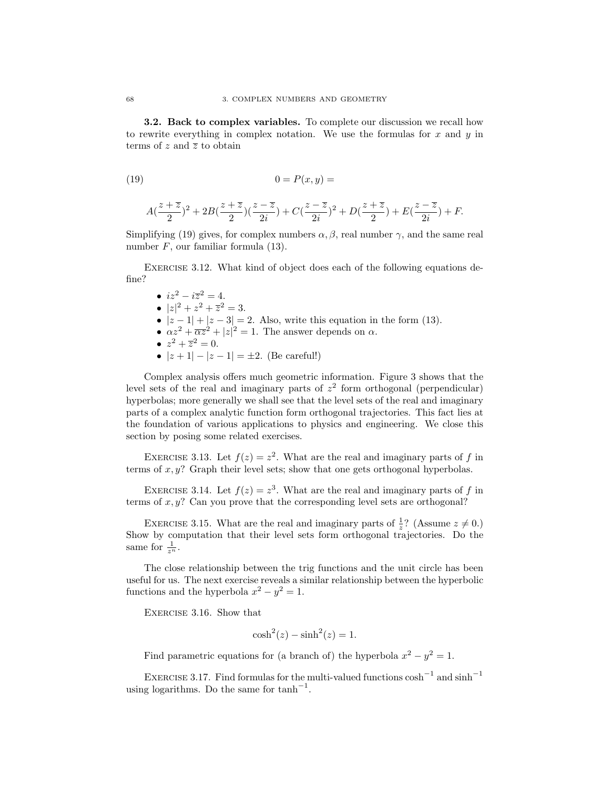3.2. Back to complex variables. To complete our discussion we recall how to rewrite everything in complex notation. We use the formulas for  $x$  and  $y$  in terms of z and  $\overline{z}$  to obtain

$$
(19) \qquad \qquad 0 = P(x, y) =
$$

$$
A(\frac{z+\overline{z}}{2})^2+2B(\frac{z+\overline{z}}{2})(\frac{z-\overline{z}}{2i})+C(\frac{z-\overline{z}}{2i})^2+D(\frac{z+\overline{z}}{2})+E(\frac{z-\overline{z}}{2i})+F.
$$

Simplifying (19) gives, for complex numbers  $\alpha, \beta$ , real number  $\gamma$ , and the same real number  $F$ , our familiar formula  $(13)$ .

Exercise 3.12. What kind of object does each of the following equations define?

- $iz^2 i\overline{z}^2 = 4$ . •  $|z|^2 + z^2 + \overline{z}^2 = 3.$
- $|z-1|+|z-3|=2$ . Also, write this equation in the form (13).
- $\alpha z^2 + \overline{\alpha z}^2 + |z|^2 = 1$ . The answer depends on  $\alpha$ .
- $z^2 + \overline{z}^2 = 0$ .
- $|z+1| |z-1| = \pm 2$ . (Be careful!)

Complex analysis offers much geometric information. Figure 3 shows that the level sets of the real and imaginary parts of  $z<sup>2</sup>$  form orthogonal (perpendicular) hyperbolas; more generally we shall see that the level sets of the real and imaginary parts of a complex analytic function form orthogonal trajectories. This fact lies at the foundation of various applications to physics and engineering. We close this section by posing some related exercises.

EXERCISE 3.13. Let  $f(z) = z^2$ . What are the real and imaginary parts of f in terms of  $x, y$ ? Graph their level sets; show that one gets orthogonal hyperbolas.

EXERCISE 3.14. Let  $f(z) = z<sup>3</sup>$ . What are the real and imaginary parts of f in terms of  $x, y$ ? Can you prove that the corresponding level sets are orthogonal?

EXERCISE 3.15. What are the real and imaginary parts of  $\frac{1}{z}$ ? (Assume  $z \neq 0$ .) Show by computation that their level sets form orthogonal trajectories. Do the same for  $\frac{1}{z^n}$ .

The close relationship between the trig functions and the unit circle has been useful for us. The next exercise reveals a similar relationship between the hyperbolic functions and the hyperbola  $x^2 - y^2 = 1$ .

Exercise 3.16. Show that

$$
\cosh^2(z) - \sinh^2(z) = 1.
$$

Find parametric equations for (a branch of) the hyperbola  $x^2 - y^2 = 1$ .

EXERCISE 3.17. Find formulas for the multi-valued functions  $\cosh^{-1}$  and  $\sinh^{-1}$ using logarithms. Do the same for  $\tanh^{-1}$ .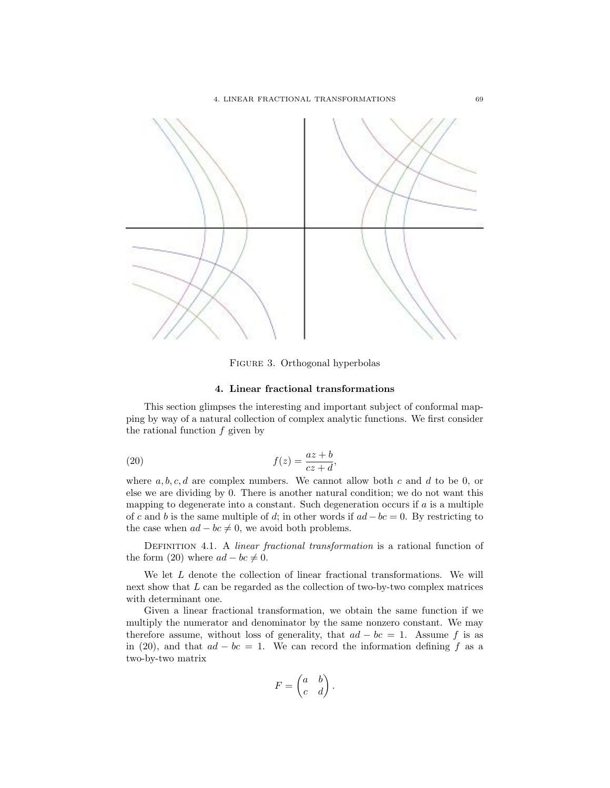

Figure 3. Orthogonal hyperbolas

# 4. Linear fractional transformations

This section glimpses the interesting and important subject of conformal mapping by way of a natural collection of complex analytic functions. We first consider the rational function  $f$  given by

(20) 
$$
f(z) = \frac{az+b}{cz+d},
$$

where  $a, b, c, d$  are complex numbers. We cannot allow both c and d to be 0, or else we are dividing by 0. There is another natural condition; we do not want this mapping to degenerate into a constant. Such degeneration occurs if a is a multiple of c and b is the same multiple of d; in other words if  $ad - bc = 0$ . By restricting to the case when  $ad - bc \neq 0$ , we avoid both problems.

DEFINITION 4.1. A linear fractional transformation is a rational function of the form (20) where  $ad - bc \neq 0$ .

We let  $L$  denote the collection of linear fractional transformations. We will next show that L can be regarded as the collection of two-by-two complex matrices with determinant one.

Given a linear fractional transformation, we obtain the same function if we multiply the numerator and denominator by the same nonzero constant. We may therefore assume, without loss of generality, that  $ad - bc = 1$ . Assume f is as in (20), and that  $ad - bc = 1$ . We can record the information defining f as a two-by-two matrix

$$
F = \begin{pmatrix} a & b \\ c & d \end{pmatrix}.
$$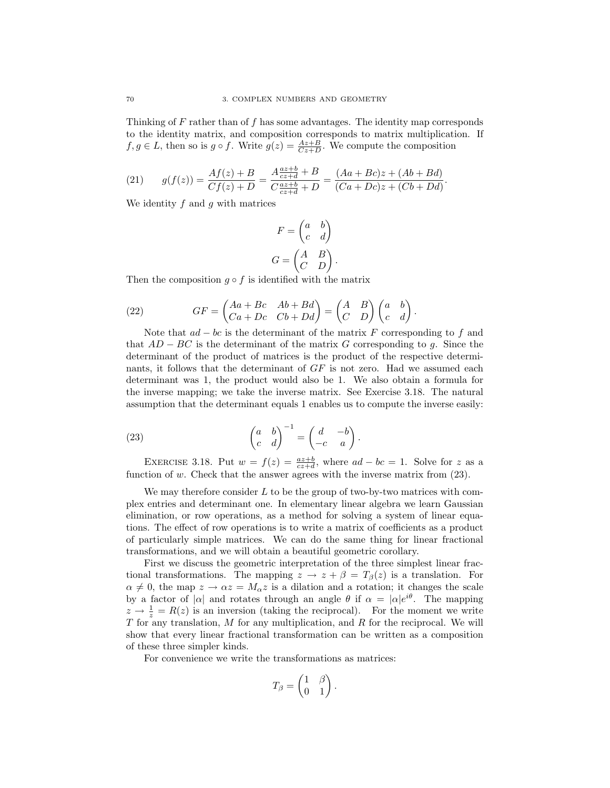Thinking of F rather than of f has some advantages. The identity map corresponds to the identity matrix, and composition corresponds to matrix multiplication. If  $f, g \in L$ , then so is  $g \circ f$ . Write  $g(z) = \frac{Az+B}{Cz+D}$ . We compute the composition

(21) 
$$
g(f(z)) = \frac{Af(z) + B}{Cf(z) + D} = \frac{A \frac{az+b}{cz+d} + B}{C \frac{az+b}{cz+d} + D} = \frac{(Aa + Bc)z + (Ab + Bd)}{(Ca + Dc)z + (Cb + Dd)}.
$$

We identity  $f$  and  $q$  with matrices

$$
F = \begin{pmatrix} a & b \\ c & d \end{pmatrix}
$$

$$
G = \begin{pmatrix} A & B \\ C & D \end{pmatrix}.
$$

Then the composition  $g \circ f$  is identified with the matrix

(22) 
$$
GF = \begin{pmatrix} Aa + Bc & Ab + Bd \\ Ca + Dc & Cb + Dd \end{pmatrix} = \begin{pmatrix} A & B \\ C & D \end{pmatrix} \begin{pmatrix} a & b \\ c & d \end{pmatrix}
$$

Note that  $ad - bc$  is the determinant of the matrix F corresponding to f and that  $AD - BC$  is the determinant of the matrix G corresponding to g. Since the determinant of the product of matrices is the product of the respective determinants, it follows that the determinant of GF is not zero. Had we assumed each determinant was 1, the product would also be 1. We also obtain a formula for the inverse mapping; we take the inverse matrix. See Exercise 3.18. The natural assumption that the determinant equals 1 enables us to compute the inverse easily:

.

(23) 
$$
\begin{pmatrix} a & b \ c & d \end{pmatrix}^{-1} = \begin{pmatrix} d & -b \ -c & a \end{pmatrix}.
$$

EXERCISE 3.18. Put  $w = f(z) = \frac{az+b}{cz+d}$ , where  $ad - bc = 1$ . Solve for z as a function of  $w$ . Check that the answer agrees with the inverse matrix from  $(23)$ .

We may therefore consider  $L$  to be the group of two-by-two matrices with complex entries and determinant one. In elementary linear algebra we learn Gaussian elimination, or row operations, as a method for solving a system of linear equations. The effect of row operations is to write a matrix of coefficients as a product of particularly simple matrices. We can do the same thing for linear fractional transformations, and we will obtain a beautiful geometric corollary.

First we discuss the geometric interpretation of the three simplest linear fractional transformations. The mapping  $z \to z + \beta = T_{\beta}(z)$  is a translation. For  $\alpha \neq 0$ , the map  $z \to \alpha z = M_{\alpha} z$  is a dilation and a rotation; it changes the scale by a factor of  $|\alpha|$  and rotates through an angle  $\theta$  if  $\alpha = |\alpha|e^{i\theta}$ . The mapping  $z \to \frac{1}{z} = R(z)$  is an inversion (taking the reciprocal). For the moment we write  $T$  for any translation,  $M$  for any multiplication, and  $R$  for the reciprocal. We will show that every linear fractional transformation can be written as a composition of these three simpler kinds.

For convenience we write the transformations as matrices:

$$
T_{\beta} = \begin{pmatrix} 1 & \beta \\ 0 & 1 \end{pmatrix}.
$$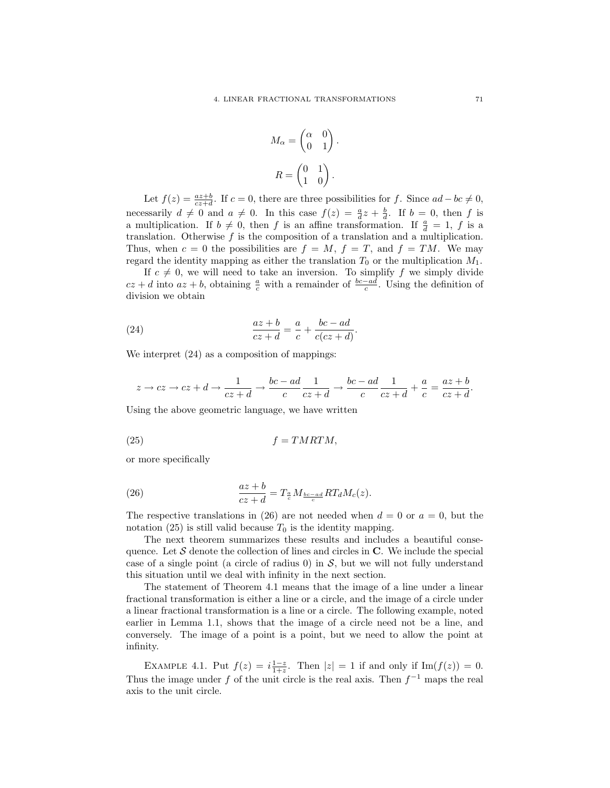$$
M_{\alpha} = \begin{pmatrix} \alpha & 0 \\ 0 & 1 \end{pmatrix}.
$$

$$
R = \begin{pmatrix} 0 & 1 \\ 1 & 0 \end{pmatrix}.
$$

Let  $f(z) = \frac{az+b}{cz+d}$ . If  $c = 0$ , there are three possibilities for f. Since  $ad - bc \neq 0$ , necessarily  $d \neq 0$  and  $a \neq 0$ . In this case  $f(z) = \frac{a}{d}z + \frac{b}{d}$ . If  $b = 0$ , then f is a multiplication. If  $b \neq 0$ , then f is an affine transformation. If  $\frac{a}{d} = 1$ , f is a translation. Otherwise  $f$  is the composition of a translation and a multiplication. Thus, when  $c = 0$  the possibilities are  $f = M$ ,  $f = T$ , and  $f = TM$ . We may regard the identity mapping as either the translation  $T_0$  or the multiplication  $M_1$ .

If  $c \neq 0$ , we will need to take an inversion. To simplify f we simply divide  $cz + d$  into  $az + b$ , obtaining  $\frac{a}{c}$  with a remainder of  $\frac{bc - ad}{c}$ . Using the definition of division we obtain

(24) 
$$
\frac{az+b}{cz+d} = \frac{a}{c} + \frac{bc-ad}{c(cz+d)}.
$$

We interpret (24) as a composition of mappings:

$$
z \to cz \to cz + d \to \frac{1}{cz + d} \to \frac{bc - ad}{c} \frac{1}{cz + d} \to \frac{bc - ad}{c} \frac{1}{cz + d} + \frac{a}{c} = \frac{az + b}{cz + d}.
$$

Using the above geometric language, we have written

$$
(25) \t\t f = TMRTM,
$$

or more specifically

(26) 
$$
\frac{az+b}{cz+d} = T_{\frac{a}{c}} M_{\frac{bc-ad}{c}} RT_d M_c(z).
$$

The respective translations in (26) are not needed when  $d = 0$  or  $a = 0$ , but the notation (25) is still valid because  $T_0$  is the identity mapping.

The next theorem summarizes these results and includes a beautiful consequence. Let  $\mathcal S$  denote the collection of lines and circles in  $\mathbb C$ . We include the special case of a single point (a circle of radius  $0$ ) in  $S$ , but we will not fully understand this situation until we deal with infinity in the next section.

The statement of Theorem 4.1 means that the image of a line under a linear fractional transformation is either a line or a circle, and the image of a circle under a linear fractional transformation is a line or a circle. The following example, noted earlier in Lemma 1.1, shows that the image of a circle need not be a line, and conversely. The image of a point is a point, but we need to allow the point at infinity.

EXAMPLE 4.1. Put  $f(z) = i\frac{1-z}{1+z}$ . Then  $|z| = 1$  if and only if Im( $f(z)$ ) = 0. Thus the image under f of the unit circle is the real axis. Then  $f^{-1}$  maps the real axis to the unit circle.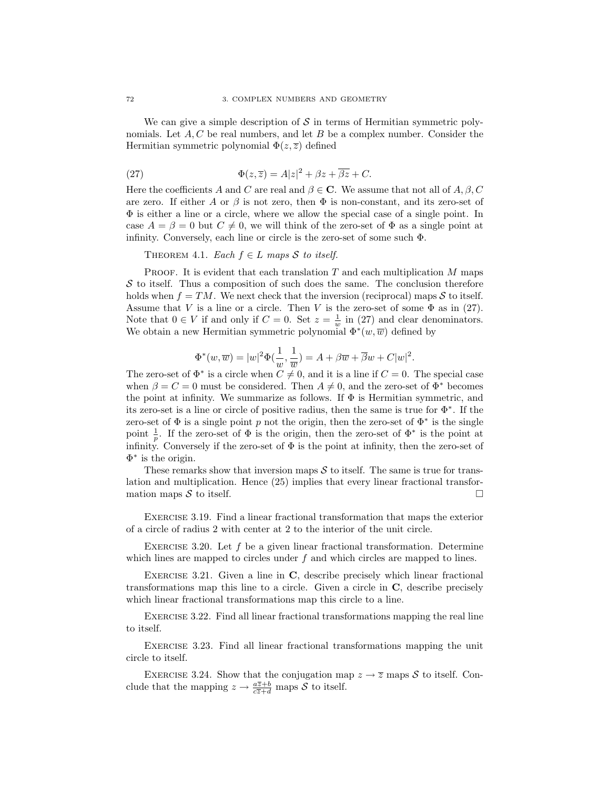We can give a simple description of  $\mathcal S$  in terms of Hermitian symmetric polynomials. Let  $A, C$  be real numbers, and let  $B$  be a complex number. Consider the Hermitian symmetric polynomial  $\Phi(z,\overline{z})$  defined

(27) 
$$
\Phi(z,\overline{z}) = A|z|^2 + \beta z + \overline{\beta z} + C.
$$

Here the coefficients A and C are real and  $\beta \in \mathbb{C}$ . We assume that not all of A,  $\beta$ , C are zero. If either A or  $\beta$  is not zero, then  $\Phi$  is non-constant, and its zero-set of Φ is either a line or a circle, where we allow the special case of a single point. In case  $A = \beta = 0$  but  $C \neq 0$ , we will think of the zero-set of  $\Phi$  as a single point at infinity. Conversely, each line or circle is the zero-set of some such Φ.

## THEOREM 4.1. Each  $f \in L$  maps S to itself.

PROOF. It is evident that each translation  $T$  and each multiplication  $M$  maps  $S$  to itself. Thus a composition of such does the same. The conclusion therefore holds when  $f = TM$ . We next check that the inversion (reciprocal) maps S to itself. Assume that V is a line or a circle. Then V is the zero-set of some  $\Phi$  as in (27). Note that  $0 \in V$  if and only if  $C = 0$ . Set  $z = \frac{1}{w}$  in (27) and clear denominators. We obtain a new Hermitian symmetric polynomial  $\Phi^*(w,\overline{w})$  defined by

$$
\Phi^*(w,\overline{w})=|w|^2\Phi(\frac{1}{w},\frac{1}{\overline{w}})=A+\beta\overline{w}+\overline{\beta}w+C|w|^2.
$$

The zero-set of  $\Phi^*$  is a circle when  $C \neq 0$ , and it is a line if  $C = 0$ . The special case when  $\beta = C = 0$  must be considered. Then  $A \neq 0$ , and the zero-set of  $\Phi^*$  becomes the point at infinity. We summarize as follows. If  $\Phi$  is Hermitian symmetric, and its zero-set is a line or circle of positive radius, then the same is true for Φ<sup>∗</sup> . If the zero-set of  $\Phi$  is a single point p not the origin, then the zero-set of  $\Phi^*$  is the single point  $\frac{1}{p}$ . If the zero-set of  $\Phi$  is the origin, then the zero-set of  $\Phi^*$  is the point at infinity. Conversely if the zero-set of  $\Phi$  is the point at infinity, then the zero-set of  $\Phi^*$  is the origin.

These remarks show that inversion maps  $S$  to itself. The same is true for translation and multiplication. Hence (25) implies that every linear fractional transformation maps S to itself.

Exercise 3.19. Find a linear fractional transformation that maps the exterior of a circle of radius 2 with center at 2 to the interior of the unit circle.

EXERCISE 3.20. Let  $f$  be a given linear fractional transformation. Determine which lines are mapped to circles under  $f$  and which circles are mapped to lines.

EXERCISE 3.21. Given a line in  $C$ , describe precisely which linear fractional transformations map this line to a circle. Given a circle in C, describe precisely which linear fractional transformations map this circle to a line.

Exercise 3.22. Find all linear fractional transformations mapping the real line to itself.

EXERCISE 3.23. Find all linear fractional transformations mapping the unit circle to itself.

EXERCISE 3.24. Show that the conjugation map  $z \to \overline{z}$  maps S to itself. Conclude that the mapping  $z \to \frac{a\overline{z}+b}{c\overline{z}+d}$  maps S to itself.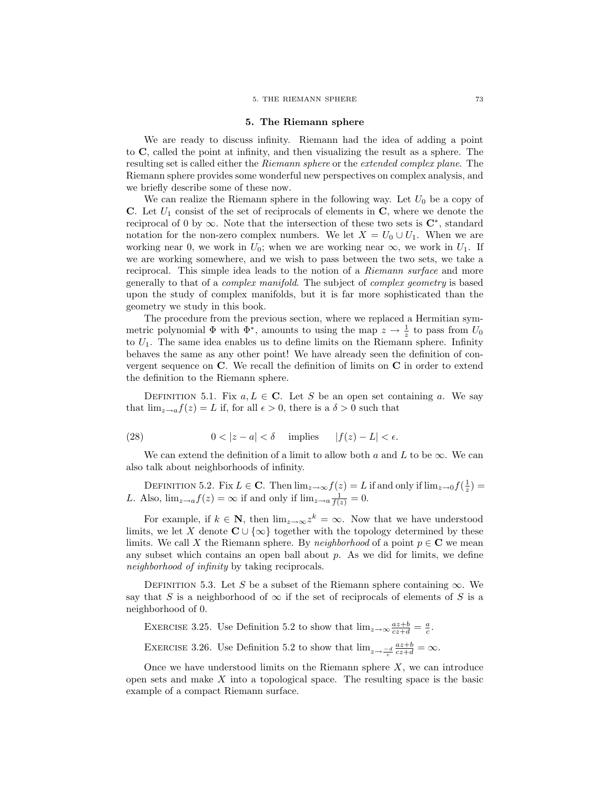#### 5. The Riemann sphere

We are ready to discuss infinity. Riemann had the idea of adding a point to C, called the point at infinity, and then visualizing the result as a sphere. The resulting set is called either the Riemann sphere or the extended complex plane. The Riemann sphere provides some wonderful new perspectives on complex analysis, and we briefly describe some of these now.

We can realize the Riemann sphere in the following way. Let  $U_0$  be a copy of C. Let  $U_1$  consist of the set of reciprocals of elements in C, where we denote the reciprocal of 0 by  $\infty$ . Note that the intersection of these two sets is  $\mathbb{C}^*$ , standard notation for the non-zero complex numbers. We let  $X = U_0 \cup U_1$ . When we are working near 0, we work in  $U_0$ ; when we are working near  $\infty$ , we work in  $U_1$ . If we are working somewhere, and we wish to pass between the two sets, we take a reciprocal. This simple idea leads to the notion of a Riemann surface and more generally to that of a complex manifold. The subject of complex geometry is based upon the study of complex manifolds, but it is far more sophisticated than the geometry we study in this book.

The procedure from the previous section, where we replaced a Hermitian symmetric polynomial  $\Phi$  with  $\Phi^*$ , amounts to using the map  $z \to \frac{1}{z}$  to pass from  $U_0$ to  $U_1$ . The same idea enables us to define limits on the Riemann sphere. Infinity behaves the same as any other point! We have already seen the definition of convergent sequence on C. We recall the definition of limits on C in order to extend the definition to the Riemann sphere.

DEFINITION 5.1. Fix  $a, L \in \mathbb{C}$ . Let S be an open set containing a. We say that  $\lim_{z\to a} f(z) = L$  if, for all  $\epsilon > 0$ , there is a  $\delta > 0$  such that

(28) 
$$
0 < |z - a| < \delta \quad \text{implies} \quad |f(z) - L| < \epsilon.
$$

We can extend the definition of a limit to allow both  $a$  and  $L$  to be  $\infty$ . We can also talk about neighborhoods of infinity.

DEFINITION 5.2. Fix  $L \in \mathbb{C}$ . Then  $\lim_{z\to\infty} f(z) = L$  if and only if  $\lim_{z\to 0} f(\frac{1}{z}) =$ L. Also,  $\lim_{z \to a} f(z) = \infty$  if and only if  $\lim_{z \to a} \frac{1}{f(z)} = 0$ .

For example, if  $k \in \mathbb{N}$ , then  $\lim_{z \to \infty} z^k = \infty$ . Now that we have understood limits, we let X denote  $C \cup \{\infty\}$  together with the topology determined by these limits. We call X the Riemann sphere. By neighborhood of a point  $p \in \mathbb{C}$  we mean any subset which contains an open ball about  $p$ . As we did for limits, we define neighborhood of infinity by taking reciprocals.

DEFINITION 5.3. Let S be a subset of the Riemann sphere containing  $\infty$ . We say that S is a neighborhood of  $\infty$  if the set of reciprocals of elements of S is a neighborhood of 0.

EXERCISE 3.25. Use Definition 5.2 to show that  $\lim_{z\to\infty} \frac{az+b}{cz+d} = \frac{a}{c}$ . EXERCISE 3.26. Use Definition 5.2 to show that  $\lim_{z \to \frac{-d}{c}}$  $\frac{az+b}{cz+d} = \infty.$ 

Once we have understood limits on the Riemann sphere  $X$ , we can introduce open sets and make  $X$  into a topological space. The resulting space is the basic example of a compact Riemann surface.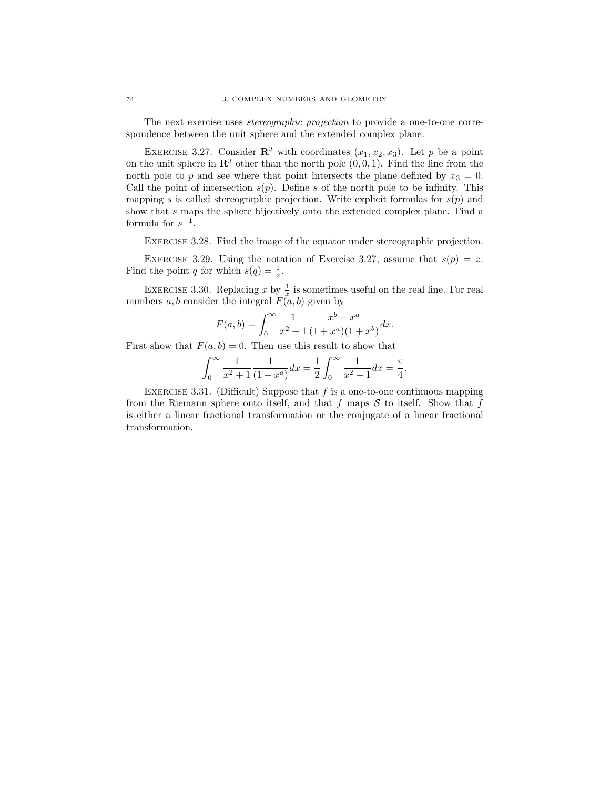The next exercise uses stereographic projection to provide a one-to-one correspondence between the unit sphere and the extended complex plane.

EXERCISE 3.27. Consider  $\mathbb{R}^3$  with coordinates  $(x_1, x_2, x_3)$ . Let p be a point on the unit sphere in  $\mathbb{R}^3$  other than the north pole  $(0, 0, 1)$ . Find the line from the north pole to p and see where that point intersects the plane defined by  $x_3 = 0$ . Call the point of intersection  $s(p)$ . Define s of the north pole to be infinity. This mapping s is called stereographic projection. Write explicit formulas for  $s(p)$  and show that s maps the sphere bijectively onto the extended complex plane. Find a formula for  $s^{-1}$ .

EXERCISE 3.28. Find the image of the equator under stereographic projection.

EXERCISE 3.29. Using the notation of Exercise 3.27, assume that  $s(p) = z$ . Find the point q for which  $s(q) = \frac{1}{z}$ .

EXERCISE 3.30. Replacing x by  $\frac{1}{x}$  is sometimes useful on the real line. For real numbers a, b consider the integral  $F(a, b)$  given by

$$
F(a,b) = \int_0^\infty \frac{1}{x^2 + 1} \frac{x^b - x^a}{(1 + x^a)(1 + x^b)} dx.
$$

First show that  $F(a, b) = 0$ . Then use this result to show that

$$
\int_0^\infty \frac{1}{x^2 + 1} \frac{1}{(1 + x^a)} dx = \frac{1}{2} \int_0^\infty \frac{1}{x^2 + 1} dx = \frac{\pi}{4}.
$$

EXERCISE 3.31. (Difficult) Suppose that  $f$  is a one-to-one continuous mapping from the Riemann sphere onto itself, and that f maps  $S$  to itself. Show that f is either a linear fractional transformation or the conjugate of a linear fractional transformation.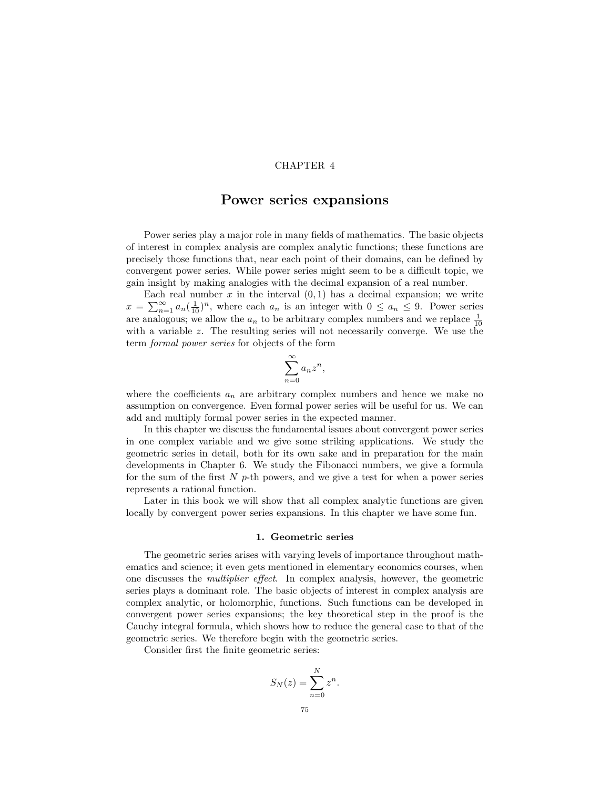## CHAPTER 4

## Power series expansions

Power series play a major role in many fields of mathematics. The basic objects of interest in complex analysis are complex analytic functions; these functions are precisely those functions that, near each point of their domains, can be defined by convergent power series. While power series might seem to be a difficult topic, we gain insight by making analogies with the decimal expansion of a real number.

Each real number  $x$  in the interval  $(0, 1)$  has a decimal expansion; we write  $x = \sum_{n=1}^{\infty} a_n \left(\frac{1}{10}\right)^n$ , where each  $a_n$  is an integer with  $0 \le a_n \le 9$ . Power series are analogous; we allow the  $a_n$  to be arbitrary complex numbers and we replace  $\frac{1}{10}$ with a variable z. The resulting series will not necessarily converge. We use the term formal power series for objects of the form

$$
\sum_{n=0}^{\infty} a_n z^n,
$$

where the coefficients  $a_n$  are arbitrary complex numbers and hence we make no assumption on convergence. Even formal power series will be useful for us. We can add and multiply formal power series in the expected manner.

In this chapter we discuss the fundamental issues about convergent power series in one complex variable and we give some striking applications. We study the geometric series in detail, both for its own sake and in preparation for the main developments in Chapter 6. We study the Fibonacci numbers, we give a formula for the sum of the first  $N$  p-th powers, and we give a test for when a power series represents a rational function.

Later in this book we will show that all complex analytic functions are given locally by convergent power series expansions. In this chapter we have some fun.

### 1. Geometric series

The geometric series arises with varying levels of importance throughout mathematics and science; it even gets mentioned in elementary economics courses, when one discusses the multiplier effect. In complex analysis, however, the geometric series plays a dominant role. The basic objects of interest in complex analysis are complex analytic, or holomorphic, functions. Such functions can be developed in convergent power series expansions; the key theoretical step in the proof is the Cauchy integral formula, which shows how to reduce the general case to that of the geometric series. We therefore begin with the geometric series.

Consider first the finite geometric series:

$$
S_N(z) = \sum_{n=0}^N z^n.
$$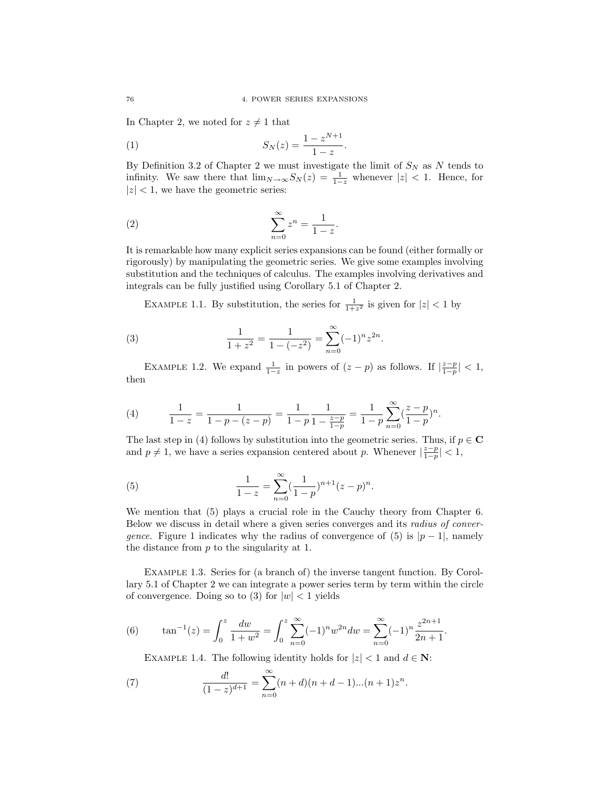In Chapter 2, we noted for  $z \neq 1$  that

(1) 
$$
S_N(z) = \frac{1 - z^{N+1}}{1 - z}.
$$

By Definition 3.2 of Chapter 2 we must investigate the limit of  $S_N$  as N tends to infinity. We saw there that  $\lim_{N\to\infty} S_N(z) = \frac{1}{1-z}$  whenever  $|z| < 1$ . Hence, for  $|z|$  < 1, we have the geometric series:

$$
(2) \qquad \qquad \sum_{n=0}^{\infty} z^n = \frac{1}{1-z}.
$$

It is remarkable how many explicit series expansions can be found (either formally or rigorously) by manipulating the geometric series. We give some examples involving substitution and the techniques of calculus. The examples involving derivatives and integrals can be fully justified using Corollary 5.1 of Chapter 2.

EXAMPLE 1.1. By substitution, the series for  $\frac{1}{1+z^2}$  is given for  $|z| < 1$  by

(3) 
$$
\frac{1}{1+z^2} = \frac{1}{1-(-z^2)} = \sum_{n=0}^{\infty} (-1)^n z^{2n}.
$$

EXAMPLE 1.2. We expand  $\frac{1}{1-z}$  in powers of  $(z-p)$  as follows. If  $\left|\frac{z-p}{1-p}\right| < 1$ , then

(4) 
$$
\frac{1}{1-z} = \frac{1}{1-p-(z-p)} = \frac{1}{1-p} \frac{1}{1-\frac{z-p}{1-p}} = \frac{1}{1-p} \sum_{n=0}^{\infty} (\frac{z-p}{1-p})^n.
$$

The last step in (4) follows by substitution into the geometric series. Thus, if  $p \in \mathbf{C}$ and  $p \neq 1$ , we have a series expansion centered about p. Whenever  $\left|\frac{z-p}{1-p}\right| < 1$ ,

(5) 
$$
\frac{1}{1-z} = \sum_{n=0}^{\infty} \left(\frac{1}{1-p}\right)^{n+1} (z-p)^n.
$$

We mention that (5) plays a crucial role in the Cauchy theory from Chapter 6. Below we discuss in detail where a given series converges and its radius of convergence. Figure 1 indicates why the radius of convergence of (5) is  $|p-1|$ , namely the distance from  $p$  to the singularity at 1.

Example 1.3. Series for (a branch of) the inverse tangent function. By Corollary 5.1 of Chapter 2 we can integrate a power series term by term within the circle of convergence. Doing so to (3) for  $|w| < 1$  yields

(6) 
$$
\tan^{-1}(z) = \int_0^z \frac{dw}{1+w^2} = \int_0^z \sum_{n=0}^\infty (-1)^n w^{2n} dw = \sum_{n=0}^\infty (-1)^n \frac{z^{2n+1}}{2n+1}.
$$

EXAMPLE 1.4. The following identity holds for  $|z| < 1$  and  $d \in \mathbb{N}$ :

(7) 
$$
\frac{d!}{(1-z)^{d+1}} = \sum_{n=0}^{\infty} (n+d)(n+d-1)...(n+1)z^n.
$$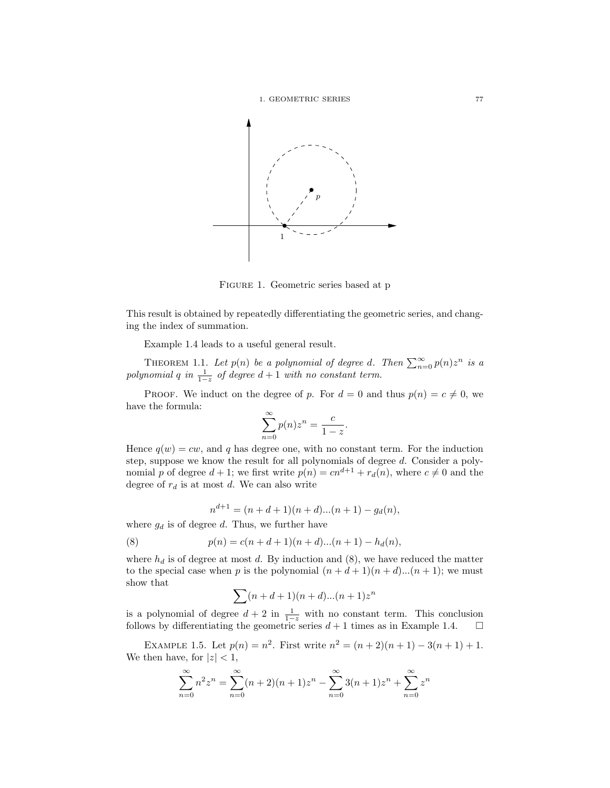



Figure 1. Geometric series based at p

This result is obtained by repeatedly differentiating the geometric series, and changing the index of summation.

Example 1.4 leads to a useful general result.

THEOREM 1.1. Let  $p(n)$  be a polynomial of degree d. Then  $\sum_{n=0}^{\infty} p(n)z^n$  is a polynomial q in  $\frac{1}{1-z}$  of degree  $d+1$  with no constant term.

PROOF. We induct on the degree of p. For  $d = 0$  and thus  $p(n) = c \neq 0$ , we have the formula:

$$
\sum_{n=0}^{\infty} p(n)z^n = \frac{c}{1-z}.
$$

Hence  $q(w) = cw$ , and q has degree one, with no constant term. For the induction step, suppose we know the result for all polynomials of degree d. Consider a polynomial p of degree  $d + 1$ ; we first write  $p(n) = cn^{d+1} + r_d(n)$ , where  $c \neq 0$  and the degree of  $r_d$  is at most d. We can also write

$$
n^{d+1} = (n + d + 1)(n + d)...(n + 1) - g_d(n),
$$

where  $g_d$  is of degree d. Thus, we further have

(8) 
$$
p(n) = c(n + d + 1)(n + d)...(n + 1) - h_d(n),
$$

where  $h_d$  is of degree at most d. By induction and (8), we have reduced the matter to the special case when p is the polynomial  $(n + d + 1)(n + d)$ ... $(n + 1)$ ; we must show that

$$
\sum (n+d+1)(n+d)...(n+1)z^n
$$

is a polynomial of degree  $d + 2$  in  $\frac{1}{1-z}$  with no constant term. This conclusion follows by differentiating the geometric series  $d+1$  times as in Example 1.4.  $\Box$ 

EXAMPLE 1.5. Let  $p(n) = n^2$ . First write  $n^2 = (n+2)(n+1) - 3(n+1) + 1$ . We then have, for  $|z| < 1$ ,

$$
\sum_{n=0}^{\infty} n^2 z^n = \sum_{n=0}^{\infty} (n+2)(n+1)z^n - \sum_{n=0}^{\infty} 3(n+1)z^n + \sum_{n=0}^{\infty} z^n
$$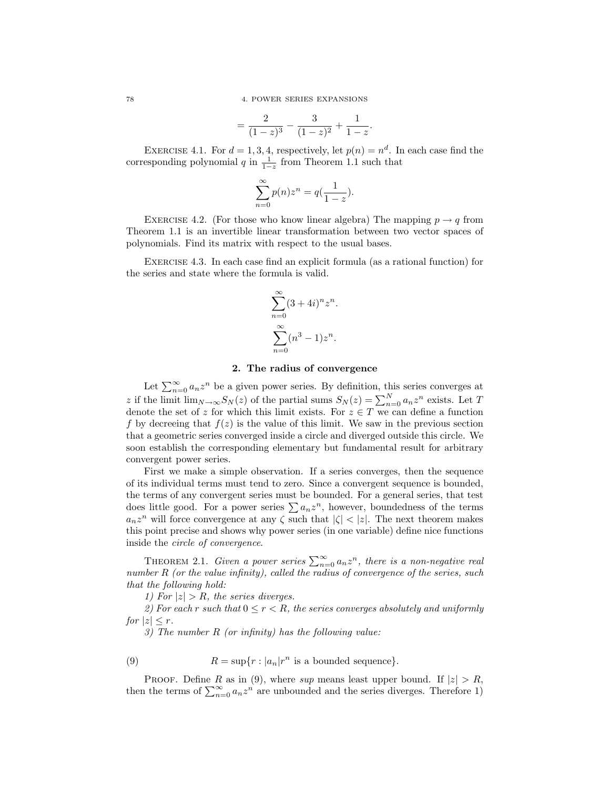78 4. POWER SERIES EXPANSIONS

$$
=\frac{2}{(1-z)^3}-\frac{3}{(1-z)^2}+\frac{1}{1-z}.
$$

EXERCISE 4.1. For  $d = 1, 3, 4$ , respectively, let  $p(n) = n^d$ . In each case find the corresponding polynomial q in  $\frac{1}{1-z}$  from Theorem 1.1 such that

$$
\sum_{n=0}^{\infty} p(n)z^n = q(\frac{1}{1-z}).
$$

EXERCISE 4.2. (For those who know linear algebra) The mapping  $p \rightarrow q$  from Theorem 1.1 is an invertible linear transformation between two vector spaces of polynomials. Find its matrix with respect to the usual bases.

Exercise 4.3. In each case find an explicit formula (as a rational function) for the series and state where the formula is valid.

$$
\sum_{n=0}^{\infty} (3+4i)^n z^n.
$$

$$
\sum_{n=0}^{\infty} (n^3-1) z^n.
$$

### 2. The radius of convergence

Let  $\sum_{n=0}^{\infty} a_n z^n$  be a given power series. By definition, this series converges at z if the limit  $\lim_{N\to\infty} S_N(z)$  of the partial sums  $S_N(z) = \sum_{n=0}^N a_n z^n$  exists. Let T denote the set of z for which this limit exists. For  $z \in T$  we can define a function f by decreeing that  $f(z)$  is the value of this limit. We saw in the previous section that a geometric series converged inside a circle and diverged outside this circle. We soon establish the corresponding elementary but fundamental result for arbitrary convergent power series.

First we make a simple observation. If a series converges, then the sequence of its individual terms must tend to zero. Since a convergent sequence is bounded, the terms of any convergent series must be bounded. For a general series, that test does little good. For a power series  $\sum a_n z^n$ , however, boundedness of the terms  $a_n z^n$  will force convergence at any  $\zeta$  such that  $|\zeta| < |z|$ . The next theorem makes this point precise and shows why power series (in one variable) define nice functions inside the circle of convergence.

THEOREM 2.1. Given a power series  $\sum_{n=0}^{\infty} a_n z^n$ , there is a non-negative real number R (or the value infinity), called the radius of convergence of the series, such that the following hold:

1) For  $|z| > R$ , the series diverges.

2) For each r such that  $0 \le r \le R$ , the series converges absolutely and uniformly for  $|z| < r$ .

3) The number R (or infinity) has the following value:

(9) 
$$
R = \sup\{r : |a_n|r^n \text{ is a bounded sequence}\}.
$$

PROOF. Define R as in (9), where sup means least upper bound. If  $|z| > R$ , then the terms of  $\sum_{n=0}^{\infty} a_n z^n$  are unbounded and the series diverges. Therefore 1)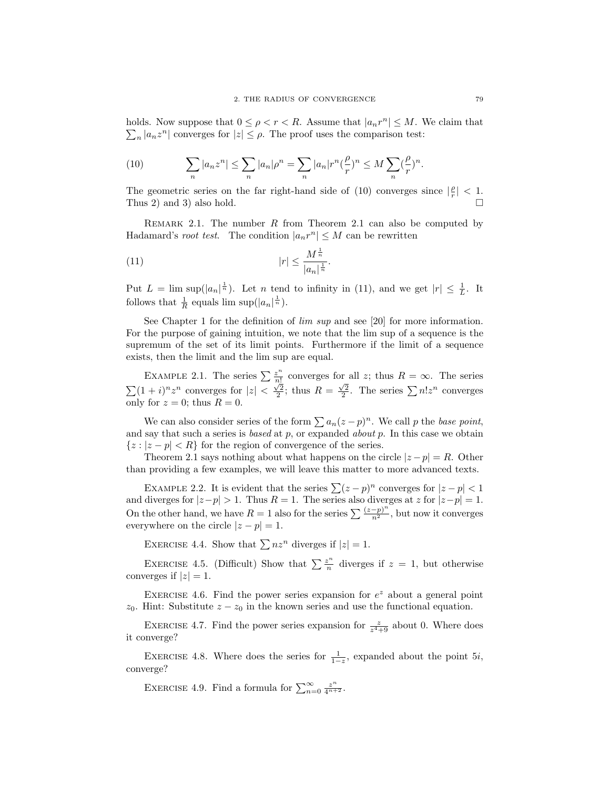holds. Now suppose that  $0 \leq \rho < r < R$ . Assume that  $|a_n r^n| \leq M$ . We claim that  $\sum_{n} |a_n z^n|$  converges for  $|z| \leq \rho$ . The proof uses the comparison test:

(10) 
$$
\sum_{n} |a_n z^n| \leq \sum_{n} |a_n| \rho^n = \sum_{n} |a_n| r^n \left(\frac{\rho}{r}\right)^n \leq M \sum_{n} \left(\frac{\rho}{r}\right)^n.
$$

The geometric series on the far right-hand side of (10) converges since  $\left|\frac{\rho}{r}\right|$  < 1. Thus 2) and 3) also hold.

REMARK 2.1. The number  $R$  from Theorem 2.1 can also be computed by Hadamard's *root test*. The condition  $|a_n r^n| \leq M$  can be rewritten

(11) 
$$
|r| \le \frac{M^{\frac{1}{n}}}{|a_n|^{\frac{1}{n}}}.
$$

Put  $L = \limsup(|a_n|^{\frac{1}{n}})$ . Let n tend to infinity in (11), and we get  $|r| \leq \frac{1}{L}$ . It follows that  $\frac{1}{R}$  equals lim sup( $|a_n|^{\frac{1}{n}}$ ).

See Chapter 1 for the definition of lim sup and see [20] for more information. For the purpose of gaining intuition, we note that the lim sup of a sequence is the supremum of the set of its limit points. Furthermore if the limit of a sequence exists, then the limit and the lim sup are equal.

EXAMPLE 2.1. The series  $\sum_{n=1}^{\infty}$  $\frac{z^n}{n!}$  converges for all z; thus  $R = \infty$ . The series  $\sum (1+i)^n z^n$  converges for  $|z| < \frac{\sqrt{2}}{2}$ ; thus  $R = \frac{\sqrt{2}}{2}$ . The series  $\sum n! z^n$  converges only for  $z = 0$ ; thus  $R = 0$ .

We can also consider series of the form  $\sum a_n(z - p)^n$ . We call p the base point, and say that such a series is based at p, or expanded about p. In this case we obtain  ${z : |z - p| < R}$  for the region of convergence of the series.

Theorem 2.1 says nothing about what happens on the circle  $|z-p|=R$ . Other than providing a few examples, we will leave this matter to more advanced texts.

EXAMPLE 2.2. It is evident that the series  $\sum (z - p)^n$  converges for  $|z - p| < 1$ and diverges for  $|z-p| > 1$ . Thus  $R = 1$ . The series also diverges at z for  $|z-p| = 1$ . On the other hand, we have  $R = 1$  also for the series  $\sum_{n=1}^{\infty} \frac{(z-p)^n}{n^2}$ , but now it converges everywhere on the circle  $|z - p| = 1$ .

EXERCISE 4.4. Show that  $\sum nz^n$  diverges if  $|z|=1$ .

EXERCISE 4.5. (Difficult) Show that  $\sum \frac{z^n}{n}$  $\frac{z^n}{n}$  diverges if  $z = 1$ , but otherwise converges if  $|z|=1$ .

EXERCISE 4.6. Find the power series expansion for  $e^z$  about a general point  $z_0$ . Hint: Substitute  $z - z_0$  in the known series and use the functional equation.

EXERCISE 4.7. Find the power series expansion for  $\frac{z}{z^4+9}$  about 0. Where does it converge?

EXERCISE 4.8. Where does the series for  $\frac{1}{1-z}$ , expanded about the point 5*i*, converge?

EXERCISE 4.9. Find a formula for  $\sum_{n=0}^{\infty} \frac{z^n}{4^{n+2}}$ .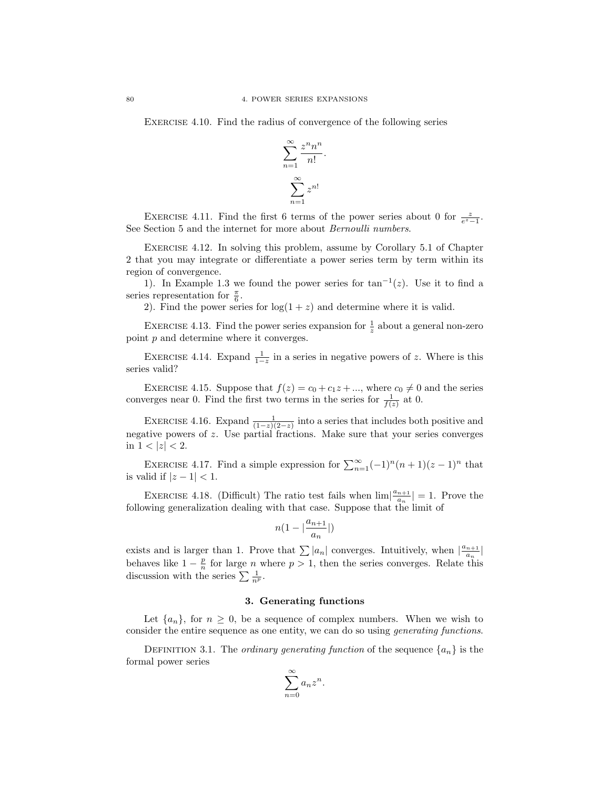EXERCISE 4.10. Find the radius of convergence of the following series

$$
\sum_{n=1}^{\infty} \frac{z^n n^n}{n!}.
$$

$$
\sum_{n=1}^{\infty} z^{n!}
$$

EXERCISE 4.11. Find the first 6 terms of the power series about 0 for  $\frac{z}{e^z-1}$ . See Section 5 and the internet for more about Bernoulli numbers.

Exercise 4.12. In solving this problem, assume by Corollary 5.1 of Chapter 2 that you may integrate or differentiate a power series term by term within its region of convergence.

1). In Example 1.3 we found the power series for  $tan^{-1}(z)$ . Use it to find a series representation for  $\frac{\pi}{6}$ .

2). Find the power series for  $log(1 + z)$  and determine where it is valid.

EXERCISE 4.13. Find the power series expansion for  $\frac{1}{z}$  about a general non-zero point p and determine where it converges.

EXERCISE 4.14. Expand  $\frac{1}{1-z}$  in a series in negative powers of z. Where is this series valid?

EXERCISE 4.15. Suppose that  $f(z) = c_0 + c_1 z + ...$ , where  $c_0 \neq 0$  and the series converges near 0. Find the first two terms in the series for  $\frac{1}{f(z)}$  at 0.

EXERCISE 4.16. Expand  $\frac{1}{(1-z)(2-z)}$  into a series that includes both positive and negative powers of z. Use partial fractions. Make sure that your series converges in  $1 < |z| < 2$ .

EXERCISE 4.17. Find a simple expression for  $\sum_{n=1}^{\infty}(-1)^n(n+1)(z-1)^n$  that is valid if  $|z - 1| < 1$ .

EXERCISE 4.18. (Difficult) The ratio test fails when  $\lim_{n \to \infty} \frac{a_{n+1}}{a_n}$  $\frac{n+1}{a_n}$  = 1. Prove the following generalization dealing with that case. Suppose that the limit of

$$
n(1-|\frac{a_{n+1}}{a_n}|)
$$

exists and is larger than 1. Prove that  $\sum |a_n|$  converges. Intuitively, when  $\left|\frac{a_{n+1}}{a_n}\right|$  $\frac{n+1}{a_n}$ behaves like  $1 - \frac{p}{n}$  for large n where  $p > 1$ , then the series converges. Relate this discussion with the series  $\sum \frac{1}{n^p}$ .

### 3. Generating functions

Let  $\{a_n\}$ , for  $n \geq 0$ , be a sequence of complex numbers. When we wish to consider the entire sequence as one entity, we can do so using generating functions.

DEFINITION 3.1. The *ordinary generating function* of the sequence  $\{a_n\}$  is the formal power series

$$
\sum_{n=0}^{\infty} a_n z^n.
$$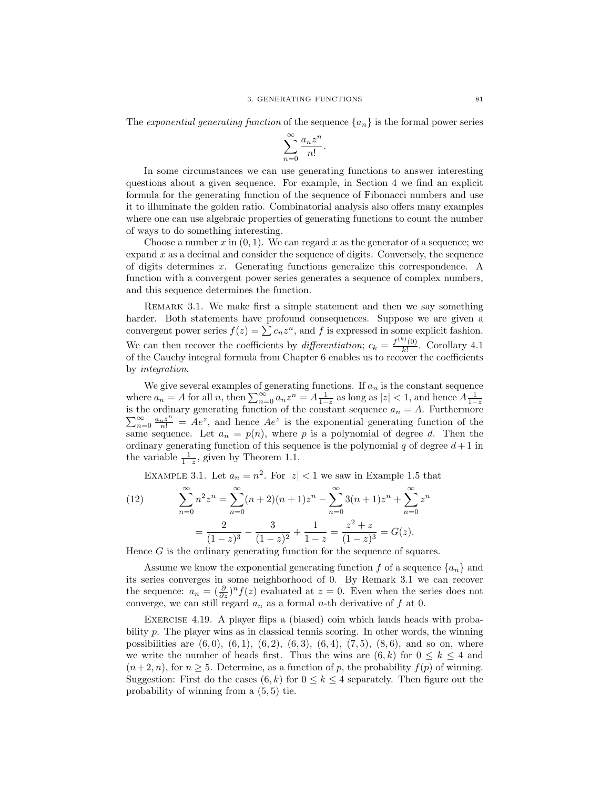The exponential generating function of the sequence  ${a_n}$  is the formal power series

$$
\sum_{n=0}^{\infty} \frac{a_n z^n}{n!}.
$$

In some circumstances we can use generating functions to answer interesting questions about a given sequence. For example, in Section 4 we find an explicit formula for the generating function of the sequence of Fibonacci numbers and use it to illuminate the golden ratio. Combinatorial analysis also offers many examples where one can use algebraic properties of generating functions to count the number of ways to do something interesting.

Choose a number x in  $(0, 1)$ . We can regard x as the generator of a sequence; we expand  $x$  as a decimal and consider the sequence of digits. Conversely, the sequence of digits determines x. Generating functions generalize this correspondence. A function with a convergent power series generates a sequence of complex numbers, and this sequence determines the function.

REMARK 3.1. We make first a simple statement and then we say something harder. Both statements have profound consequences. Suppose we are given a convergent power series  $f(z) = \sum c_n z^n$ , and f is expressed in some explicit fashion. We can then recover the coefficients by differentiation;  $c_k = \frac{f^{(k)}(0)}{k!}$  $\frac{\partial (0)}{\partial k!}$ . Corollary 4.1 of the Cauchy integral formula from Chapter 6 enables us to recover the coefficients by integration.

We give several examples of generating functions. If  $a_n$  is the constant sequence where  $a_n = A$  for all n, then  $\sum_{n=0}^{\infty} a_n z^n = A \frac{1}{1-z}$  as long as  $|z| < 1$ , and hence  $A \frac{1}{1-z}$  is the ordinary generating function of the constant sequence  $a_n = A$ . Furthermore  $\sum_{n=1}^{\infty}$  $\sum_{n=0}^{\infty} \frac{a_n z^n}{n!} = Ae^z$ , and hence  $Ae^z$  is the exponential generating function of the same sequence. Let  $a_n = p(n)$ , where p is a polynomial of degree d. Then the ordinary generating function of this sequence is the polynomial q of degree  $d+1$  in the variable  $\frac{1}{1-z}$ , given by Theorem 1.1.

EXAMPLE 3.1. Let  $a_n = n^2$ . For  $|z| < 1$  we saw in Example 1.5 that

(12) 
$$
\sum_{n=0}^{\infty} n^2 z^n = \sum_{n=0}^{\infty} (n+2)(n+1)z^n - \sum_{n=0}^{\infty} 3(n+1)z^n + \sum_{n=0}^{\infty} z^n
$$

$$
= \frac{2}{(1-z)^3} - \frac{3}{(1-z)^2} + \frac{1}{1-z} = \frac{z^2 + z}{(1-z)^3} = G(z).
$$

Hence  $G$  is the ordinary generating function for the sequence of squares.

Assume we know the exponential generating function f of a sequence  $\{a_n\}$  and its series converges in some neighborhood of 0. By Remark 3.1 we can recover the sequence:  $a_n = \left(\frac{\partial}{\partial z}\right)^n f(z)$  evaluated at  $z = 0$ . Even when the series does not converge, we can still regard  $a_n$  as a formal *n*-th derivative of  $f$  at 0.

Exercise 4.19. A player flips a (biased) coin which lands heads with probability p. The player wins as in classical tennis scoring. In other words, the winning possibilities are  $(6, 0)$ ,  $(6, 1)$ ,  $(6, 2)$ ,  $(6, 3)$ ,  $(6, 4)$ ,  $(7, 5)$ ,  $(8, 6)$ , and so on, where we write the number of heads first. Thus the wins are  $(6, k)$  for  $0 \leq k \leq 4$  and  $(n+2, n)$ , for  $n \geq 5$ . Determine, as a function of p, the probability  $f(p)$  of winning. Suggestion: First do the cases  $(6, k)$  for  $0 \le k \le 4$  separately. Then figure out the probability of winning from a (5, 5) tie.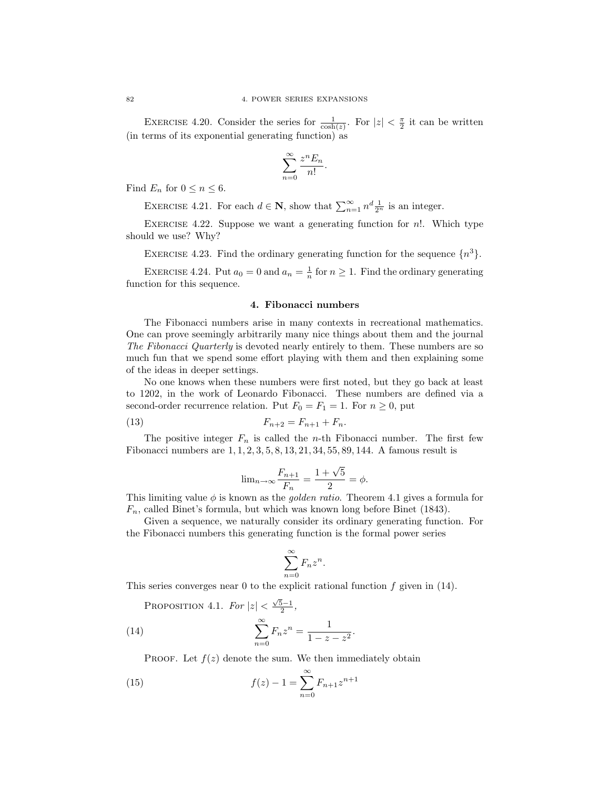EXERCISE 4.20. Consider the series for  $\frac{1}{\cosh(z)}$ . For  $|z| < \frac{\pi}{2}$  it can be written (in terms of its exponential generating function) as

$$
\sum_{n=0}^{\infty} \frac{z^n E_n}{n!}.
$$

Find  $E_n$  for  $0 \le n \le 6$ .

EXERCISE 4.21. For each  $d \in \mathbf{N}$ , show that  $\sum_{n=1}^{\infty} n^d \frac{1}{2^n}$  is an integer.

EXERCISE 4.22. Suppose we want a generating function for  $n!$ . Which type should we use? Why?

EXERCISE 4.23. Find the ordinary generating function for the sequence  $\{n^3\}$ .

EXERCISE 4.24. Put  $a_0 = 0$  and  $a_n = \frac{1}{n}$  for  $n \ge 1$ . Find the ordinary generating function for this sequence.

### 4. Fibonacci numbers

The Fibonacci numbers arise in many contexts in recreational mathematics. One can prove seemingly arbitrarily many nice things about them and the journal The Fibonacci Quarterly is devoted nearly entirely to them. These numbers are so much fun that we spend some effort playing with them and then explaining some of the ideas in deeper settings.

No one knows when these numbers were first noted, but they go back at least to 1202, in the work of Leonardo Fibonacci. These numbers are defined via a second-order recurrence relation. Put  $F_0 = F_1 = 1$ . For  $n \geq 0$ , put

(13) 
$$
F_{n+2} = F_{n+1} + F_n.
$$

The positive integer  $F_n$  is called the *n*-th Fibonacci number. The first few Fibonacci numbers are 1, 1, 2, 3, 5, 8, 13, 21, 34, 55, 89, 144. A famous result is

$$
\lim_{n \to \infty} \frac{F_{n+1}}{F_n} = \frac{1 + \sqrt{5}}{2} = \phi.
$$

This limiting value  $\phi$  is known as the *golden ratio*. Theorem 4.1 gives a formula for  $F_n$ , called Binet's formula, but which was known long before Binet (1843).

Given a sequence, we naturally consider its ordinary generating function. For the Fibonacci numbers this generating function is the formal power series

$$
\sum_{n=0}^{\infty} F_n z^n.
$$

This series converges near 0 to the explicit rational function  $f$  given in (14).

PROPOSITION 4.1.  $For |z| < \frac{\sqrt{5}-1}{2}$ ,

(14) 
$$
\sum_{n=0}^{\infty} F_n z^n = \frac{1}{1 - z - z^2}.
$$

PROOF. Let  $f(z)$  denote the sum. We then immediately obtain

(15) 
$$
f(z) - 1 = \sum_{n=0}^{\infty} F_{n+1} z^{n+1}
$$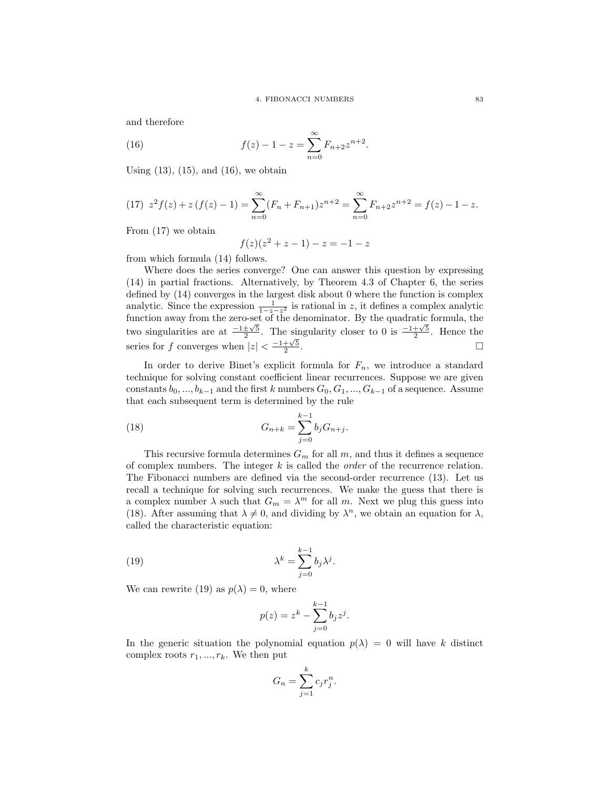.

and therefore

(16) 
$$
f(z) - 1 - z = \sum_{n=0}^{\infty} F_{n+2} z^{n+2}
$$

Using  $(13)$ ,  $(15)$ , and  $(16)$ , we obtain

(17) 
$$
z^2 f(z) + z (f(z) - 1) = \sum_{n=0}^{\infty} (F_n + F_{n+1}) z^{n+2} = \sum_{n=0}^{\infty} F_{n+2} z^{n+2} = f(z) - 1 - z.
$$

From (17) we obtain

$$
f(z)(z^2 + z - 1) - z = -1 - z
$$

from which formula (14) follows.

Where does the series converge? One can answer this question by expressing (14) in partial fractions. Alternatively, by Theorem 4.3 of Chapter 6, the series defined by (14) converges in the largest disk about 0 where the function is complex analytic. Since the expression  $\frac{1}{1-z-z^2}$  is rational in z, it defines a complex analytic function away from the zero-set of the denominator. By the quadratic formula, the two singularities are at  $\frac{-1 \pm \sqrt{5}}{2}$ . The singularity closer to 0 is  $\frac{-1+\sqrt{5}}{2}$ . Hence the series for f converges when  $|z| < \frac{-1+\sqrt{5}}{2}$ .

In order to derive Binet's explicit formula for  $F_n$ , we introduce a standard technique for solving constant coefficient linear recurrences. Suppose we are given constants  $b_0, ..., b_{k-1}$  and the first k numbers  $G_0, G_1, ..., G_{k-1}$  of a sequence. Assume that each subsequent term is determined by the rule

(18) 
$$
G_{n+k} = \sum_{j=0}^{k-1} b_j G_{n+j}.
$$

This recursive formula determines  $G_m$  for all m, and thus it defines a sequence of complex numbers. The integer  $k$  is called the *order* of the recurrence relation. The Fibonacci numbers are defined via the second-order recurrence (13). Let us recall a technique for solving such recurrences. We make the guess that there is a complex number  $\lambda$  such that  $G_m = \lambda^m$  for all m. Next we plug this guess into (18). After assuming that  $\lambda \neq 0$ , and dividing by  $\lambda^n$ , we obtain an equation for  $\lambda$ , called the characteristic equation:

(19) 
$$
\lambda^{k} = \sum_{j=0}^{k-1} b_{j} \lambda^{j}.
$$

We can rewrite (19) as  $p(\lambda) = 0$ , where

$$
p(z) = z^k - \sum_{j=0}^{k-1} b_j z^j.
$$

In the generic situation the polynomial equation  $p(\lambda) = 0$  will have k distinct complex roots  $r_1, ..., r_k$ . We then put

$$
G_n = \sum_{j=1}^k c_j r_j^n.
$$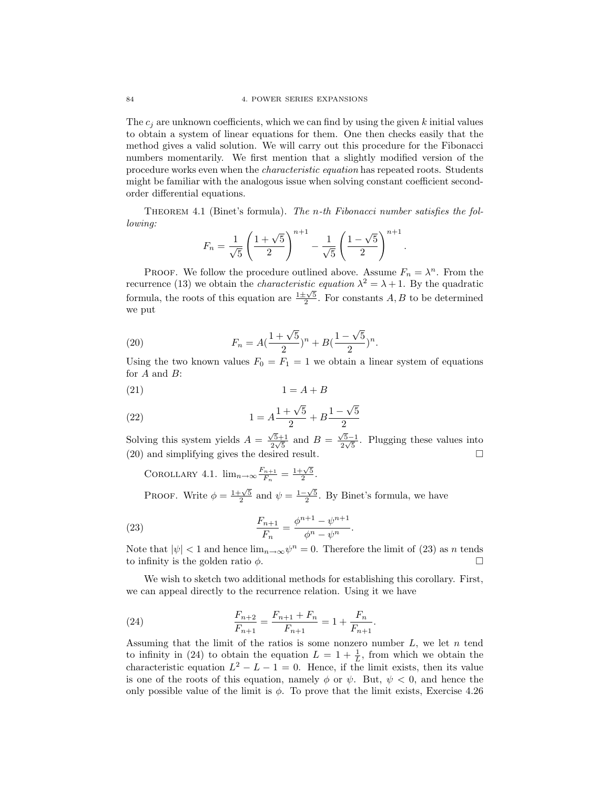The  $c_i$  are unknown coefficients, which we can find by using the given k initial values to obtain a system of linear equations for them. One then checks easily that the method gives a valid solution. We will carry out this procedure for the Fibonacci numbers momentarily. We first mention that a slightly modified version of the procedure works even when the characteristic equation has repeated roots. Students might be familiar with the analogous issue when solving constant coefficient secondorder differential equations.

Theorem 4.1 (Binet's formula). The n-th Fibonacci number satisfies the following:

$$
F_n = \frac{1}{\sqrt{5}} \left( \frac{1+\sqrt{5}}{2} \right)^{n+1} - \frac{1}{\sqrt{5}} \left( \frac{1-\sqrt{5}}{2} \right)^{n+1}
$$

.

PROOF. We follow the procedure outlined above. Assume  $F_n = \lambda^n$ . From the recurrence (13) we obtain the *characteristic equation*  $\lambda^2 = \lambda + 1$ . By the quadratic formula, the roots of this equation are  $\frac{1 \pm \sqrt{5}}{2}$ . For constants A, B to be determined we put

(20) 
$$
F_n = A(\frac{1+\sqrt{5}}{2})^n + B(\frac{1-\sqrt{5}}{2})^n.
$$

Using the two known values  $F_0 = F_1 = 1$  we obtain a linear system of equations for A and B:

$$
(21) \t\t 1 = A + B
$$

(22) 
$$
1 = A \frac{1 + \sqrt{5}}{2} + B \frac{1 - \sqrt{5}}{2}
$$

Solving this system yields  $A = \frac{\sqrt{5}+1}{2\sqrt{5}}$  $\frac{\sqrt{5}+1}{2\sqrt{5}}$  and  $B = \frac{\sqrt{5}-1}{2\sqrt{5}}$  $\frac{2\sqrt{5}-1}{2\sqrt{5}}$ . Plugging these values into (20) and simplifying gives the desired result.  $\square$ 

COROLLARY 4.1.  $\lim_{n\to\infty} \frac{F_{n+1}}{F_n}$  $\frac{r_{n+1}}{F_n} = \frac{1+\sqrt{5}}{2}.$ 

PROOF. Write  $\phi = \frac{1+\sqrt{5}}{2}$  and  $\psi = \frac{1-\sqrt{5}}{2}$ . By Binet's formula, we have

(23) 
$$
\frac{F_{n+1}}{F_n} = \frac{\phi^{n+1} - \psi^{n+1}}{\phi^n - \psi^n}.
$$

Note that  $|\psi| < 1$  and hence  $\lim_{n \to \infty} \psi^n = 0$ . Therefore the limit of (23) as n tends to infinity is the golden ratio  $\phi$ .

We wish to sketch two additional methods for establishing this corollary. First, we can appeal directly to the recurrence relation. Using it we have

(24) 
$$
\frac{F_{n+2}}{F_{n+1}} = \frac{F_{n+1} + F_n}{F_{n+1}} = 1 + \frac{F_n}{F_{n+1}}.
$$

Assuming that the limit of the ratios is some nonzero number  $L$ , we let  $n$  tend to infinity in (24) to obtain the equation  $L = 1 + \frac{1}{L}$ , from which we obtain the characteristic equation  $L^2 - L - 1 = 0$ . Hence, if the limit exists, then its value is one of the roots of this equation, namely  $\phi$  or  $\psi$ . But,  $\psi$  < 0, and hence the only possible value of the limit is  $\phi$ . To prove that the limit exists, Exercise 4.26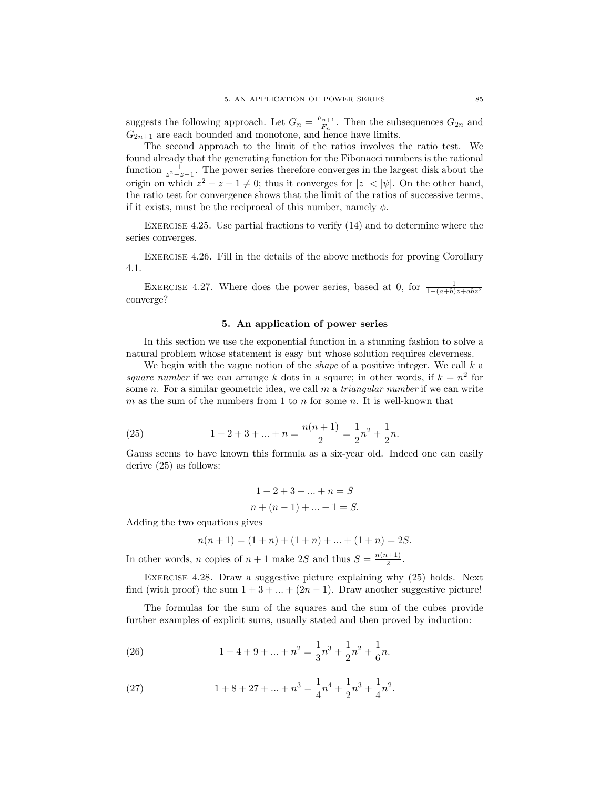suggests the following approach. Let  $G_n = \frac{F_{n+1}}{F_n}$  $\frac{n+1}{F_n}$ . Then the subsequences  $G_{2n}$  and  $G_{2n+1}$  are each bounded and monotone, and hence have limits.

The second approach to the limit of the ratios involves the ratio test. We found already that the generating function for the Fibonacci numbers is the rational function  $\frac{1}{z^2-z-1}$ . The power series therefore converges in the largest disk about the origin on which  $z^2 - z - 1 \neq 0$ ; thus it converges for  $|z| < |\psi|$ . On the other hand, the ratio test for convergence shows that the limit of the ratios of successive terms, if it exists, must be the reciprocal of this number, namely  $\phi$ .

Exercise 4.25. Use partial fractions to verify (14) and to determine where the series converges.

Exercise 4.26. Fill in the details of the above methods for proving Corollary 4.1.

EXERCISE 4.27. Where does the power series, based at 0, for  $\frac{1}{1-(a+b)z+abz^2}$ converge?

### 5. An application of power series

In this section we use the exponential function in a stunning fashion to solve a natural problem whose statement is easy but whose solution requires cleverness.

We begin with the vague notion of the *shape* of a positive integer. We call  $k$  a square number if we can arrange k dots in a square; in other words, if  $k = n^2$  for some n. For a similar geometric idea, we call  $m$  a *triangular number* if we can write m as the sum of the numbers from 1 to n for some n. It is well-known that

(25) 
$$
1 + 2 + 3 + \dots + n = \frac{n(n+1)}{2} = \frac{1}{2}n^2 + \frac{1}{2}n.
$$

Gauss seems to have known this formula as a six-year old. Indeed one can easily derive (25) as follows:

$$
1 + 2 + 3 + \dots + n = S
$$
  

$$
n + (n - 1) + \dots + 1 = S.
$$

Adding the two equations gives

$$
n(n + 1) = (1 + n) + (1 + n) + \dots + (1 + n) = 2S.
$$

In other words, *n* copies of  $n + 1$  make 2S and thus  $S = \frac{n(n+1)}{2}$  $\frac{i+1)}{2}$ .

Exercise 4.28. Draw a suggestive picture explaining why (25) holds. Next find (with proof) the sum  $1 + 3 + \ldots + (2n - 1)$ . Draw another suggestive picture!

The formulas for the sum of the squares and the sum of the cubes provide further examples of explicit sums, usually stated and then proved by induction:

(26) 
$$
1 + 4 + 9 + \dots + n^2 = \frac{1}{3}n^3 + \frac{1}{2}n^2 + \frac{1}{6}n.
$$

(27) 
$$
1 + 8 + 27 + \dots + n^3 = \frac{1}{4}n^4 + \frac{1}{2}n^3 + \frac{1}{4}n^2.
$$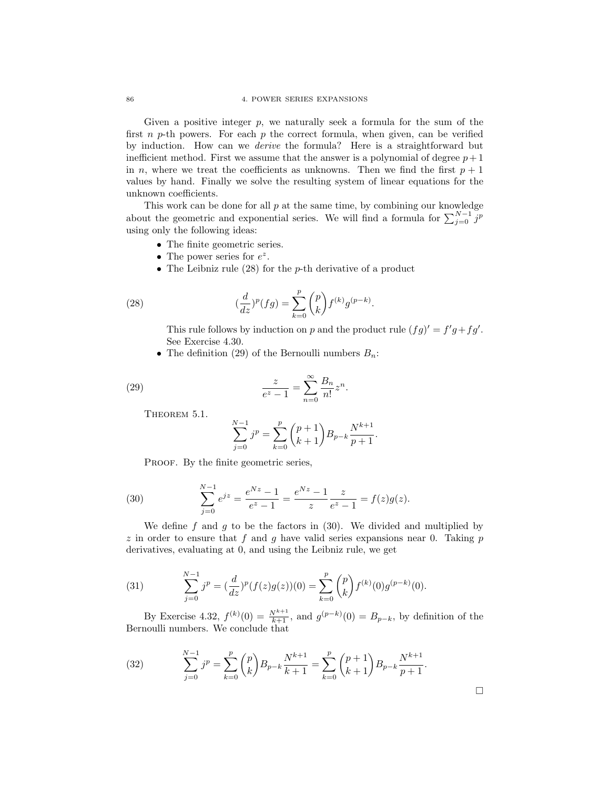Given a positive integer  $p$ , we naturally seek a formula for the sum of the first n p-th powers. For each p the correct formula, when given, can be verified by induction. How can we derive the formula? Here is a straightforward but inefficient method. First we assume that the answer is a polynomial of degree  $p+1$ in n, where we treat the coefficients as unknowns. Then we find the first  $p + 1$ values by hand. Finally we solve the resulting system of linear equations for the unknown coefficients.

This work can be done for all  $p$  at the same time, by combining our knowledge about the geometric and exponential series. We will find a formula for  $\sum_{j=0}^{N-1} j^p$ using only the following ideas:

- The finite geometric series.
- The power series for  $e^z$ .
- The Leibniz rule  $(28)$  for the p-th derivative of a product

(28) 
$$
(\frac{d}{dz})^p(fg) = \sum_{k=0}^p \binom{p}{k} f^{(k)} g^{(p-k)}.
$$

This rule follows by induction on p and the product rule  $(fg)' = f'g + fg'$ . See Exercise 4.30.

• The definition (29) of the Bernoulli numbers  $B_n$ :

(29) 
$$
\frac{z}{e^z - 1} = \sum_{n=0}^{\infty} \frac{B_n}{n!} z^n.
$$

THEOREM 5.1.

$$
\sum_{j=0}^{N-1} j^p = \sum_{k=0}^p {p+1 \choose k+1} B_{p-k} \frac{N^{k+1}}{p+1}.
$$

PROOF. By the finite geometric series,

(30) 
$$
\sum_{j=0}^{N-1} e^{jz} = \frac{e^{Nz} - 1}{e^z - 1} = \frac{e^{Nz} - 1}{z} \frac{z}{e^z - 1} = f(z)g(z).
$$

We define  $f$  and  $g$  to be the factors in (30). We divided and multiplied by z in order to ensure that f and q have valid series expansions near 0. Taking p derivatives, evaluating at 0, and using the Leibniz rule, we get

(31) 
$$
\sum_{j=0}^{N-1} j^p = \left(\frac{d}{dz}\right)^p (f(z)g(z))(0) = \sum_{k=0}^p {p \choose k} f^{(k)}(0)g^{(p-k)}(0).
$$

By Exercise 4.32,  $f^{(k)}(0) = \frac{N^{k+1}}{k+1}$ , and  $g^{(p-k)}(0) = B_{p-k}$ , by definition of the Bernoulli numbers. We conclude that

 $\Box$ 

(32) 
$$
\sum_{j=0}^{N-1} j^p = \sum_{k=0}^p {p \choose k} B_{p-k} \frac{N^{k+1}}{k+1} = \sum_{k=0}^p {p+1 \choose k+1} B_{p-k} \frac{N^{k+1}}{p+1}.
$$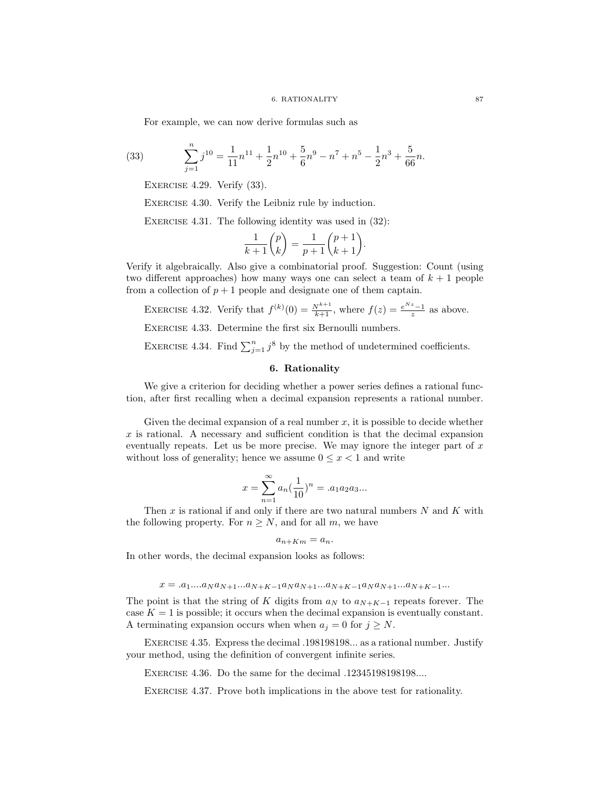For example, we can now derive formulas such as

(33) 
$$
\sum_{j=1}^{n} j^{10} = \frac{1}{11} n^{11} + \frac{1}{2} n^{10} + \frac{5}{6} n^{9} - n^{7} + n^{5} - \frac{1}{2} n^{3} + \frac{5}{66} n.
$$

EXERCISE 4.29. Verify  $(33)$ .

EXERCISE 4.30. Verify the Leibniz rule by induction.

EXERCISE 4.31. The following identity was used in  $(32)$ :

$$
\frac{1}{k+1}\binom{p}{k} = \frac{1}{p+1}\binom{p+1}{k+1}.
$$

Verify it algebraically. Also give a combinatorial proof. Suggestion: Count (using two different approaches) how many ways one can select a team of  $k + 1$  people from a collection of  $p + 1$  people and designate one of them captain.

EXERCISE 4.32. Verify that 
$$
f^{(k)}(0) = \frac{N^{k+1}}{k+1}
$$
, where  $f(z) = \frac{e^{Nz}-1}{z}$  as above.

Exercise 4.33. Determine the first six Bernoulli numbers.

EXERCISE 4.34. Find  $\sum_{j=1}^{n} j^8$  by the method of undetermined coefficients.

## 6. Rationality

We give a criterion for deciding whether a power series defines a rational function, after first recalling when a decimal expansion represents a rational number.

Given the decimal expansion of a real number  $x$ , it is possible to decide whether  $x$  is rational. A necessary and sufficient condition is that the decimal expansion eventually repeats. Let us be more precise. We may ignore the integer part of  $x$ without loss of generality; hence we assume  $0 \leq x < 1$  and write

$$
x = \sum_{n=1}^{\infty} a_n \left(\frac{1}{10}\right)^n = .a_1 a_2 a_3 ...
$$

Then x is rational if and only if there are two natural numbers  $N$  and  $K$  with the following property. For  $n \geq N$ , and for all m, we have

$$
a_{n+Km} = a_n.
$$

In other words, the decimal expansion looks as follows:

$$
x = .a_1...a_N a_{N+1}...a_{N+K-1}a_N a_{N+1}...a_{N+K-1}a_N a_{N+1}...a_{N+K-1}...
$$

The point is that the string of K digits from  $a_N$  to  $a_{N+K-1}$  repeats forever. The case  $K = 1$  is possible; it occurs when the decimal expansion is eventually constant. A terminating expansion occurs when when  $a_j = 0$  for  $j \geq N$ .

Exercise 4.35. Express the decimal .198198198... as a rational number. Justify your method, using the definition of convergent infinite series.

Exercise 4.36. Do the same for the decimal .12345198198198....

Exercise 4.37. Prove both implications in the above test for rationality.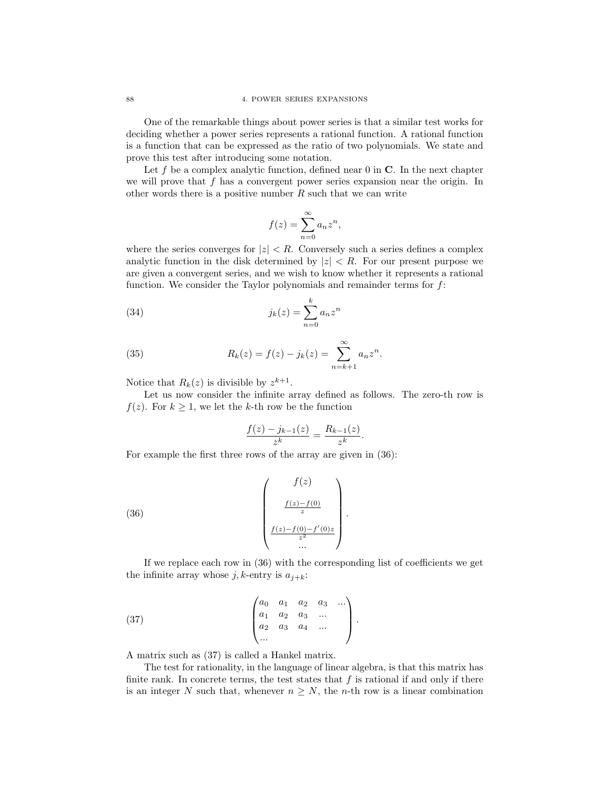One of the remarkable things about power series is that a similar test works for deciding whether a power series represents a rational function. A rational function is a function that can be expressed as the ratio of two polynomials. We state and prove this test after introducing some notation.

Let f be a complex analytic function, defined near  $0$  in  $C$ . In the next chapter we will prove that  $f$  has a convergent power series expansion near the origin. In other words there is a positive number  $R$  such that we can write

$$
f(z) = \sum_{n=0}^{\infty} a_n z^n,
$$

where the series converges for  $|z| < R$ . Conversely such a series defines a complex analytic function in the disk determined by  $|z| < R$ . For our present purpose we are given a convergent series, and we wish to know whether it represents a rational function. We consider the Taylor polynomials and remainder terms for  $f$ :

(34) 
$$
j_k(z) = \sum_{n=0}^k a_n z^n
$$

(35) 
$$
R_k(z) = f(z) - j_k(z) = \sum_{n=k+1}^{\infty} a_n z^n.
$$

Notice that  $R_k(z)$  is divisible by  $z^{k+1}$ .

Let us now consider the infinite array defined as follows. The zero-th row is  $f(z)$ . For  $k \geq 1$ , we let the k-th row be the function

$$
\frac{f(z) - j_{k-1}(z)}{z^k} = \frac{R_{k-1}(z)}{z^k}.
$$

For example the first three rows of the array are given in (36):

(36) 
$$
\begin{pmatrix} f(z) \\ \frac{f(z) - f(0)}{z} \\ \frac{f(z) - f(0) - f'(0)z}{z^2} \\ \dots \end{pmatrix}
$$

If we replace each row in (36) with the corresponding list of coefficients we get the infinite array whose  $j, k$ -entry is  $a_{j+k}$ :

.

(37) 
$$
\begin{pmatrix} a_0 & a_1 & a_2 & a_3 & \dots \\ a_1 & a_2 & a_3 & \dots \\ a_2 & a_3 & a_4 & \dots \\ \dots \end{pmatrix}.
$$

A matrix such as (37) is called a Hankel matrix.

The test for rationality, in the language of linear algebra, is that this matrix has finite rank. In concrete terms, the test states that  $f$  is rational if and only if there is an integer N such that, whenever  $n \geq N$ , the n-th row is a linear combination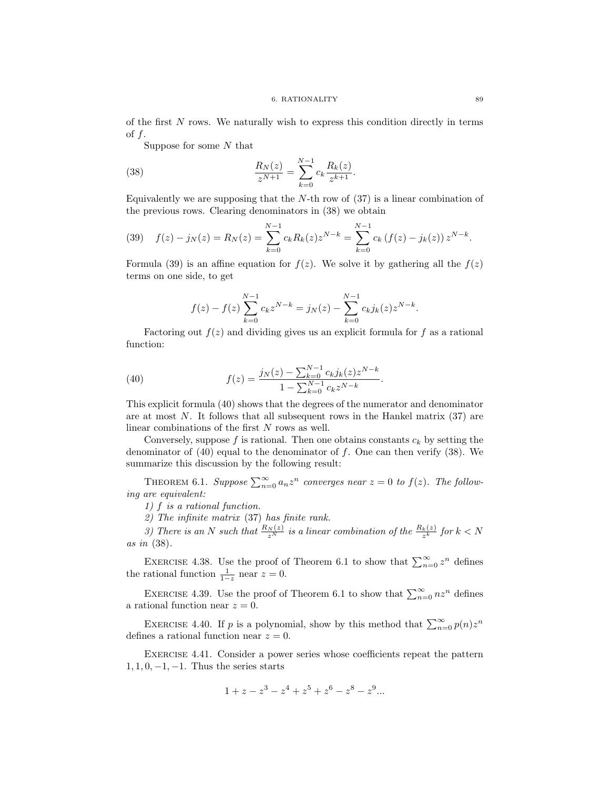of the first  $N$  rows. We naturally wish to express this condition directly in terms of  $f$ .

Suppose for some  $N$  that

(38) 
$$
\frac{R_N(z)}{z^{N+1}} = \sum_{k=0}^{N-1} c_k \frac{R_k(z)}{z^{k+1}}.
$$

Equivalently we are supposing that the  $N$ -th row of  $(37)$  is a linear combination of the previous rows. Clearing denominators in (38) we obtain

(39) 
$$
f(z) - j_N(z) = R_N(z) = \sum_{k=0}^{N-1} c_k R_k(z) z^{N-k} = \sum_{k=0}^{N-1} c_k (f(z) - j_k(z)) z^{N-k}.
$$

Formula (39) is an affine equation for  $f(z)$ . We solve it by gathering all the  $f(z)$ terms on one side, to get

$$
f(z) - f(z) \sum_{k=0}^{N-1} c_k z^{N-k} = j_N(z) - \sum_{k=0}^{N-1} c_k j_k(z) z^{N-k}.
$$

Factoring out  $f(z)$  and dividing gives us an explicit formula for f as a rational function:

(40) 
$$
f(z) = \frac{j_N(z) - \sum_{k=0}^{N-1} c_k j_k(z) z^{N-k}}{1 - \sum_{k=0}^{N-1} c_k z^{N-k}}.
$$

This explicit formula (40) shows that the degrees of the numerator and denominator are at most N. It follows that all subsequent rows in the Hankel matrix (37) are linear combinations of the first N rows as well.

Conversely, suppose f is rational. Then one obtains constants  $c_k$  by setting the denominator of  $(40)$  equal to the denominator of f. One can then verify  $(38)$ . We summarize this discussion by the following result:

THEOREM 6.1. Suppose  $\sum_{n=0}^{\infty} a_n z^n$  converges near  $z = 0$  to  $f(z)$ . The following are equivalent:

1) f is a rational function.

2) The infinite matrix (37) has finite rank.

3) There is an N such that  $\frac{R_N(z)}{z^N}$  is a linear combination of the  $\frac{R_k(z)}{z^k}$  for  $k < N$ as in (38).

EXERCISE 4.38. Use the proof of Theorem 6.1 to show that  $\sum_{n=0}^{\infty} z^n$  defines the rational function  $\frac{1}{1-z}$  near  $z=0$ .

EXERCISE 4.39. Use the proof of Theorem 6.1 to show that  $\sum_{n=0}^{\infty} nz^n$  defines a rational function near  $z = 0$ .

EXERCISE 4.40. If p is a polynomial, show by this method that  $\sum_{n=0}^{\infty} p(n)z^n$ defines a rational function near  $z = 0$ .

Exercise 4.41. Consider a power series whose coefficients repeat the pattern  $1, 1, 0, -1, -1$ . Thus the series starts

$$
1 + z - z3 - z4 + z5 + z6 - z8 - z9...
$$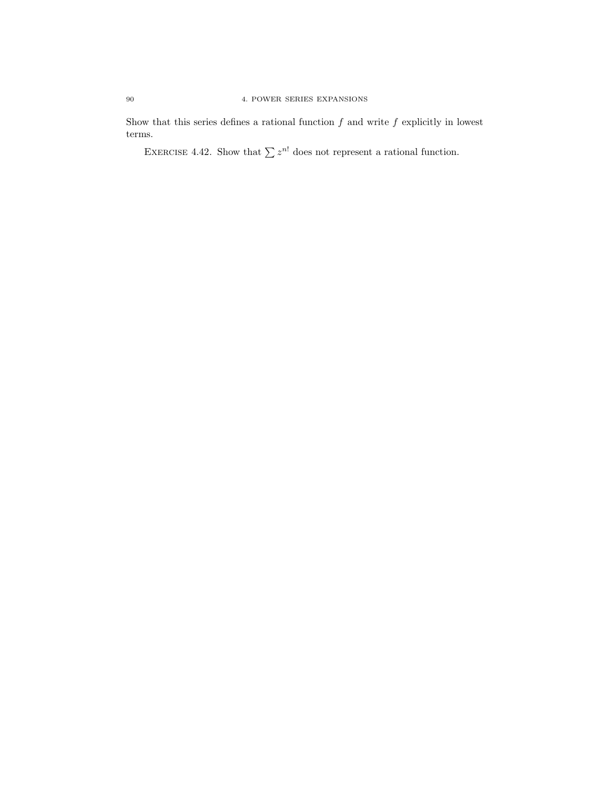Show that this series defines a rational function  $f$  and write  $f$  explicitly in lowest terms.

EXERCISE 4.42. Show that  $\sum z^{n!}$  does not represent a rational function.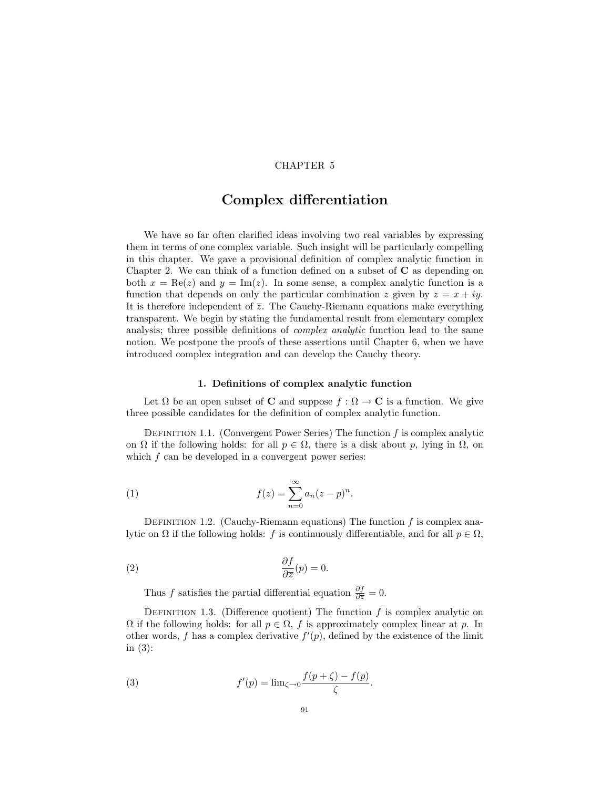## CHAPTER 5

# Complex differentiation

We have so far often clarified ideas involving two real variables by expressing them in terms of one complex variable. Such insight will be particularly compelling in this chapter. We gave a provisional definition of complex analytic function in Chapter 2. We can think of a function defined on a subset of  $C$  as depending on both  $x = \text{Re}(z)$  and  $y = \text{Im}(z)$ . In some sense, a complex analytic function is a function that depends on only the particular combination z given by  $z = x + iy$ . It is therefore independent of  $\overline{z}$ . The Cauchy-Riemann equations make everything transparent. We begin by stating the fundamental result from elementary complex analysis; three possible definitions of complex analytic function lead to the same notion. We postpone the proofs of these assertions until Chapter 6, when we have introduced complex integration and can develop the Cauchy theory.

## 1. Definitions of complex analytic function

Let  $\Omega$  be an open subset of **C** and suppose  $f : \Omega \to \mathbb{C}$  is a function. We give three possible candidates for the definition of complex analytic function.

DEFINITION 1.1. (Convergent Power Series) The function  $f$  is complex analytic on  $\Omega$  if the following holds: for all  $p \in \Omega$ , there is a disk about p, lying in  $\Omega$ , on which f can be developed in a convergent power series:

(1) 
$$
f(z) = \sum_{n=0}^{\infty} a_n (z - p)^n.
$$

DEFINITION 1.2. (Cauchy-Riemann equations) The function  $f$  is complex analytic on  $\Omega$  if the following holds: f is continuously differentiable, and for all  $p \in \Omega$ ,

(2) 
$$
\frac{\partial f}{\partial \overline{z}}(p) = 0.
$$

Thus f satisfies the partial differential equation  $\frac{\partial f}{\partial \overline{z}} = 0$ .

DEFINITION 1.3. (Difference quotient) The function  $f$  is complex analytic on  $\Omega$  if the following holds: for all  $p \in \Omega$ , f is approximately complex linear at p. In other words, f has a complex derivative  $f'(p)$ , defined by the existence of the limit in (3):

(3) 
$$
f'(p) = \lim_{\zeta \to 0} \frac{f(p+\zeta) - f(p)}{\zeta}
$$
.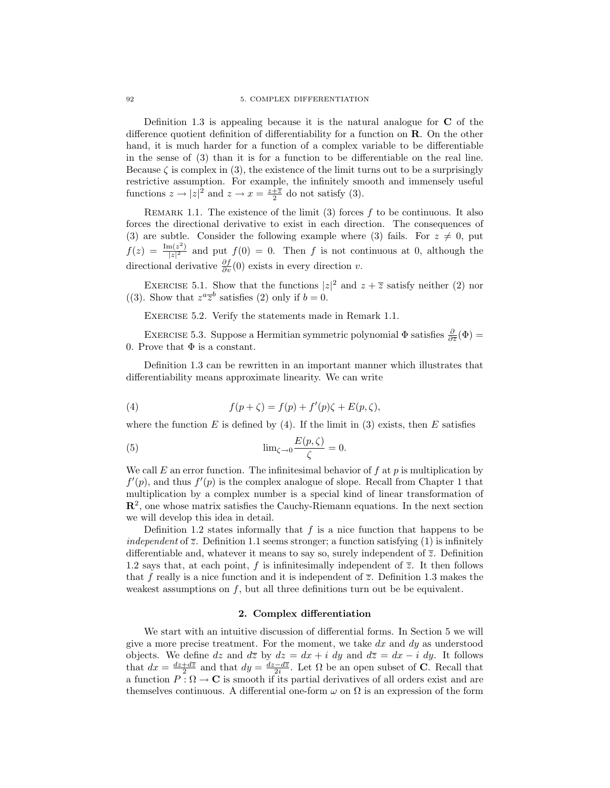Definition 1.3 is appealing because it is the natural analogue for  $C$  of the difference quotient definition of differentiability for a function on R. On the other hand, it is much harder for a function of a complex variable to be differentiable in the sense of (3) than it is for a function to be differentiable on the real line. Because  $\zeta$  is complex in (3), the existence of the limit turns out to be a surprisingly restrictive assumption. For example, the infinitely smooth and immensely useful functions  $z \to |z|^2$  and  $z \to x = \frac{z+\overline{z}}{2}$  do not satisfy (3).

REMARK 1.1. The existence of the limit  $(3)$  forces f to be continuous. It also forces the directional derivative to exist in each direction. The consequences of (3) are subtle. Consider the following example where (3) fails. For  $z \neq 0$ , put  $f(z) = \frac{\text{Im}(z^2)}{|z|^2}$  $\frac{\ln(z)}{|z|^2}$  and put  $f(0) = 0$ . Then f is not continuous at 0, although the directional derivative  $\frac{\partial f}{\partial v}(0)$  exists in every direction v.

EXERCISE 5.1. Show that the functions  $|z|^2$  and  $z + \overline{z}$  satisfy neither (2) nor ((3). Show that  $z^a \overline{z}^b$  satisfies (2) only if  $b = 0$ .

Exercise 5.2. Verify the statements made in Remark 1.1.

EXERCISE 5.3. Suppose a Hermitian symmetric polynomial  $\Phi$  satisfies  $\frac{\partial}{\partial \bar{z}}(\Phi)$  = 0. Prove that  $\Phi$  is a constant.

Definition 1.3 can be rewritten in an important manner which illustrates that differentiability means approximate linearity. We can write

(4) 
$$
f(p+\zeta) = f(p) + f'(p)\zeta + E(p,\zeta),
$$

where the function E is defined by  $(4)$ . If the limit in  $(3)$  exists, then E satisfies

(5) 
$$
\lim_{\zeta \to 0} \frac{E(p,\zeta)}{\zeta} = 0.
$$

We call E an error function. The infinitesimal behavior of  $f$  at  $p$  is multiplication by  $f'(p)$ , and thus  $f'(p)$  is the complex analogue of slope. Recall from Chapter 1 that multiplication by a complex number is a special kind of linear transformation of  $\mathbb{R}^2$ , one whose matrix satisfies the Cauchy-Riemann equations. In the next section we will develop this idea in detail.

Definition 1.2 states informally that  $f$  is a nice function that happens to be independent of  $\overline{z}$ . Definition 1.1 seems stronger; a function satisfying (1) is infinitely differentiable and, whatever it means to say so, surely independent of  $\overline{z}$ . Definition 1.2 says that, at each point, f is infinitesimally independent of  $\overline{z}$ . It then follows that f really is a nice function and it is independent of  $\overline{z}$ . Definition 1.3 makes the weakest assumptions on  $f$ , but all three definitions turn out be be equivalent.

## 2. Complex differentiation

We start with an intuitive discussion of differential forms. In Section 5 we will give a more precise treatment. For the moment, we take  $dx$  and  $dy$  as understood objects. We define dz and dz by  $dz = dx + i dy$  and  $d\overline{z} = dx - i dy$ . It follows that  $dx = \frac{dz + d\overline{z}}{2}$  and that  $dy = \frac{dz - d\overline{z}}{2i}$ . Let  $\Omega$  be an open subset of **C**. Recall that a function  $P : \Omega \to \mathbb{C}$  is smooth if its partial derivatives of all orders exist and are themselves continuous. A differential one-form  $\omega$  on  $\Omega$  is an expression of the form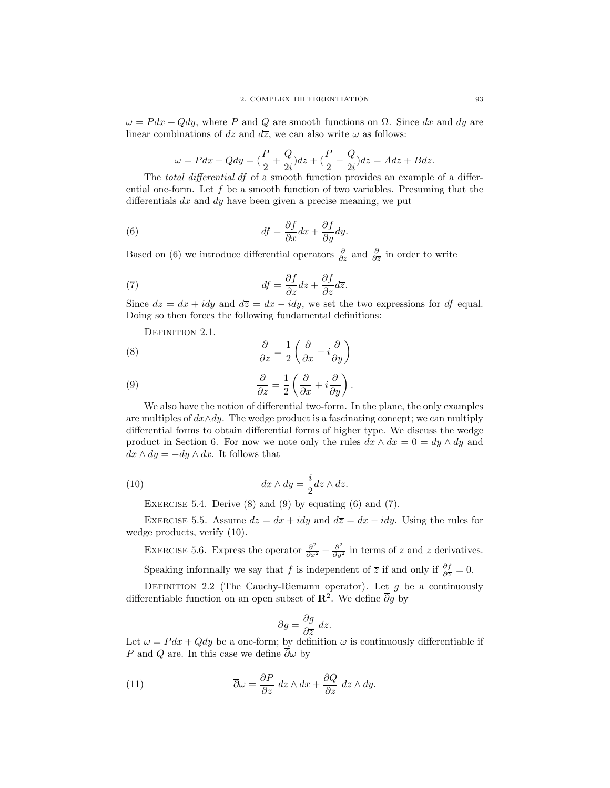$\omega = P dx + Q dy$ , where P and Q are smooth functions on  $\Omega$ . Since dx and dy are linear combinations of dz and  $d\overline{z}$ , we can also write  $\omega$  as follows:

$$
\omega = Pdx + Qdy = \left(\frac{P}{2} + \frac{Q}{2i}\right)dz + \left(\frac{P}{2} - \frac{Q}{2i}\right)d\overline{z} = Adz + Bd\overline{z}.
$$

The *total differential df* of a smooth function provides an example of a differential one-form. Let  $f$  be a smooth function of two variables. Presuming that the differentials  $dx$  and  $dy$  have been given a precise meaning, we put

(6) 
$$
df = \frac{\partial f}{\partial x} dx + \frac{\partial f}{\partial y} dy.
$$

Based on (6) we introduce differential operators  $\frac{\partial}{\partial z}$  and  $\frac{\partial}{\partial \overline{z}}$  in order to write

(7) 
$$
df = \frac{\partial f}{\partial z} dz + \frac{\partial f}{\partial \overline{z}} d\overline{z}.
$$

Since  $dz = dx + idy$  and  $d\overline{z} = dx - idy$ , we set the two expressions for df equal. Doing so then forces the following fundamental definitions:

DEFINITION 2.1.

(8) 
$$
\frac{\partial}{\partial z} = \frac{1}{2} \left( \frac{\partial}{\partial x} - i \frac{\partial}{\partial y} \right)
$$

(9) 
$$
\frac{\partial}{\partial \overline{z}} = \frac{1}{2} \left( \frac{\partial}{\partial x} + i \frac{\partial}{\partial y} \right)
$$

We also have the notion of differential two-form. In the plane, the only examples are multiples of  $dx \wedge dy$ . The wedge product is a fascinating concept; we can multiply differential forms to obtain differential forms of higher type. We discuss the wedge product in Section 6. For now we note only the rules  $dx \wedge dx = 0 = dy \wedge dy$  and  $dx \wedge dy = -dy \wedge dx$ . It follows that

.

(10) 
$$
dx \wedge dy = \frac{i}{2} dz \wedge d\overline{z}.
$$

EXERCISE 5.4. Derive  $(8)$  and  $(9)$  by equating  $(6)$  and  $(7)$ .

EXERCISE 5.5. Assume  $dz = dx + i dy$  and  $d\overline{z} = dx - i dy$ . Using the rules for wedge products, verify (10).

EXERCISE 5.6. Express the operator  $\frac{\partial^2}{\partial x^2} + \frac{\partial^2}{\partial y^2}$  in terms of z and  $\overline{z}$  derivatives.

Speaking informally we say that f is independent of  $\overline{z}$  if and only if  $\frac{\partial f}{\partial \overline{z}} = 0$ .

DEFINITION 2.2 (The Cauchy-Riemann operator). Let  $g$  be a continuously differentiable function on an open subset of  $\mathbb{R}^2$ . We define  $\overline{\partial}g$  by

$$
\overline{\partial}g = \frac{\partial g}{\partial \overline{z}} d\overline{z}.
$$

Let  $\omega = P dx + Q dy$  be a one-form; by definition  $\omega$  is continuously differentiable if P and Q are. In this case we define  $\overline{\partial}\omega$  by

(11) 
$$
\overline{\partial}\omega = \frac{\partial P}{\partial \overline{z}} \, d\overline{z} \wedge dx + \frac{\partial Q}{\partial \overline{z}} \, d\overline{z} \wedge dy.
$$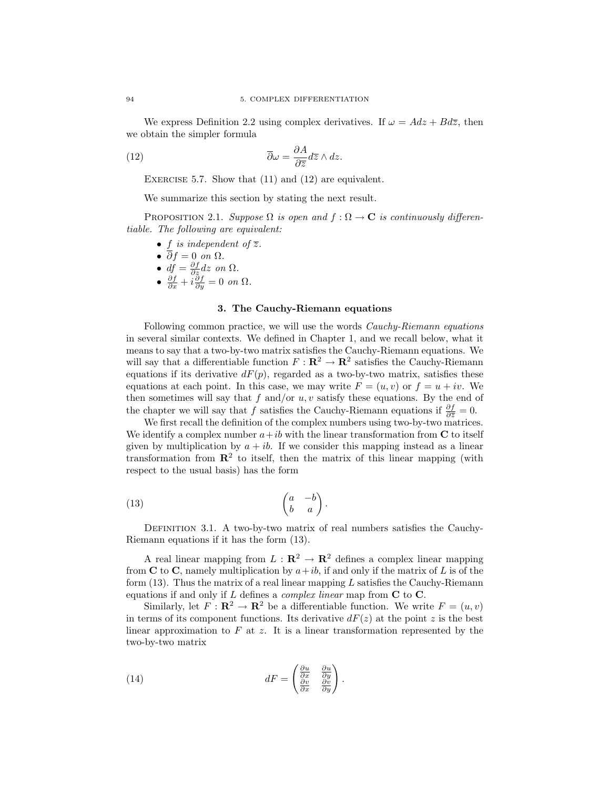We express Definition 2.2 using complex derivatives. If  $\omega = Adz + B d\overline{z}$ , then we obtain the simpler formula

(12) 
$$
\overline{\partial}\omega = \frac{\partial A}{\partial \overline{z}}d\overline{z} \wedge dz.
$$

EXERCISE 5.7. Show that  $(11)$  and  $(12)$  are equivalent.

We summarize this section by stating the next result.

PROPOSITION 2.1. Suppose  $\Omega$  is open and  $f : \Omega \to \mathbf{C}$  is continuously differentiable. The following are equivalent:

- f is independent of  $\overline{z}$ .
- $\overline{\partial} f = 0$  on  $\Omega$ .
- $df = \frac{\partial f}{\partial z} dz$  on  $\Omega$ .
- $\frac{\partial f}{\partial x} + i \frac{\partial f}{\partial y} = 0$  on  $\Omega$ .

### 3. The Cauchy-Riemann equations

Following common practice, we will use the words Cauchy-Riemann equations in several similar contexts. We defined in Chapter 1, and we recall below, what it means to say that a two-by-two matrix satisfies the Cauchy-Riemann equations. We will say that a differentiable function  $F: \mathbb{R}^2 \to \mathbb{R}^2$  satisfies the Cauchy-Riemann equations if its derivative  $dF(p)$ , regarded as a two-by-two matrix, satisfies these equations at each point. In this case, we may write  $F = (u, v)$  or  $f = u + iv$ . We then sometimes will say that  $f$  and/or  $u, v$  satisfy these equations. By the end of the chapter we will say that f satisfies the Cauchy-Riemann equations if  $\frac{\partial f}{\partial \overline{z}} = 0$ .

We first recall the definition of the complex numbers using two-by-two matrices. We identify a complex number  $a+ib$  with the linear transformation from C to itself given by multiplication by  $a + ib$ . If we consider this mapping instead as a linear transformation from  $\mathbb{R}^2$  to itself, then the matrix of this linear mapping (with respect to the usual basis) has the form

$$
\begin{pmatrix} 13 \end{pmatrix} \qquad \qquad \begin{pmatrix} a & -b \\ b & a \end{pmatrix}.
$$

Definition 3.1. A two-by-two matrix of real numbers satisfies the Cauchy-Riemann equations if it has the form (13).

A real linear mapping from  $L : \mathbb{R}^2 \to \mathbb{R}^2$  defines a complex linear mapping from C to C, namely multiplication by  $a+ib$ , if and only if the matrix of L is of the form  $(13)$ . Thus the matrix of a real linear mapping L satisfies the Cauchy-Riemann equations if and only if L defines a *complex linear* map from  $C$  to  $C$ .

Similarly, let  $F : \mathbf{R}^2 \to \mathbf{R}^2$  be a differentiable function. We write  $F = (u, v)$ in terms of its component functions. Its derivative  $dF(z)$  at the point z is the best linear approximation to  $F$  at  $z$ . It is a linear transformation represented by the two-by-two matrix

(14) 
$$
dF = \begin{pmatrix} \frac{\partial u}{\partial x} & \frac{\partial u}{\partial y} \\ \frac{\partial v}{\partial x} & \frac{\partial v}{\partial y} \end{pmatrix}.
$$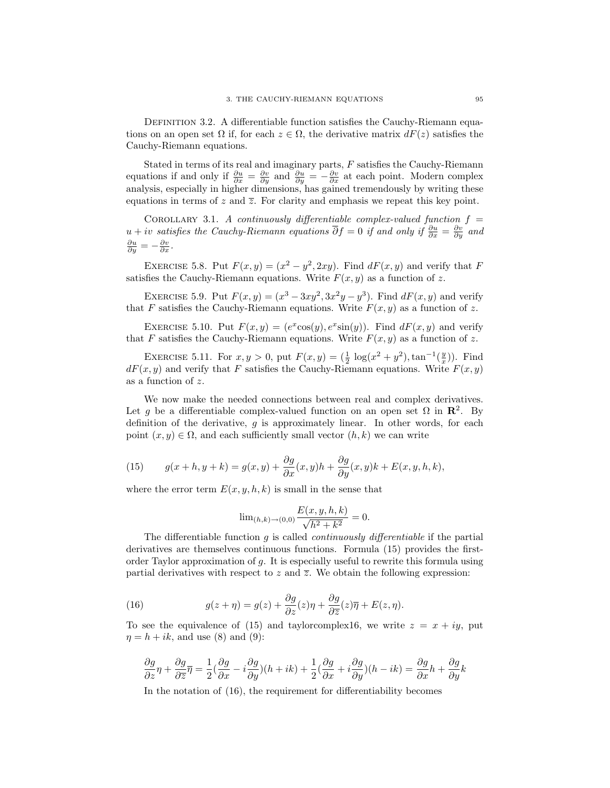DEFINITION 3.2. A differentiable function satisfies the Cauchy-Riemann equations on an open set  $\Omega$  if, for each  $z \in \Omega$ , the derivative matrix  $dF(z)$  satisfies the Cauchy-Riemann equations.

Stated in terms of its real and imaginary parts,  $F$  satisfies the Cauchy-Riemann equations if and only if  $\frac{\partial u}{\partial x} = \frac{\partial v}{\partial y}$  and  $\frac{\partial u}{\partial y} = -\frac{\partial v}{\partial x}$  at each point. Modern complex analysis, especially in higher dimensions, has gained tremendously by writing these equations in terms of z and  $\overline{z}$ . For clarity and emphasis we repeat this key point.

COROLLARY 3.1. A continuously differentiable complex-valued function  $f =$  $u + iv$  satisfies the Cauchy-Riemann equations  $\overline{\partial}f = 0$  if and only if  $\frac{\partial u}{\partial x} = \frac{\partial v}{\partial y}$  and  $\frac{\partial u}{\partial y} = -\frac{\partial v}{\partial x}.$ 

EXERCISE 5.8. Put  $F(x, y) = (x^2 - y^2, 2xy)$ . Find  $dF(x, y)$  and verify that F satisfies the Cauchy-Riemann equations. Write  $F(x, y)$  as a function of z.

EXERCISE 5.9. Put  $F(x, y) = (x^3 - 3xy^2, 3x^2y - y^3)$ . Find  $dF(x, y)$  and verify that F satisfies the Cauchy-Riemann equations. Write  $F(x, y)$  as a function of z.

EXERCISE 5.10. Put  $F(x, y) = (e^x \cos(y), e^x \sin(y))$ . Find  $dF(x, y)$  and verify that F satisfies the Cauchy-Riemann equations. Write  $F(x, y)$  as a function of z.

EXERCISE 5.11. For  $x, y > 0$ , put  $F(x, y) = (\frac{1}{2} \log(x^2 + y^2), \tan^{-1}(\frac{y}{x}))$ . Find  $dF(x, y)$  and verify that F satisfies the Cauchy-Riemann equations. Write  $F(x, y)$ as a function of z.

We now make the needed connections between real and complex derivatives. Let g be a differentiable complex-valued function on an open set  $\Omega$  in  $\mathbb{R}^2$ . By definition of the derivative,  $q$  is approximately linear. In other words, for each point  $(x, y) \in \Omega$ , and each sufficiently small vector  $(h, k)$  we can write

(15) 
$$
g(x+h, y+k) = g(x, y) + \frac{\partial g}{\partial x}(x, y)h + \frac{\partial g}{\partial y}(x, y)k + E(x, y, h, k),
$$

where the error term  $E(x, y, h, k)$  is small in the sense that

$$
\lim_{(h,k)\to(0,0)} \frac{E(x,y,h,k)}{\sqrt{h^2+k^2}} = 0.
$$

The differentiable function  $g$  is called *continuously differentiable* if the partial derivatives are themselves continuous functions. Formula (15) provides the firstorder Taylor approximation of g. It is especially useful to rewrite this formula using partial derivatives with respect to  $z$  and  $\overline{z}$ . We obtain the following expression:

(16) 
$$
g(z+\eta) = g(z) + \frac{\partial g}{\partial z}(z)\eta + \frac{\partial g}{\partial \overline{z}}(z)\overline{\eta} + E(z,\eta).
$$

To see the equivalence of (15) and taylorcomplex16, we write  $z = x + iy$ , put  $\eta = h + ik$ , and use (8) and (9):

$$
\frac{\partial g}{\partial z}\eta + \frac{\partial g}{\partial \overline{z}}\overline{\eta} = \frac{1}{2}(\frac{\partial g}{\partial x} - i\frac{\partial g}{\partial y})(h + ik) + \frac{1}{2}(\frac{\partial g}{\partial x} + i\frac{\partial g}{\partial y})(h - ik) = \frac{\partial g}{\partial x}h + \frac{\partial g}{\partial y}k
$$

In the notation of (16), the requirement for differentiability becomes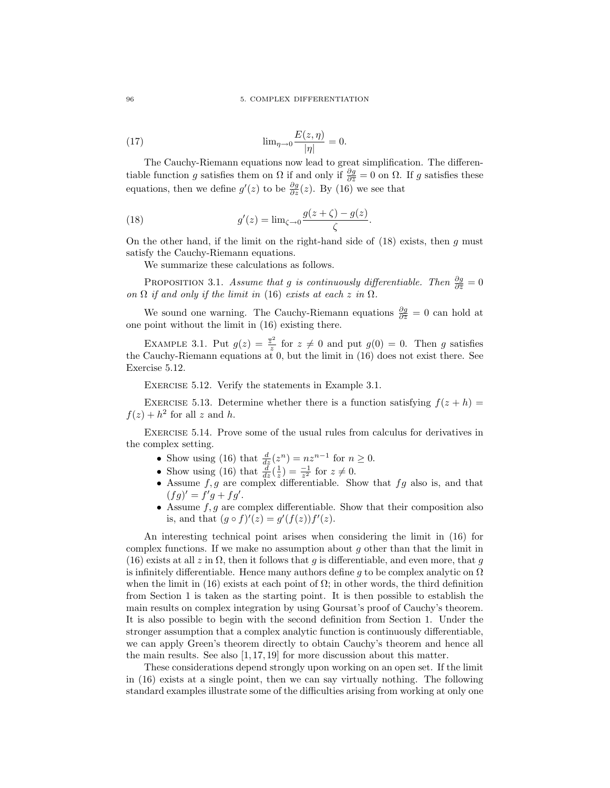(17) 
$$
\lim_{\eta \to 0} \frac{E(z, \eta)}{|\eta|} = 0.
$$

The Cauchy-Riemann equations now lead to great simplification. The differentiable function g satisfies them on  $\Omega$  if and only if  $\frac{\partial g}{\partial \overline{z}} = 0$  on  $\Omega$ . If g satisfies these equations, then we define  $g'(z)$  to be  $\frac{\partial g}{\partial z}(z)$ . By (16) we see that

(18) 
$$
g'(z) = \lim_{\zeta \to 0} \frac{g(z + \zeta) - g(z)}{\zeta}.
$$

On the other hand, if the limit on the right-hand side of  $(18)$  exists, then g must satisfy the Cauchy-Riemann equations.

We summarize these calculations as follows.

PROPOSITION 3.1. Assume that g is continuously differentiable. Then  $\frac{\partial g}{\partial \overline{z}} = 0$ on  $\Omega$  if and only if the limit in (16) exists at each z in  $\Omega$ .

We sound one warning. The Cauchy-Riemann equations  $\frac{\partial g}{\partial \overline{z}} = 0$  can hold at one point without the limit in (16) existing there.

EXAMPLE 3.1. Put  $g(z) = \frac{\overline{z}^2}{\overline{z}}$  $\frac{z^2}{z}$  for  $z \neq 0$  and put  $g(0) = 0$ . Then g satisfies the Cauchy-Riemann equations at  $0$ , but the limit in (16) does not exist there. See Exercise 5.12.

EXERCISE 5.12. Verify the statements in Example 3.1.

EXERCISE 5.13. Determine whether there is a function satisfying  $f(z + h) =$  $f(z) + h^2$  for all z and h.

Exercise 5.14. Prove some of the usual rules from calculus for derivatives in the complex setting.

- Show using (16) that  $\frac{d}{dz}(z^n) = nz^{n-1}$  for  $n \ge 0$ .
- Show using (16) that  $\frac{d}{dz}(\frac{1}{z}) = \frac{-1}{z^2}$  for  $z \neq 0$ .
- Assume  $f, g$  are complex differentiable. Show that  $fg$  also is, and that  $(fg)' = f'g + fg'.$
- Assume  $f, g$  are complex differentiable. Show that their composition also is, and that  $(g \circ f)'(z) = g'(f(z))f'(z)$ .

An interesting technical point arises when considering the limit in (16) for complex functions. If we make no assumption about  $q$  other than that the limit in (16) exists at all z in  $\Omega$ , then it follows that g is differentiable, and even more, that g is infinitely differentiable. Hence many authors define q to be complex analytic on  $\Omega$ when the limit in (16) exists at each point of  $\Omega$ ; in other words, the third definition from Section 1 is taken as the starting point. It is then possible to establish the main results on complex integration by using Goursat's proof of Cauchy's theorem. It is also possible to begin with the second definition from Section 1. Under the stronger assumption that a complex analytic function is continuously differentiable, we can apply Green's theorem directly to obtain Cauchy's theorem and hence all the main results. See also [1, 17, 19] for more discussion about this matter.

These considerations depend strongly upon working on an open set. If the limit in (16) exists at a single point, then we can say virtually nothing. The following standard examples illustrate some of the difficulties arising from working at only one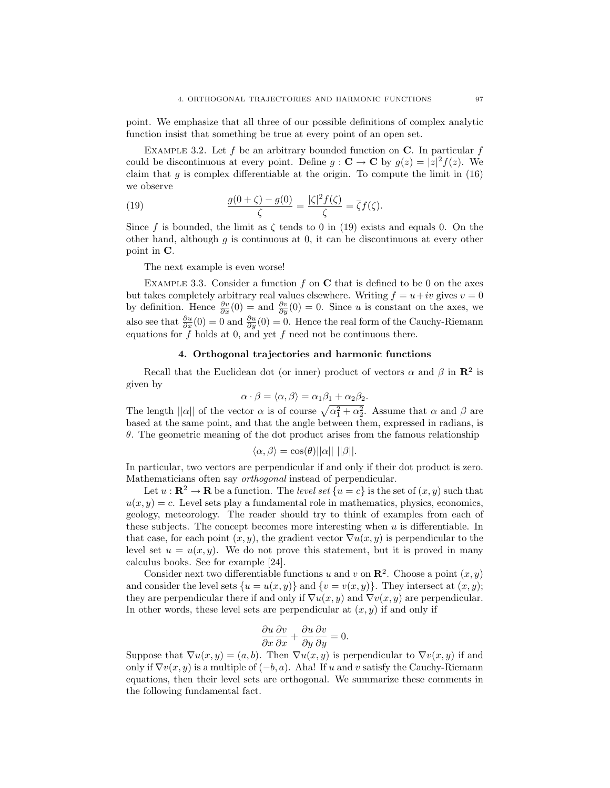point. We emphasize that all three of our possible definitions of complex analytic function insist that something be true at every point of an open set.

EXAMPLE 3.2. Let f be an arbitrary bounded function on  $C$ . In particular f could be discontinuous at every point. Define  $g: \mathbf{C} \to \mathbf{C}$  by  $g(z) = |z|^2 f(z)$ . We claim that  $g$  is complex differentiable at the origin. To compute the limit in  $(16)$ we observe

(19) 
$$
\frac{g(0+\zeta)-g(0)}{\zeta}=\frac{|\zeta|^2f(\zeta)}{\zeta}=\overline{\zeta}f(\zeta).
$$

Since f is bounded, the limit as  $\zeta$  tends to 0 in (19) exists and equals 0. On the other hand, although  $g$  is continuous at 0, it can be discontinuous at every other point in C.

The next example is even worse!

EXAMPLE 3.3. Consider a function f on  $C$  that is defined to be 0 on the axes but takes completely arbitrary real values elsewhere. Writing  $f = u + iv$  gives  $v = 0$ by definition. Hence  $\frac{\partial v}{\partial x}(0) =$  and  $\frac{\partial v}{\partial y}(0) = 0$ . Since u is constant on the axes, we also see that  $\frac{\partial u}{\partial x}(0) = 0$  and  $\frac{\partial u}{\partial y}(0) = 0$ . Hence the real form of the Cauchy-Riemann equations for  $f$  holds at 0, and yet  $f$  need not be continuous there.

### 4. Orthogonal trajectories and harmonic functions

Recall that the Euclidean dot (or inner) product of vectors  $\alpha$  and  $\beta$  in  $\mathbb{R}^2$  is given by

$$
\alpha \cdot \beta = \langle \alpha, \beta \rangle = \alpha_1 \beta_1 + \alpha_2 \beta_2.
$$

The length  $||\alpha||$  of the vector  $\alpha$  is of course  $\sqrt{\alpha_1^2 + \alpha_2^2}$ . Assume that  $\alpha$  and  $\beta$  are based at the same point, and that the angle between them, expressed in radians, is  $\theta$ . The geometric meaning of the dot product arises from the famous relationship

$$
\langle \alpha, \beta \rangle = \cos(\theta) ||\alpha|| ||\beta||.
$$

In particular, two vectors are perpendicular if and only if their dot product is zero. Mathematicians often say orthogonal instead of perpendicular.

Let  $u : \mathbf{R}^2 \to \mathbf{R}$  be a function. The *level set*  $\{u = c\}$  is the set of  $(x, y)$  such that  $u(x, y) = c$ . Level sets play a fundamental role in mathematics, physics, economics, geology, meteorology. The reader should try to think of examples from each of these subjects. The concept becomes more interesting when  $u$  is differentiable. In that case, for each point  $(x, y)$ , the gradient vector  $\nabla u(x, y)$  is perpendicular to the level set  $u = u(x, y)$ . We do not prove this statement, but it is proved in many calculus books. See for example [24].

Consider next two differentiable functions u and v on  $\mathbb{R}^2$ . Choose a point  $(x, y)$ and consider the level sets  $\{u = u(x, y)\}\$  and  $\{v = v(x, y)\}\$ . They intersect at  $(x, y)$ ; they are perpendicular there if and only if  $\nabla u(x, y)$  and  $\nabla v(x, y)$  are perpendicular. In other words, these level sets are perpendicular at  $(x, y)$  if and only if

$$
\frac{\partial u}{\partial x}\frac{\partial v}{\partial x} + \frac{\partial u}{\partial y}\frac{\partial v}{\partial y} = 0.
$$

Suppose that  $\nabla u(x, y) = (a, b)$ . Then  $\nabla u(x, y)$  is perpendicular to  $\nabla v(x, y)$  if and only if  $\nabla v(x, y)$  is a multiple of  $(-b, a)$ . Aha! If u and v satisfy the Cauchy-Riemann equations, then their level sets are orthogonal. We summarize these comments in the following fundamental fact.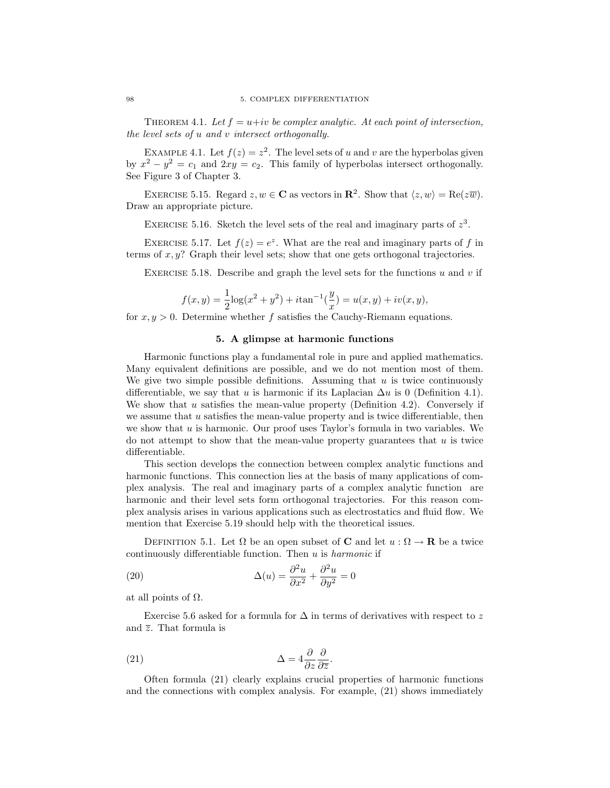THEOREM 4.1. Let  $f = u+iv$  be complex analytic. At each point of intersection, the level sets of u and v intersect orthogonally.

EXAMPLE 4.1. Let  $f(z) = z^2$ . The level sets of u and v are the hyperbolas given by  $x^2 - y^2 = c_1$  and  $2xy = c_2$ . This family of hyperbolas intersect orthogonally. See Figure 3 of Chapter 3.

EXERCISE 5.15. Regard  $z, w \in \mathbb{C}$  as vectors in  $\mathbb{R}^2$ . Show that  $\langle z, w \rangle = \text{Re}(z\overline{w})$ . Draw an appropriate picture.

EXERCISE 5.16. Sketch the level sets of the real and imaginary parts of  $z<sup>3</sup>$ .

EXERCISE 5.17. Let  $f(z) = e^z$ . What are the real and imaginary parts of f in terms of  $x, y$ ? Graph their level sets; show that one gets orthogonal trajectories.

EXERCISE 5.18. Describe and graph the level sets for the functions u and v if

$$
f(x,y) = \frac{1}{2}\log(x^2 + y^2) + i\tan^{-1}(\frac{y}{x}) = u(x,y) + iv(x,y),
$$

for  $x, y > 0$ . Determine whether f satisfies the Cauchy-Riemann equations.

## 5. A glimpse at harmonic functions

Harmonic functions play a fundamental role in pure and applied mathematics. Many equivalent definitions are possible, and we do not mention most of them. We give two simple possible definitions. Assuming that  $u$  is twice continuously differentiable, we say that u is harmonic if its Laplacian  $\Delta u$  is 0 (Definition 4.1). We show that  $u$  satisfies the mean-value property (Definition 4.2). Conversely if we assume that  $u$  satisfies the mean-value property and is twice differentiable, then we show that  $u$  is harmonic. Our proof uses Taylor's formula in two variables. We do not attempt to show that the mean-value property guarantees that  $u$  is twice differentiable.

This section develops the connection between complex analytic functions and harmonic functions. This connection lies at the basis of many applications of complex analysis. The real and imaginary parts of a complex analytic function are harmonic and their level sets form orthogonal trajectories. For this reason complex analysis arises in various applications such as electrostatics and fluid flow. We mention that Exercise 5.19 should help with the theoretical issues.

DEFINITION 5.1. Let  $\Omega$  be an open subset of **C** and let  $u : \Omega \to \mathbf{R}$  be a twice continuously differentiable function. Then  $u$  is *harmonic* if

(20) 
$$
\Delta(u) = \frac{\partial^2 u}{\partial x^2} + \frac{\partial^2 u}{\partial y^2} = 0
$$

at all points of  $Ω$ .

Exercise 5.6 asked for a formula for  $\Delta$  in terms of derivatives with respect to z and  $\overline{z}$ . That formula is

(21) 
$$
\Delta = 4 \frac{\partial}{\partial z} \frac{\partial}{\partial \overline{z}}.
$$

Often formula (21) clearly explains crucial properties of harmonic functions and the connections with complex analysis. For example, (21) shows immediately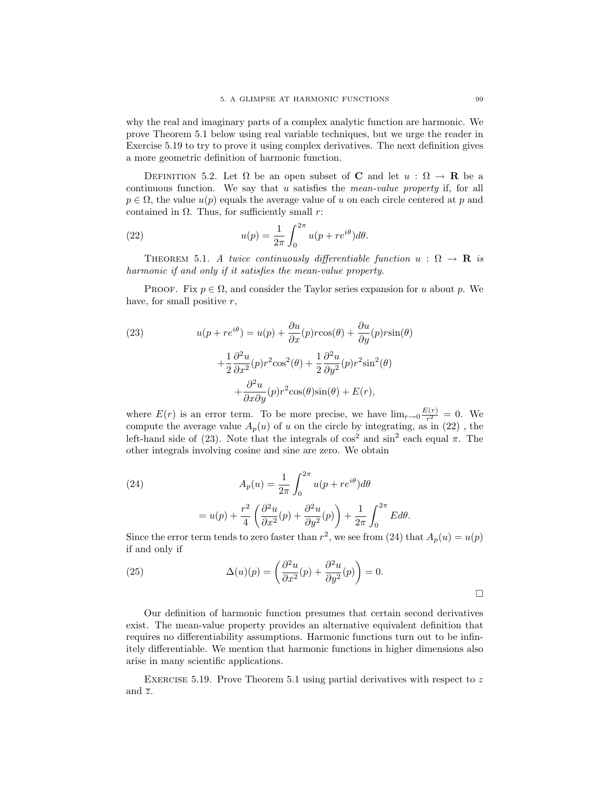why the real and imaginary parts of a complex analytic function are harmonic. We prove Theorem 5.1 below using real variable techniques, but we urge the reader in Exercise 5.19 to try to prove it using complex derivatives. The next definition gives a more geometric definition of harmonic function.

DEFINITION 5.2. Let  $\Omega$  be an open subset of **C** and let  $u : \Omega \to \mathbf{R}$  be a continuous function. We say that u satisfies the *mean-value property* if, for all  $p \in \Omega$ , the value  $u(p)$  equals the average value of u on each circle centered at p and contained in  $\Omega$ . Thus, for sufficiently small r:

(22) 
$$
u(p) = \frac{1}{2\pi} \int_0^{2\pi} u(p + re^{i\theta}) d\theta.
$$

THEOREM 5.1. A twice continuously differentiable function  $u : \Omega \to \mathbf{R}$  is harmonic if and only if it satisfies the mean-value property.

PROOF. Fix  $p \in \Omega$ , and consider the Taylor series expansion for u about p. We have, for small positive  $r$ ,

(23) 
$$
u(p + re^{i\theta}) = u(p) + \frac{\partial u}{\partial x}(p) r \cos(\theta) + \frac{\partial u}{\partial y}(p) r \sin(\theta) + \frac{1}{2} \frac{\partial^2 u}{\partial x^2}(p) r^2 \cos^2(\theta) + \frac{1}{2} \frac{\partial^2 u}{\partial y^2}(p) r^2 \sin^2(\theta) + \frac{\partial^2 u}{\partial x \partial y}(p) r^2 \cos(\theta) \sin(\theta) + E(r),
$$

where  $E(r)$  is an error term. To be more precise, we have  $\lim_{r\to 0} \frac{E(r)}{r^2}$  $\frac{r(r)}{r^2} = 0$ . We compute the average value  $A_p(u)$  of u on the circle by integrating, as in (22), the left-hand side of (23). Note that the integrals of  $\cos^2$  and  $\sin^2$  each equal  $\pi$ . The other integrals involving cosine and sine are zero. We obtain

(24)  
\n
$$
A_p(u) = \frac{1}{2\pi} \int_0^{2\pi} u(p + re^{i\theta}) d\theta
$$
\n
$$
= u(p) + \frac{r^2}{4} \left( \frac{\partial^2 u}{\partial x^2}(p) + \frac{\partial^2 u}{\partial y^2}(p) \right) + \frac{1}{2\pi} \int_0^{2\pi} E d\theta.
$$

Since the error term tends to zero faster than  $r^2$ , we see from (24) that  $A_p(u) = u(p)$ if and only if

(25) 
$$
\Delta(u)(p) = \left(\frac{\partial^2 u}{\partial x^2}(p) + \frac{\partial^2 u}{\partial y^2}(p)\right) = 0.
$$

Our definition of harmonic function presumes that certain second derivatives exist. The mean-value property provides an alternative equivalent definition that requires no differentiability assumptions. Harmonic functions turn out to be infinitely differentiable. We mention that harmonic functions in higher dimensions also arise in many scientific applications.

EXERCISE 5.19. Prove Theorem 5.1 using partial derivatives with respect to  $z$ and  $\overline{z}$ .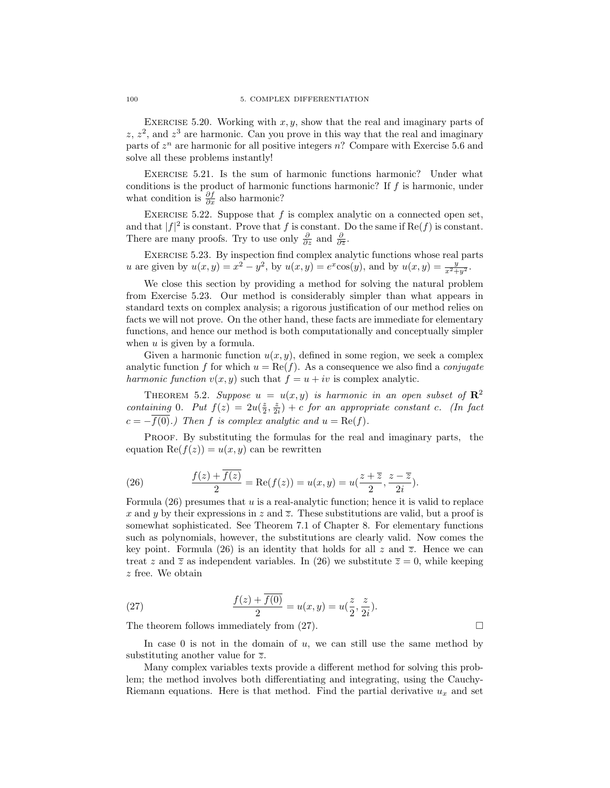EXERCISE 5.20. Working with  $x, y$ , show that the real and imaginary parts of  $z, z<sup>2</sup>$ , and  $z<sup>3</sup>$  are harmonic. Can you prove in this way that the real and imaginary parts of  $z^n$  are harmonic for all positive integers n? Compare with Exercise 5.6 and solve all these problems instantly!

Exercise 5.21. Is the sum of harmonic functions harmonic? Under what conditions is the product of harmonic functions harmonic? If  $f$  is harmonic, under what condition is  $\frac{\partial f}{\partial x}$  also harmonic?

EXERCISE 5.22. Suppose that  $f$  is complex analytic on a connected open set, and that  $|f|^2$  is constant. Prove that f is constant. Do the same if  $\text{Re}(f)$  is constant. There are many proofs. Try to use only  $\frac{\partial}{\partial z}$  and  $\frac{\partial}{\partial \overline{z}}$ .

Exercise 5.23. By inspection find complex analytic functions whose real parts u are given by  $u(x, y) = x^2 - y^2$ , by  $u(x, y) = e^x \cos(y)$ , and by  $u(x, y) = \frac{y}{x^2 + y^2}$ .

We close this section by providing a method for solving the natural problem from Exercise 5.23. Our method is considerably simpler than what appears in standard texts on complex analysis; a rigorous justification of our method relies on facts we will not prove. On the other hand, these facts are immediate for elementary functions, and hence our method is both computationally and conceptually simpler when  $u$  is given by a formula.

Given a harmonic function  $u(x, y)$ , defined in some region, we seek a complex analytic function f for which  $u = \text{Re}(f)$ . As a consequence we also find a *conjugate* harmonic function  $v(x, y)$  such that  $f = u + iv$  is complex analytic.

THEOREM 5.2. Suppose  $u = u(x, y)$  is harmonic in an open subset of  $\mathbb{R}^2$ containing 0. Put  $f(z) = 2u(\frac{z}{2}, \frac{z}{2i}) + c$  for an appropriate constant c. (In fact  $c = -\overline{f(0)}$ .) Then f is complex analytic and  $u = \text{Re}(f)$ .

PROOF. By substituting the formulas for the real and imaginary parts, the equation  $\text{Re}(f(z)) = u(x, y)$  can be rewritten

(26) 
$$
\frac{f(z) + \overline{f(z)}}{2} = \text{Re}(f(z)) = u(x, y) = u(\frac{z + \overline{z}}{2}, \frac{z - \overline{z}}{2i}).
$$

Formula  $(26)$  presumes that u is a real-analytic function; hence it is valid to replace x and y by their expressions in z and  $\overline{z}$ . These substitutions are valid, but a proof is somewhat sophisticated. See Theorem 7.1 of Chapter 8. For elementary functions such as polynomials, however, the substitutions are clearly valid. Now comes the key point. Formula (26) is an identity that holds for all z and  $\overline{z}$ . Hence we can treat z and  $\overline{z}$  as independent variables. In (26) we substitute  $\overline{z} = 0$ , while keeping z free. We obtain

(27) 
$$
\frac{f(z) + \overline{f(0)}}{2} = u(x, y) = u(\frac{z}{2}, \frac{z}{2i}).
$$

The theorem follows immediately from  $(27)$ .

In case 0 is not in the domain of  $u$ , we can still use the same method by substituting another value for  $\overline{z}$ .

Many complex variables texts provide a different method for solving this problem; the method involves both differentiating and integrating, using the Cauchy-Riemann equations. Here is that method. Find the partial derivative  $u_x$  and set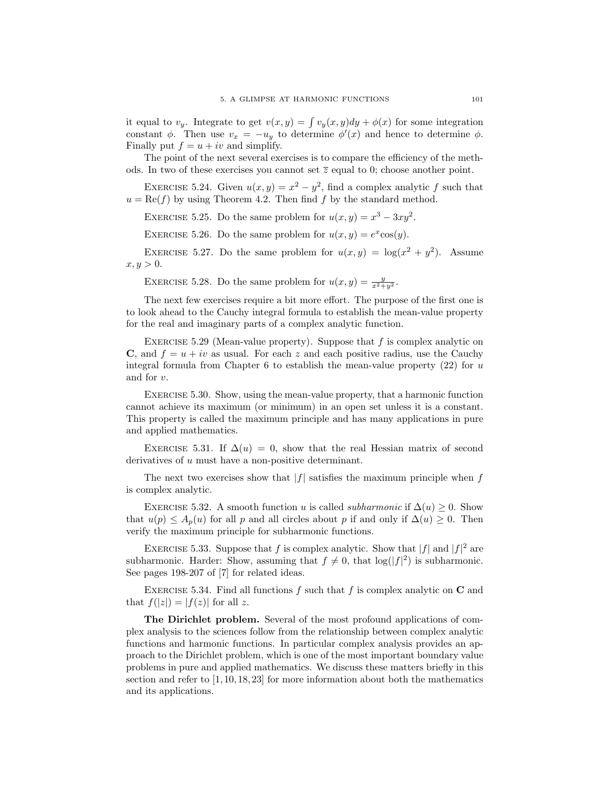it equal to  $v_y$ . Integrate to get  $v(x, y) = \int v_y(x, y)dy + \phi(x)$  for some integration constant  $\phi$ . Then use  $v_x = -u_y$  to determine  $\phi'(x)$  and hence to determine  $\phi$ . Finally put  $f = u + iv$  and simplify.

The point of the next several exercises is to compare the efficiency of the methods. In two of these exercises you cannot set  $\overline{z}$  equal to 0; choose another point.

EXERCISE 5.24. Given  $u(x, y) = x^2 - y^2$ , find a complex analytic f such that  $u = \text{Re}(f)$  by using Theorem 4.2. Then find f by the standard method.

EXERCISE 5.25. Do the same problem for  $u(x, y) = x^3 - 3xy^2$ .

EXERCISE 5.26. Do the same problem for  $u(x, y) = e^x \cos(y)$ .

EXERCISE 5.27. Do the same problem for  $u(x,y) = \log(x^2 + y^2)$ . Assume  $x, y > 0.$ 

EXERCISE 5.28. Do the same problem for  $u(x,y) = \frac{y}{x^2+y^2}$ .

The next few exercises require a bit more effort. The purpose of the first one is to look ahead to the Cauchy integral formula to establish the mean-value property for the real and imaginary parts of a complex analytic function.

EXERCISE 5.29 (Mean-value property). Suppose that  $f$  is complex analytic on C, and  $f = u + iv$  as usual. For each z and each positive radius, use the Cauchy integral formula from Chapter 6 to establish the mean-value property  $(22)$  for u and for v.

Exercise 5.30. Show, using the mean-value property, that a harmonic function cannot achieve its maximum (or minimum) in an open set unless it is a constant. This property is called the maximum principle and has many applications in pure and applied mathematics.

EXERCISE 5.31. If  $\Delta(u) = 0$ , show that the real Hessian matrix of second derivatives of u must have a non-positive determinant.

The next two exercises show that  $|f|$  satisfies the maximum principle when f is complex analytic.

EXERCISE 5.32. A smooth function u is called *subharmonic* if  $\Delta(u) \geq 0$ . Show that  $u(p) \leq A_p(u)$  for all p and all circles about p if and only if  $\Delta(u) \geq 0$ . Then verify the maximum principle for subharmonic functions.

EXERCISE 5.33. Suppose that f is complex analytic. Show that  $|f|$  and  $|f|^2$  are subharmonic. Harder: Show, assuming that  $f \neq 0$ , that  $log(|f|^2)$  is subharmonic. See pages 198-207 of [7] for related ideas.

EXERCISE 5.34. Find all functions  $f$  such that  $f$  is complex analytic on  $C$  and that  $f(|z|) = |f(z)|$  for all z.

The Dirichlet problem. Several of the most profound applications of complex analysis to the sciences follow from the relationship between complex analytic functions and harmonic functions. In particular complex analysis provides an approach to the Dirichlet problem, which is one of the most important boundary value problems in pure and applied mathematics. We discuss these matters briefly in this section and refer to  $[1, 10, 18, 23]$  for more information about both the mathematics and its applications.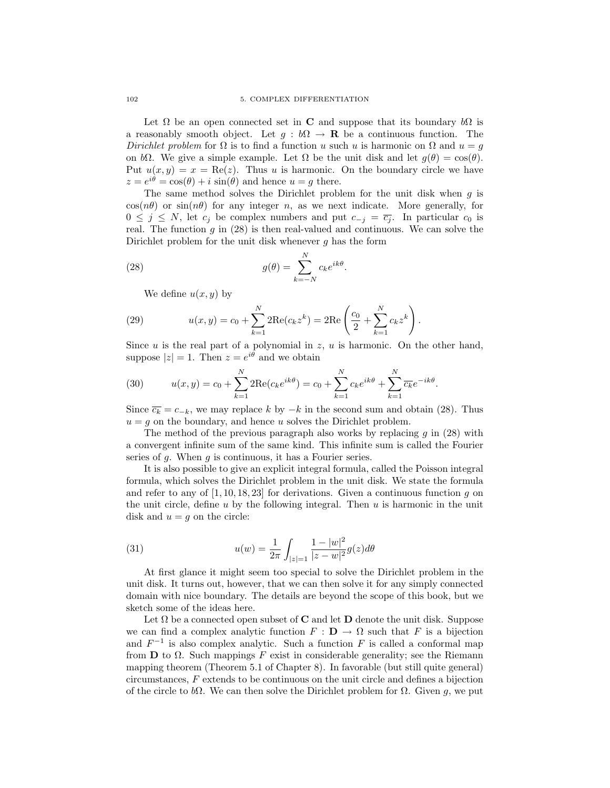Let  $\Omega$  be an open connected set in C and suppose that its boundary  $b\Omega$  is a reasonably smooth object. Let  $g : b\Omega \to \mathbf{R}$  be a continuous function. The Dirichlet problem for  $\Omega$  is to find a function u such u is harmonic on  $\Omega$  and  $u = g$ on bΩ. We give a simple example. Let  $\Omega$  be the unit disk and let  $g(\theta) = \cos(\theta)$ . Put  $u(x, y) = x = \text{Re}(z)$ . Thus u is harmonic. On the boundary circle we have  $z = e^{i\theta} = \cos(\theta) + i \sin(\theta)$  and hence  $u = g$  there.

The same method solves the Dirichlet problem for the unit disk when  $q$  is  $cos(n\theta)$  or  $sin(n\theta)$  for any integer n, as we next indicate. More generally, for  $0 \leq j \leq N$ , let  $c_j$  be complex numbers and put  $c_{-j} = \overline{c_j}$ . In particular  $c_0$  is real. The function  $g$  in  $(28)$  is then real-valued and continuous. We can solve the Dirichlet problem for the unit disk whenever  $g$  has the form

.

(28) 
$$
g(\theta) = \sum_{k=-N}^{N} c_k e^{ik\theta}
$$

We define  $u(x, y)$  by

(29) 
$$
u(x,y) = c_0 + \sum_{k=1}^{N} 2\text{Re}(c_k z^k) = 2\text{Re}\left(\frac{c_0}{2} + \sum_{k=1}^{N} c_k z^k\right).
$$

Since u is the real part of a polynomial in  $z, u$  is harmonic. On the other hand, suppose  $|z|=1$ . Then  $z=e^{i\theta}$  and we obtain

(30) 
$$
u(x,y) = c_0 + \sum_{k=1}^{N} 2 \text{Re}(c_k e^{ik\theta}) = c_0 + \sum_{k=1}^{N} c_k e^{ik\theta} + \sum_{k=1}^{N} \overline{c_k} e^{-ik\theta}.
$$

Since  $\overline{c_k} = c_{-k}$ , we may replace k by  $-k$  in the second sum and obtain (28). Thus  $u = g$  on the boundary, and hence u solves the Dirichlet problem.

The method of the previous paragraph also works by replacing  $q$  in (28) with a convergent infinite sum of the same kind. This infinite sum is called the Fourier series of  $g$ . When  $g$  is continuous, it has a Fourier series.

It is also possible to give an explicit integral formula, called the Poisson integral formula, which solves the Dirichlet problem in the unit disk. We state the formula and refer to any of  $[1, 10, 18, 23]$  for derivations. Given a continuous function g on the unit circle, define  $u$  by the following integral. Then  $u$  is harmonic in the unit disk and  $u = g$  on the circle:

(31) 
$$
u(w) = \frac{1}{2\pi} \int_{|z|=1} \frac{1-|w|^2}{|z-w|^2} g(z) d\theta
$$

At first glance it might seem too special to solve the Dirichlet problem in the unit disk. It turns out, however, that we can then solve it for any simply connected domain with nice boundary. The details are beyond the scope of this book, but we sketch some of the ideas here.

Let  $\Omega$  be a connected open subset of **C** and let **D** denote the unit disk. Suppose we can find a complex analytic function  $F : \mathbf{D} \to \Omega$  such that F is a bijection and  $F^{-1}$  is also complex analytic. Such a function F is called a conformal map from **D** to  $\Omega$ . Such mappings F exist in considerable generality; see the Riemann mapping theorem (Theorem 5.1 of Chapter 8). In favorable (but still quite general) circumstances, F extends to be continuous on the unit circle and defines a bijection of the circle to bΩ. We can then solve the Dirichlet problem for  $\Omega$ . Given g, we put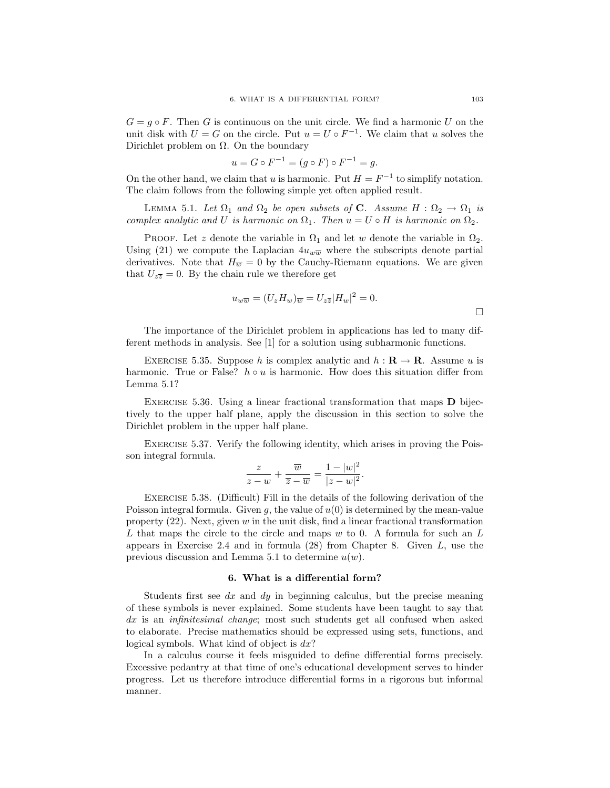$G = q \circ F$ . Then G is continuous on the unit circle. We find a harmonic U on the unit disk with  $U = G$  on the circle. Put  $u = U \circ F^{-1}$ . We claim that u solves the Dirichlet problem on  $\Omega$ . On the boundary

$$
u = G \circ F^{-1} = (g \circ F) \circ F^{-1} = g.
$$

On the other hand, we claim that u is harmonic. Put  $H = F^{-1}$  to simplify notation. The claim follows from the following simple yet often applied result.

LEMMA 5.1. Let  $\Omega_1$  and  $\Omega_2$  be open subsets of **C**. Assume  $H : \Omega_2 \to \Omega_1$  is complex analytic and U is harmonic on  $\Omega_1$ . Then  $u = U \circ H$  is harmonic on  $\Omega_2$ .

PROOF. Let z denote the variable in  $\Omega_1$  and let w denote the variable in  $\Omega_2$ . Using (21) we compute the Laplacian  $4u_{w\overline{w}}$  where the subscripts denote partial derivatives. Note that  $H_{\overline{w}} = 0$  by the Cauchy-Riemann equations. We are given that  $U_{z\overline{z}}=0$ . By the chain rule we therefore get

$$
u_{w\overline{w}} = (U_z H_w)_{\overline{w}} = U_{z\overline{z}} |H_w|^2 = 0.
$$

The importance of the Dirichlet problem in applications has led to many different methods in analysis. See [1] for a solution using subharmonic functions.

EXERCISE 5.35. Suppose h is complex analytic and  $h : \mathbf{R} \to \mathbf{R}$ . Assume u is harmonic. True or False?  $h \circ u$  is harmonic. How does this situation differ from Lemma 5.1?

EXERCISE 5.36. Using a linear fractional transformation that maps  **bijec**tively to the upper half plane, apply the discussion in this section to solve the Dirichlet problem in the upper half plane.

EXERCISE 5.37. Verify the following identity, which arises in proving the Poisson integral formula.

$$
\frac{z}{z-w} + \frac{\overline{w}}{\overline{z}-\overline{w}} = \frac{1-|w|^2}{|z-w|^2}.
$$

Exercise 5.38. (Difficult) Fill in the details of the following derivation of the Poisson integral formula. Given g, the value of  $u(0)$  is determined by the mean-value property  $(22)$ . Next, given w in the unit disk, find a linear fractional transformation L that maps the circle to the circle and maps w to 0. A formula for such an L appears in Exercise 2.4 and in formula  $(28)$  from Chapter 8. Given L, use the previous discussion and Lemma 5.1 to determine  $u(w)$ .

#### 6. What is a differential form?

Students first see  $dx$  and  $dy$  in beginning calculus, but the precise meaning of these symbols is never explained. Some students have been taught to say that dx is an *infinitesimal change*; most such students get all confused when asked to elaborate. Precise mathematics should be expressed using sets, functions, and logical symbols. What kind of object is  $dx$ ?

In a calculus course it feels misguided to define differential forms precisely. Excessive pedantry at that time of one's educational development serves to hinder progress. Let us therefore introduce differential forms in a rigorous but informal manner.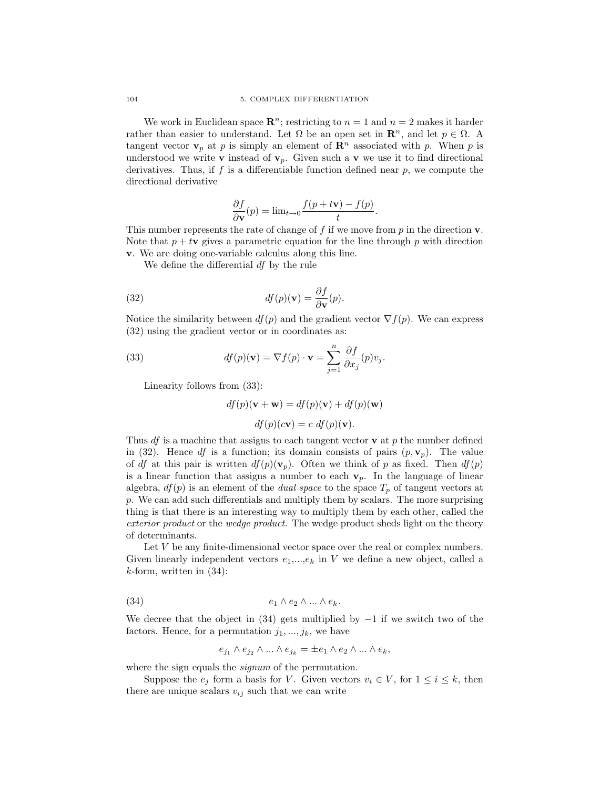We work in Euclidean space  $\mathbb{R}^n$ ; restricting to  $n = 1$  and  $n = 2$  makes it harder rather than easier to understand. Let  $\Omega$  be an open set in  $\mathbb{R}^n$ , and let  $p \in \Omega$ . A tangent vector  $v_p$  at p is simply an element of  $\mathbb{R}^n$  associated with p. When p is understood we write **v** instead of  $\mathbf{v}_p$ . Given such a **v** we use it to find directional derivatives. Thus, if  $f$  is a differentiable function defined near  $p$ , we compute the directional derivative

$$
\frac{\partial f}{\partial \mathbf{v}}(p) = \lim_{t \to 0} \frac{f(p + t\mathbf{v}) - f(p)}{t}.
$$

This number represents the rate of change of f if we move from  $p$  in the direction  $\bf{v}$ . Note that  $p + t\mathbf{v}$  gives a parametric equation for the line through p with direction v. We are doing one-variable calculus along this line.

We define the differential df by the rule

(32) 
$$
df(p)(\mathbf{v}) = \frac{\partial f}{\partial \mathbf{v}}(p).
$$

Notice the similarity between  $df(p)$  and the gradient vector  $\nabla f(p)$ . We can express (32) using the gradient vector or in coordinates as:

(33) 
$$
df(p)(\mathbf{v}) = \nabla f(p) \cdot \mathbf{v} = \sum_{j=1}^{n} \frac{\partial f}{\partial x_j}(p)v_j.
$$

Linearity follows from (33):

 $df(p)(\mathbf{v} + \mathbf{w}) = df(p)(\mathbf{v}) + df(p)(\mathbf{w})$ 

 $df(p)(c\mathbf{v}) = c \ df(p)(\mathbf{v}).$ 

Thus df is a machine that assigns to each tangent vector  $\bf{v}$  at p the number defined in (32). Hence df is a function; its domain consists of pairs  $(p, \mathbf{v}_p)$ . The value of df at this pair is written  $df(p)(v_p)$ . Often we think of p as fixed. Then  $df(p)$ is a linear function that assigns a number to each  $v_p$ . In the language of linear algebra,  $df(p)$  is an element of the *dual space* to the space  $T_p$  of tangent vectors at p. We can add such differentials and multiply them by scalars. The more surprising thing is that there is an interesting way to multiply them by each other, called the exterior product or the wedge product. The wedge product sheds light on the theory of determinants.

Let  $V$  be any finite-dimensional vector space over the real or complex numbers. Given linearly independent vectors  $e_1,...,e_k$  in V we define a new object, called a  $k$ -form, written in  $(34)$ :

$$
(34) \t\t e_1 \wedge e_2 \wedge ... \wedge e_k.
$$

We decree that the object in  $(34)$  gets multiplied by  $-1$  if we switch two of the factors. Hence, for a permutation  $j_1, ..., j_k$ , we have

$$
e_{j_1}\wedge e_{j_2}\wedge\ldots\wedge e_{j_k}=\pm e_1\wedge e_2\wedge\ldots\wedge e_k,
$$

where the sign equals the *signum* of the permutation.

Suppose the  $e_j$  form a basis for V. Given vectors  $v_i \in V$ , for  $1 \leq i \leq k$ , then there are unique scalars  $v_{ij}$  such that we can write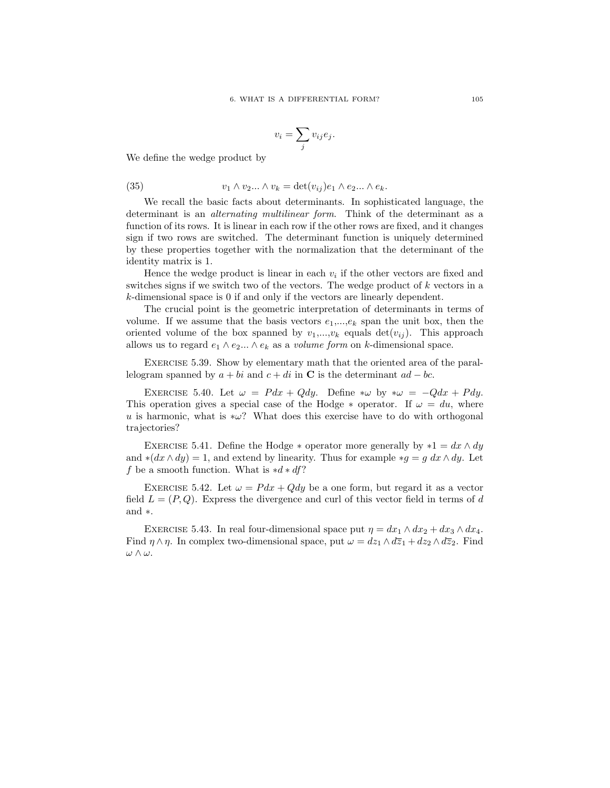$$
v_i = \sum_j v_{ij} e_j.
$$

We define the wedge product by

(35) 
$$
v_1 \wedge v_2 \dots \wedge v_k = \det(v_{ij})e_1 \wedge e_2 \dots \wedge e_k.
$$

We recall the basic facts about determinants. In sophisticated language, the determinant is an *alternating multilinear form*. Think of the determinant as a function of its rows. It is linear in each row if the other rows are fixed, and it changes sign if two rows are switched. The determinant function is uniquely determined by these properties together with the normalization that the determinant of the identity matrix is 1.

Hence the wedge product is linear in each  $v_i$  if the other vectors are fixed and switches signs if we switch two of the vectors. The wedge product of k vectors in a k-dimensional space is 0 if and only if the vectors are linearly dependent.

The crucial point is the geometric interpretation of determinants in terms of volume. If we assume that the basis vectors  $e_1, \ldots, e_k$  span the unit box, then the oriented volume of the box spanned by  $v_1,...,v_k$  equals  $\det(v_{ij})$ . This approach allows us to regard  $e_1 \wedge e_2 ... \wedge e_k$  as a *volume form* on k-dimensional space.

Exercise 5.39. Show by elementary math that the oriented area of the parallelogram spanned by  $a + bi$  and  $c + di$  in C is the determinant  $ad - bc$ .

EXERCISE 5.40. Let  $\omega = P dx + Q dy$ . Define  $*\omega$  by  $*\omega = -Q dx + P dy$ . This operation gives a special case of the Hodge  $*$  operator. If  $\omega = du$ , where u is harmonic, what is  $*\omega$ ? What does this exercise have to do with orthogonal trajectories?

EXERCISE 5.41. Define the Hodge  $*$  operator more generally by  $*1 = dx \wedge dy$ and  $*(dx \wedge dy) = 1$ , and extend by linearity. Thus for example  $*g = g dx \wedge dy$ . Let f be a smooth function. What is  $*d * df$ ?

EXERCISE 5.42. Let  $\omega = P dx + Q dy$  be a one form, but regard it as a vector field  $L = (P, Q)$ . Express the divergence and curl of this vector field in terms of d and ∗.

EXERCISE 5.43. In real four-dimensional space put  $\eta = dx_1 \wedge dx_2 + dx_3 \wedge dx_4$ . Find  $\eta \wedge \eta$ . In complex two-dimensional space, put  $\omega = dz_1 \wedge d\overline{z}_1 + dz_2 \wedge d\overline{z}_2$ . Find ω ∧ ω.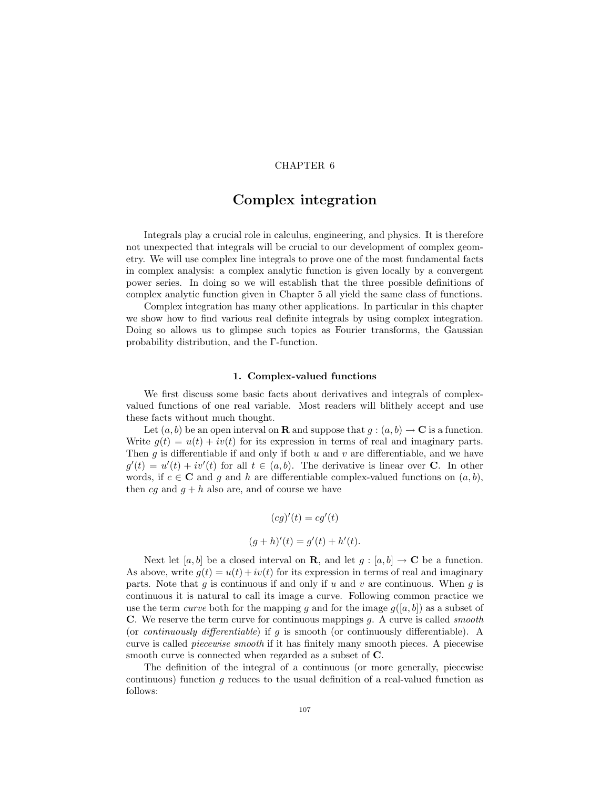## CHAPTER 6

## Complex integration

Integrals play a crucial role in calculus, engineering, and physics. It is therefore not unexpected that integrals will be crucial to our development of complex geometry. We will use complex line integrals to prove one of the most fundamental facts in complex analysis: a complex analytic function is given locally by a convergent power series. In doing so we will establish that the three possible definitions of complex analytic function given in Chapter 5 all yield the same class of functions.

Complex integration has many other applications. In particular in this chapter we show how to find various real definite integrals by using complex integration. Doing so allows us to glimpse such topics as Fourier transforms, the Gaussian probability distribution, and the Γ-function.

### 1. Complex-valued functions

We first discuss some basic facts about derivatives and integrals of complexvalued functions of one real variable. Most readers will blithely accept and use these facts without much thought.

Let  $(a, b)$  be an open interval on **R** and suppose that  $g : (a, b) \to \mathbf{C}$  is a function. Write  $q(t) = u(t) + iv(t)$  for its expression in terms of real and imaginary parts. Then  $g$  is differentiable if and only if both  $u$  and  $v$  are differentiable, and we have  $g'(t) = u'(t) + iv'(t)$  for all  $t \in (a, b)$ . The derivative is linear over **C**. In other words, if  $c \in \mathbb{C}$  and q and h are differentiable complex-valued functions on  $(a, b)$ , then  $cg$  and  $g + h$  also are, and of course we have

$$
(cg)'(t) = cg'(t)
$$

$$
(g+h)'(t) = g'(t) + h'(t).
$$

Next let [a, b] be a closed interval on **R**, and let  $g : [a, b] \to \mathbb{C}$  be a function. As above, write  $q(t) = u(t) + iv(t)$  for its expression in terms of real and imaginary parts. Note that g is continuous if and only if u and v are continuous. When g is continuous it is natural to call its image a curve. Following common practice we use the term *curve* both for the mapping g and for the image  $g([a, b])$  as a subset of C. We reserve the term curve for continuous mappings  $q$ . A curve is called *smooth* (or *continuously differentiable*) if g is smooth (or continuously differentiable). A curve is called piecewise smooth if it has finitely many smooth pieces. A piecewise smooth curve is connected when regarded as a subset of C.

The definition of the integral of a continuous (or more generally, piecewise continuous) function g reduces to the usual definition of a real-valued function as follows: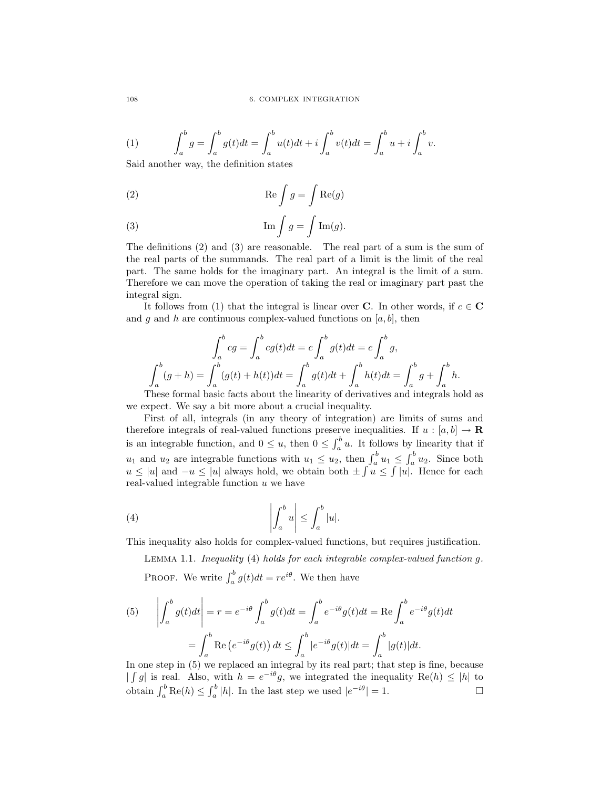(1) 
$$
\int_{a}^{b} g = \int_{a}^{b} g(t)dt = \int_{a}^{b} u(t)dt + i \int_{a}^{b} v(t)dt = \int_{a}^{b} u + i \int_{a}^{b} v.
$$

Said another way, the definition states

(2) 
$$
\operatorname{Re}\int g = \int \operatorname{Re}(g)
$$

(3) 
$$
\operatorname{Im} \int g = \int \operatorname{Im} (g).
$$

The definitions (2) and (3) are reasonable. The real part of a sum is the sum of the real parts of the summands. The real part of a limit is the limit of the real part. The same holds for the imaginary part. An integral is the limit of a sum. Therefore we can move the operation of taking the real or imaginary part past the integral sign.

It follows from (1) that the integral is linear over C. In other words, if  $c \in \mathbb{C}$ and g and h are continuous complex-valued functions on  $[a, b]$ , then

$$
\int_{a}^{b} cg = \int_{a}^{b} cg(t)dt = c \int_{a}^{b} g(t)dt = c \int_{a}^{b} g,
$$

$$
\int_{a}^{b} (g+h) = \int_{a}^{b} (g(t) + h(t))dt = \int_{a}^{b} g(t)dt + \int_{a}^{b} h(t)dt = \int_{a}^{b} g + \int_{a}^{b} h.
$$

These formal basic facts about the linearity of derivatives and integrals hold as we expect. We say a bit more about a crucial inequality.

First of all, integrals (in any theory of integration) are limits of sums and therefore integrals of real-valued functions preserve inequalities. If  $u : [a, b] \to \mathbf{R}$ is an integrable function, and  $0 \le u$ , then  $0 \le \int_a^b u$ . It follows by linearity that if  $u_1$  and  $u_2$  are integrable functions with  $u_1 \leq u_2$ , then  $\int_a^b u_1 \leq \int_a^b u_2$ . Since both  $u \le |u|$  and  $-u \le |u|$  always hold, we obtain both  $\pm \int u \le \int |u|$ . Hence for each real-valued integrable function  $u$  we have

(4) 
$$
\left| \int_{a}^{b} u \right| \leq \int_{a}^{b} |u|.
$$

This inequality also holds for complex-valued functions, but requires justification.

Lemma 1.1. Inequality (4) holds for each integrable complex-valued function g. PROOF. We write  $\int_a^b g(t)dt = re^{i\theta}$ . We then have

(5) 
$$
\left| \int_{a}^{b} g(t)dt \right| = r = e^{-i\theta} \int_{a}^{b} g(t)dt = \int_{a}^{b} e^{-i\theta} g(t)dt = \text{Re} \int_{a}^{b} e^{-i\theta} g(t)dt
$$

$$
= \int_{a}^{b} \text{Re} \left( e^{-i\theta} g(t) \right) dt \le \int_{a}^{b} |e^{-i\theta} g(t)| dt = \int_{a}^{b} |g(t)| dt.
$$

In one step in (5) we replaced an integral by its real part; that step is fine, because  $\int g$  is real. Also, with  $h = e^{-i\theta}g$ , we integrated the inequality  $\text{Re}(h) \leq |h|$  to obtain  $\int_a^b \text{Re}(h) \le \int_a^b |h|$ . In the last step we used  $|e^{-i\theta}| = 1$ .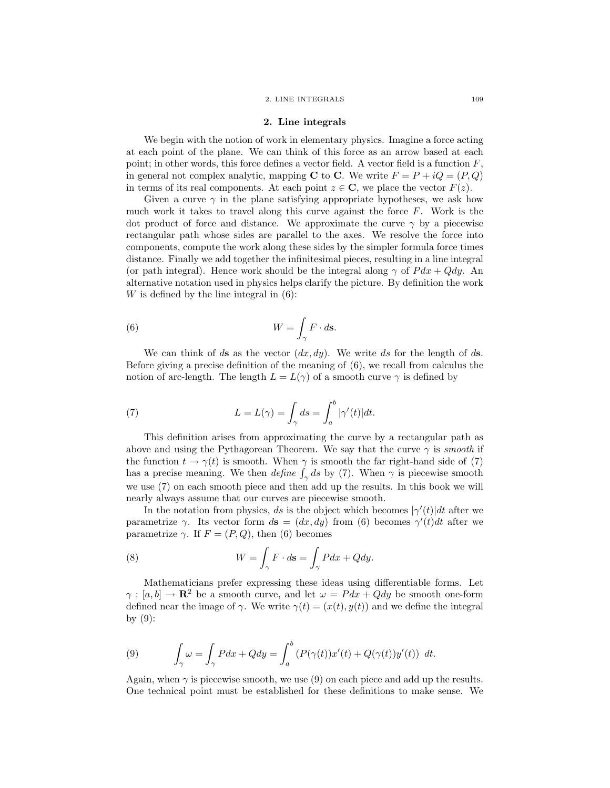### 2. LINE INTEGRALS 109

### 2. Line integrals

We begin with the notion of work in elementary physics. Imagine a force acting at each point of the plane. We can think of this force as an arrow based at each point; in other words, this force defines a vector field. A vector field is a function  $F$ , in general not complex analytic, mapping C to C. We write  $F = P + iQ = (P, Q)$ in terms of its real components. At each point  $z \in \mathbb{C}$ , we place the vector  $F(z)$ .

Given a curve  $\gamma$  in the plane satisfying appropriate hypotheses, we ask how much work it takes to travel along this curve against the force F. Work is the dot product of force and distance. We approximate the curve  $\gamma$  by a piecewise rectangular path whose sides are parallel to the axes. We resolve the force into components, compute the work along these sides by the simpler formula force times distance. Finally we add together the infinitesimal pieces, resulting in a line integral (or path integral). Hence work should be the integral along  $\gamma$  of  $P dx + Q dy$ . An alternative notation used in physics helps clarify the picture. By definition the work  $W$  is defined by the line integral in  $(6)$ :

(6) 
$$
W = \int_{\gamma} F \cdot d\mathbf{s}.
$$

We can think of ds as the vector  $(dx, dy)$ . We write ds for the length of ds. Before giving a precise definition of the meaning of (6), we recall from calculus the notion of arc-length. The length  $L = L(\gamma)$  of a smooth curve  $\gamma$  is defined by

(7) 
$$
L = L(\gamma) = \int_{\gamma} ds = \int_{a}^{b} |\gamma'(t)| dt.
$$

This definition arises from approximating the curve by a rectangular path as above and using the Pythagorean Theorem. We say that the curve  $\gamma$  is smooth if the function  $t \to \gamma(t)$  is smooth. When  $\gamma$  is smooth the far right-hand side of (7) has a precise meaning. We then *define*  $\int_{\gamma} ds$  by (7). When  $\gamma$  is piecewise smooth we use (7) on each smooth piece and then add up the results. In this book we will nearly always assume that our curves are piecewise smooth.

In the notation from physics, ds is the object which becomes  $|\gamma'(t)|dt$  after we parametrize  $\gamma$ . Its vector form  $d\mathbf{s} = (dx, dy)$  from (6) becomes  $\gamma'(t)dt$  after we parametrize  $\gamma$ . If  $F = (P, Q)$ , then (6) becomes

(8) 
$$
W = \int_{\gamma} F \cdot d\mathbf{s} = \int_{\gamma} P dx + Q dy.
$$

Mathematicians prefer expressing these ideas using differentiable forms. Let  $\gamma : [a, b] \to \mathbb{R}^2$  be a smooth curve, and let  $\omega = P dx + Q dy$  be smooth one-form defined near the image of  $\gamma$ . We write  $\gamma(t) = (x(t), y(t))$  and we define the integral by  $(9)$ :

(9) 
$$
\int_{\gamma} \omega = \int_{\gamma} P dx + Q dy = \int_{a}^{b} (P(\gamma(t))x'(t) + Q(\gamma(t))y'(t)) dt.
$$

Again, when  $\gamma$  is piecewise smooth, we use (9) on each piece and add up the results. One technical point must be established for these definitions to make sense. We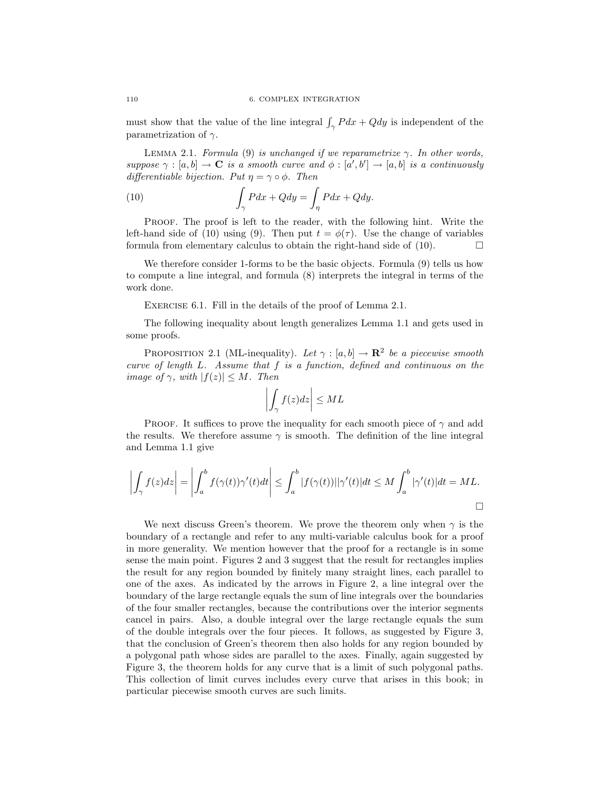must show that the value of the line integral  $\int_{\gamma} P dx + Q dy$  is independent of the parametrization of  $\gamma$ .

LEMMA 2.1. Formula (9) is unchanged if we reparametrize  $\gamma$ . In other words, suppose  $\gamma : [a, b] \to \mathbf{C}$  is a smooth curve and  $\phi : [a', b'] \to [a, b]$  is a continuously differentiable bijection. Put  $\eta = \gamma \circ \phi$ . Then

(10) 
$$
\int_{\gamma} P dx + Q dy = \int_{\eta} P dx + Q dy.
$$

PROOF. The proof is left to the reader, with the following hint. Write the left-hand side of (10) using (9). Then put  $t = \phi(\tau)$ . Use the change of variables formula from elementary calculus to obtain the right-hand side of  $(10)$ .

We therefore consider 1-forms to be the basic objects. Formula (9) tells us how to compute a line integral, and formula (8) interprets the integral in terms of the work done.

EXERCISE 6.1. Fill in the details of the proof of Lemma 2.1.

The following inequality about length generalizes Lemma 1.1 and gets used in some proofs.

PROPOSITION 2.1 (ML-inequality). Let  $\gamma : [a, b] \to \mathbb{R}^2$  be a piecewise smooth curve of length L. Assume that f is a function, defined and continuous on the image of  $\gamma$ , with  $|f(z)| \leq M$ . Then

$$
\left| \int_{\gamma} f(z) dz \right| \leq ML
$$

PROOF. It suffices to prove the inequality for each smooth piece of  $\gamma$  and add the results. We therefore assume  $\gamma$  is smooth. The definition of the line integral and Lemma 1.1 give

$$
\left| \int_{\gamma} f(z) dz \right| = \left| \int_{a}^{b} f(\gamma(t)) \gamma'(t) dt \right| \leq \int_{a}^{b} |f(\gamma(t))| |\gamma'(t)| dt \leq M \int_{a}^{b} |\gamma'(t)| dt = ML.
$$

We next discuss Green's theorem. We prove the theorem only when  $\gamma$  is the boundary of a rectangle and refer to any multi-variable calculus book for a proof in more generality. We mention however that the proof for a rectangle is in some sense the main point. Figures 2 and 3 suggest that the result for rectangles implies the result for any region bounded by finitely many straight lines, each parallel to one of the axes. As indicated by the arrows in Figure 2, a line integral over the boundary of the large rectangle equals the sum of line integrals over the boundaries of the four smaller rectangles, because the contributions over the interior segments cancel in pairs. Also, a double integral over the large rectangle equals the sum of the double integrals over the four pieces. It follows, as suggested by Figure 3, that the conclusion of Green's theorem then also holds for any region bounded by a polygonal path whose sides are parallel to the axes. Finally, again suggested by Figure 3, the theorem holds for any curve that is a limit of such polygonal paths. This collection of limit curves includes every curve that arises in this book; in particular piecewise smooth curves are such limits.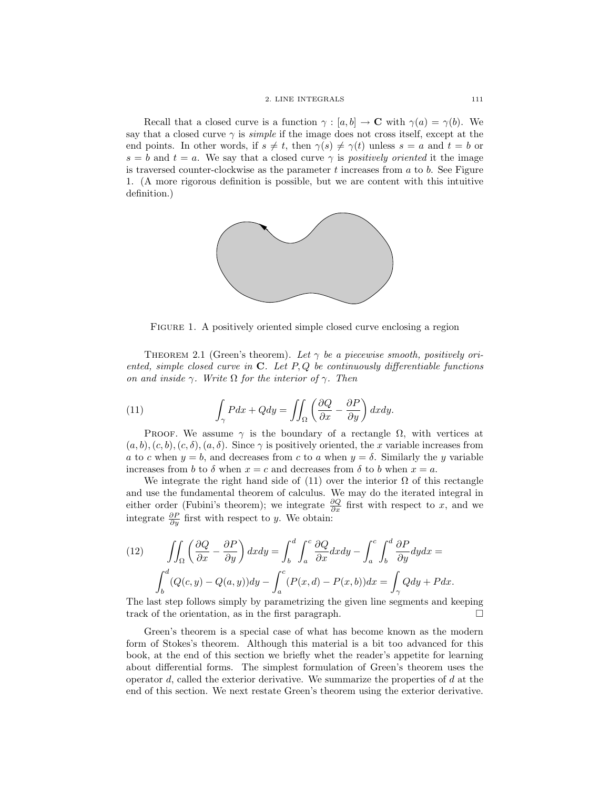Recall that a closed curve is a function  $\gamma : [a, b] \to \mathbf{C}$  with  $\gamma(a) = \gamma(b)$ . We say that a closed curve  $\gamma$  is *simple* if the image does not cross itself, except at the end points. In other words, if  $s \neq t$ , then  $\gamma(s) \neq \gamma(t)$  unless  $s = a$  and  $t = b$  or  $s = b$  and  $t = a$ . We say that a closed curve  $\gamma$  is *positively oriented* it the image is traversed counter-clockwise as the parameter  $t$  increases from  $a$  to  $b$ . See Figure 1. (A more rigorous definition is possible, but we are content with this intuitive definition.)



FIGURE 1. A positively oriented simple closed curve enclosing a region

THEOREM 2.1 (Green's theorem). Let  $\gamma$  be a piecewise smooth, positively oriented, simple closed curve in  $C$ . Let P, Q be continuously differentiable functions on and inside  $\gamma$ . Write  $\Omega$  for the interior of  $\gamma$ . Then

(11) 
$$
\int_{\gamma} P dx + Q dy = \iint_{\Omega} \left( \frac{\partial Q}{\partial x} - \frac{\partial P}{\partial y} \right) dx dy.
$$

PROOF. We assume  $\gamma$  is the boundary of a rectangle  $\Omega$ , with vertices at  $(a, b), (c, b), (c, \delta), (a, \delta)$ . Since  $\gamma$  is positively oriented, the x variable increases from a to c when  $y = b$ , and decreases from c to a when  $y = \delta$ . Similarly the y variable increases from b to  $\delta$  when  $x = c$  and decreases from  $\delta$  to b when  $x = a$ .

We integrate the right hand side of (11) over the interior  $\Omega$  of this rectangle and use the fundamental theorem of calculus. We may do the iterated integral in either order (Fubini's theorem); we integrate  $\frac{\partial Q}{\partial x}$  first with respect to x, and we integrate  $\frac{\partial P}{\partial y}$  first with respect to y. We obtain:

(12) 
$$
\iint_{\Omega} \left( \frac{\partial Q}{\partial x} - \frac{\partial P}{\partial y} \right) dx dy = \int_{b}^{d} \int_{a}^{c} \frac{\partial Q}{\partial x} dx dy - \int_{a}^{c} \int_{b}^{d} \frac{\partial P}{\partial y} dy dx =
$$

$$
\int_{b}^{d} (Q(c, y) - Q(a, y)) dy - \int_{a}^{c} (P(x, d) - P(x, b)) dx = \int_{\gamma} Q dy + P dx.
$$

The last step follows simply by parametrizing the given line segments and keeping track of the orientation, as in the first paragraph.  $\Box$ 

Green's theorem is a special case of what has become known as the modern form of Stokes's theorem. Although this material is a bit too advanced for this book, at the end of this section we briefly whet the reader's appetite for learning about differential forms. The simplest formulation of Green's theorem uses the operator  $d$ , called the exterior derivative. We summarize the properties of  $d$  at the end of this section. We next restate Green's theorem using the exterior derivative.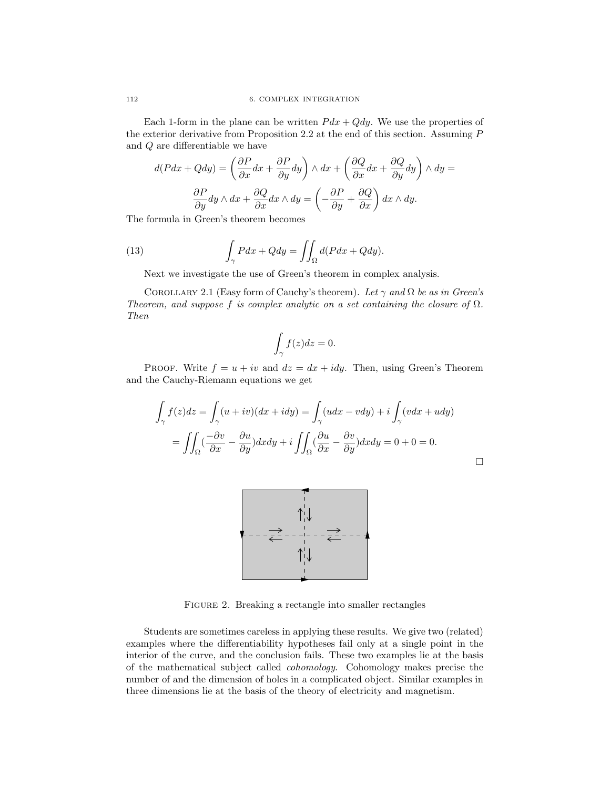Each 1-form in the plane can be written  $P dx + Q dy$ . We use the properties of the exterior derivative from Proposition 2.2 at the end of this section. Assuming P and Q are differentiable we have

$$
d(Pdx + Qdy) = \left(\frac{\partial P}{\partial x}dx + \frac{\partial P}{\partial y}dy\right) \wedge dx + \left(\frac{\partial Q}{\partial x}dx + \frac{\partial Q}{\partial y}dy\right) \wedge dy =
$$

$$
\frac{\partial P}{\partial y}dy \wedge dx + \frac{\partial Q}{\partial x}dx \wedge dy = \left(-\frac{\partial P}{\partial y} + \frac{\partial Q}{\partial x}\right)dx \wedge dy.
$$

The formula in Green's theorem becomes

(13) 
$$
\int_{\gamma} P dx + Q dy = \iint_{\Omega} d(P dx + Q dy).
$$

Next we investigate the use of Green's theorem in complex analysis.

COROLLARY 2.1 (Easy form of Cauchy's theorem). Let  $\gamma$  and  $\Omega$  be as in Green's Theorem, and suppose f is complex analytic on a set containing the closure of  $\Omega$ . Then

$$
\int_{\gamma} f(z)dz = 0.
$$

PROOF. Write  $f = u + iv$  and  $dz = dx + idy$ . Then, using Green's Theorem and the Cauchy-Riemann equations we get

$$
\int_{\gamma} f(z)dz = \int_{\gamma} (u+iv)(dx+idy) = \int_{\gamma} (udx-vdy) + i \int_{\gamma} (vdx+udy)
$$

$$
= \iint_{\Omega} \left(\frac{-\partial v}{\partial x} - \frac{\partial u}{\partial y}\right) dxdy + i \iint_{\Omega} \left(\frac{\partial u}{\partial x} - \frac{\partial v}{\partial y}\right) dxdy = 0 + 0 = 0.
$$

 $\Box$ 



FIGURE 2. Breaking a rectangle into smaller rectangles

Students are sometimes careless in applying these results. We give two (related) examples where the differentiability hypotheses fail only at a single point in the interior of the curve, and the conclusion fails. These two examples lie at the basis of the mathematical subject called cohomology. Cohomology makes precise the number of and the dimension of holes in a complicated object. Similar examples in three dimensions lie at the basis of the theory of electricity and magnetism.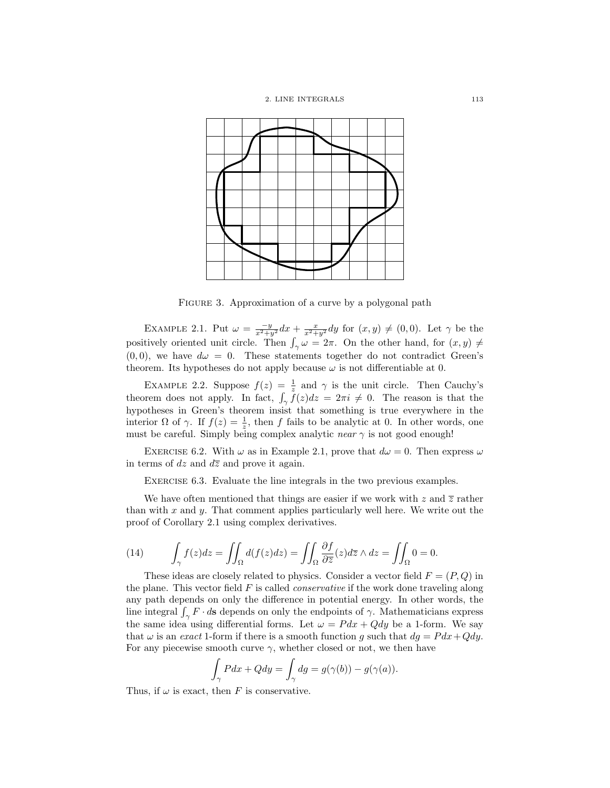

FIGURE 3. Approximation of a curve by a polygonal path

EXAMPLE 2.1. Put  $\omega = \frac{-y}{x^2+y^2} dx + \frac{x}{x^2+y^2} dy$  for  $(x, y) \neq (0, 0)$ . Let  $\gamma$  be the positively oriented unit circle. Then  $\int_{\gamma} \omega = 2\pi$ . On the other hand, for  $(x, y) \neq 0$  $(0, 0)$ , we have  $d\omega = 0$ . These statements together do not contradict Green's theorem. Its hypotheses do not apply because  $\omega$  is not differentiable at 0.

EXAMPLE 2.2. Suppose  $f(z) = \frac{1}{z}$  and  $\gamma$  is the unit circle. Then Cauchy's theorem does not apply. In fact,  $\int_{\gamma} f(z)dz = 2\pi i \neq 0$ . The reason is that the hypotheses in Green's theorem insist that something is true everywhere in the interior  $\Omega$  of  $\gamma$ . If  $f(z) = \frac{1}{z}$ , then f fails to be analytic at 0. In other words, one must be careful. Simply being complex analytic near  $\gamma$  is not good enough!

EXERCISE 6.2. With  $\omega$  as in Example 2.1, prove that  $d\omega = 0$ . Then express  $\omega$ in terms of dz and  $d\overline{z}$  and prove it again.

EXERCISE 6.3. Evaluate the line integrals in the two previous examples.

We have often mentioned that things are easier if we work with z and  $\overline{z}$  rather than with  $x$  and  $y$ . That comment applies particularly well here. We write out the proof of Corollary 2.1 using complex derivatives.

(14) 
$$
\int_{\gamma} f(z)dz = \iint_{\Omega} d(f(z)dz) = \iint_{\Omega} \frac{\partial f}{\partial \overline{z}}(z)dz \wedge dz = \iint_{\Omega} 0 = 0.
$$

These ideas are closely related to physics. Consider a vector field  $F = (P, Q)$  in the plane. This vector field  $F$  is called *conservative* if the work done traveling along any path depends on only the difference in potential energy. In other words, the line integral  $\int_{\gamma} F \cdot d\mathbf{s}$  depends on only the endpoints of  $\gamma$ . Mathematicians express the same idea using differential forms. Let  $\omega = P dx + Q dy$  be a 1-form. We say that  $\omega$  is an exact 1-form if there is a smooth function g such that  $dg = P dx + Q dy$ . For any piecewise smooth curve  $\gamma$ , whether closed or not, we then have

$$
\int_{\gamma} Pdx + Qdy = \int_{\gamma} dg = g(\gamma(b)) - g(\gamma(a)).
$$

Thus, if  $\omega$  is exact, then F is conservative.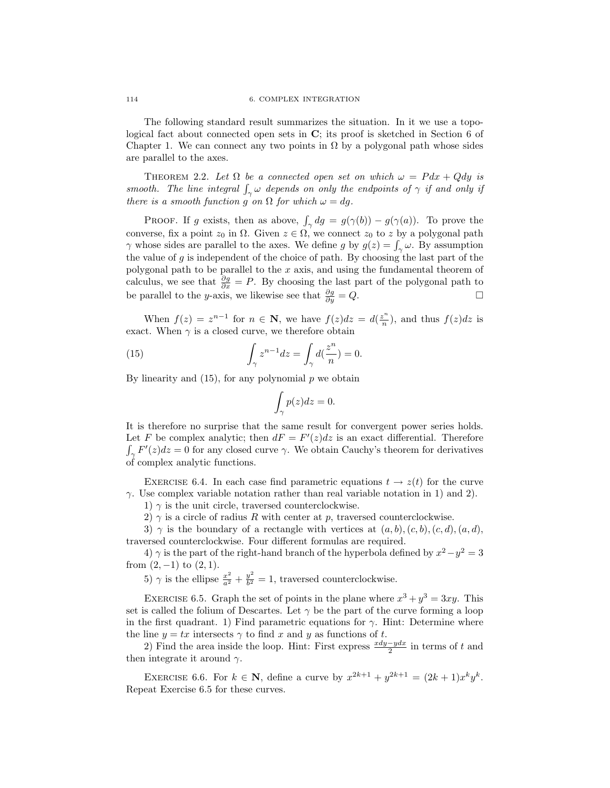The following standard result summarizes the situation. In it we use a topological fact about connected open sets in C; its proof is sketched in Section 6 of Chapter 1. We can connect any two points in  $\Omega$  by a polygonal path whose sides are parallel to the axes.

THEOREM 2.2. Let  $\Omega$  be a connected open set on which  $\omega = P dx + Q dy$  is smooth. The line integral  $\int_{\gamma} \omega$  depends on only the endpoints of  $\gamma$  if and only if there is a smooth function g on  $\Omega$  for which  $\omega = dg$ .

PROOF. If g exists, then as above,  $\int_{\gamma} dg = g(\gamma(b)) - g(\gamma(a))$ . To prove the converse, fix a point  $z_0$  in  $\Omega$ . Given  $z \in \Omega$ , we connect  $z_0$  to z by a polygonal path  $\gamma$  whose sides are parallel to the axes. We define g by  $g(z) = \int_{\gamma} \omega$ . By assumption the value of g is independent of the choice of path. By choosing the last part of the polygonal path to be parallel to the x axis, and using the fundamental theorem of calculus, we see that  $\frac{\partial g}{\partial x} = P$ . By choosing the last part of the polygonal path to be parallel to the y-axis, we likewise see that  $\frac{\partial g}{\partial y} = Q$ .  $\frac{\partial g}{\partial y} = Q.$ 

When  $f(z) = z^{n-1}$  for  $n \in \mathbb{N}$ , we have  $f(z)dz = d(\frac{z^n}{n})$  $\frac{z^n}{n}$ , and thus  $f(z)dz$  is exact. When  $\gamma$  is a closed curve, we therefore obtain

(15) 
$$
\int_{\gamma} z^{n-1} dz = \int_{\gamma} d(\frac{z^n}{n}) = 0.
$$

By linearity and  $(15)$ , for any polynomial p we obtain

$$
\int_{\gamma} p(z)dz = 0.
$$

It is therefore no surprise that the same result for convergent power series holds. Let F be complex analytic; then  $dF = F'(z)dz$  is an exact differential. Therefore  $\int_{\gamma} F'(z) dz = 0$  for any closed curve  $\gamma$ . We obtain Cauchy's theorem for derivatives of complex analytic functions.

EXERCISE 6.4. In each case find parametric equations  $t \to z(t)$  for the curve  $\gamma$ . Use complex variable notation rather than real variable notation in 1) and 2).

1)  $\gamma$  is the unit circle, traversed counterclockwise.

2)  $\gamma$  is a circle of radius R with center at p, traversed counterclockwise.

3)  $\gamma$  is the boundary of a rectangle with vertices at  $(a, b), (c, b), (c, d), (a, d)$ , traversed counterclockwise. Four different formulas are required.

4)  $\gamma$  is the part of the right-hand branch of the hyperbola defined by  $x^2 - y^2 = 3$ from  $(2, -1)$  to  $(2, 1)$ .

5)  $\gamma$  is the ellipse  $\frac{x^2}{a^2} + \frac{y^2}{b^2}$  $\frac{y^2}{b^2} = 1$ , traversed counterclockwise.

EXERCISE 6.5. Graph the set of points in the plane where  $x^3 + y^3 = 3xy$ . This set is called the folium of Descartes. Let  $\gamma$  be the part of the curve forming a loop in the first quadrant. 1) Find parametric equations for  $\gamma$ . Hint: Determine where the line  $y = tx$  intersects  $\gamma$  to find x and y as functions of t.

2) Find the area inside the loop. Hint: First express  $\frac{xdy-ydx}{2}$  in terms of t and then integrate it around  $\gamma$ .

EXERCISE 6.6. For  $k \in \mathbb{N}$ , define a curve by  $x^{2k+1} + y^{2k+1} = (2k+1)x^k y^k$ . Repeat Exercise 6.5 for these curves.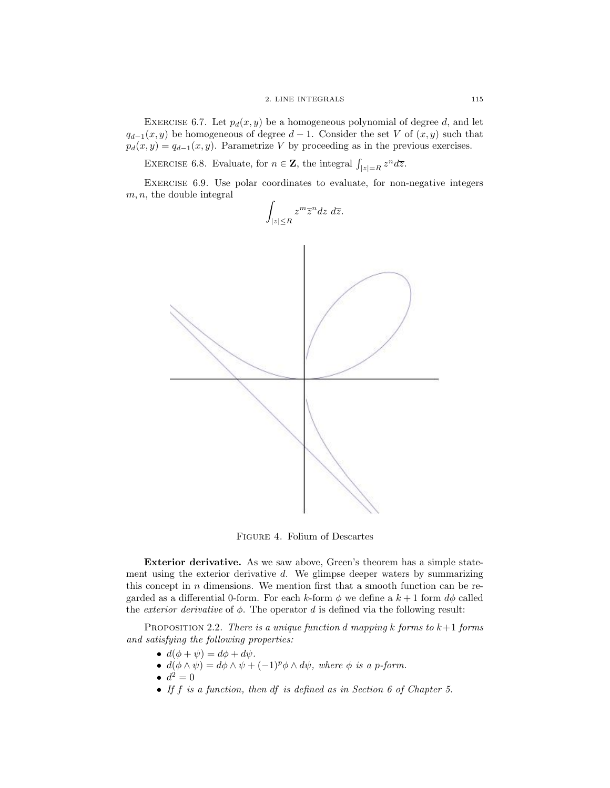EXERCISE 6.7. Let  $p_d(x, y)$  be a homogeneous polynomial of degree d, and let  $q_{d-1}(x, y)$  be homogeneous of degree  $d-1$ . Consider the set V of  $(x, y)$  such that  $p_d(x, y) = q_{d-1}(x, y)$ . Parametrize V by proceeding as in the previous exercises.

EXERCISE 6.8. Evaluate, for  $n \in \mathbb{Z}$ , the integral  $\int_{|z|=R} z^n d\overline{z}$ .

EXERCISE 6.9. Use polar coordinates to evaluate, for non-negative integers  $m, n$ , the double integral



Figure 4. Folium of Descartes

Exterior derivative. As we saw above, Green's theorem has a simple statement using the exterior derivative d. We glimpse deeper waters by summarizing this concept in  $n$  dimensions. We mention first that a smooth function can be regarded as a differential 0-form. For each k-form  $\phi$  we define a  $k+1$  form  $d\phi$  called the *exterior derivative* of  $\phi$ . The operator d is defined via the following result:

PROPOSITION 2.2. There is a unique function d mapping  $k$  forms to  $k+1$  forms and satisfying the following properties:

- $d(\phi + \psi) = d\phi + d\psi$ .
- $d(\phi \wedge \psi) = d\phi \wedge \psi + (-1)^p \phi \wedge d\psi$ , where  $\phi$  is a p-form.
- $d^2 = 0$
- If  $f$  is a function, then  $df$  is defined as in Section 6 of Chapter 5.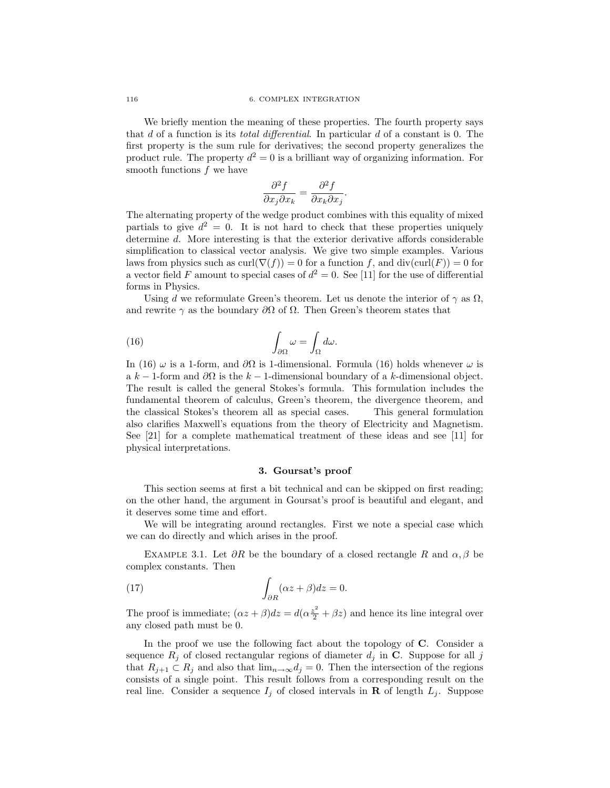We briefly mention the meaning of these properties. The fourth property says that d of a function is its total differential. In particular d of a constant is 0. The first property is the sum rule for derivatives; the second property generalizes the product rule. The property  $d^2 = 0$  is a brilliant way of organizing information. For smooth functions  $f$  we have

$$
\frac{\partial^2 f}{\partial x_j \partial x_k} = \frac{\partial^2 f}{\partial x_k \partial x_j}
$$

.

The alternating property of the wedge product combines with this equality of mixed partials to give  $d^2 = 0$ . It is not hard to check that these properties uniquely determine d. More interesting is that the exterior derivative affords considerable simplification to classical vector analysis. We give two simple examples. Various laws from physics such as  $\text{curl}(\nabla(f)) = 0$  for a function f, and  $\text{div}(\text{curl}(F)) = 0$  for a vector field F amount to special cases of  $d^2 = 0$ . See [11] for the use of differential forms in Physics.

Using d we reformulate Green's theorem. Let us denote the interior of  $\gamma$  as  $\Omega$ , and rewrite  $\gamma$  as the boundary  $\partial\Omega$  of  $\Omega$ . Then Green's theorem states that

(16) 
$$
\int_{\partial \Omega} \omega = \int_{\Omega} d\omega.
$$

In (16)  $\omega$  is a 1-form, and  $\partial\Omega$  is 1-dimensional. Formula (16) holds whenever  $\omega$  is a k − 1-form and  $\partial\Omega$  is the k − 1-dimensional boundary of a k-dimensional object. The result is called the general Stokes's formula. This formulation includes the fundamental theorem of calculus, Green's theorem, the divergence theorem, and the classical Stokes's theorem all as special cases. This general formulation also clarifies Maxwell's equations from the theory of Electricity and Magnetism. See [21] for a complete mathematical treatment of these ideas and see [11] for physical interpretations.

# 3. Goursat's proof

This section seems at first a bit technical and can be skipped on first reading; on the other hand, the argument in Goursat's proof is beautiful and elegant, and it deserves some time and effort.

We will be integrating around rectangles. First we note a special case which we can do directly and which arises in the proof.

EXAMPLE 3.1. Let  $\partial R$  be the boundary of a closed rectangle R and  $\alpha$ ,  $\beta$  be complex constants. Then

(17) 
$$
\int_{\partial R} (\alpha z + \beta) dz = 0.
$$

The proof is immediate;  $(\alpha z + \beta)dz = d(\alpha \frac{z^2}{2} + \beta z)$  and hence its line integral over any closed path must be 0.

In the proof we use the following fact about the topology of  $C$ . Consider a sequence  $R_j$  of closed rectangular regions of diameter  $d_j$  in C. Suppose for all j that  $R_{j+1} \subset R_j$  and also that  $\lim_{n\to\infty} d_j = 0$ . Then the intersection of the regions consists of a single point. This result follows from a corresponding result on the real line. Consider a sequence  $I_i$  of closed intervals in **R** of length  $L_i$ . Suppose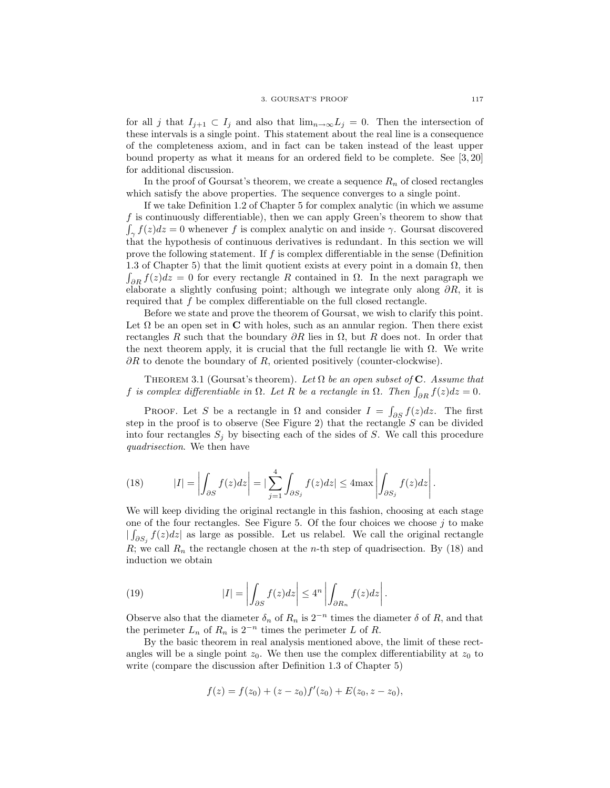for all j that  $I_{j+1} \subset I_j$  and also that  $\lim_{n\to\infty} L_j = 0$ . Then the intersection of these intervals is a single point. This statement about the real line is a consequence of the completeness axiom, and in fact can be taken instead of the least upper bound property as what it means for an ordered field to be complete. See [3, 20] for additional discussion.

In the proof of Goursat's theorem, we create a sequence  $R_n$  of closed rectangles which satisfy the above properties. The sequence converges to a single point.

If we take Definition 1.2 of Chapter 5 for complex analytic (in which we assume f is continuously differentiable), then we can apply Green's theorem to show that  $\int_{\gamma} f(z)dz = 0$  whenever f is complex analytic on and inside  $\gamma$ . Goursat discovered that the hypothesis of continuous derivatives is redundant. In this section we will prove the following statement. If  $f$  is complex differentiable in the sense (Definition 1.3 of Chapter 5) that the limit quotient exists at every point in a domain  $\Omega$ , then  $\int_{\partial R} f(z) dz = 0$  for every rectangle R contained in  $\Omega$ . In the next paragraph we elaborate a slightly confusing point; although we integrate only along  $\partial R$ , it is required that f be complex differentiable on the full closed rectangle.

Before we state and prove the theorem of Goursat, we wish to clarify this point. Let  $\Omega$  be an open set in C with holes, such as an annular region. Then there exist rectangles R such that the boundary  $\partial R$  lies in  $\Omega$ , but R does not. In order that the next theorem apply, it is crucial that the full rectangle lie with  $\Omega$ . We write  $\partial R$  to denote the boundary of R, oriented positively (counter-clockwise).

THEOREM 3.1 (Goursat's theorem). Let  $\Omega$  be an open subset of C. Assume that f is complex differentiable in  $\Omega$ . Let R be a rectangle in  $\Omega$ . Then  $\int_{\partial R} f(z)dz = 0$ .

PROOF. Let S be a rectangle in  $\Omega$  and consider  $I = \int_{\partial S} f(z) dz$ . The first step in the proof is to observe (See Figure 2) that the rectangle  $S$  can be divided into four rectangles  $S_j$  by bisecting each of the sides of S. We call this procedure quadrisection. We then have

(18) 
$$
|I| = \left| \int_{\partial S} f(z) dz \right| = \left| \sum_{j=1}^{4} \int_{\partial S_j} f(z) dz \right| \leq 4 \max \left| \int_{\partial S_j} f(z) dz \right|.
$$

We will keep dividing the original rectangle in this fashion, choosing at each stage one of the four rectangles. See Figure 5. Of the four choices we choose  $j$  to make  $\iint_{\partial S_j} f(z)dz$  as large as possible. Let us relabel. We call the original rectangle  $R$ ; we call  $R_n$  the rectangle chosen at the *n*-th step of quadrisection. By (18) and induction we obtain

(19) 
$$
|I| = \left| \int_{\partial S} f(z) dz \right| \le 4^n \left| \int_{\partial R_n} f(z) dz \right|.
$$

Observe also that the diameter  $\delta_n$  of  $R_n$  is  $2^{-n}$  times the diameter  $\delta$  of  $R$ , and that the perimeter  $L_n$  of  $R_n$  is  $2^{-n}$  times the perimeter L of R.

By the basic theorem in real analysis mentioned above, the limit of these rectangles will be a single point  $z_0$ . We then use the complex differentiability at  $z_0$  to write (compare the discussion after Definition 1.3 of Chapter 5)

$$
f(z) = f(z0) + (z - z0)f'(z0) + E(z0, z - z0),
$$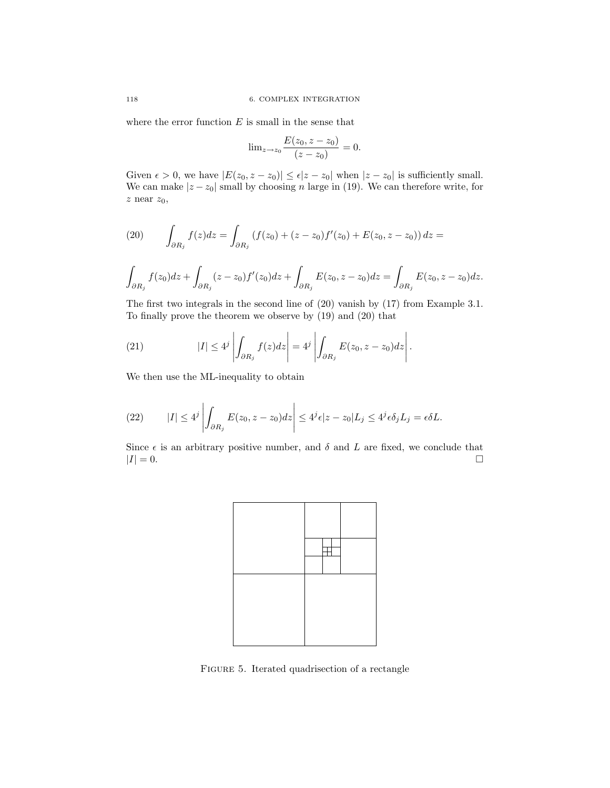where the error function  $E$  is small in the sense that

$$
\lim_{z \to z_0} \frac{E(z_0, z - z_0)}{(z - z_0)} = 0.
$$

Given  $\epsilon > 0$ , we have  $|E(z_0, z - z_0)| \leq \epsilon |z - z_0|$  when  $|z - z_0|$  is sufficiently small. We can make  $|z - z_0|$  small by choosing n large in (19). We can therefore write, for  $z$  near  $z_0,$ 

(20) 
$$
\int_{\partial R_j} f(z)dz = \int_{\partial R_j} (f(z_0) + (z - z_0)f'(z_0) + E(z_0, z - z_0)) dz =
$$

$$
\int_{\partial R_j} f(z_0) dz + \int_{\partial R_j} (z - z_0) f'(z_0) dz + \int_{\partial R_j} E(z_0, z - z_0) dz = \int_{\partial R_j} E(z_0, z - z_0) dz.
$$

The first two integrals in the second line of (20) vanish by (17) from Example 3.1. To finally prove the theorem we observe by (19) and (20) that

(21) 
$$
|I| \le 4^j \left| \int_{\partial R_j} f(z) dz \right| = 4^j \left| \int_{\partial R_j} E(z_0, z - z_0) dz \right|.
$$

We then use the ML-inequality to obtain

(22) 
$$
|I| \le 4^j \left| \int_{\partial R_j} E(z_0, z - z_0) dz \right| \le 4^j \epsilon |z - z_0| L_j \le 4^j \epsilon \delta_j L_j = \epsilon \delta L.
$$

Since  $\epsilon$  is an arbitrary positive number, and  $\delta$  and  $L$  are fixed, we conclude that  $|I| = 0.$ 



FIGURE 5. Iterated quadrisection of a rectangle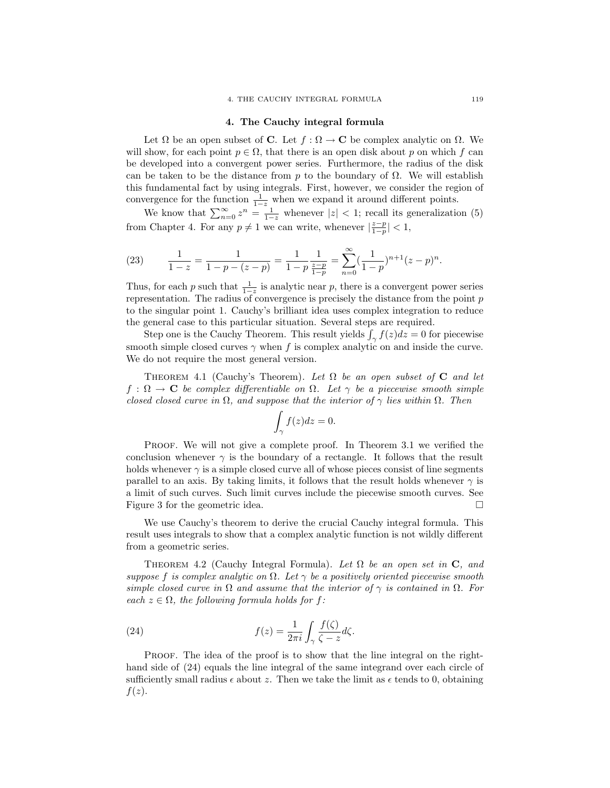#### 4. The Cauchy integral formula

Let  $\Omega$  be an open subset of **C**. Let  $f : \Omega \to \mathbf{C}$  be complex analytic on  $\Omega$ . We will show, for each point  $p \in \Omega$ , that there is an open disk about p on which f can be developed into a convergent power series. Furthermore, the radius of the disk can be taken to be the distance from p to the boundary of  $\Omega$ . We will establish this fundamental fact by using integrals. First, however, we consider the region of convergence for the function  $\frac{1}{1-z}$  when we expand it around different points.

We know that  $\sum_{n=0}^{\infty} z^n = \frac{1}{1-z}$  whenever  $|z| < 1$ ; recall its generalization (5) from Chapter 4. For any  $p \neq 1$  we can write, whenever  $\left|\frac{z-p}{1-p}\right| < 1$ ,

(23) 
$$
\frac{1}{1-z} = \frac{1}{1-p-(z-p)} = \frac{1}{1-p} \frac{1}{\frac{z-p}{1-p}} = \sum_{n=0}^{\infty} (\frac{1}{1-p})^{n+1} (z-p)^n.
$$

Thus, for each p such that  $\frac{1}{1-z}$  is analytic near p, there is a convergent power series representation. The radius of convergence is precisely the distance from the point p to the singular point 1. Cauchy's brilliant idea uses complex integration to reduce the general case to this particular situation. Several steps are required.

Step one is the Cauchy Theorem. This result yields  $\int_{\gamma} f(z)dz = 0$  for piecewise smooth simple closed curves  $\gamma$  when f is complex analytic on and inside the curve. We do not require the most general version.

THEOREM 4.1 (Cauchy's Theorem). Let  $\Omega$  be an open subset of C and let  $f : \Omega \to \mathbf{C}$  be complex differentiable on  $\Omega$ . Let  $\gamma$  be a piecewise smooth simple closed closed curve in  $\Omega$ , and suppose that the interior of  $\gamma$  lies within  $\Omega$ . Then

$$
\int_{\gamma} f(z)dz = 0.
$$

Proof. We will not give a complete proof. In Theorem 3.1 we verified the conclusion whenever  $\gamma$  is the boundary of a rectangle. It follows that the result holds whenever  $\gamma$  is a simple closed curve all of whose pieces consist of line segments parallel to an axis. By taking limits, it follows that the result holds whenever  $\gamma$  is a limit of such curves. Such limit curves include the piecewise smooth curves. See Figure 3 for the geometric idea.

We use Cauchy's theorem to derive the crucial Cauchy integral formula. This result uses integrals to show that a complex analytic function is not wildly different from a geometric series.

THEOREM 4.2 (Cauchy Integral Formula). Let  $\Omega$  be an open set in C, and suppose f is complex analytic on  $\Omega$ . Let  $\gamma$  be a positively oriented piecewise smooth simple closed curve in  $\Omega$  and assume that the interior of  $\gamma$  is contained in  $\Omega$ . For each  $z \in \Omega$ , the following formula holds for f:

(24) 
$$
f(z) = \frac{1}{2\pi i} \int_{\gamma} \frac{f(\zeta)}{\zeta - z} d\zeta.
$$

Proof. The idea of the proof is to show that the line integral on the righthand side of (24) equals the line integral of the same integrand over each circle of sufficiently small radius  $\epsilon$  about z. Then we take the limit as  $\epsilon$  tends to 0, obtaining  $f(z)$ .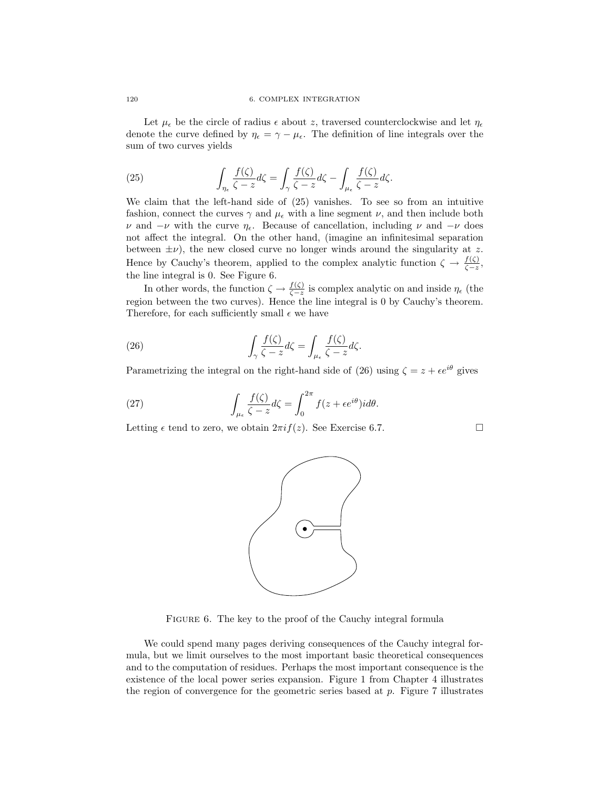Let  $\mu_{\epsilon}$  be the circle of radius  $\epsilon$  about z, traversed counterclockwise and let  $\eta_{\epsilon}$ denote the curve defined by  $\eta_{\epsilon} = \gamma - \mu_{\epsilon}$ . The definition of line integrals over the sum of two curves yields

(25) 
$$
\int_{\eta_{\epsilon}} \frac{f(\zeta)}{\zeta - z} d\zeta = \int_{\gamma} \frac{f(\zeta)}{\zeta - z} d\zeta - \int_{\mu_{\epsilon}} \frac{f(\zeta)}{\zeta - z} d\zeta.
$$

We claim that the left-hand side of (25) vanishes. To see so from an intuitive fashion, connect the curves  $\gamma$  and  $\mu_{\epsilon}$  with a line segment  $\nu$ , and then include both  $ν$  and  $-ν$  with the curve  $η_ε$ . Because of cancellation, including  $ν$  and  $-ν$  does not affect the integral. On the other hand, (imagine an infinitesimal separation between  $\pm \nu$ ), the new closed curve no longer winds around the singularity at z. Hence by Cauchy's theorem, applied to the complex analytic function  $\zeta \to \frac{f(\zeta)}{\zeta - z}$ , the line integral is 0. See Figure 6.

In other words, the function  $\zeta \to \frac{f(\zeta)}{\zeta - z}$  is complex analytic on and inside  $\eta_{\epsilon}$  (the region between the two curves). Hence the line integral is 0 by Cauchy's theorem. Therefore, for each sufficiently small  $\epsilon$  we have

(26) 
$$
\int_{\gamma} \frac{f(\zeta)}{\zeta - z} d\zeta = \int_{\mu_{\epsilon}} \frac{f(\zeta)}{\zeta - z} d\zeta.
$$

Parametrizing the integral on the right-hand side of (26) using  $\zeta = z + \epsilon e^{i\theta}$  gives

(27) 
$$
\int_{\mu_{\epsilon}} \frac{f(\zeta)}{\zeta - z} d\zeta = \int_0^{2\pi} f(z + \epsilon e^{i\theta}) i d\theta.
$$

Letting  $\epsilon$  tend to zero, we obtain  $2\pi i f(z)$ . See Exercise 6.7.



We could spend many pages deriving consequences of the Cauchy integral formula, but we limit ourselves to the most important basic theoretical consequences and to the computation of residues. Perhaps the most important consequence is the existence of the local power series expansion. Figure 1 from Chapter 4 illustrates the region of convergence for the geometric series based at p. Figure 7 illustrates

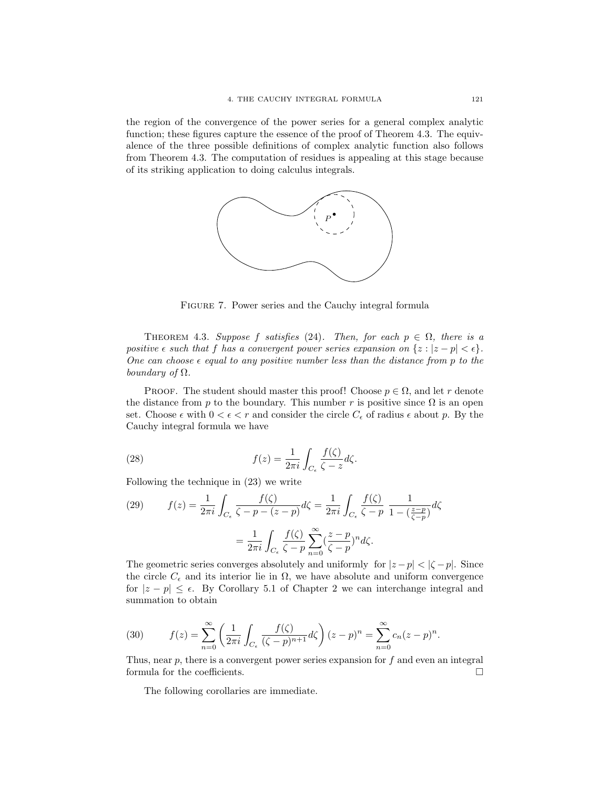the region of the convergence of the power series for a general complex analytic function; these figures capture the essence of the proof of Theorem 4.3. The equivalence of the three possible definitions of complex analytic function also follows from Theorem 4.3. The computation of residues is appealing at this stage because of its striking application to doing calculus integrals.



FIGURE 7. Power series and the Cauchy integral formula

THEOREM 4.3. Suppose f satisfies (24). Then, for each  $p \in \Omega$ , there is a positive  $\epsilon$  such that f has a convergent power series expansion on  $\{z : |z - p| < \epsilon\}.$ One can choose  $\epsilon$  equal to any positive number less than the distance from p to the boundary of  $\Omega$ .

**PROOF.** The student should master this proof! Choose  $p \in \Omega$ , and let r denote the distance from p to the boundary. This number r is positive since  $\Omega$  is an open set. Choose  $\epsilon$  with  $0 < \epsilon < r$  and consider the circle  $C_{\epsilon}$  of radius  $\epsilon$  about p. By the Cauchy integral formula we have

(28) 
$$
f(z) = \frac{1}{2\pi i} \int_{C_{\epsilon}} \frac{f(\zeta)}{\zeta - z} d\zeta.
$$

Following the technique in (23) we write

(29) 
$$
f(z) = \frac{1}{2\pi i} \int_{C_{\epsilon}} \frac{f(\zeta)}{\zeta - p - (z - p)} d\zeta = \frac{1}{2\pi i} \int_{C_{\epsilon}} \frac{f(\zeta)}{\zeta - p} \frac{1}{1 - (\frac{z - p}{\zeta - p})} d\zeta
$$

$$
= \frac{1}{2\pi i} \int_{C_{\epsilon}} \frac{f(\zeta)}{\zeta - p} \sum_{n=0}^{\infty} (\frac{z - p}{\zeta - p})^n d\zeta.
$$

The geometric series converges absolutely and uniformly for  $|z-p| < |\zeta - p|$ . Since the circle  $C_{\epsilon}$  and its interior lie in  $\Omega$ , we have absolute and uniform convergence for  $|z - p| \leq \epsilon$ . By Corollary 5.1 of Chapter 2 we can interchange integral and summation to obtain

(30) 
$$
f(z) = \sum_{n=0}^{\infty} \left( \frac{1}{2\pi i} \int_{C_{\epsilon}} \frac{f(\zeta)}{(\zeta - p)^{n+1}} d\zeta \right) (z - p)^n = \sum_{n=0}^{\infty} c_n (z - p)^n.
$$

Thus, near  $p$ , there is a convergent power series expansion for  $f$  and even an integral formula for the coefficients.  $\Box$ 

The following corollaries are immediate.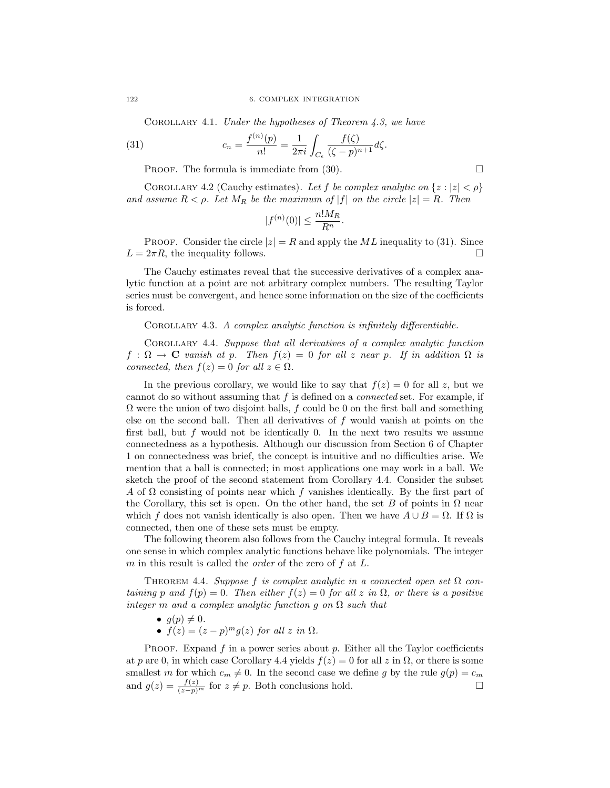COROLLARY 4.1. Under the hypotheses of Theorem  $4.3$ , we have

(31) 
$$
c_n = \frac{f^{(n)}(p)}{n!} = \frac{1}{2\pi i} \int_{C_{\epsilon}} \frac{f(\zeta)}{(\zeta - p)^{n+1}} d\zeta.
$$

PROOF. The formula is immediate from  $(30)$ .

COROLLARY 4.2 (Cauchy estimates). Let f be complex analytic on  $\{z : |z| < \rho\}$ and assume  $R < \rho$ . Let  $M_R$  be the maximum of  $|f|$  on the circle  $|z| = R$ . Then

$$
|f^{(n)}(0)| \le \frac{n! M_R}{R^n}.
$$

**PROOF.** Consider the circle  $|z| = R$  and apply the ML inequality to (31). Since  $L = 2\pi R$ , the inequality follows.

The Cauchy estimates reveal that the successive derivatives of a complex analytic function at a point are not arbitrary complex numbers. The resulting Taylor series must be convergent, and hence some information on the size of the coefficients is forced.

Corollary 4.3. A complex analytic function is infinitely differentiable.

Corollary 4.4. Suppose that all derivatives of a complex analytic function  $f : \Omega \to \mathbf{C}$  vanish at p. Then  $f(z) = 0$  for all z near p. If in addition  $\Omega$  is connected, then  $f(z) = 0$  for all  $z \in \Omega$ .

In the previous corollary, we would like to say that  $f(z) = 0$  for all z, but we cannot do so without assuming that f is defined on a connected set. For example, if  $\Omega$  were the union of two disjoint balls, f could be 0 on the first ball and something else on the second ball. Then all derivatives of  $f$  would vanish at points on the first ball, but  $f$  would not be identically 0. In the next two results we assume connectedness as a hypothesis. Although our discussion from Section 6 of Chapter 1 on connectedness was brief, the concept is intuitive and no difficulties arise. We mention that a ball is connected; in most applications one may work in a ball. We sketch the proof of the second statement from Corollary 4.4. Consider the subset A of  $\Omega$  consisting of points near which f vanishes identically. By the first part of the Corollary, this set is open. On the other hand, the set B of points in  $\Omega$  near which f does not vanish identically is also open. Then we have  $A \cup B = \Omega$ . If  $\Omega$  is connected, then one of these sets must be empty.

The following theorem also follows from the Cauchy integral formula. It reveals one sense in which complex analytic functions behave like polynomials. The integer m in this result is called the *order* of the zero of  $f$  at  $L$ .

THEOREM 4.4. Suppose f is complex analytic in a connected open set  $\Omega$  containing p and  $f(p) = 0$ . Then either  $f(z) = 0$  for all z in  $\Omega$ , or there is a positive integer m and a complex analytic function g on  $\Omega$  such that

- $g(p) \neq 0$ .
- $f(z) = (z p)^m g(z)$  for all z in  $\Omega$ .

PROOF. Expand  $f$  in a power series about  $p$ . Either all the Taylor coefficients at p are 0, in which case Corollary 4.4 yields  $f(z) = 0$  for all z in  $\Omega$ , or there is some smallest m for which  $c_m \neq 0$ . In the second case we define g by the rule  $g(p) = c_m$ and  $g(z) = \frac{f(z)}{(z-p)^m}$  for  $z \neq p$ . Both conclusions hold.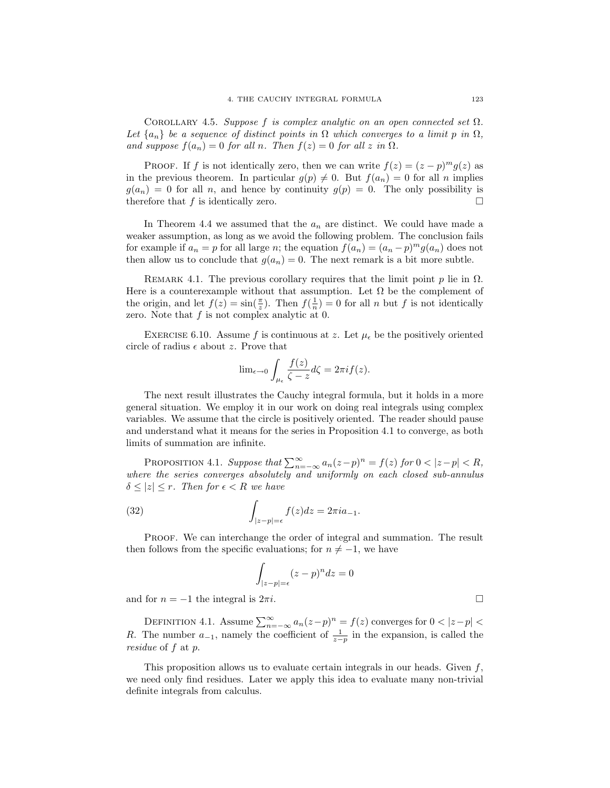COROLLARY 4.5. Suppose f is complex analytic on an open connected set  $\Omega$ . Let  ${a_n}$  be a sequence of distinct points in  $\Omega$  which converges to a limit p in  $\Omega$ , and suppose  $f(a_n) = 0$  for all n. Then  $f(z) = 0$  for all z in  $\Omega$ .

PROOF. If f is not identically zero, then we can write  $f(z) = (z - p)^m g(z)$  as in the previous theorem. In particular  $g(p) \neq 0$ . But  $f(a_n) = 0$  for all n implies  $g(a_n) = 0$  for all n, and hence by continuity  $g(p) = 0$ . The only possibility is therefore that f is identically zero.  $\Box$ 

In Theorem 4.4 we assumed that the  $a_n$  are distinct. We could have made a weaker assumption, as long as we avoid the following problem. The conclusion fails for example if  $a_n = p$  for all large n; the equation  $f(a_n) = (a_n - p)^m g(a_n)$  does not then allow us to conclude that  $g(a_n) = 0$ . The next remark is a bit more subtle.

REMARK 4.1. The previous corollary requires that the limit point p lie in  $\Omega$ . Here is a counterexample without that assumption. Let  $\Omega$  be the complement of the origin, and let  $f(z) = \sin(\frac{\pi}{z})$ . Then  $f(\frac{1}{n}) = 0$  for all n but f is not identically zero. Note that  $f$  is not complex analytic at 0.

EXERCISE 6.10. Assume f is continuous at z. Let  $\mu_{\epsilon}$  be the positively oriented circle of radius  $\epsilon$  about z. Prove that

$$
\lim_{\epsilon \to 0} \int_{\mu_{\epsilon}} \frac{f(z)}{\zeta - z} d\zeta = 2\pi i f(z).
$$

The next result illustrates the Cauchy integral formula, but it holds in a more general situation. We employ it in our work on doing real integrals using complex variables. We assume that the circle is positively oriented. The reader should pause and understand what it means for the series in Proposition 4.1 to converge, as both limits of summation are infinite.

PROPOSITION 4.1. Suppose that  $\sum_{n=-\infty}^{\infty} a_n(z-p)^n = f(z)$  for  $0 < |z-p| < R$ , where the series converges absolutely and uniformly on each closed sub-annulus  $\delta \leq |z| \leq r$ . Then for  $\epsilon < R$  we have

(32) 
$$
\int_{|z-p|=\epsilon} f(z)dz = 2\pi i a_{-1}.
$$

PROOF. We can interchange the order of integral and summation. The result then follows from the specific evaluations; for  $n \neq -1$ , we have

$$
\int_{|z-p|=\epsilon} (z-p)^n dz = 0
$$

and for  $n = -1$  the integral is  $2\pi i$ .

DEFINITION 4.1. Assume  $\sum_{n=-\infty}^{\infty} a_n(z-p)^n = f(z)$  converges for  $0 < |z-p| <$ R. The number  $a_{-1}$ , namely the coefficient of  $\frac{1}{z-p}$  in the expansion, is called the residue of f at p.

This proposition allows us to evaluate certain integrals in our heads. Given  $f$ , we need only find residues. Later we apply this idea to evaluate many non-trivial definite integrals from calculus.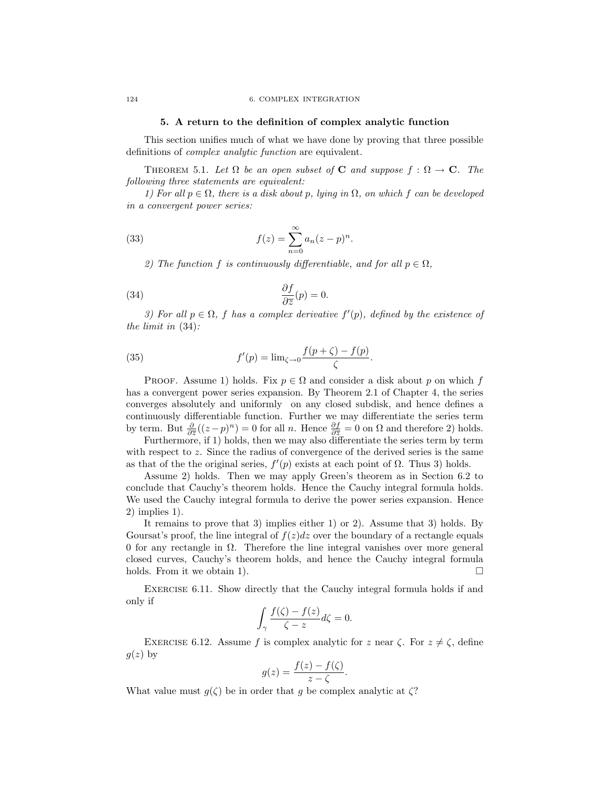### 5. A return to the definition of complex analytic function

This section unifies much of what we have done by proving that three possible definitions of complex analytic function are equivalent.

THEOREM 5.1. Let  $\Omega$  be an open subset of **C** and suppose  $f : \Omega \to \mathbb{C}$ . The following three statements are equivalent:

1) For all  $p \in \Omega$ , there is a disk about p, lying in  $\Omega$ , on which f can be developed in a convergent power series:

.

(33) 
$$
f(z) = \sum_{n=0}^{\infty} a_n (z - p)^n
$$

2) The function f is continuously differentiable, and for all  $p \in \Omega$ .

(34) 
$$
\frac{\partial f}{\partial \overline{z}}(p) = 0.
$$

3) For all  $p \in \Omega$ , f has a complex derivative  $f'(p)$ , defined by the existence of the limit in (34):

(35) 
$$
f'(p) = \lim_{\zeta \to 0} \frac{f(p+\zeta) - f(p)}{\zeta}.
$$

**PROOF.** Assume 1) holds. Fix  $p \in \Omega$  and consider a disk about p on which f has a convergent power series expansion. By Theorem 2.1 of Chapter 4, the series converges absolutely and uniformly on any closed subdisk, and hence defines a continuously differentiable function. Further we may differentiate the series term by term. But  $\frac{\partial}{\partial \overline{z}}((z-p)^n) = 0$  for all *n*. Hence  $\frac{\partial f}{\partial \overline{z}} = 0$  on  $\Omega$  and therefore 2) holds.

Furthermore, if 1) holds, then we may also differentiate the series term by term with respect to  $z$ . Since the radius of convergence of the derived series is the same as that of the the original series,  $f'(p)$  exists at each point of  $\Omega$ . Thus 3) holds.

Assume 2) holds. Then we may apply Green's theorem as in Section 6.2 to conclude that Cauchy's theorem holds. Hence the Cauchy integral formula holds. We used the Cauchy integral formula to derive the power series expansion. Hence 2) implies 1).

It remains to prove that 3) implies either 1) or 2). Assume that 3) holds. By Goursat's proof, the line integral of  $f(z)dz$  over the boundary of a rectangle equals 0 for any rectangle in  $\Omega$ . Therefore the line integral vanishes over more general closed curves, Cauchy's theorem holds, and hence the Cauchy integral formula holds. From it we obtain 1).

Exercise 6.11. Show directly that the Cauchy integral formula holds if and only if

$$
\int_{\gamma} \frac{f(\zeta) - f(z)}{\zeta - z} d\zeta = 0.
$$

EXERCISE 6.12. Assume f is complex analytic for z near  $\zeta$ . For  $z \neq \zeta$ , define  $g(z)$  by

$$
g(z) = \frac{f(z) - f(\zeta)}{z - \zeta}.
$$

What value must  $q(\zeta)$  be in order that q be complex analytic at  $\zeta$ ?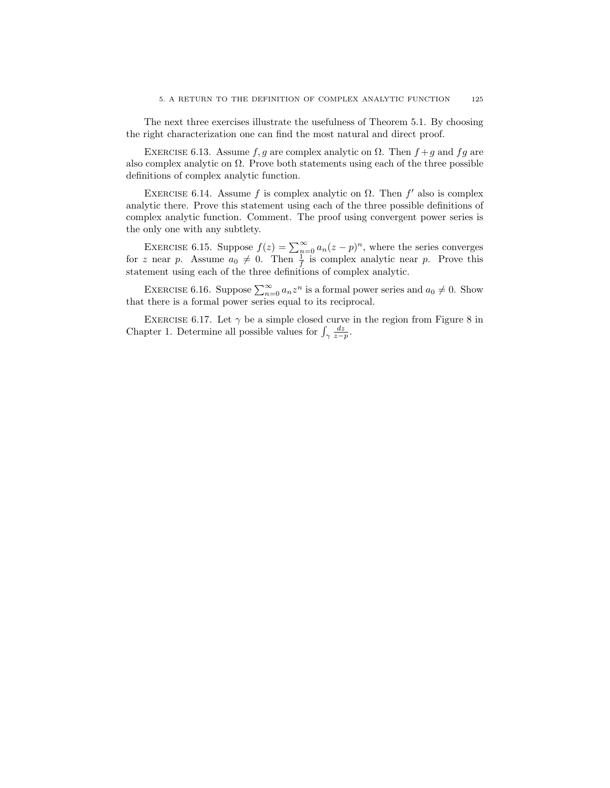The next three exercises illustrate the usefulness of Theorem 5.1. By choosing the right characterization one can find the most natural and direct proof.

EXERCISE 6.13. Assume f, g are complex analytic on  $\Omega$ . Then  $f + g$  and fg are also complex analytic on  $\Omega$ . Prove both statements using each of the three possible definitions of complex analytic function.

EXERCISE 6.14. Assume f is complex analytic on  $\Omega$ . Then f' also is complex analytic there. Prove this statement using each of the three possible definitions of complex analytic function. Comment. The proof using convergent power series is the only one with any subtlety.

EXERCISE 6.15. Suppose  $f(z) = \sum_{n=0}^{\infty} a_n(z-p)^n$ , where the series converges for z near p. Assume  $a_0 \neq 0$ . Then  $\frac{1}{f}$  is complex analytic near p. Prove this statement using each of the three definitions of complex analytic.

EXERCISE 6.16. Suppose  $\sum_{n=0}^{\infty} a_n z^n$  is a formal power series and  $a_0 \neq 0$ . Show that there is a formal power series equal to its reciprocal.

EXERCISE 6.17. Let  $\gamma$  be a simple closed curve in the region from Figure 8 in Chapter 1. Determine all possible values for  $\int_{\gamma} \frac{dz}{z-p}$ .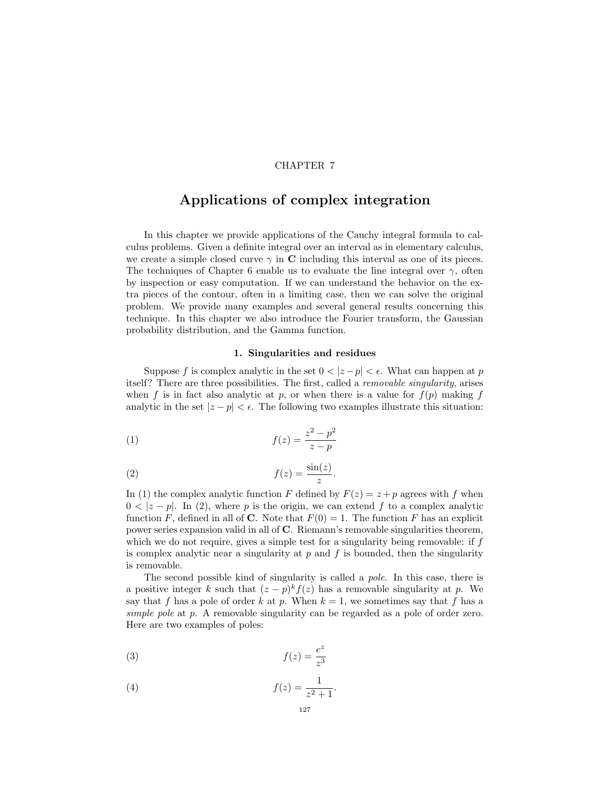# CHAPTER 7

# Applications of complex integration

In this chapter we provide applications of the Cauchy integral formula to calculus problems. Given a definite integral over an interval as in elementary calculus, we create a simple closed curve  $\gamma$  in C including this interval as one of its pieces. The techniques of Chapter 6 enable us to evaluate the line integral over  $\gamma$ , often by inspection or easy computation. If we can understand the behavior on the extra pieces of the contour, often in a limiting case, then we can solve the original problem. We provide many examples and several general results concerning this technique. In this chapter we also introduce the Fourier transform, the Gaussian probability distribution, and the Gamma function.

## 1. Singularities and residues

Suppose f is complex analytic in the set  $0 < |z-p| < \epsilon$ . What can happen at p itself? There are three possibilities. The first, called a removable singularity, arises when f is in fact also analytic at p, or when there is a value for  $f(p)$  making f analytic in the set  $|z - p| < \epsilon$ . The following two examples illustrate this situation:

(1) 
$$
f(z) = \frac{z^2 - p^2}{z - p}
$$

$$
(2) \t\t f(z) = \frac{\sin(z)}{z}
$$

In (1) the complex analytic function F defined by  $F(z) = z + p$  agrees with f when  $0 < |z - p|$ . In (2), where p is the origin, we can extend f to a complex analytic function F, defined in all of C. Note that  $F(0) = 1$ . The function F has an explicit power series expansion valid in all of C. Riemann's removable singularities theorem, which we do not require, gives a simple test for a singularity being removable: if  $f$ is complex analytic near a singularity at  $p$  and  $f$  is bounded, then the singularity is removable.

.

The second possible kind of singularity is called a pole. In this case, there is a positive integer k such that  $(z - p)^k f(z)$  has a removable singularity at p. We say that f has a pole of order k at p. When  $k = 1$ , we sometimes say that f has a simple pole at p. A removable singularity can be regarded as a pole of order zero. Here are two examples of poles:

$$
(3) \t\t f(z) = \frac{e^z}{z^3}
$$

$$
(4) \qquad \qquad f(z) = \frac{1}{z^2 + 1}
$$

.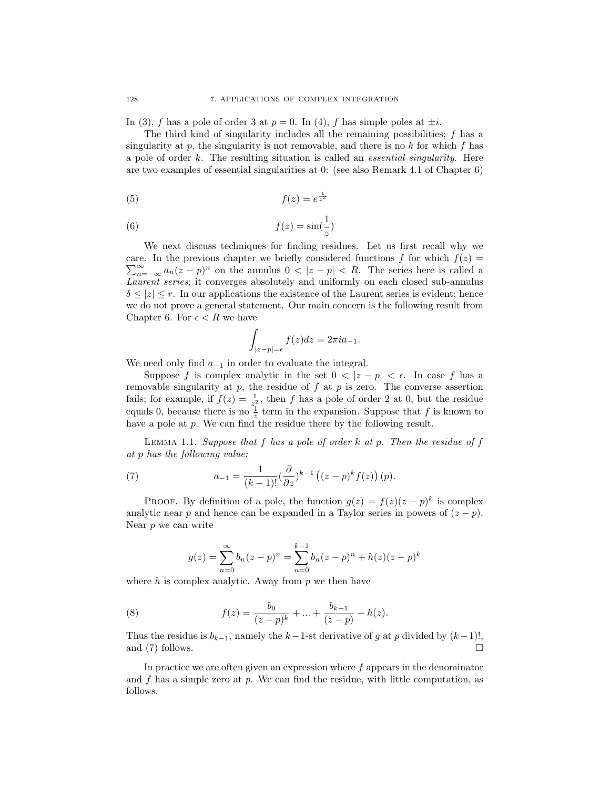In (3), f has a pole of order 3 at  $p = 0$ . In (4), f has simple poles at  $\pm i$ .

The third kind of singularity includes all the remaining possibilities; f has a singularity at  $p$ , the singularity is not removable, and there is no  $k$  for which  $f$  has a pole of order  $k$ . The resulting situation is called an *essential singularity*. Here are two examples of essential singularities at 0: (see also Remark 4.1 of Chapter 6)

(5) 
$$
f(z) = e^{\frac{1}{z^2}}
$$

(6) 
$$
f(z) = \sin(\frac{1}{z})
$$

We next discuss techniques for finding residues. Let us first recall why we  $\sum_{n=-\infty}^{\infty} a_n(z-p)^n$  on the annulus  $0 < |z-p| < R$ . The series here is called a care. In the previous chapter we briefly considered functions f for which  $f(z)$  = Laurent series; it converges absolutely and uniformly on each closed sub-annulus  $\delta \leq |z| \leq r$ . In our applications the existence of the Laurent series is evident; hence we do not prove a general statement. Our main concern is the following result from Chapter 6. For  $\epsilon < R$  we have

$$
\int_{|z-p|=\epsilon} f(z)dz = 2\pi i a_{-1}.
$$

We need only find  $a_{-1}$  in order to evaluate the integral.

Suppose f is complex analytic in the set  $0 < |z - p| < \epsilon$ . In case f has a removable singularity at  $p$ , the residue of  $f$  at  $p$  is zero. The converse assertion fails; for example, if  $f(z) = \frac{1}{z^2}$ , then f has a pole of order 2 at 0, but the residue equals 0, because there is no  $\frac{1}{z}$  term in the expansion. Suppose that f is known to have a pole at p. We can find the residue there by the following result.

LEMMA 1.1. Suppose that  $f$  has a pole of order  $k$  at  $p$ . Then the residue of  $f$ at p has the following value:

(7) 
$$
a_{-1} = \frac{1}{(k-1)!} (\frac{\partial}{\partial z})^{k-1} ((z-p)^k f(z)) (p).
$$

PROOF. By definition of a pole, the function  $g(z) = f(z)(z - p)^k$  is complex analytic near p and hence can be expanded in a Taylor series in powers of  $(z - p)$ . Near  $p$  we can write

$$
g(z) = \sum_{n=0}^{\infty} b_n (z - p)^n = \sum_{n=0}^{k-1} b_n (z - p)^n + h(z) (z - p)^k
$$

where  $h$  is complex analytic. Away from  $p$  we then have

(8) 
$$
f(z) = \frac{b_0}{(z-p)^k} + \ldots + \frac{b_{k-1}}{(z-p)} + h(z).
$$

Thus the residue is  $b_{k-1}$ , namely the  $k-1$ -st derivative of g at p divided by  $(k-1)!$ , and (7) follows.  $\Box$ 

In practice we are often given an expression where  $f$  appears in the denominator and f has a simple zero at p. We can find the residue, with little computation, as follows.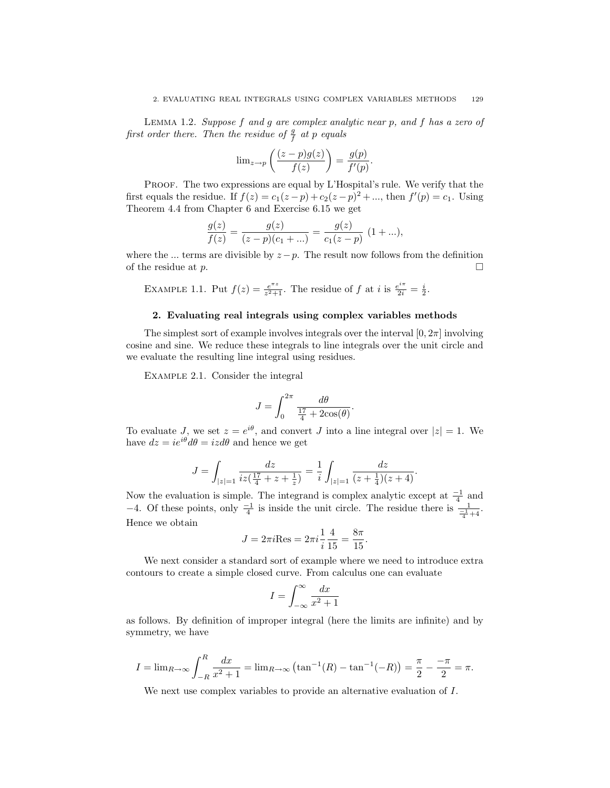Lemma 1.2. Suppose f and g are complex analytic near p, and f has a zero of first order there. Then the residue of  $\frac{g}{f}$  at p equals

$$
\lim_{z \to p} \left( \frac{(z - p)g(z)}{f(z)} \right) = \frac{g(p)}{f'(p)}.
$$

PROOF. The two expressions are equal by L'Hospital's rule. We verify that the first equals the residue. If  $f(z) = c_1(z - p) + c_2(z - p)^2 + ...$ , then  $f'(p) = c_1$ . Using Theorem 4.4 from Chapter 6 and Exercise 6.15 we get

$$
\frac{g(z)}{f(z)} = \frac{g(z)}{(z-p)(c_1 + ...)} = \frac{g(z)}{c_1(z-p)} (1 + ...),
$$

where the ... terms are divisible by  $z - p$ . The result now follows from the definition of the residue at  $p$ .

EXAMPLE 1.1. Put 
$$
f(z) = \frac{e^{\pi z}}{z^2 + 1}
$$
. The residue of f at i is  $\frac{e^{i\pi}}{2i} = \frac{i}{2}$ .

## 2. Evaluating real integrals using complex variables methods

The simplest sort of example involves integrals over the interval  $[0, 2\pi]$  involving cosine and sine. We reduce these integrals to line integrals over the unit circle and we evaluate the resulting line integral using residues.

Example 2.1. Consider the integral

$$
J = \int_0^{2\pi} \frac{d\theta}{\frac{17}{4} + 2\cos(\theta)}.
$$

To evaluate J, we set  $z = e^{i\theta}$ , and convert J into a line integral over  $|z| = 1$ . We have  $dz = ie^{i\theta} d\theta = izd\theta$  and hence we get

$$
J = \int_{|z|=1} \frac{dz}{iz(\frac{17}{4} + z + \frac{1}{z})} = \frac{1}{i} \int_{|z|=1} \frac{dz}{(z + \frac{1}{4})(z + 4)}.
$$

Now the evaluation is simple. The integrand is complex analytic except at  $\frac{-1}{4}$  and −4. Of these points, only  $\frac{-1}{4}$  is inside the unit circle. The residue there is  $\frac{1}{\frac{-1}{4}+4}$ . Hence we obtain

$$
J = 2\pi i \text{Res} = 2\pi i \frac{1}{i} \frac{4}{15} = \frac{8\pi}{15}.
$$

We next consider a standard sort of example where we need to introduce extra contours to create a simple closed curve. From calculus one can evaluate

$$
I = \int_{-\infty}^{\infty} \frac{dx}{x^2 + 1}
$$

as follows. By definition of improper integral (here the limits are infinite) and by symmetry, we have

$$
I = \lim_{R \to \infty} \int_{-R}^{R} \frac{dx}{x^2 + 1} = \lim_{R \to \infty} \left( \tan^{-1}(R) - \tan^{-1}(-R) \right) = \frac{\pi}{2} - \frac{-\pi}{2} = \pi.
$$

We next use complex variables to provide an alternative evaluation of I.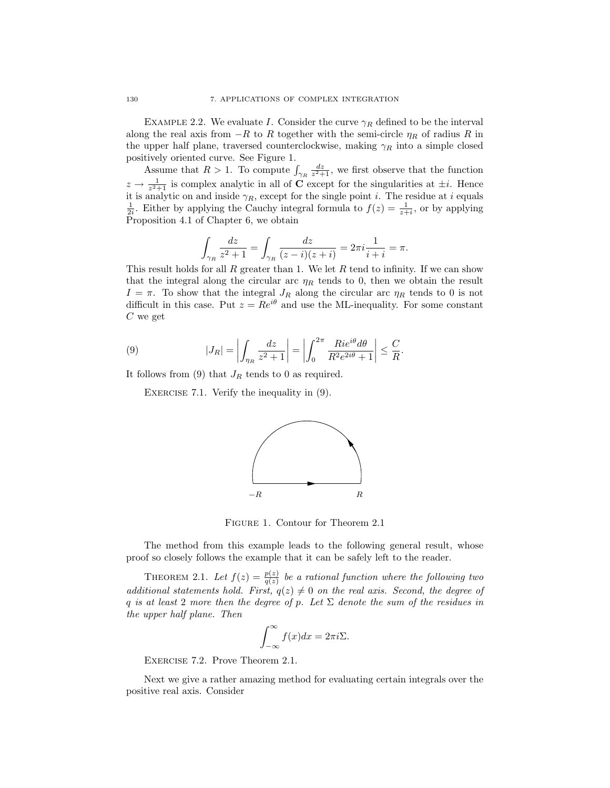EXAMPLE 2.2. We evaluate I. Consider the curve  $\gamma_R$  defined to be the interval along the real axis from  $-R$  to R together with the semi-circle  $\eta_R$  of radius R in the upper half plane, traversed counterclockwise, making  $\gamma_R$  into a simple closed positively oriented curve. See Figure 1.

Assume that  $R > 1$ . To compute  $\int_{\gamma_R} \frac{dz}{z^2 + 1}$ , we first observe that the function  $z \to \frac{1}{z^2+1}$  is complex analytic in all of **C** except for the singularities at  $\pm i$ . Hence it is analytic on and inside  $\gamma_R$ , except for the single point *i*. The residue at *i* equals  $\frac{1}{2i}$ . Either by applying the Cauchy integral formula to  $f(z) = \frac{1}{z+i}$ , or by applying Proposition 4.1 of Chapter 6, we obtain

$$
\int_{\gamma_R} \frac{dz}{z^2 + 1} = \int_{\gamma_R} \frac{dz}{(z - i)(z + i)} = 2\pi i \frac{1}{i + i} = \pi.
$$

This result holds for all R greater than 1. We let R tend to infinity. If we can show that the integral along the circular arc  $\eta_R$  tends to 0, then we obtain the result  $I = \pi$ . To show that the integral  $J_R$  along the circular arc  $\eta_R$  tends to 0 is not difficult in this case. Put  $z = Re^{i\theta}$  and use the ML-inequality. For some constant  $C$  we get

(9) 
$$
|J_R| = \left| \int_{\eta_R} \frac{dz}{z^2 + 1} \right| = \left| \int_0^{2\pi} \frac{Rie^{i\theta} d\theta}{R^2 e^{2i\theta} + 1} \right| \leq \frac{C}{R}.
$$

It follows from (9) that  $J_R$  tends to 0 as required.

EXERCISE 7.1. Verify the inequality in  $(9)$ .



Figure 1. Contour for Theorem 2.1

The method from this example leads to the following general result, whose proof so closely follows the example that it can be safely left to the reader.

THEOREM 2.1. Let  $f(z) = \frac{p(z)}{q(z)}$  be a rational function where the following two additional statements hold. First,  $q(z) \neq 0$  on the real axis. Second, the degree of q is at least 2 more then the degree of p. Let  $\Sigma$  denote the sum of the residues in the upper half plane. Then

$$
\int_{-\infty}^{\infty} f(x)dx = 2\pi i \Sigma.
$$

Exercise 7.2. Prove Theorem 2.1.

Next we give a rather amazing method for evaluating certain integrals over the positive real axis. Consider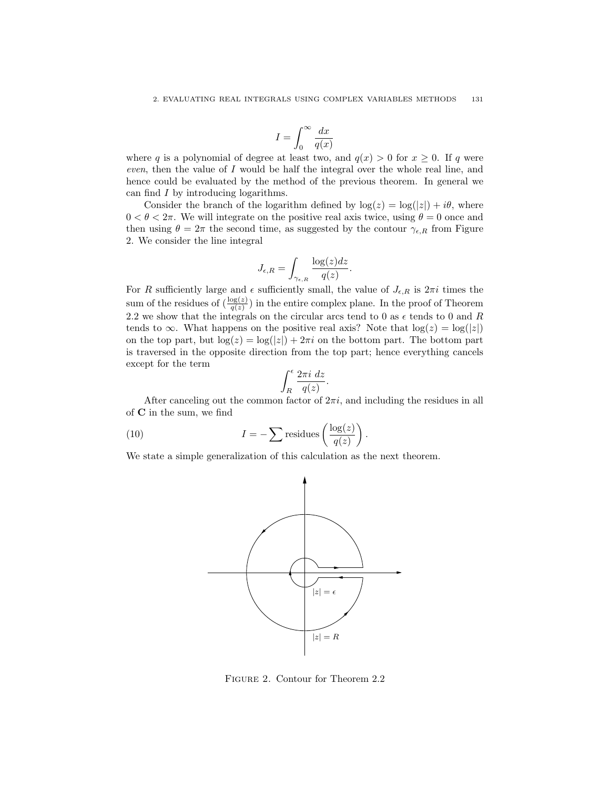$$
I=\int_0^\infty \frac{dx}{q(x)}
$$

where q is a polynomial of degree at least two, and  $q(x) > 0$  for  $x \ge 0$ . If q were even, then the value of I would be half the integral over the whole real line, and hence could be evaluated by the method of the previous theorem. In general we can find I by introducing logarithms.

Consider the branch of the logarithm defined by  $log(z) = log(|z|) + i\theta$ , where  $0 < \theta < 2\pi$ . We will integrate on the positive real axis twice, using  $\theta = 0$  once and then using  $\theta = 2\pi$  the second time, as suggested by the contour  $\gamma_{\epsilon,R}$  from Figure 2. We consider the line integral

$$
J_{\epsilon,R} = \int_{\gamma_{\epsilon,R}} \frac{\log(z)dz}{q(z)}.
$$

For R sufficiently large and  $\epsilon$  sufficiently small, the value of  $J_{\epsilon,R}$  is  $2\pi i$  times the sum of the residues of  $\left(\frac{\log(z)}{q(z)}\right)$  in the entire complex plane. In the proof of Theorem 2.2 we show that the integrals on the circular arcs tend to 0 as  $\epsilon$  tends to 0 and R tends to  $\infty$ . What happens on the positive real axis? Note that  $\log(z) = \log(|z|)$ on the top part, but  $\log(z) = \log(|z|) + 2\pi i$  on the bottom part. The bottom part is traversed in the opposite direction from the top part; hence everything cancels except for the term

$$
\int_{R}^{\epsilon} \frac{2\pi i \ dz}{q(z)}.
$$

After canceling out the common factor of  $2\pi i$ , and including the residues in all of C in the sum, we find

(10) 
$$
I = -\sum \text{residues}\left(\frac{\log(z)}{q(z)}\right).
$$

We state a simple generalization of this calculation as the next theorem.



Figure 2. Contour for Theorem 2.2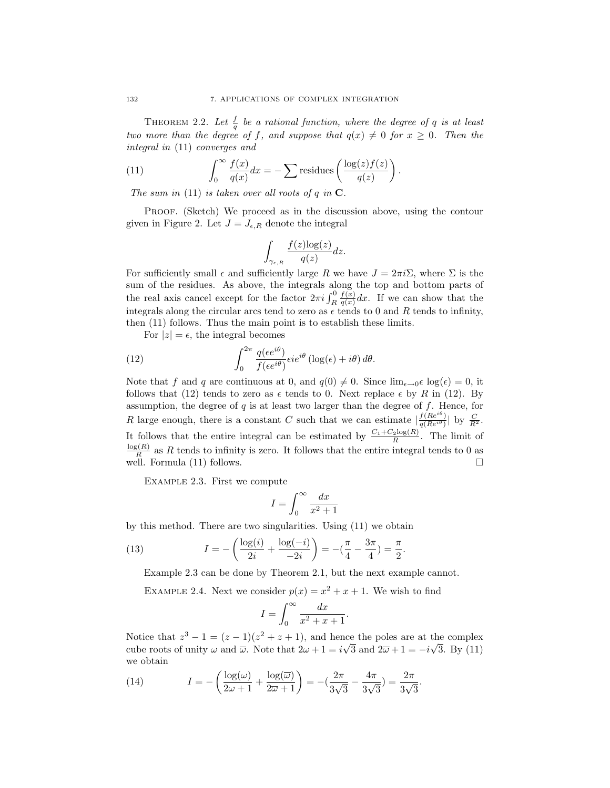THEOREM 2.2. Let  $\frac{f}{q}$  be a rational function, where the degree of q is at least two more than the degree of f, and suppose that  $q(x) \neq 0$  for  $x \geq 0$ . Then the integral in (11) converges and

(11) 
$$
\int_0^\infty \frac{f(x)}{q(x)} dx = -\sum \text{residues}\left(\frac{\log(z)f(z)}{q(z)}\right).
$$

The sum in (11) is taken over all roots of q in  $\mathbf C$ .

PROOF. (Sketch) We proceed as in the discussion above, using the contour given in Figure 2. Let  $J = J_{\epsilon,R}$  denote the integral

$$
\int_{\gamma_{\epsilon,R}} \frac{f(z) \log(z)}{q(z)} dz.
$$

For sufficiently small  $\epsilon$  and sufficiently large R we have  $J = 2\pi i \Sigma$ , where  $\Sigma$  is the sum of the residues. As above, the integrals along the top and bottom parts of the real axis cancel except for the factor  $2\pi i \int_R^0$  $f(x)$  $\frac{f(x)}{g(x)}dx$ . If we can show that the integrals along the circular arcs tend to zero as  $\epsilon$  tends to 0 and R tends to infinity, then (11) follows. Thus the main point is to establish these limits.

For  $|z| = \epsilon$ , the integral becomes

(12) 
$$
\int_0^{2\pi} \frac{q(\epsilon e^{i\theta})}{f(\epsilon e^{i\theta})} \epsilon i e^{i\theta} (\log(\epsilon) + i\theta) d\theta.
$$

Note that f and q are continuous at 0, and  $q(0) \neq 0$ . Since  $\lim_{\epsilon \to 0} \epsilon \log(\epsilon) = 0$ , it follows that (12) tends to zero as  $\epsilon$  tends to 0. Next replace  $\epsilon$  by R in (12). By assumption, the degree of  $q$  is at least two larger than the degree of  $f$ . Hence, for R large enough, there is a constant C such that we can estimate  $\frac{f(Re^{i\theta})}{g(Re^{i\theta})}$  $\frac{f(Re^{i\theta})}{q(Re^{i\theta})}$  by  $\frac{C}{R^2}$ . It follows that the entire integral can be estimated by  $\frac{C_1+C_2\log(R)}{R}$ . The limit of  $log(R)$  $\frac{R^{(R)}}{R}$  as R tends to infinity is zero. It follows that the entire integral tends to 0 as well. Formula (11) follows.

Example 2.3. First we compute

$$
I = \int_0^\infty \frac{dx}{x^2 + 1}
$$

by this method. There are two singularities. Using (11) we obtain

(13) 
$$
I = -\left(\frac{\log(i)}{2i} + \frac{\log(-i)}{-2i}\right) = -\left(\frac{\pi}{4} - \frac{3\pi}{4}\right) = \frac{\pi}{2}.
$$

Example 2.3 can be done by Theorem 2.1, but the next example cannot.

EXAMPLE 2.4. Next we consider  $p(x) = x^2 + x + 1$ . We wish to find

$$
I = \int_0^\infty \frac{dx}{x^2 + x + 1}.
$$

Notice that  $z^3 - 1 = (z - 1)(z^2 + z + 1)$ , and hence the poles are at the complex cube roots of unity  $\omega$  and  $\overline{\omega}$ . Note that  $2\omega + 1 = i\sqrt{3}$  and  $2\overline{\omega} + 1 = -i\sqrt{3}$ . By (11) we obtain

(14) 
$$
I = -\left(\frac{\log(\omega)}{2\omega + 1} + \frac{\log(\overline{\omega})}{2\overline{\omega} + 1}\right) = -\left(\frac{2\pi}{3\sqrt{3}} - \frac{4\pi}{3\sqrt{3}}\right) = \frac{2\pi}{3\sqrt{3}}.
$$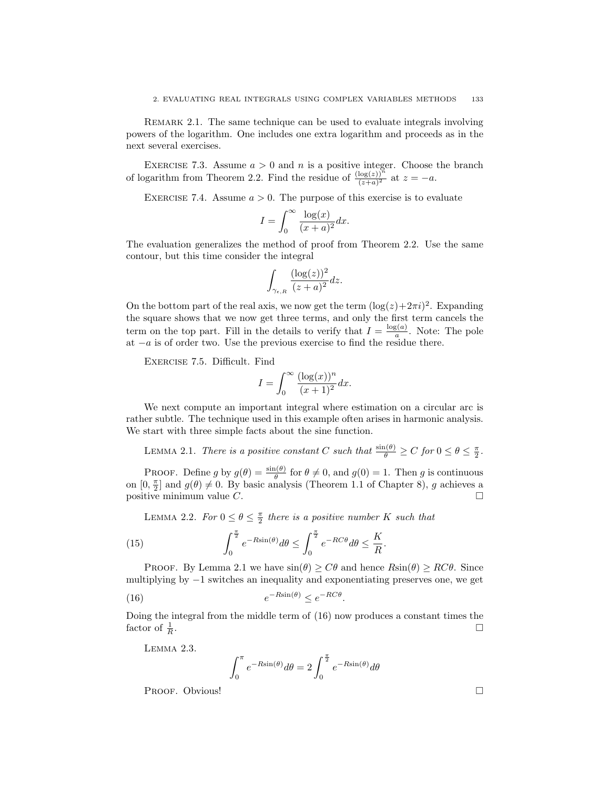Remark 2.1. The same technique can be used to evaluate integrals involving powers of the logarithm. One includes one extra logarithm and proceeds as in the next several exercises.

EXERCISE 7.3. Assume  $a > 0$  and n is a positive integer. Choose the branch of logarithm from Theorem 2.2. Find the residue of  $\frac{(\log(z))^n}{(z+a)^2}$  at  $z = -a$ .

EXERCISE 7.4. Assume  $a > 0$ . The purpose of this exercise is to evaluate

$$
I = \int_0^\infty \frac{\log(x)}{(x+a)^2} dx.
$$

The evaluation generalizes the method of proof from Theorem 2.2. Use the same contour, but this time consider the integral

$$
\int_{\gamma_{\epsilon,R}}\frac{(\log(z))^2}{(z+a)^2}dz.
$$

On the bottom part of the real axis, we now get the term  $(\log(z) + 2\pi i)^2$ . Expanding the square shows that we now get three terms, and only the first term cancels the term on the top part. Fill in the details to verify that  $I = \frac{\log(a)}{a}$  $\frac{g(a)}{a}$ . Note: The pole at −a is of order two. Use the previous exercise to find the residue there.

Exercise 7.5. Difficult. Find

$$
I = \int_0^\infty \frac{(\log(x))^n}{(x+1)^2} dx.
$$

We next compute an important integral where estimation on a circular arc is rather subtle. The technique used in this example often arises in harmonic analysis. We start with three simple facts about the sine function.

LEMMA 2.1. There is a positive constant C such that  $\frac{\sin(\theta)}{\theta} \ge C$  for  $0 \le \theta \le \frac{\pi}{2}$ .

PROOF. Define g by  $g(\theta) = \frac{\sin(\theta)}{\theta}$  for  $\theta \neq 0$ , and  $g(0) = 1$ . Then g is continuous on  $[0, \frac{\pi}{2}]$  and  $g(\theta) \neq 0$ . By basic analysis (Theorem 1.1 of Chapter 8), g achieves a positive minimum value C.

LEMMA 2.2. For  $0 \le \theta \le \frac{\pi}{2}$  there is a positive number K such that

(15) 
$$
\int_0^{\frac{\pi}{2}} e^{-R\sin(\theta)} d\theta \le \int_0^{\frac{\pi}{2}} e^{-RC\theta} d\theta \le \frac{K}{R}.
$$

PROOF. By Lemma 2.1 we have  $sin(\theta) \geq C\theta$  and hence  $Rsin(\theta) \geq RC\theta$ . Since multiplying by −1 switches an inequality and exponentiating preserves one, we get

(16) 
$$
e^{-R\sin(\theta)} \leq e^{-RC\theta}.
$$

Doing the integral from the middle term of (16) now produces a constant times the factor of  $\frac{1}{R}$ .

Lemma 2.3.

$$
\int_0^{\pi} e^{-R\sin(\theta)} d\theta = 2 \int_0^{\frac{\pi}{2}} e^{-R\sin(\theta)} d\theta
$$

Proof. Obvious!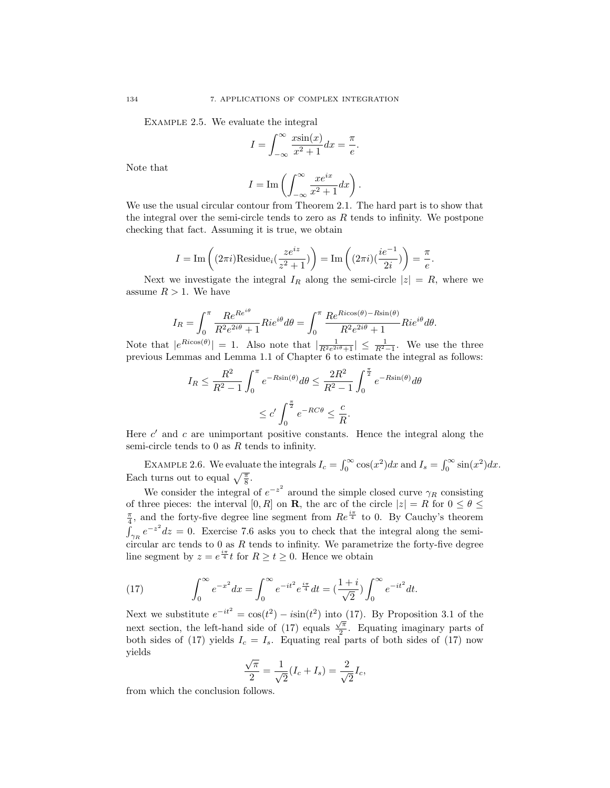Example 2.5. We evaluate the integral

$$
I = \int_{-\infty}^{\infty} \frac{x \sin(x)}{x^2 + 1} dx = \frac{\pi}{e}.
$$

Note that

$$
I = \operatorname{Im}\left(\int_{-\infty}^{\infty} \frac{xe^{ix}}{x^2 + 1} dx\right).
$$

We use the usual circular contour from Theorem 2.1. The hard part is to show that the integral over the semi-circle tends to zero as  $R$  tends to infinity. We postpone checking that fact. Assuming it is true, we obtain

$$
I = \text{Im}\left((2\pi i)\text{Residue}_i\left(\frac{ze^{iz}}{z^2+1}\right)\right) = \text{Im}\left((2\pi i)\left(\frac{ie^{-1}}{2i}\right)\right) = \frac{\pi}{e}.
$$

Next we investigate the integral  $I_R$  along the semi-circle  $|z| = R$ , where we assume  $R > 1$ . We have

$$
I_R = \int_0^{\pi} \frac{Re^{Re^{i\theta}}}{R^2 e^{2i\theta} + 1} Rie^{i\theta} d\theta = \int_0^{\pi} \frac{Re^{Ricos(\theta) - Rsin(\theta)}}{R^2 e^{2i\theta} + 1} Rie^{i\theta} d\theta.
$$

Note that  $|e^{Ricos(\theta)}| = 1$ . Also note that  $\left|\frac{1}{R^2e^{2i\theta}+1}\right| \leq \frac{1}{R^2-1}$ . We use the three previous Lemmas and Lemma 1.1 of Chapter 6 to estimate the integral as follows:

$$
I_R \le \frac{R^2}{R^2 - 1} \int_0^{\pi} e^{-R\sin(\theta)} d\theta \le \frac{2R^2}{R^2 - 1} \int_0^{\frac{\pi}{2}} e^{-R\sin(\theta)} d\theta
$$
  

$$
\le c' \int_0^{\frac{\pi}{2}} e^{-RC\theta} \le \frac{c}{R}.
$$

Here  $c'$  and  $c$  are unimportant positive constants. Hence the integral along the semi-circle tends to  $0$  as  $R$  tends to infinity.

EXAMPLE 2.6. We evaluate the integrals  $I_c = \int_0^\infty \cos(x^2) dx$  and  $I_s = \int_0^\infty \sin(x^2) dx$ . Each turns out to equal  $\sqrt{\frac{\pi}{8}}$ .

We consider the integral of  $e^{-z^2}$  around the simple closed curve  $\gamma_R$  consisting of three pieces: the interval [0, R] on **R**, the arc of the circle  $|z| = R$  for  $0 \le \theta \le$  $\frac{\pi}{4}$ , and the forty-five degree line segment from  $Re^{\frac{i\pi}{4}}$  to 0. By Cauchy's theorem  $\int_{\gamma_R} e^{-z^2} dz = 0$ . Exercise 7.6 asks you to check that the integral along the semicircular arc tends to 0 as  $R$  tends to infinity. We parametrize the forty-five degree line segment by  $z = e^{\frac{i\pi}{4}}t$  for  $R \ge t \ge 0$ . Hence we obtain

(17) 
$$
\int_0^\infty e^{-x^2} dx = \int_0^\infty e^{-it^2} e^{\frac{i\pi}{4}} dt = \left(\frac{1+i}{\sqrt{2}}\right) \int_0^\infty e^{-it^2} dt.
$$

Next we substitute  $e^{-it^2} = \cos(t^2) - i\sin(t^2)$  into (17). By Proposition 3.1 of the next section, the left-hand side of (17) equals  $\frac{\sqrt{\pi}}{2}$  $\frac{\sqrt{\pi}}{2}$ . Equating imaginary parts of both sides of (17) yields  $I_c = I_s$ . Equating real parts of both sides of (17) now yields √

$$
\frac{\sqrt{\pi}}{2} = \frac{1}{\sqrt{2}}(I_c + I_s) = \frac{2}{\sqrt{2}}I_c,
$$

from which the conclusion follows.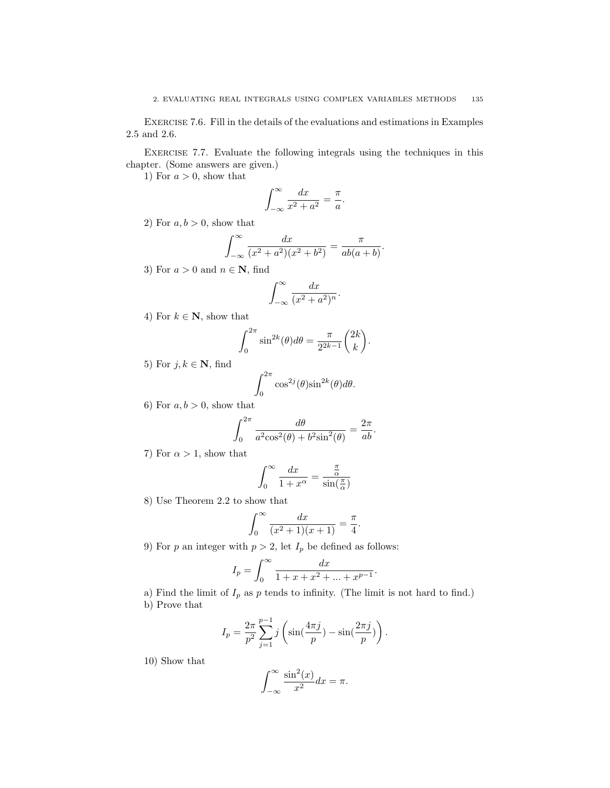Exercise 7.6. Fill in the details of the evaluations and estimations in Examples 2.5 and 2.6.

Exercise 7.7. Evaluate the following integrals using the techniques in this chapter. (Some answers are given.)

1) For  $a > 0$ , show that

$$
\int_{-\infty}^{\infty} \frac{dx}{x^2 + a^2} = \frac{\pi}{a}.
$$

2) For  $a, b > 0$ , show that

$$
\int_{-\infty}^{\infty} \frac{dx}{(x^2 + a^2)(x^2 + b^2)} = \frac{\pi}{ab(a+b)}.
$$

3) For  $a > 0$  and  $n \in \mathbb{N}$ , find

$$
\int_{-\infty}^{\infty} \frac{dx}{(x^2 + a^2)^n}.
$$

4) For  $k \in \mathbb{N}$ , show that

$$
\int_0^{2\pi} \sin^{2k}(\theta) d\theta = \frac{\pi}{2^{2k-1}} {2k \choose k}.
$$

5) For  $j, k \in \mathbb{N}$ , find

$$
\int_0^{2\pi} \cos^{2j}(\theta) \sin^{2k}(\theta) d\theta.
$$

6) For  $a, b > 0$ , show that

$$
\int_0^{2\pi} \frac{d\theta}{a^2 \cos^2(\theta) + b^2 \sin^2(\theta)} = \frac{2\pi}{ab}.
$$

7) For  $\alpha > 1$ , show that

$$
\int_0^\infty \frac{dx}{1+x^\alpha} = \frac{\frac{\pi}{\alpha}}{\sin(\frac{\pi}{\alpha})}
$$

8) Use Theorem 2.2 to show that

$$
\int_0^{\infty} \frac{dx}{(x^2+1)(x+1)} = \frac{\pi}{4}.
$$

9) For p an integer with  $p > 2$ , let  $I_p$  be defined as follows:

$$
I_p = \int_0^\infty \frac{dx}{1 + x + x^2 + \dots + x^{p-1}}.
$$

a) Find the limit of  $I_p$  as p tends to infinity. (The limit is not hard to find.) b) Prove that

$$
I_p = \frac{2\pi}{p^2} \sum_{j=1}^{p-1} j \left( \sin(\frac{4\pi j}{p}) - \sin(\frac{2\pi j}{p}) \right).
$$

10) Show that

$$
\int_{-\infty}^{\infty} \frac{\sin^2(x)}{x^2} dx = \pi.
$$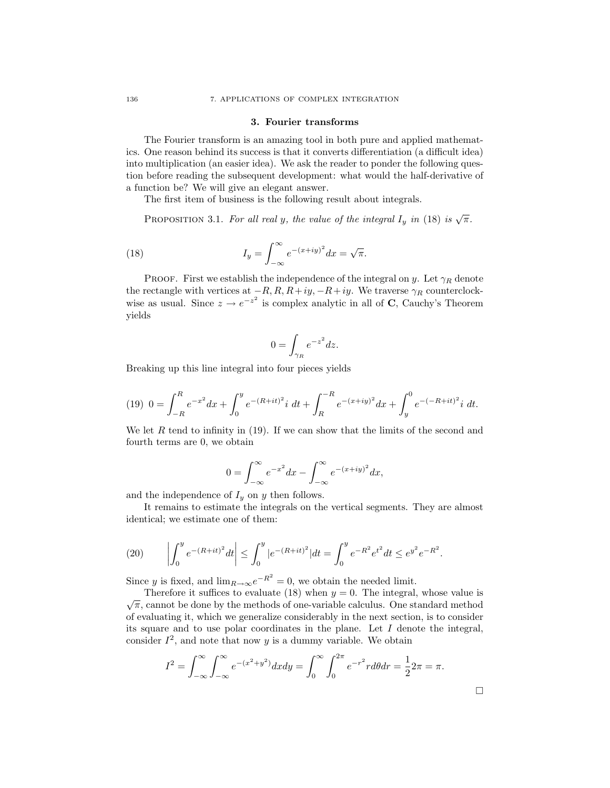#### 3. Fourier transforms

The Fourier transform is an amazing tool in both pure and applied mathematics. One reason behind its success is that it converts differentiation (a difficult idea) into multiplication (an easier idea). We ask the reader to ponder the following question before reading the subsequent development: what would the half-derivative of a function be? We will give an elegant answer.

The first item of business is the following result about integrals.

PROPOSITION 3.1. For all real y, the value of the integral  $I_y$  in (18) is  $\sqrt{\pi}$ .

(18) 
$$
I_y = \int_{-\infty}^{\infty} e^{-(x+iy)^2} dx = \sqrt{\pi}.
$$

PROOF. First we establish the independence of the integral on y. Let  $\gamma_R$  denote the rectangle with vertices at  $-R$ ,  $R$ ,  $R+iy$ ,  $-R+iy$ . We traverse  $\gamma_R$  counterclockwise as usual. Since  $z \to e^{-z^2}$  is complex analytic in all of **C**, Cauchy's Theorem yields

$$
0 = \int_{\gamma_R} e^{-z^2} dz.
$$

Breaking up this line integral into four pieces yields

$$
(19) \ \ 0 = \int_{-R}^{R} e^{-x^2} dx + \int_{0}^{y} e^{-(R+it)^2} i \ dt + \int_{R}^{-R} e^{-(x+iy)^2} dx + \int_{y}^{0} e^{-(-R+it)^2} i \ dt.
$$

We let R tend to infinity in  $(19)$ . If we can show that the limits of the second and fourth terms are 0, we obtain

$$
0 = \int_{-\infty}^{\infty} e^{-x^2} dx - \int_{-\infty}^{\infty} e^{-(x+iy)^2} dx,
$$

and the independence of  $I_y$  on y then follows.

It remains to estimate the integrals on the vertical segments. They are almost identical; we estimate one of them:

(20) 
$$
\left| \int_0^y e^{-(R+it)^2} dt \right| \leq \int_0^y |e^{-(R+it)^2}| dt = \int_0^y e^{-R^2} e^{t^2} dt \leq e^{y^2} e^{-R^2}.
$$

Since y is fixed, and  $\lim_{R\to\infty}e^{-R^2}=0$ , we obtain the needed limit.

Therefore it suffices to evaluate (18) when  $y = 0$ . The integral, whose value is Therefore it sumes to evaluate (18) when  $y = 0$ . The integral, whose value is  $\sqrt{\pi}$ , cannot be done by the methods of one-variable calculus. One standard method of evaluating it, which we generalize considerably in the next section, is to consider its square and to use polar coordinates in the plane. Let  $I$  denote the integral, consider  $I^2$ , and note that now y is a dummy variable. We obtain

$$
I^{2} = \int_{-\infty}^{\infty} \int_{-\infty}^{\infty} e^{-(x^{2}+y^{2})} dx dy = \int_{0}^{\infty} \int_{0}^{2\pi} e^{-r^{2}} r d\theta dr = \frac{1}{2}2\pi = \pi.
$$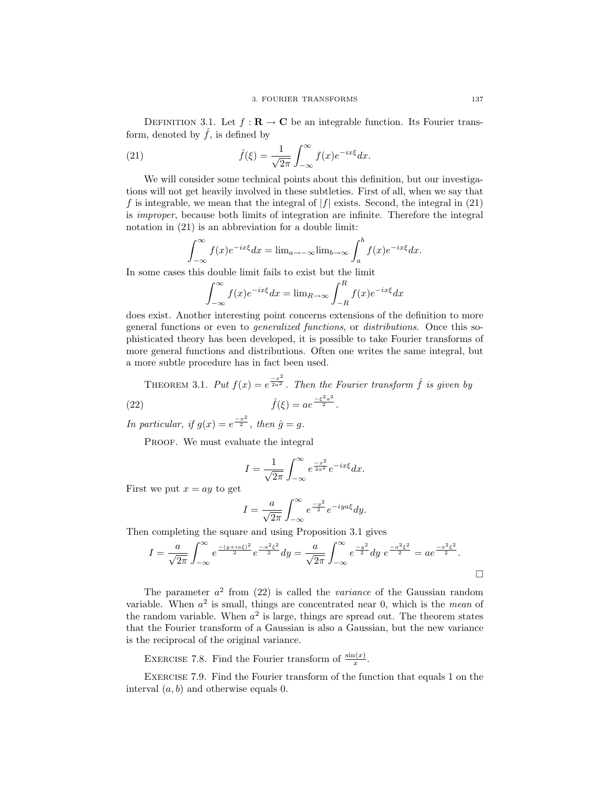DEFINITION 3.1. Let  $f : \mathbf{R} \to \mathbf{C}$  be an integrable function. Its Fourier transform, denoted by  $\hat{f}$ , is defined by

(21) 
$$
\hat{f}(\xi) = \frac{1}{\sqrt{2\pi}} \int_{-\infty}^{\infty} f(x) e^{-ix\xi} dx.
$$

We will consider some technical points about this definition, but our investigations will not get heavily involved in these subtleties. First of all, when we say that f is integrable, we mean that the integral of  $|f|$  exists. Second, the integral in (21) is improper, because both limits of integration are infinite. Therefore the integral notation in (21) is an abbreviation for a double limit:

$$
\int_{-\infty}^{\infty} f(x)e^{-ix\xi}dx = \lim_{a \to -\infty} \lim_{b \to \infty} \int_{a}^{b} f(x)e^{-ix\xi}dx.
$$

In some cases this double limit fails to exist but the limit

$$
\int_{-\infty}^{\infty} f(x)e^{-ix\xi}dx = \lim_{R \to \infty} \int_{-R}^{R} f(x)e^{-ix\xi}dx
$$

does exist. Another interesting point concerns extensions of the definition to more general functions or even to generalized functions, or distributions. Once this sophisticated theory has been developed, it is possible to take Fourier transforms of more general functions and distributions. Often one writes the same integral, but a more subtle procedure has in fact been used.

THEOREM 3.1. Put 
$$
f(x) = e^{\frac{-x^2}{2a^2}}
$$
. Then the Fourier transform  $\hat{f}$  is given by  
(22) 
$$
\hat{f}(\xi) = ae^{\frac{-\xi^2 a^2}{2}}.
$$

In particular, if  $g(x) = e^{\frac{-x^2}{2}}$ , then  $\hat{g} = g$ .

PROOF. We must evaluate the integral

$$
I = \frac{1}{\sqrt{2\pi}} \int_{-\infty}^{\infty} e^{\frac{-x^2}{2a^2}} e^{-ix\xi} dx.
$$

First we put  $x = ay$  to get

$$
I = \frac{a}{\sqrt{2\pi}} \int_{-\infty}^{\infty} e^{\frac{-y^2}{2}} e^{-iya\xi} dy.
$$

Then completing the square and using Proposition 3.1 gives

$$
I = \frac{a}{\sqrt{2\pi}} \int_{-\infty}^{\infty} e^{\frac{-(y+i a \xi)^2}{2}} e^{\frac{-a^2 \xi^2}{2}} dy = \frac{a}{\sqrt{2\pi}} \int_{-\infty}^{\infty} e^{\frac{-y^2}{2}} dy e^{\frac{-a^2 \xi^2}{2}} = ae^{\frac{-a^2 \xi^2}{2}}.
$$

The parameter  $a^2$  from (22) is called the *variance* of the Gaussian random variable. When  $a^2$  is small, things are concentrated near 0, which is the *mean* of the random variable. When  $a^2$  is large, things are spread out. The theorem states that the Fourier transform of a Gaussian is also a Gaussian, but the new variance is the reciprocal of the original variance.

EXERCISE 7.8. Find the Fourier transform of  $\frac{\sin(x)}{x}$ .

Exercise 7.9. Find the Fourier transform of the function that equals 1 on the interval  $(a, b)$  and otherwise equals 0.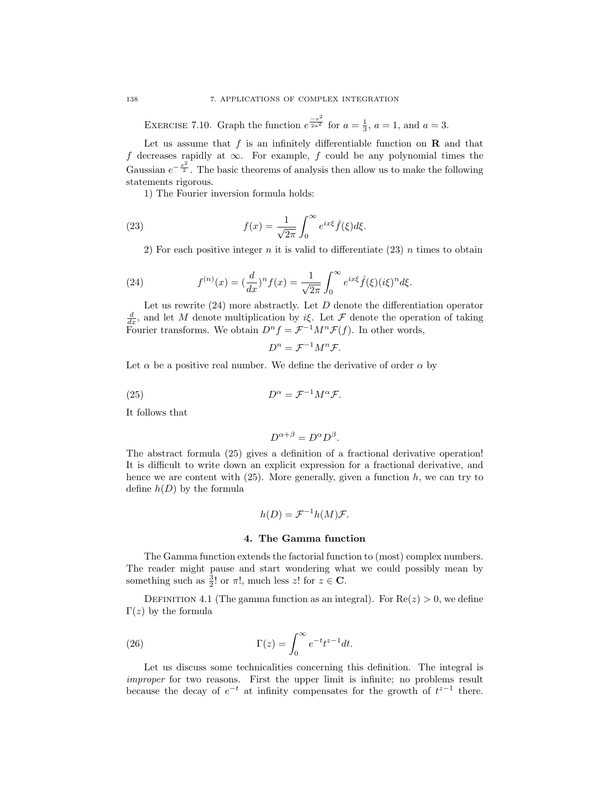EXERCISE 7.10. Graph the function  $e^{\frac{-x^2}{2a^2}}$  for  $a = \frac{1}{3}$ ,  $a = 1$ , and  $a = 3$ .

Let us assume that  $f$  is an infinitely differentiable function on  $\bf{R}$  and that f decreases rapidly at  $\infty$ . For example, f could be any polynomial times the Gaussian  $e^{-\frac{x^2}{2}}$ . The basic theorems of analysis then allow us to make the following statements rigorous.

1) The Fourier inversion formula holds:

(23) 
$$
f(x) = \frac{1}{\sqrt{2\pi}} \int_0^\infty e^{ix\xi} \hat{f}(\xi) d\xi.
$$

2) For each positive integer n it is valid to differentiate  $(23)$  n times to obtain

(24) 
$$
f^{(n)}(x) = (\frac{d}{dx})^n f(x) = \frac{1}{\sqrt{2\pi}} \int_0^\infty e^{ix\xi} \hat{f}(\xi) (i\xi)^n d\xi.
$$

Let us rewrite  $(24)$  more abstractly. Let  $D$  denote the differentiation operator  $\frac{d}{dx}$ , and let M denote multiplication by iξ. Let F denote the operation of taking Fourier transforms. We obtain  $D^n f = \mathcal{F}^{-1} M^n \mathcal{F}(f)$ . In other words,

$$
D^n = \mathcal{F}^{-1}M^n\mathcal{F}.
$$

Let  $\alpha$  be a positive real number. We define the derivative of order  $\alpha$  by

(25) 
$$
D^{\alpha} = \mathcal{F}^{-1} M^{\alpha} \mathcal{F}.
$$

It follows that

$$
D^{\alpha+\beta} = D^{\alpha} D^{\beta}.
$$

The abstract formula (25) gives a definition of a fractional derivative operation! It is difficult to write down an explicit expression for a fractional derivative, and hence we are content with  $(25)$ . More generally, given a function h, we can try to define  $h(D)$  by the formula

$$
h(D) = \mathcal{F}^{-1}h(M)\mathcal{F}.
$$

## 4. The Gamma function

The Gamma function extends the factorial function to (most) complex numbers. The reader might pause and start wondering what we could possibly mean by something such as  $\frac{3}{2}!$  or  $\pi!$ , much less  $z!$  for  $z \in \mathbb{C}$ .

DEFINITION 4.1 (The gamma function as an integral). For  $\text{Re}(z) > 0$ , we define Γ(*z*) by the formula

(26) 
$$
\Gamma(z) = \int_0^\infty e^{-t} t^{z-1} dt.
$$

Let us discuss some technicalities concerning this definition. The integral is improper for two reasons. First the upper limit is infinite; no problems result because the decay of  $e^{-t}$  at infinity compensates for the growth of  $t^{z-1}$  there.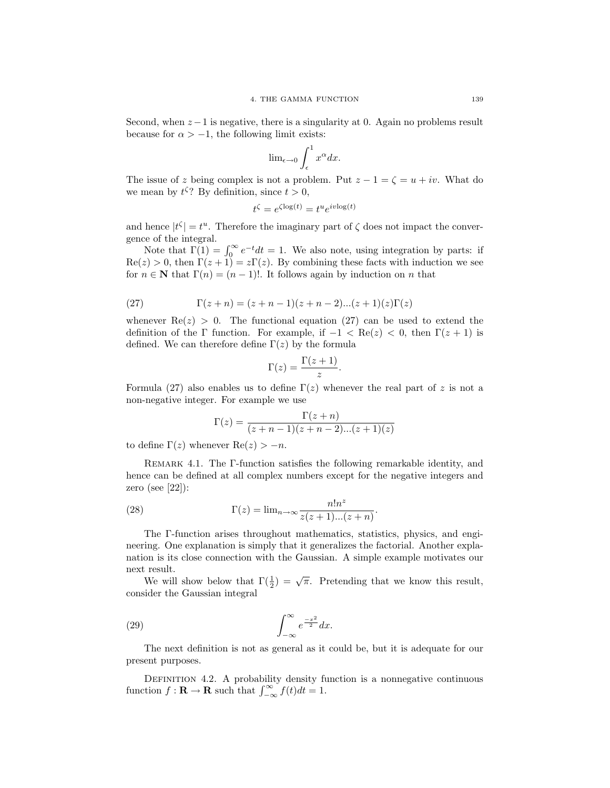Second, when  $z - 1$  is negative, there is a singularity at 0. Again no problems result because for  $\alpha > -1$ , the following limit exists:

$$
\lim_{\epsilon \to 0} \int_{\epsilon}^{1} x^{\alpha} dx.
$$

The issue of z being complex is not a problem. Put  $z - 1 = \zeta = u + iv$ . What do we mean by  $t^{\zeta}$ ? By definition, since  $t > 0$ ,

$$
t^{\zeta} = e^{\zeta \log(t)} = t^u e^{iv \log(t)}
$$

and hence  $|t^{\zeta}| = t^u$ . Therefore the imaginary part of  $\zeta$  does not impact the convergence of the integral.

Note that  $\Gamma(1) = \int_0^\infty e^{-t} dt = 1$ . We also note, using integration by parts: if  $\text{Re}(z) > 0$ , then  $\Gamma(z+1) = z\Gamma(z)$ . By combining these facts with induction we see for  $n \in \mathbb{N}$  that  $\Gamma(n) = (n-1)!$ . It follows again by induction on n that

(27) 
$$
\Gamma(z+n) = (z+n-1)(z+n-2)...(z+1)(z)\Gamma(z)
$$

whenever  $\text{Re}(z) > 0$ . The functional equation (27) can be used to extend the definition of the Γ function. For example, if  $-1 < \text{Re}(z) < 0$ , then  $\Gamma(z+1)$  is defined. We can therefore define  $\Gamma(z)$  by the formula

$$
\Gamma(z) = \frac{\Gamma(z+1)}{z}.
$$

Formula (27) also enables us to define  $\Gamma(z)$  whenever the real part of z is not a non-negative integer. For example we use

$$
\Gamma(z) = \frac{\Gamma(z+n)}{(z+n-1)(z+n-2)...(z+1)(z)}
$$

to define  $\Gamma(z)$  whenever  $\text{Re}(z) > -n$ .

Remark 4.1. The Γ-function satisfies the following remarkable identity, and hence can be defined at all complex numbers except for the negative integers and zero (see [22]):

(28) 
$$
\Gamma(z) = \lim_{n \to \infty} \frac{n! n^z}{z(z+1)...(z+n)}.
$$

The Γ-function arises throughout mathematics, statistics, physics, and engineering. One explanation is simply that it generalizes the factorial. Another explanation is its close connection with the Gaussian. A simple example motivates our next result.

We will show below that  $\Gamma(\frac{1}{2}) = \sqrt{\pi}$ . Pretending that we know this result, consider the Gaussian integral

(29) 
$$
\int_{-\infty}^{\infty} e^{\frac{-x^2}{2}} dx.
$$

The next definition is not as general as it could be, but it is adequate for our present purposes.

DEFINITION 4.2. A probability density function is a nonnegative continuous function  $f: \mathbf{R} \to \mathbf{R}$  such that  $\int_{-\infty}^{\infty} f(t)dt = 1$ .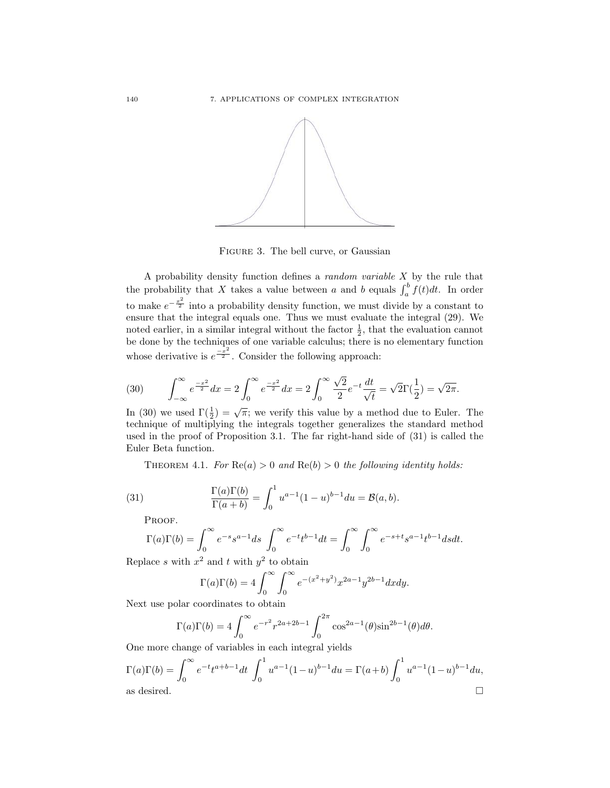

Figure 3. The bell curve, or Gaussian

A probability density function defines a random variable X by the rule that the probability that X takes a value between a and b equals  $\int_a^b f(t)dt$ . In order to make  $e^{-\frac{x^2}{2}}$  into a probability density function, we must divide by a constant to ensure that the integral equals one. Thus we must evaluate the integral (29). We noted earlier, in a similar integral without the factor  $\frac{1}{2}$ , that the evaluation cannot be done by the techniques of one variable calculus; there is no elementary function whose derivative is  $e^{\frac{-x^2}{2}}$ . Consider the following approach:

(30) 
$$
\int_{-\infty}^{\infty} e^{\frac{-x^2}{2}} dx = 2 \int_{0}^{\infty} e^{\frac{-x^2}{2}} dx = 2 \int_{0}^{\infty} \frac{\sqrt{2}}{2} e^{-t} \frac{dt}{\sqrt{t}} = \sqrt{2} \Gamma(\frac{1}{2}) = \sqrt{2\pi}.
$$

In (30) we used  $\Gamma(\frac{1}{2}) = \sqrt{\pi}$ ; we verify this value by a method due to Euler. The technique of multiplying the integrals together generalizes the standard method used in the proof of Proposition 3.1. The far right-hand side of (31) is called the Euler Beta function.

THEOREM 4.1. For  $\text{Re}(a) > 0$  and  $\text{Re}(b) > 0$  the following identity holds:

(31) 
$$
\frac{\Gamma(a)\Gamma(b)}{\Gamma(a+b)} = \int_0^1 u^{a-1}(1-u)^{b-1} du = \mathcal{B}(a,b).
$$

PROOF.

$$
\Gamma(a)\Gamma(b) = \int_0^\infty e^{-s} s^{a-1} ds \int_0^\infty e^{-t} t^{b-1} dt = \int_0^\infty \int_0^\infty e^{-s+t} s^{a-1} t^{b-1} ds dt.
$$

Replace s with  $x^2$  and t with  $y^2$  to obtain

$$
\Gamma(a)\Gamma(b) = 4 \int_0^\infty \int_0^\infty e^{-(x^2 + y^2)} x^{2a - 1} y^{2b - 1} dx dy.
$$

Next use polar coordinates to obtain

$$
\Gamma(a)\Gamma(b) = 4\int_0^\infty e^{-r^2} r^{2a+2b-1} \int_0^{2\pi} \cos^{2a-1}(\theta) \sin^{2b-1}(\theta) d\theta.
$$

One more change of variables in each integral yields

$$
\Gamma(a)\Gamma(b) = \int_0^\infty e^{-t}t^{a+b-1}dt \int_0^1 u^{a-1}(1-u)^{b-1}du = \Gamma(a+b)\int_0^1 u^{a-1}(1-u)^{b-1}du,
$$
  
as desired.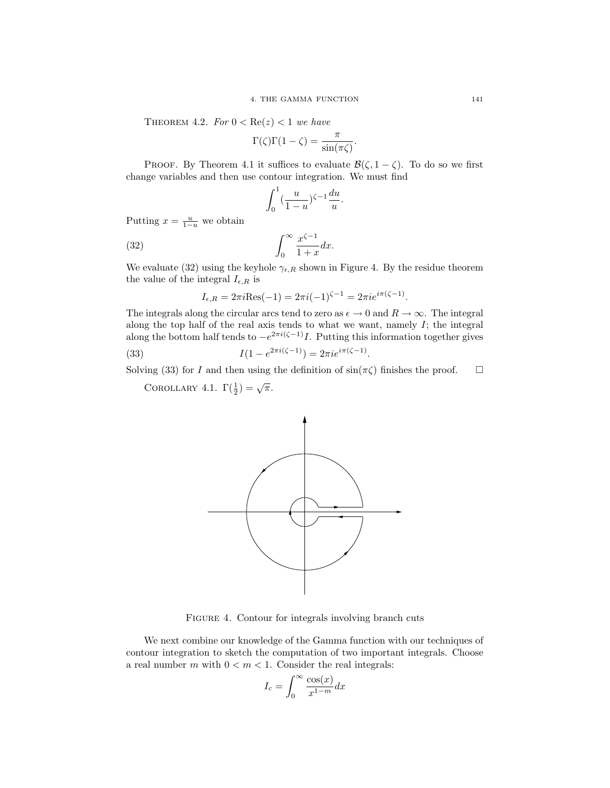THEOREM 4.2. For  $0 < \text{Re}(z) < 1$  we have

$$
\Gamma(\zeta)\Gamma(1-\zeta) = \frac{\pi}{\sin(\pi\zeta)}.
$$

PROOF. By Theorem 4.1 it suffices to evaluate  $\mathcal{B}(\zeta, 1-\zeta)$ . To do so we first change variables and then use contour integration. We must find

$$
\int_0^1 \left(\frac{u}{1-u}\right)^{\zeta-1} \frac{du}{u}.
$$

Putting  $x = \frac{u}{1-u}$  we obtain

$$
\int_0^\infty \frac{x^{\zeta - 1}}{1 + x} dx.
$$

We evaluate (32) using the keyhole  $\gamma_{\epsilon,R}$  shown in Figure 4. By the residue theorem the value of the integral  $I_{\epsilon,R}$  is

$$
I_{\epsilon,R} = 2\pi i \text{Res}(-1) = 2\pi i (-1)^{\zeta - 1} = 2\pi i e^{i\pi(\zeta - 1)}.
$$

The integrals along the circular arcs tend to zero as  $\epsilon \to 0$  and  $R \to \infty$ . The integral along the top half of the real axis tends to what we want, namely  $I$ ; the integral along the bottom half tends to  $-e^{2\pi i(\zeta-1)}I$ . Putting this information together gives

(33) 
$$
I(1 - e^{2\pi i(\zeta - 1)}) = 2\pi i e^{i\pi(\zeta - 1)}.
$$

Solving (33) for I and then using the definition of  $\sin(\pi \zeta)$  finishes the proof.  $\square$ 

COROLLARY 4.1.  $\Gamma(\frac{1}{2}) = \sqrt{\pi}$ .



FIGURE 4. Contour for integrals involving branch cuts

We next combine our knowledge of the Gamma function with our techniques of contour integration to sketch the computation of two important integrals. Choose a real number m with  $0 < m < 1$ . Consider the real integrals:

$$
I_c = \int_0^\infty \frac{\cos(x)}{x^{1-m}} dx
$$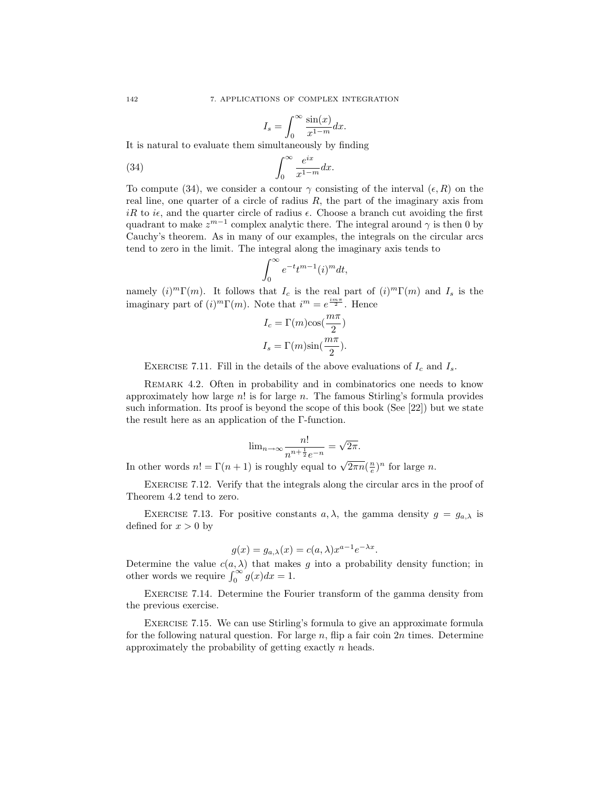$$
I_s = \int_0^\infty \frac{\sin(x)}{x^{1-m}} dx.
$$

It is natural to evaluate them simultaneously by finding

(34) 
$$
\int_0^\infty \frac{e^{ix}}{x^{1-m}} dx.
$$

To compute (34), we consider a contour  $\gamma$  consisting of the interval  $(\epsilon, R)$  on the real line, one quarter of a circle of radius  $R$ , the part of the imaginary axis from iR to i $\epsilon$ , and the quarter circle of radius  $\epsilon$ . Choose a branch cut avoiding the first quadrant to make  $z^{m-1}$  complex analytic there. The integral around  $\gamma$  is then 0 by Cauchy's theorem. As in many of our examples, the integrals on the circular arcs tend to zero in the limit. The integral along the imaginary axis tends to

$$
\int_0^\infty e^{-t}t^{m-1}(i)^m dt,
$$

namely  $(i)^m \Gamma(m)$ . It follows that  $I_c$  is the real part of  $(i)^m \Gamma(m)$  and  $I_s$  is the imaginary part of  $(i)^m \Gamma(m)$ . Note that  $i^m = e^{\frac{i m \pi}{2}}$ . Hence

$$
I_c = \Gamma(m)\cos(\frac{m\pi}{2})
$$
  

$$
I_s = \Gamma(m)\sin(\frac{m\pi}{2}).
$$

EXERCISE 7.11. Fill in the details of the above evaluations of  $I_c$  and  $I_s$ .

Remark 4.2. Often in probability and in combinatorics one needs to know approximately how large  $n!$  is for large n. The famous Stirling's formula provides such information. Its proof is beyond the scope of this book (See [22]) but we state the result here as an application of the Γ-function.

$$
\text{lim}_{n \to \infty} \frac{n!}{n^{n+\frac{1}{2}}e^{-n}} = \sqrt{2\pi}.
$$

In other words  $n! = \Gamma(n+1)$  is roughly equal to  $\sqrt{2\pi n}(\frac{n}{e})^n$  for large n.

Exercise 7.12. Verify that the integrals along the circular arcs in the proof of Theorem 4.2 tend to zero.

EXERCISE 7.13. For positive constants  $a, \lambda$ , the gamma density  $g = g_{a,\lambda}$  is defined for  $x > 0$  by

$$
g(x) = g_{a,\lambda}(x) = c(a,\lambda)x^{a-1}e^{-\lambda x}.
$$

Determine the value  $c(a, \lambda)$  that makes g into a probability density function; in other words we require  $\int_0^\infty g(x)dx = 1$ .

Exercise 7.14. Determine the Fourier transform of the gamma density from the previous exercise.

Exercise 7.15. We can use Stirling's formula to give an approximate formula for the following natural question. For large  $n$ , flip a fair coin  $2n$  times. Determine approximately the probability of getting exactly n heads.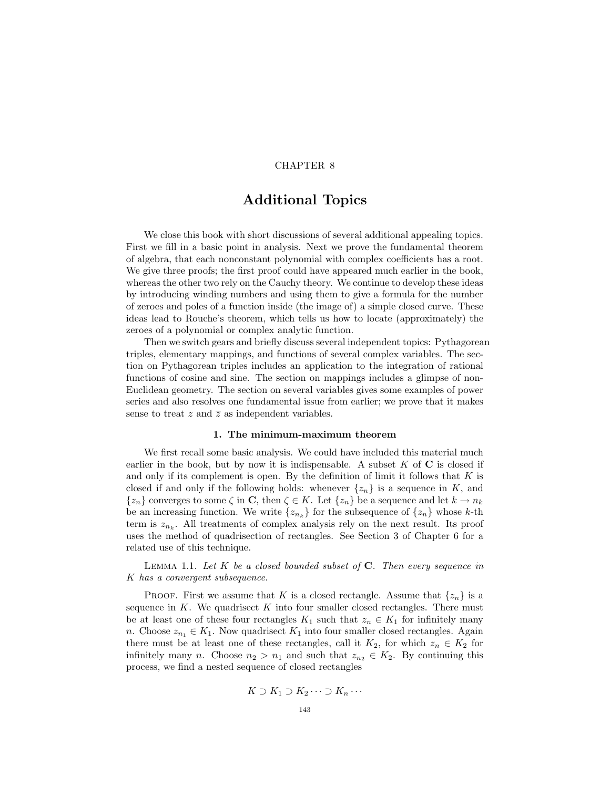# CHAPTER 8

# Additional Topics

We close this book with short discussions of several additional appealing topics. First we fill in a basic point in analysis. Next we prove the fundamental theorem of algebra, that each nonconstant polynomial with complex coefficients has a root. We give three proofs; the first proof could have appeared much earlier in the book, whereas the other two rely on the Cauchy theory. We continue to develop these ideas by introducing winding numbers and using them to give a formula for the number of zeroes and poles of a function inside (the image of) a simple closed curve. These ideas lead to Rouche's theorem, which tells us how to locate (approximately) the zeroes of a polynomial or complex analytic function.

Then we switch gears and briefly discuss several independent topics: Pythagorean triples, elementary mappings, and functions of several complex variables. The section on Pythagorean triples includes an application to the integration of rational functions of cosine and sine. The section on mappings includes a glimpse of non-Euclidean geometry. The section on several variables gives some examples of power series and also resolves one fundamental issue from earlier; we prove that it makes sense to treat z and  $\overline{z}$  as independent variables.

## 1. The minimum-maximum theorem

We first recall some basic analysis. We could have included this material much earlier in the book, but by now it is indispensable. A subset  $K$  of  $C$  is closed if and only if its complement is open. By the definition of limit it follows that  $K$  is closed if and only if the following holds: whenever  $\{z_n\}$  is a sequence in K, and  $\{z_n\}$  converges to some  $\zeta$  in **C**, then  $\zeta \in K$ . Let  $\{z_n\}$  be a sequence and let  $k \to n_k$ be an increasing function. We write  $\{z_{n_k}\}\$ for the subsequence of  $\{z_n\}$  whose k-th term is  $z_{n_k}$ . All treatments of complex analysis rely on the next result. Its proof uses the method of quadrisection of rectangles. See Section 3 of Chapter 6 for a related use of this technique.

LEMMA 1.1. Let K be a closed bounded subset of  $C$ . Then every sequence in K has a convergent subsequence.

**PROOF.** First we assume that K is a closed rectangle. Assume that  $\{z_n\}$  is a sequence in  $K$ . We quadrisect  $K$  into four smaller closed rectangles. There must be at least one of these four rectangles  $K_1$  such that  $z_n \in K_1$  for infinitely many n. Choose  $z_{n_1} \in K_1$ . Now quadrisect  $K_1$  into four smaller closed rectangles. Again there must be at least one of these rectangles, call it  $K_2$ , for which  $z_n \in K_2$  for infinitely many n. Choose  $n_2 > n_1$  and such that  $z_{n_2} \in K_2$ . By continuing this process, we find a nested sequence of closed rectangles

$$
K \supset K_1 \supset K_2 \cdots \supset K_n \cdots
$$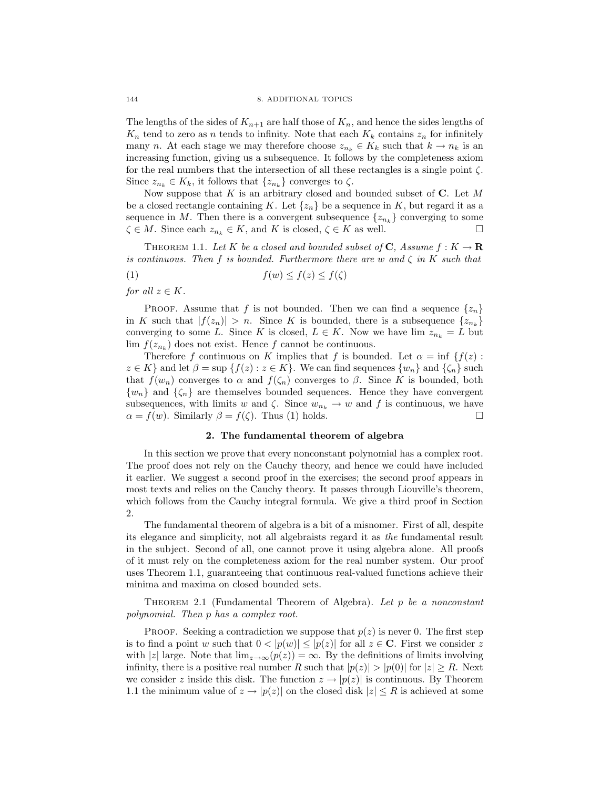The lengths of the sides of  $K_{n+1}$  are half those of  $K_n$ , and hence the sides lengths of  $K_n$  tend to zero as n tends to infinity. Note that each  $K_k$  contains  $z_n$  for infinitely many n. At each stage we may therefore choose  $z_{n_k} \in K_k$  such that  $k \to n_k$  is an increasing function, giving us a subsequence. It follows by the completeness axiom for the real numbers that the intersection of all these rectangles is a single point  $\zeta$ . Since  $z_{n_k} \in K_k$ , it follows that  $\{z_{n_k}\}\$  converges to  $\zeta$ .

Now suppose that K is an arbitrary closed and bounded subset of  $C$ . Let M be a closed rectangle containing K. Let  $\{z_n\}$  be a sequence in K, but regard it as a sequence in M. Then there is a convergent subsequence  $\{z_{n_k}\}$  converging to some  $\zeta \in M$ . Since each  $z_{n_k} \in K$ , and K is closed,  $\zeta \in K$  as well.

THEOREM 1.1. Let K be a closed and bounded subset of C, Assume  $f: K \to \mathbf{R}$ is continuous. Then f is bounded. Furthermore there are w and  $\zeta$  in K such that

$$
(1) \t f(w) \le f(z) \le f(\zeta)
$$

for all  $z \in K$ .

PROOF. Assume that f is not bounded. Then we can find a sequence  $\{z_n\}$ in K such that  $|f(z_n)| > n$ . Since K is bounded, there is a subsequence  $\{z_{n_k}\}\$ converging to some L. Since K is closed,  $L \in K$ . Now we have lim  $z_{n_k} = L$  but  $\lim f(z_{n_k})$  does not exist. Hence f cannot be continuous.

Therefore f continuous on K implies that f is bounded. Let  $\alpha = \inf \{f(z) :$  $z \in K$  and let  $\beta = \sup \{f(z) : z \in K\}$ . We can find sequences  $\{w_n\}$  and  $\{\zeta_n\}$  such that  $f(w_n)$  converges to  $\alpha$  and  $f(\zeta_n)$  converges to  $\beta$ . Since K is bounded, both  $\{w_n\}$  and  $\{\zeta_n\}$  are themselves bounded sequences. Hence they have convergent subsequences, with limits w and  $\zeta$ . Since  $w_{n_k} \to w$  and f is continuous, we have  $\alpha = f(w)$ . Similarly  $\beta = f(\zeta)$ . Thus (1) holds.  $\alpha = f(w)$ . Similarly  $\beta = f(\zeta)$ . Thus (1) holds.

### 2. The fundamental theorem of algebra

In this section we prove that every nonconstant polynomial has a complex root. The proof does not rely on the Cauchy theory, and hence we could have included it earlier. We suggest a second proof in the exercises; the second proof appears in most texts and relies on the Cauchy theory. It passes through Liouville's theorem, which follows from the Cauchy integral formula. We give a third proof in Section 2.

The fundamental theorem of algebra is a bit of a misnomer. First of all, despite its elegance and simplicity, not all algebraists regard it as the fundamental result in the subject. Second of all, one cannot prove it using algebra alone. All proofs of it must rely on the completeness axiom for the real number system. Our proof uses Theorem 1.1, guaranteeing that continuous real-valued functions achieve their minima and maxima on closed bounded sets.

THEOREM 2.1 (Fundamental Theorem of Algebra). Let  $p$  be a nonconstant polynomial. Then p has a complex root.

**PROOF.** Seeking a contradiction we suppose that  $p(z)$  is never 0. The first step is to find a point w such that  $0 < |p(w)| \le |p(z)|$  for all  $z \in \mathbb{C}$ . First we consider z with |z| large. Note that  $\lim_{z\to\infty}(p(z))=\infty$ . By the definitions of limits involving infinity, there is a positive real number R such that  $|p(z)| > |p(0)|$  for  $|z| \geq R$ . Next we consider z inside this disk. The function  $z \to |p(z)|$  is continuous. By Theorem 1.1 the minimum value of  $z \to |p(z)|$  on the closed disk  $|z| \leq R$  is achieved at some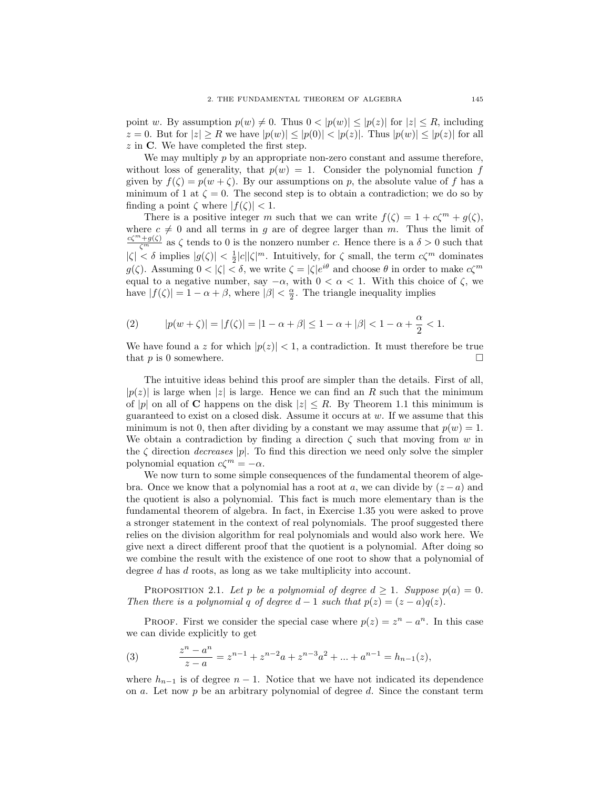point w. By assumption  $p(w) \neq 0$ . Thus  $0 < |p(w)| \leq |p(z)|$  for  $|z| \leq R$ , including  $z = 0$ . But for  $|z| \geq R$  we have  $|p(w)| \leq |p(0)| < |p(z)|$ . Thus  $|p(w)| \leq |p(z)|$  for all  $z$  in C. We have completed the first step.

We may multiply  $p$  by an appropriate non-zero constant and assume therefore, without loss of generality, that  $p(w) = 1$ . Consider the polynomial function f given by  $f(\zeta) = p(w + \zeta)$ . By our assumptions on p, the absolute value of f has a minimum of 1 at  $\zeta = 0$ . The second step is to obtain a contradiction; we do so by finding a point  $\zeta$  where  $|f(\zeta)| < 1$ .

There is a positive integer m such that we can write  $f(\zeta) = 1 + c\zeta^m + g(\zeta)$ , where  $c \neq 0$  and all terms in g are of degree larger than m. Thus the limit of  $\frac{c\zeta^{m}+g(\zeta)}{\zeta^{m}}$  as  $\zeta$  tends to 0 is the nonzero number c. Hence there is a  $\delta > 0$  such that  $|\zeta| < \delta$  implies  $|g(\zeta)| < \frac{1}{2}|c||\zeta|^m$ . Intuitively, for  $\zeta$  small, the term  $c\zeta^m$  dominates  $g(\zeta)$ . Assuming  $0 < |\zeta| < \delta$ , we write  $\zeta = |\zeta|e^{i\theta}$  and choose  $\theta$  in order to make  $c\zeta^m$ equal to a negative number, say  $-\alpha$ , with  $0 < \alpha < 1$ . With this choice of  $\zeta$ , we have  $|f(\zeta)| = 1 - \alpha + \beta$ , where  $|\beta| < \frac{\alpha}{2}$ . The triangle inequality implies

(2) 
$$
|p(w+\zeta)| = |f(\zeta)| = |1-\alpha+\beta| \le 1-\alpha+|\beta| < 1-\alpha+\frac{\alpha}{2} < 1.
$$

We have found a z for which  $|p(z)| < 1$ , a contradiction. It must therefore be true that  $p$  is 0 somewhere.  $\Box$ 

The intuitive ideas behind this proof are simpler than the details. First of all,  $|p(z)|$  is large when |z| is large. Hence we can find an R such that the minimum of |p| on all of C happens on the disk  $|z| \leq R$ . By Theorem 1.1 this minimum is guaranteed to exist on a closed disk. Assume it occurs at w. If we assume that this minimum is not 0, then after dividing by a constant we may assume that  $p(w) = 1$ . We obtain a contradiction by finding a direction  $\zeta$  such that moving from w in the  $\zeta$  direction *decreases* |p|. To find this direction we need only solve the simpler polynomial equation  $c\zeta^m = -\alpha$ .

We now turn to some simple consequences of the fundamental theorem of algebra. Once we know that a polynomial has a root at a, we can divide by  $(z - a)$  and the quotient is also a polynomial. This fact is much more elementary than is the fundamental theorem of algebra. In fact, in Exercise 1.35 you were asked to prove a stronger statement in the context of real polynomials. The proof suggested there relies on the division algorithm for real polynomials and would also work here. We give next a direct different proof that the quotient is a polynomial. After doing so we combine the result with the existence of one root to show that a polynomial of degree d has d roots, as long as we take multiplicity into account.

PROPOSITION 2.1. Let p be a polynomial of degree  $d \geq 1$ . Suppose  $p(a) = 0$ . Then there is a polynomial q of degree  $d-1$  such that  $p(z) = (z-a)q(z)$ .

PROOF. First we consider the special case where  $p(z) = z^n - a^n$ . In this case we can divide explicitly to get

(3) 
$$
\frac{z^n - a^n}{z - a} = z^{n-1} + z^{n-2}a + z^{n-3}a^2 + \dots + a^{n-1} = h_{n-1}(z),
$$

where  $h_{n-1}$  is of degree  $n-1$ . Notice that we have not indicated its dependence on a. Let now  $p$  be an arbitrary polynomial of degree  $d$ . Since the constant term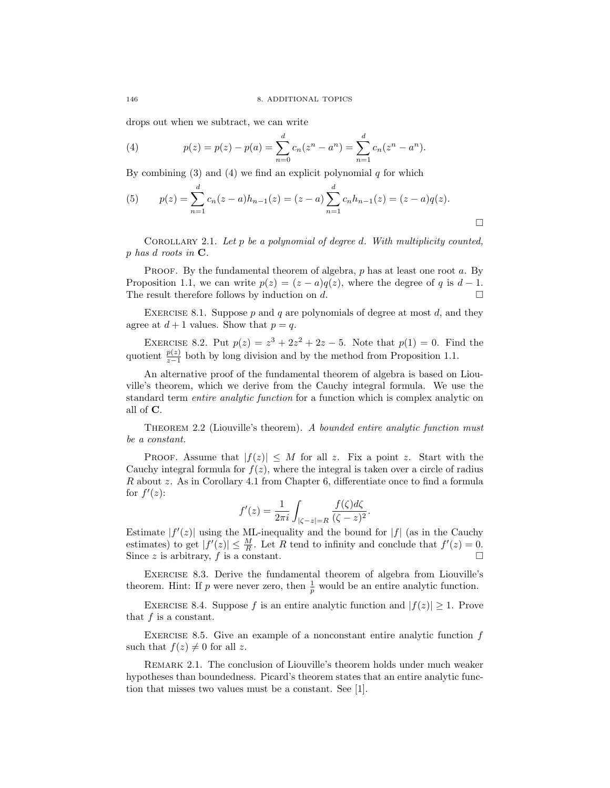drops out when we subtract, we can write

(4) 
$$
p(z) = p(z) - p(a) = \sum_{n=0}^{d} c_n (z^n - a^n) = \sum_{n=1}^{d} c_n (z^n - a^n).
$$

By combining (3) and (4) we find an explicit polynomial q for which

(5) 
$$
p(z) = \sum_{n=1}^{d} c_n(z-a)h_{n-1}(z) = (z-a)\sum_{n=1}^{d} c_n h_{n-1}(z) = (z-a)q(z).
$$

COROLLARY 2.1. Let  $p$  be a polynomial of degree d. With multiplicity counted, p has d roots in C.

PROOF. By the fundamental theorem of algebra,  $p$  has at least one root  $a$ . By Proposition 1.1, we can write  $p(z) = (z - a)q(z)$ , where the degree of q is  $d-1$ . The result therefore follows by induction on  $d$ .

EXERCISE 8.1. Suppose  $p$  and  $q$  are polynomials of degree at most  $d$ , and they agree at  $d+1$  values. Show that  $p = q$ .

EXERCISE 8.2. Put  $p(z) = z^3 + 2z^2 + 2z - 5$ . Note that  $p(1) = 0$ . Find the quotient  $\frac{p(z)}{z-1}$  both by long division and by the method from Proposition 1.1.

An alternative proof of the fundamental theorem of algebra is based on Liouville's theorem, which we derive from the Cauchy integral formula. We use the standard term entire analytic function for a function which is complex analytic on all of C.

THEOREM 2.2 (Liouville's theorem). A bounded entire analytic function must be a constant.

PROOF. Assume that  $|f(z)| \leq M$  for all z. Fix a point z. Start with the Cauchy integral formula for  $f(z)$ , where the integral is taken over a circle of radius R about z. As in Corollary 4.1 from Chapter 6, differentiate once to find a formula for  $f'(z)$ :

$$
f'(z) = \frac{1}{2\pi i} \int_{|\zeta - z| = R} \frac{f(\zeta)d\zeta}{(\zeta - z)^2}.
$$

Estimate  $|f'(z)|$  using the ML-inequality and the bound for  $|f|$  (as in the Cauchy estimates) to get  $|f'(z)| \leq \frac{M}{R}$ . Let R tend to infinity and conclude that  $f'(z) = 0$ . Since z is arbitrary, f is a constant.  $\square$ 

Exercise 8.3. Derive the fundamental theorem of algebra from Liouville's theorem. Hint: If p were never zero, then  $\frac{1}{p}$  would be an entire analytic function.

EXERCISE 8.4. Suppose f is an entire analytic function and  $|f(z)| \geq 1$ . Prove that  $f$  is a constant.

EXERCISE 8.5. Give an example of a nonconstant entire analytic function  $f$ such that  $f(z) \neq 0$  for all z.

REMARK 2.1. The conclusion of Liouville's theorem holds under much weaker hypotheses than boundedness. Picard's theorem states that an entire analytic function that misses two values must be a constant. See [1].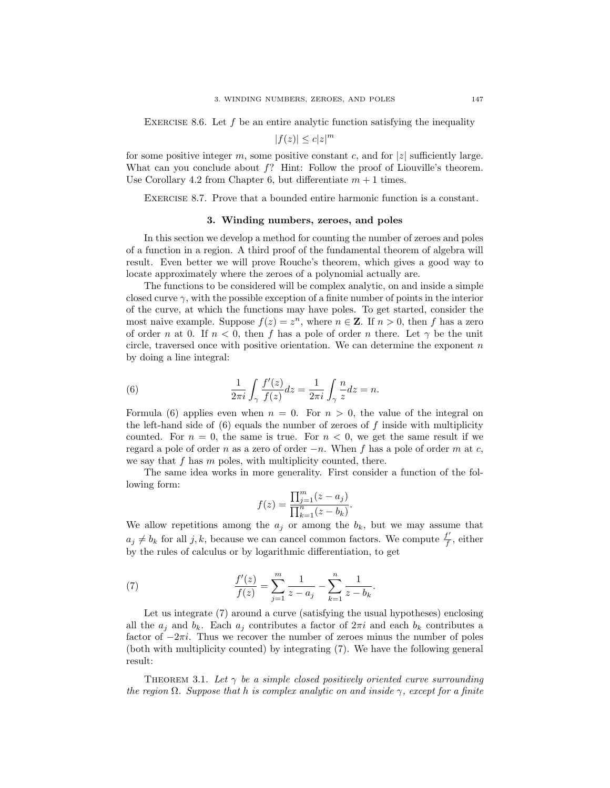EXERCISE 8.6. Let  $f$  be an entire analytic function satisfying the inequality

$$
|f(z)| \le c|z|^m
$$

for some positive integer m, some positive constant c, and for  $|z|$  sufficiently large. What can you conclude about  $f$ ? Hint: Follow the proof of Liouville's theorem. Use Corollary 4.2 from Chapter 6, but differentiate  $m + 1$  times.

Exercise 8.7. Prove that a bounded entire harmonic function is a constant.

#### 3. Winding numbers, zeroes, and poles

In this section we develop a method for counting the number of zeroes and poles of a function in a region. A third proof of the fundamental theorem of algebra will result. Even better we will prove Rouche's theorem, which gives a good way to locate approximately where the zeroes of a polynomial actually are.

The functions to be considered will be complex analytic, on and inside a simple closed curve  $\gamma$ , with the possible exception of a finite number of points in the interior of the curve, at which the functions may have poles. To get started, consider the most naive example. Suppose  $f(z) = z^n$ , where  $n \in \mathbb{Z}$ . If  $n > 0$ , then f has a zero of order n at 0. If  $n < 0$ , then f has a pole of order n there. Let  $\gamma$  be the unit circle, traversed once with positive orientation. We can determine the exponent  $n$ by doing a line integral:

(6) 
$$
\frac{1}{2\pi i} \int_{\gamma} \frac{f'(z)}{f(z)} dz = \frac{1}{2\pi i} \int_{\gamma} \frac{n}{z} dz = n.
$$

Formula (6) applies even when  $n = 0$ . For  $n > 0$ , the value of the integral on the left-hand side of  $(6)$  equals the number of zeroes of f inside with multiplicity counted. For  $n = 0$ , the same is true. For  $n < 0$ , we get the same result if we regard a pole of order n as a zero of order  $-n$ . When f has a pole of order m at c, we say that f has  $m$  poles, with multiplicity counted, there.

The same idea works in more generality. First consider a function of the following form:

$$
f(z) = \frac{\prod_{j=1}^{m} (z - a_j)}{\prod_{k=1}^{n} (z - b_k)}.
$$

We allow repetitions among the  $a_j$  or among the  $b_k$ , but we may assume that  $a_j \neq b_k$  for all j, k, because we can cancel common factors. We compute  $\frac{f'}{f}$  $\frac{f}{f}$ , either by the rules of calculus or by logarithmic differentiation, to get

(7) 
$$
\frac{f'(z)}{f(z)} = \sum_{j=1}^{m} \frac{1}{z - a_j} - \sum_{k=1}^{n} \frac{1}{z - b_k}.
$$

Let us integrate (7) around a curve (satisfying the usual hypotheses) enclosing all the  $a_j$  and  $b_k$ . Each  $a_j$  contributes a factor of  $2\pi i$  and each  $b_k$  contributes a factor of  $-2\pi i$ . Thus we recover the number of zeroes minus the number of poles (both with multiplicity counted) by integrating (7). We have the following general result:

THEOREM 3.1. Let  $\gamma$  be a simple closed positively oriented curve surrounding the region  $\Omega$ . Suppose that h is complex analytic on and inside  $\gamma$ , except for a finite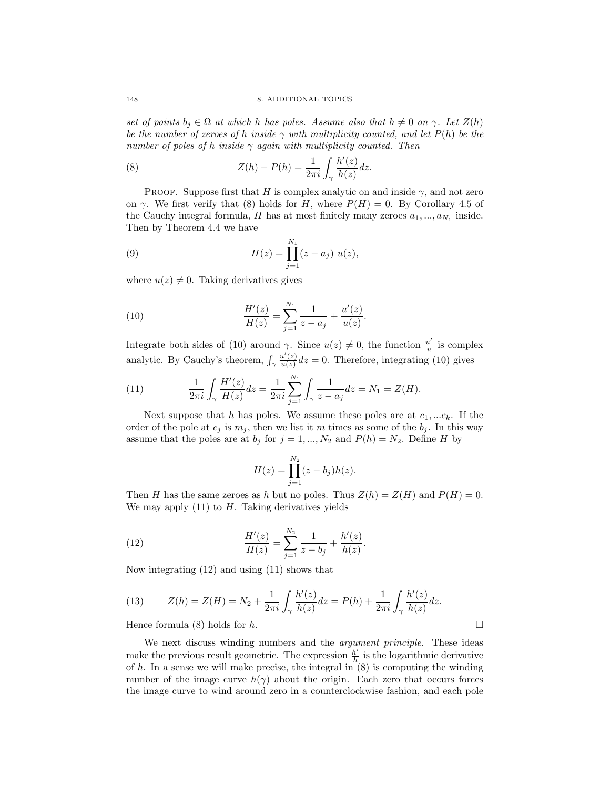set of points  $b_i \in \Omega$  at which h has poles. Assume also that  $h \neq 0$  on  $\gamma$ . Let  $Z(h)$ be the number of zeroes of h inside  $\gamma$  with multiplicity counted, and let  $P(h)$  be the number of poles of h inside  $\gamma$  again with multiplicity counted. Then

(8) 
$$
Z(h) - P(h) = \frac{1}{2\pi i} \int_{\gamma} \frac{h'(z)}{h(z)} dz.
$$

PROOF. Suppose first that H is complex analytic on and inside  $\gamma$ , and not zero on  $\gamma$ . We first verify that (8) holds for H, where  $P(H) = 0$ . By Corollary 4.5 of the Cauchy integral formula,  $H$  has at most finitely many zeroes  $a_1, ..., a_{N_1}$  inside. Then by Theorem 4.4 we have

(9) 
$$
H(z) = \prod_{j=1}^{N_1} (z - a_j) u(z),
$$

where  $u(z) \neq 0$ . Taking derivatives gives

(10) 
$$
\frac{H'(z)}{H(z)} = \sum_{j=1}^{N_1} \frac{1}{z - a_j} + \frac{u'(z)}{u(z)}.
$$

Integrate both sides of (10) around  $\gamma$ . Since  $u(z) \neq 0$ , the function  $\frac{u'}{u}$  $\frac{u'}{u}$  is complex analytic. By Cauchy's theorem,  $\int_{\gamma}$  $u'(z)$  $\frac{u(z)}{u(z)}dz = 0$ . Therefore, integrating (10) gives

(11) 
$$
\frac{1}{2\pi i} \int_{\gamma} \frac{H'(z)}{H(z)} dz = \frac{1}{2\pi i} \sum_{j=1}^{N_1} \int_{\gamma} \frac{1}{z - a_j} dz = N_1 = Z(H).
$$

Next suppose that h has poles. We assume these poles are at  $c_1, ... c_k$ . If the order of the pole at  $c_j$  is  $m_j$ , then we list it m times as some of the  $b_j$ . In this way assume that the poles are at  $b_j$  for  $j = 1, ..., N_2$  and  $P(h) = N_2$ . Define H by

$$
H(z) = \prod_{j=1}^{N_2} (z - b_j)h(z).
$$

Then H has the same zeroes as h but no poles. Thus  $Z(h) = Z(H)$  and  $P(H) = 0$ . We may apply  $(11)$  to H. Taking derivatives yields

(12) 
$$
\frac{H'(z)}{H(z)} = \sum_{j=1}^{N_2} \frac{1}{z - b_j} + \frac{h'(z)}{h(z)}.
$$

Now integrating (12) and using (11) shows that

(13) 
$$
Z(h) = Z(H) = N_2 + \frac{1}{2\pi i} \int_{\gamma} \frac{h'(z)}{h(z)} dz = P(h) + \frac{1}{2\pi i} \int_{\gamma} \frac{h'(z)}{h(z)} dz.
$$

Hence formula (8) holds for  $h$ .

We next discuss winding numbers and the *argument principle*. These ideas make the previous result geometric. The expression  $\frac{h'}{h}$  $\frac{h'}{h}$  is the logarithmic derivative of  $h$ . In a sense we will make precise, the integral in  $(8)$  is computing the winding number of the image curve  $h(\gamma)$  about the origin. Each zero that occurs forces the image curve to wind around zero in a counterclockwise fashion, and each pole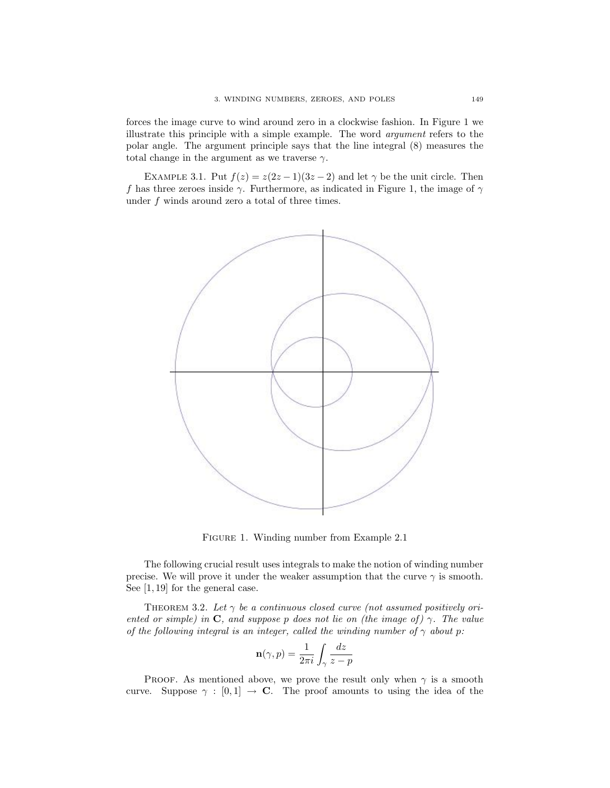forces the image curve to wind around zero in a clockwise fashion. In Figure 1 we illustrate this principle with a simple example. The word argument refers to the polar angle. The argument principle says that the line integral (8) measures the total change in the argument as we traverse  $\gamma$ .

EXAMPLE 3.1. Put  $f(z) = z(2z-1)(3z-2)$  and let  $\gamma$  be the unit circle. Then f has three zeroes inside  $\gamma$ . Furthermore, as indicated in Figure 1, the image of  $\gamma$ under  $f$  winds around zero a total of three times.



Figure 1. Winding number from Example 2.1

The following crucial result uses integrals to make the notion of winding number precise. We will prove it under the weaker assumption that the curve  $\gamma$  is smooth. See [1, 19] for the general case.

THEOREM 3.2. Let  $\gamma$  be a continuous closed curve (not assumed positively oriented or simple) in C, and suppose p does not lie on (the image of)  $\gamma$ . The value of the following integral is an integer, called the winding number of  $\gamma$  about p:

$$
\mathbf{n}(\gamma, p) = \frac{1}{2\pi i} \int_{\gamma} \frac{dz}{z - p}
$$

PROOF. As mentioned above, we prove the result only when  $\gamma$  is a smooth curve. Suppose  $\gamma : [0,1] \rightarrow \mathbb{C}$ . The proof amounts to using the idea of the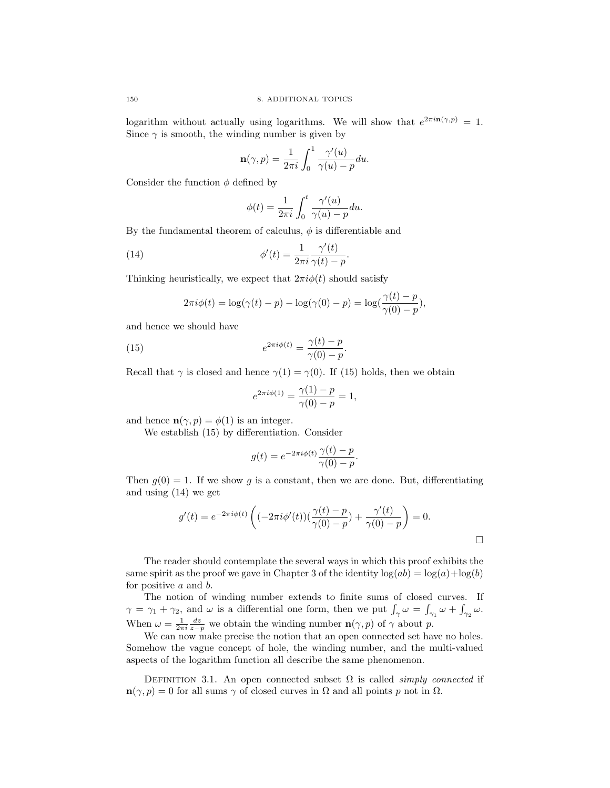logarithm without actually using logarithms. We will show that  $e^{2\pi i \mathbf{n}(\gamma, p)} = 1$ . Since  $\gamma$  is smooth, the winding number is given by

$$
\mathbf{n}(\gamma, p) = \frac{1}{2\pi i} \int_0^1 \frac{\gamma'(u)}{\gamma(u) - p} du.
$$

Consider the function  $\phi$  defined by

$$
\phi(t) = \frac{1}{2\pi i} \int_0^t \frac{\gamma'(u)}{\gamma(u) - p} du.
$$

By the fundamental theorem of calculus,  $\phi$  is differentiable and

(14) 
$$
\phi'(t) = \frac{1}{2\pi i} \frac{\gamma'(t)}{\gamma(t) - p}.
$$

Thinking heuristically, we expect that  $2\pi i \phi(t)$  should satisfy

$$
2\pi i \phi(t) = \log(\gamma(t) - p) - \log(\gamma(0) - p) = \log(\frac{\gamma(t) - p}{\gamma(0) - p}),
$$

and hence we should have

(15) 
$$
e^{2\pi i\phi(t)} = \frac{\gamma(t) - p}{\gamma(0) - p}.
$$

Recall that  $\gamma$  is closed and hence  $\gamma(1) = \gamma(0)$ . If (15) holds, then we obtain

$$
e^{2\pi i \phi(1)} = \frac{\gamma(1) - p}{\gamma(0) - p} = 1,
$$

and hence  $\mathbf{n}(\gamma, p) = \phi(1)$  is an integer.

We establish (15) by differentiation. Consider

$$
g(t) = e^{-2\pi i \phi(t)} \frac{\gamma(t) - p}{\gamma(0) - p}.
$$

Then  $g(0) = 1$ . If we show g is a constant, then we are done. But, differentiating and using (14) we get

$$
g'(t) = e^{-2\pi i \phi(t)} \left( (-2\pi i \phi'(t)) (\frac{\gamma(t) - p}{\gamma(0) - p}) + \frac{\gamma'(t)}{\gamma(0) - p} \right) = 0.
$$

 $\Box$ 

The reader should contemplate the several ways in which this proof exhibits the same spirit as the proof we gave in Chapter 3 of the identity  $log(ab) = log(a) + log(b)$ for positive a and b.

The notion of winding number extends to finite sums of closed curves. If  $\gamma = \gamma_1 + \gamma_2$ , and  $\omega$  is a differential one form, then we put  $\int_{\gamma} \omega = \int_{\gamma_1} \omega + \int_{\gamma_2} \omega$ . When  $\omega = \frac{1}{2\pi i} \frac{dz}{z-p}$  we obtain the winding number  $\mathbf{n}(\gamma, p)$  of  $\gamma$  about p.

We can now make precise the notion that an open connected set have no holes. Somehow the vague concept of hole, the winding number, and the multi-valued aspects of the logarithm function all describe the same phenomenon.

DEFINITION 3.1. An open connected subset  $\Omega$  is called *simply connected* if  $\mathbf{n}(\gamma, p) = 0$  for all sums  $\gamma$  of closed curves in  $\Omega$  and all points p not in  $\Omega$ .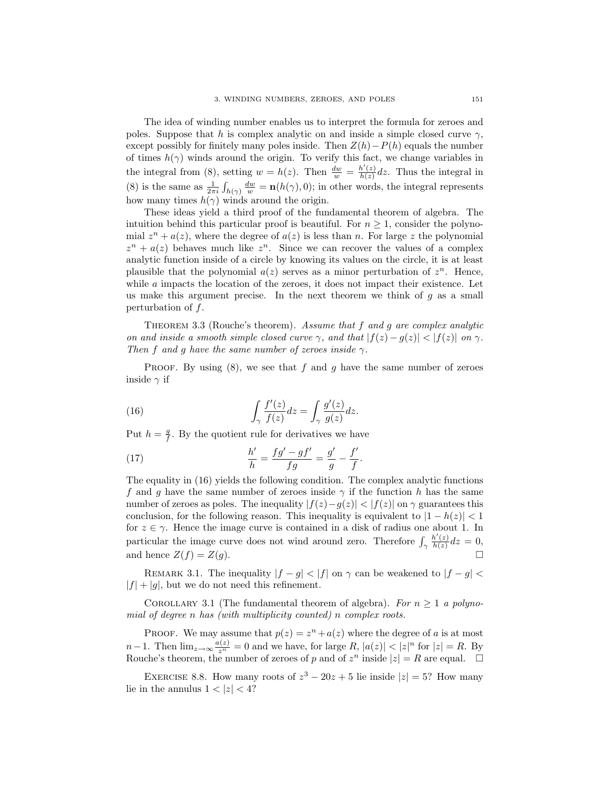The idea of winding number enables us to interpret the formula for zeroes and poles. Suppose that h is complex analytic on and inside a simple closed curve  $\gamma$ , except possibly for finitely many poles inside. Then  $Z(h) - P(h)$  equals the number of times  $h(\gamma)$  winds around the origin. To verify this fact, we change variables in the integral from (8), setting  $w = h(z)$ . Then  $\frac{dw}{w} = \frac{h'(z)}{h(z)}$  $\frac{h(z)}{h(z)}$  dz. Thus the integral in (8) is the same as  $\frac{1}{2\pi i} \int_{h(\gamma)} \frac{dw}{w} = \mathbf{n}(h(\gamma), 0)$ ; in other words, the integral represents how many times  $h(\gamma)$  winds around the origin.

These ideas yield a third proof of the fundamental theorem of algebra. The intuition behind this particular proof is beautiful. For  $n \geq 1$ , consider the polynomial  $z<sup>n</sup> + a(z)$ , where the degree of  $a(z)$  is less than n. For large z the polynomial  $z^{n} + a(z)$  behaves much like  $z^{n}$ . Since we can recover the values of a complex analytic function inside of a circle by knowing its values on the circle, it is at least plausible that the polynomial  $a(z)$  serves as a minor perturbation of  $z^n$ . Hence, while  $a$  impacts the location of the zeroes, it does not impact their existence. Let us make this argument precise. In the next theorem we think of  $g$  as a small perturbation of f.

THEOREM 3.3 (Rouche's theorem). Assume that  $f$  and  $g$  are complex analytic on and inside a smooth simple closed curve  $\gamma$ , and that  $|f(z) - g(z)| < |f(z)|$  on  $\gamma$ . Then f and g have the same number of zeroes inside  $\gamma$ .

PROOF. By using  $(8)$ , we see that f and g have the same number of zeroes inside  $\gamma$  if

(16) 
$$
\int_{\gamma} \frac{f'(z)}{f(z)} dz = \int_{\gamma} \frac{g'(z)}{g(z)} dz.
$$

Put  $h = \frac{g}{f}$ . By the quotient rule for derivatives we have

(17) 
$$
\frac{h'}{h} = \frac{fg' - gf'}{fg} = \frac{g'}{g} - \frac{f'}{f}.
$$

The equality in (16) yields the following condition. The complex analytic functions f and g have the same number of zeroes inside  $\gamma$  if the function h has the same number of zeroes as poles. The inequality  $|f(z)-g(z)| < |f(z)|$  on  $\gamma$  guarantees this conclusion, for the following reason. This inequality is equivalent to  $|1 - h(z)| < 1$ for  $z \in \gamma$ . Hence the image curve is contained in a disk of radius one about 1. In particular the image curve does not wind around zero. Therefore  $\int_{\gamma}$  $h'(z)$  $\frac{h(z)}{h(z)}dz=0,$ and hence  $Z(f) = Z(g)$ .

REMARK 3.1. The inequality  $|f - g| < |f|$  on  $\gamma$  can be weakened to  $|f - g| <$  $|f| + |g|$ , but we do not need this refinement.

COROLLARY 3.1 (The fundamental theorem of algebra). For  $n \geq 1$  a polynomial of degree n has (with multiplicity counted) n complex roots.

PROOF. We may assume that  $p(z) = z<sup>n</sup> + a(z)$  where the degree of a is at most n−1. Then  $\lim_{z\to\infty}\frac{a(z)}{z^n}=0$  and we have, for large R,  $|a(z)|<|z|^n$  for  $|z|=R$ . By Rouche's theorem, the number of zeroes of p and of  $z^n$  inside  $|z| = R$  are equal.  $\square$ 

EXERCISE 8.8. How many roots of  $z^3 - 20z + 5$  lie inside  $|z| = 5$ ? How many lie in the annulus  $1 < |z| < 4$ ?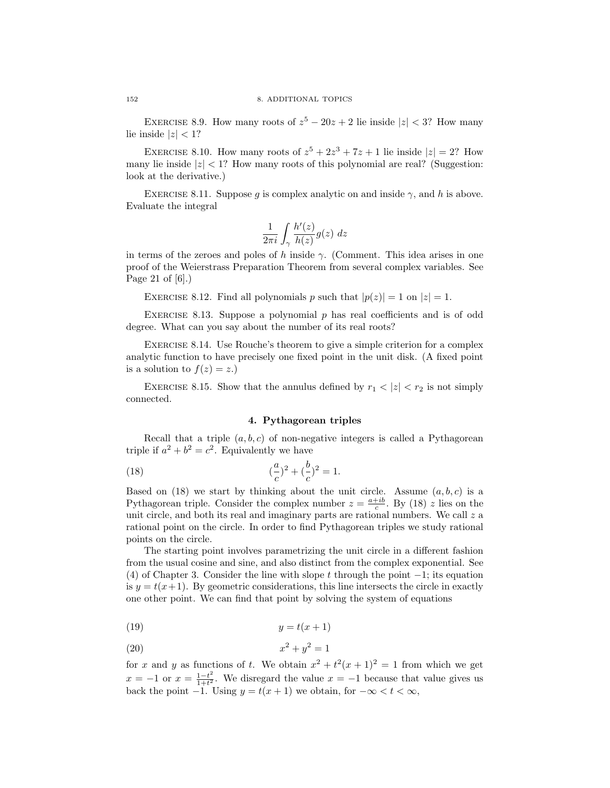EXERCISE 8.9. How many roots of  $z^5 - 20z + 2$  lie inside  $|z| < 3$ ? How many lie inside  $|z| < 1$ ?

EXERCISE 8.10. How many roots of  $z^5 + 2z^3 + 7z + 1$  lie inside  $|z| = 2$ ? How many lie inside  $|z| < 1$ ? How many roots of this polynomial are real? (Suggestion: look at the derivative.)

EXERCISE 8.11. Suppose q is complex analytic on and inside  $\gamma$ , and h is above. Evaluate the integral

$$
\frac{1}{2\pi i} \int_{\gamma} \frac{h'(z)}{h(z)} g(z) \ dz
$$

in terms of the zeroes and poles of h inside  $\gamma$ . (Comment. This idea arises in one proof of the Weierstrass Preparation Theorem from several complex variables. See Page 21 of [6].)

EXERCISE 8.12. Find all polynomials p such that  $|p(z)| = 1$  on  $|z| = 1$ .

EXERCISE 8.13. Suppose a polynomial  $p$  has real coefficients and is of odd degree. What can you say about the number of its real roots?

Exercise 8.14. Use Rouche's theorem to give a simple criterion for a complex analytic function to have precisely one fixed point in the unit disk. (A fixed point is a solution to  $f(z) = z$ .

EXERCISE 8.15. Show that the annulus defined by  $r_1 < |z| < r_2$  is not simply connected.

### 4. Pythagorean triples

Recall that a triple  $(a, b, c)$  of non-negative integers is called a Pythagorean triple if  $a^2 + b^2 = c^2$ . Equivalently we have

(18) 
$$
(\frac{a}{c})^2 + (\frac{b}{c})^2 = 1.
$$

Based on (18) we start by thinking about the unit circle. Assume  $(a, b, c)$  is a Pythagorean triple. Consider the complex number  $z = \frac{a+ib}{c}$ . By (18) z lies on the unit circle, and both its real and imaginary parts are rational numbers. We call  $z$  a rational point on the circle. In order to find Pythagorean triples we study rational points on the circle.

The starting point involves parametrizing the unit circle in a different fashion from the usual cosine and sine, and also distinct from the complex exponential. See (4) of Chapter 3. Consider the line with slope t through the point  $-1$ ; its equation is  $y = t(x+1)$ . By geometric considerations, this line intersects the circle in exactly one other point. We can find that point by solving the system of equations

$$
(19) \t\t y = t(x+1)
$$

$$
x^2 + y^2 = 1
$$

for x and y as functions of t. We obtain  $x^2 + t^2(x+1)^2 = 1$  from which we get  $x = -1$  or  $x = \frac{1-t^2}{1+t^2}$  $\frac{1-t^2}{1+t^2}$ . We disregard the value  $x = -1$  because that value gives us back the point  $-1$ . Using  $y = t(x + 1)$  we obtain, for  $-\infty < t < \infty$ ,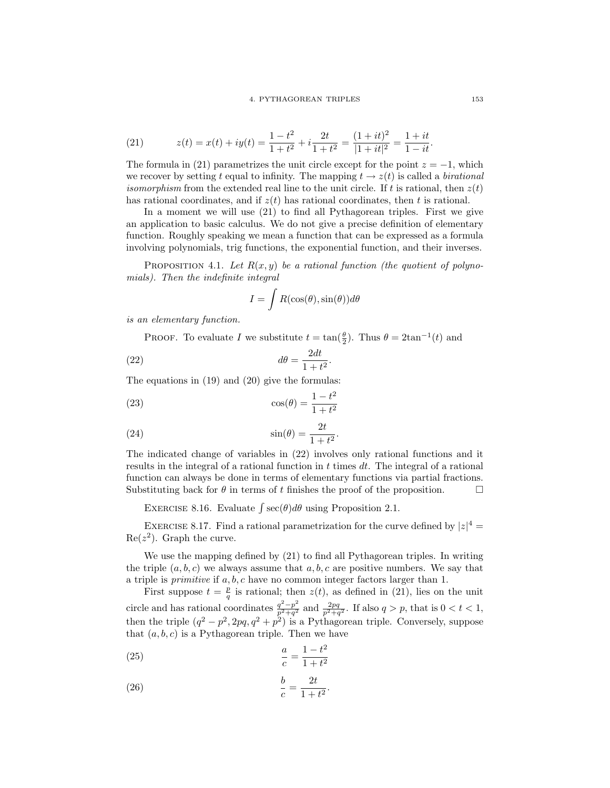(21) 
$$
z(t) = x(t) + iy(t) = \frac{1 - t^2}{1 + t^2} + i \frac{2t}{1 + t^2} = \frac{(1 + it)^2}{|1 + it|^2} = \frac{1 + it}{1 - it}.
$$

The formula in (21) parametrizes the unit circle except for the point  $z = -1$ , which we recover by setting t equal to infinity. The mapping  $t \to z(t)$  is called a *birational isomorphism* from the extended real line to the unit circle. If t is rational, then  $z(t)$ has rational coordinates, and if  $z(t)$  has rational coordinates, then t is rational.

In a moment we will use (21) to find all Pythagorean triples. First we give an application to basic calculus. We do not give a precise definition of elementary function. Roughly speaking we mean a function that can be expressed as a formula involving polynomials, trig functions, the exponential function, and their inverses.

PROPOSITION 4.1. Let  $R(x, y)$  be a rational function (the quotient of polynomials). Then the indefinite integral

$$
I = \int R(\cos(\theta), \sin(\theta))d\theta
$$

is an elementary function.

PROOF. To evaluate I we substitute  $t = \tan(\frac{\theta}{2})$ . Thus  $\theta = 2\tan^{-1}(t)$  and

(22) 
$$
d\theta = \frac{2dt}{1+t^2}.
$$

The equations in (19) and (20) give the formulas:

$$
\cos(\theta) = \frac{1 - t^2}{1 + t^2}
$$

(24) 
$$
\sin(\theta) = \frac{2t}{1+t^2}
$$

The indicated change of variables in (22) involves only rational functions and it results in the integral of a rational function in  $t$  times  $dt$ . The integral of a rational function can always be done in terms of elementary functions via partial fractions. Substituting back for  $\theta$  in terms of t finishes the proof of the proposition.

.

EXERCISE 8.16. Evaluate  $\int \sec(\theta) d\theta$  using Proposition 2.1.

EXERCISE 8.17. Find a rational parametrization for the curve defined by  $|z|^4 =$  $\text{Re}(z^2)$ . Graph the curve.

We use the mapping defined by (21) to find all Pythagorean triples. In writing the triple  $(a, b, c)$  we always assume that  $a, b, c$  are positive numbers. We say that a triple is *primitive* if  $a, b, c$  have no common integer factors larger than 1.

First suppose  $t = \frac{p}{q}$  is rational; then  $z(t)$ , as defined in (21), lies on the unit circle and has rational coordinates  $\frac{q^2-p^2}{r^2+a^2}$  $\frac{q^2-p^2}{p^2+q^2}$  and  $\frac{2pq}{p^2+q^2}$ . If also  $q > p$ , that is  $0 < t < 1$ , then the triple  $(q^2 - p^2, 2pq, q^2 + p^2)$  is a Pythagorean triple. Conversely, suppose that  $(a, b, c)$  is a Pythagorean triple. Then we have

(25) 
$$
\frac{a}{c} = \frac{1 - t^2}{1 + t^2}
$$

$$
\frac{b}{c} = \frac{2t}{1+t^2}.
$$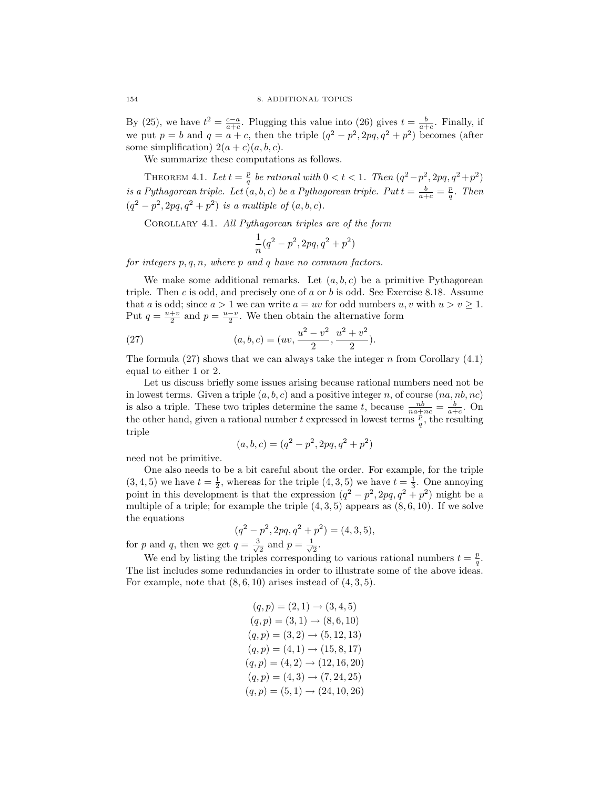By (25), we have  $t^2 = \frac{c-a}{a+c}$ . Plugging this value into (26) gives  $t = \frac{b}{a+c}$ . Finally, if we put  $p = b$  and  $q = a + c$ , then the triple  $(q^2 - p^2, 2pq, q^2 + p^2)$  becomes (after some simplification)  $2(a + c)(a, b, c)$ .

We summarize these computations as follows.

THEOREM 4.1. Let  $t = \frac{p}{q}$  be rational with  $0 < t < 1$ . Then  $(q^2 - p^2, 2pq, q^2 + p^2)$ is a Pythagorean triple. Let  $(a, b, c)$  be a Pythagorean triple. Put  $t = \frac{b}{a+c} = \frac{p}{q}$ . Then  $(q^2 - p^2, 2pq, q^2 + p^2)$  is a multiple of  $(a, b, c)$ .

Corollary 4.1. All Pythagorean triples are of the form

$$
\frac{1}{n}(q^2-p^2,2pq,q^2+p^2)
$$

for integers  $p, q, n$ , where  $p$  and  $q$  have no common factors.

We make some additional remarks. Let  $(a, b, c)$  be a primitive Pythagorean triple. Then c is odd, and precisely one of a or b is odd. See Exercise 8.18. Assume that a is odd; since  $a > 1$  we can write  $a = uv$  for odd numbers  $u, v$  with  $u > v \ge 1$ . Put  $q = \frac{u+v}{2}$  and  $p = \frac{u-v}{2}$ . We then obtain the alternative form

(27) 
$$
(a, b, c) = (uv, \frac{u^2 - v^2}{2}, \frac{u^2 + v^2}{2}).
$$

The formula (27) shows that we can always take the integer n from Corollary  $(4.1)$ equal to either 1 or 2.

Let us discuss briefly some issues arising because rational numbers need not be in lowest terms. Given a triple  $(a, b, c)$  and a positive integer n, of course  $(na, nb, nc)$ is also a triple. These two triples determine the same t, because  $\frac{nb}{na+nc} = \frac{b}{a+c}$ . On the other hand, given a rational number t expressed in lowest terms  $\frac{p}{q}$ , the resulting triple

$$
(a, b, c) = (q^2 - p^2, 2pq, q^2 + p^2)
$$

need not be primitive.

One also needs to be a bit careful about the order. For example, for the triple  $(3, 4, 5)$  we have  $t = \frac{1}{2}$ , whereas for the triple  $(4, 3, 5)$  we have  $t = \frac{1}{3}$ . One annoying point in this development is that the expression  $(q^2 - p^2, 2pq, q^2 + p^2)$  might be a multiple of a triple; for example the triple  $(4, 3, 5)$  appears as  $(8, 6, 10)$ . If we solve the equations

$$
(q2 - p2, 2pq, q2 + p2) = (4, 3, 5),
$$

for p and q, then we get  $q = \frac{3}{4}$  $\frac{1}{2}$  and  $p = \frac{1}{\sqrt{2}}$  $\frac{1}{2}$ .

We end by listing the triples corresponding to various rational numbers  $t = \frac{p}{q}$ . The list includes some redundancies in order to illustrate some of the above ideas. For example, note that  $(8, 6, 10)$  arises instead of  $(4, 3, 5)$ .

$$
(q, p) = (2, 1) \rightarrow (3, 4, 5)
$$
  
\n
$$
(q, p) = (3, 1) \rightarrow (8, 6, 10)
$$
  
\n
$$
(q, p) = (3, 2) \rightarrow (5, 12, 13)
$$
  
\n
$$
(q, p) = (4, 1) \rightarrow (15, 8, 17)
$$
  
\n
$$
(q, p) = (4, 2) \rightarrow (12, 16, 20)
$$
  
\n
$$
(q, p) = (4, 3) \rightarrow (7, 24, 25)
$$
  
\n
$$
(q, p) = (5, 1) \rightarrow (24, 10, 26)
$$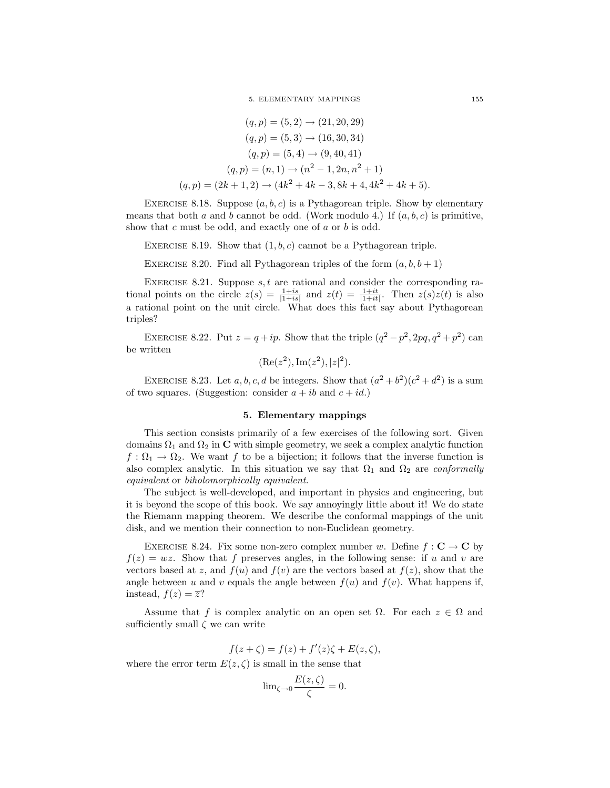5. ELEMENTARY MAPPINGS 155

$$
(q, p) = (5, 2) \rightarrow (21, 20, 29)
$$
  
\n
$$
(q, p) = (5, 3) \rightarrow (16, 30, 34)
$$
  
\n
$$
(q, p) = (5, 4) \rightarrow (9, 40, 41)
$$
  
\n
$$
(q, p) = (n, 1) \rightarrow (n^2 - 1, 2n, n^2 + 1)
$$
  
\n
$$
(q, p) = (2k + 1, 2) \rightarrow (4k^2 + 4k - 3, 8k + 4, 4k^2 + 4k + 5).
$$

EXERCISE 8.18. Suppose  $(a, b, c)$  is a Pythagorean triple. Show by elementary means that both a and b cannot be odd. (Work modulo 4.) If  $(a, b, c)$  is primitive, show that c must be odd, and exactly one of a or b is odd.

EXERCISE 8.19. Show that  $(1, b, c)$  cannot be a Pythagorean triple.

EXERCISE 8.20. Find all Pythagorean triples of the form  $(a, b, b + 1)$ 

EXERCISE 8.21. Suppose  $s, t$  are rational and consider the corresponding rational points on the circle  $z(s) = \frac{1+is}{|1+is|}$  and  $z(t) = \frac{1+it}{|1+it|}$ . Then  $z(s)z(t)$  is also a rational point on the unit circle. What does this fact say about Pythagorean triples?

EXERCISE 8.22. Put  $z = q + ip$ . Show that the triple  $(q^2 - p^2, 2pq, q^2 + p^2)$  can be written

$$
(\text{Re}(z^2), \text{Im}(z^2), |z|^2).
$$

EXERCISE 8.23. Let a, b, c, d be integers. Show that  $(a^2 + b^2)(c^2 + d^2)$  is a sum of two squares. (Suggestion: consider  $a + ib$  and  $c + id$ .)

#### 5. Elementary mappings

This section consists primarily of a few exercises of the following sort. Given domains  $\Omega_1$  and  $\Omega_2$  in C with simple geometry, we seek a complex analytic function  $f: \Omega_1 \to \Omega_2$ . We want f to be a bijection; it follows that the inverse function is also complex analytic. In this situation we say that  $\Omega_1$  and  $\Omega_2$  are *conformally* equivalent or biholomorphically equivalent.

The subject is well-developed, and important in physics and engineering, but it is beyond the scope of this book. We say annoyingly little about it! We do state the Riemann mapping theorem. We describe the conformal mappings of the unit disk, and we mention their connection to non-Euclidean geometry.

EXERCISE 8.24. Fix some non-zero complex number w. Define  $f: \mathbf{C} \to \mathbf{C}$  by  $f(z) = wz$ . Show that f preserves angles, in the following sense: if u and v are vectors based at z, and  $f(u)$  and  $f(v)$  are the vectors based at  $f(z)$ , show that the angle between u and v equals the angle between  $f(u)$  and  $f(v)$ . What happens if, instead,  $f(z) = \overline{z}$ ?

Assume that f is complex analytic on an open set  $\Omega$ . For each  $z \in \Omega$  and sufficiently small  $\zeta$  we can write

$$
f(z+\zeta) = f(z) + f'(z)\zeta + E(z,\zeta),
$$

where the error term  $E(z, \zeta)$  is small in the sense that

$$
\lim_{\zeta \to 0} \frac{E(z,\zeta)}{\zeta} = 0.
$$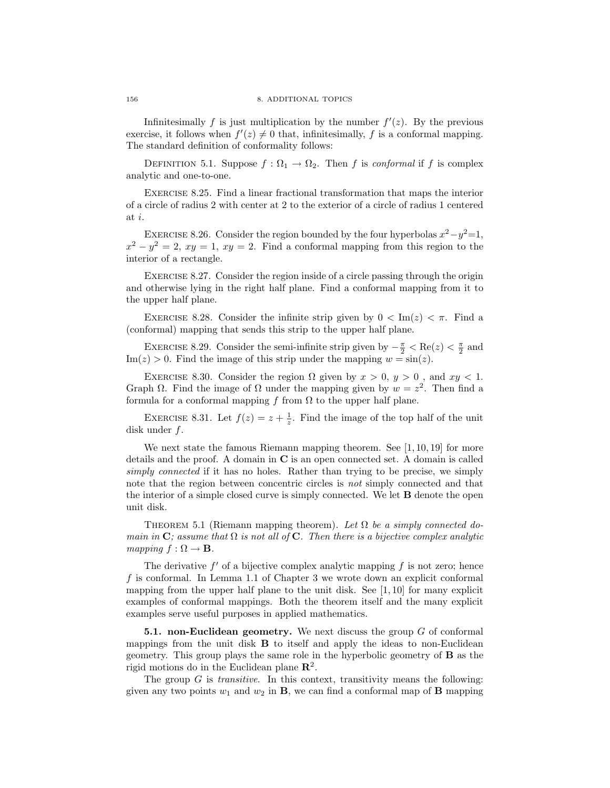Infinitesimally f is just multiplication by the number  $f'(z)$ . By the previous exercise, it follows when  $f'(z) \neq 0$  that, infinitesimally, f is a conformal mapping. The standard definition of conformality follows:

DEFINITION 5.1. Suppose  $f : \Omega_1 \to \Omega_2$ . Then f is conformal if f is complex analytic and one-to-one.

Exercise 8.25. Find a linear fractional transformation that maps the interior of a circle of radius 2 with center at 2 to the exterior of a circle of radius 1 centered at i.

EXERCISE 8.26. Consider the region bounded by the four hyperbolas  $x^2 - y^2 = 1$ ,  $x^2 - y^2 = 2$ ,  $xy = 1$ ,  $xy = 2$ . Find a conformal mapping from this region to the interior of a rectangle.

Exercise 8.27. Consider the region inside of a circle passing through the origin and otherwise lying in the right half plane. Find a conformal mapping from it to the upper half plane.

EXERCISE 8.28. Consider the infinite strip given by  $0 < \text{Im}(z) < \pi$ . Find a (conformal) mapping that sends this strip to the upper half plane.

EXERCISE 8.29. Consider the semi-infinite strip given by  $-\frac{\pi}{2} < \text{Re}(z) < \frac{\pi}{2}$  and  $\text{Im}(z) > 0$ . Find the image of this strip under the mapping  $w = \sin(z)$ .

EXERCISE 8.30. Consider the region  $\Omega$  given by  $x > 0$ ,  $y > 0$ , and  $xy < 1$ . Graph  $\Omega$ . Find the image of  $\Omega$  under the mapping given by  $w = z^2$ . Then find a formula for a conformal mapping f from  $\Omega$  to the upper half plane.

EXERCISE 8.31. Let  $f(z) = z + \frac{1}{z}$ . Find the image of the top half of the unit disk under f.

We next state the famous Riemann mapping theorem. See [1, 10, 19] for more details and the proof. A domain in C is an open connected set. A domain is called simply connected if it has no holes. Rather than trying to be precise, we simply note that the region between concentric circles is not simply connected and that the interior of a simple closed curve is simply connected. We let B denote the open unit disk.

THEOREM 5.1 (Riemann mapping theorem). Let  $\Omega$  be a simply connected domain in C; assume that  $\Omega$  is not all of C. Then there is a bijective complex analytic mapping  $f : \Omega \to \mathbf{B}$ .

The derivative  $f'$  of a bijective complex analytic mapping  $f$  is not zero; hence f is conformal. In Lemma 1.1 of Chapter 3 we wrote down an explicit conformal mapping from the upper half plane to the unit disk. See  $[1, 10]$  for many explicit examples of conformal mappings. Both the theorem itself and the many explicit examples serve useful purposes in applied mathematics.

**5.1. non-Euclidean geometry.** We next discuss the group  $G$  of conformal mappings from the unit disk  $\bf{B}$  to itself and apply the ideas to non-Euclidean geometry. This group plays the same role in the hyperbolic geometry of B as the rigid motions do in the Euclidean plane  $\mathbb{R}^2$ .

The group  $G$  is *transitive*. In this context, transitivity means the following: given any two points  $w_1$  and  $w_2$  in **B**, we can find a conformal map of **B** mapping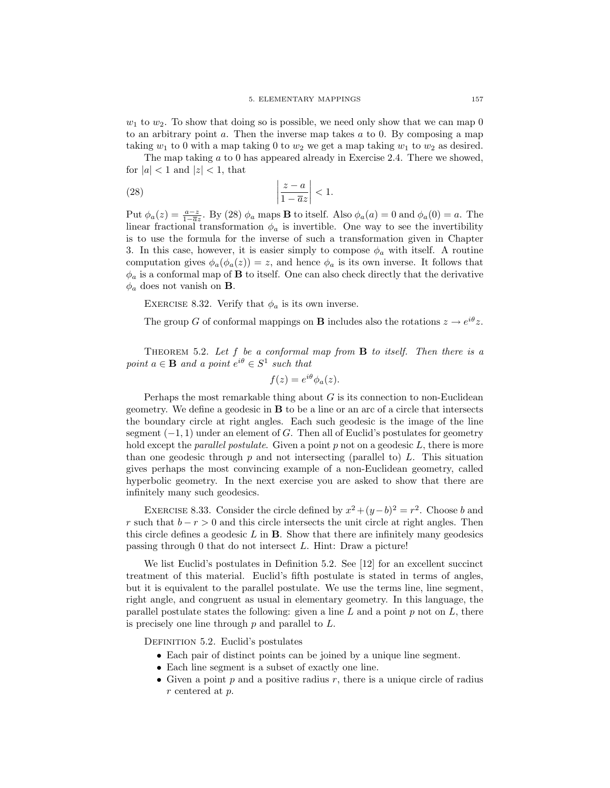$w_1$  to  $w_2$ . To show that doing so is possible, we need only show that we can map 0 to an arbitrary point  $a$ . Then the inverse map takes  $a$  to 0. By composing a map taking  $w_1$  to 0 with a map taking 0 to  $w_2$  we get a map taking  $w_1$  to  $w_2$  as desired.

The map taking a to 0 has appeared already in Exercise 2.4. There we showed, for  $|a| < 1$  and  $|z| < 1$ , that

$$
\left|\frac{z-a}{1-\overline{a}z}\right|<1.
$$

Put  $\phi_a(z) = \frac{a-z}{1-\overline{a}z}$ . By (28)  $\phi_a$  maps **B** to itself. Also  $\phi_a(a) = 0$  and  $\phi_a(0) = a$ . The linear fractional transformation  $\phi_a$  is invertible. One way to see the invertibility is to use the formula for the inverse of such a transformation given in Chapter 3. In this case, however, it is easier simply to compose  $\phi_a$  with itself. A routine computation gives  $\phi_a(\phi_a(z)) = z$ , and hence  $\phi_a$  is its own inverse. It follows that  $\phi_a$  is a conformal map of **B** to itself. One can also check directly that the derivative  $\phi_a$  does not vanish on **B**.

EXERCISE 8.32. Verify that  $\phi_a$  is its own inverse.

The group G of conformal mappings on **B** includes also the rotations  $z \to e^{i\theta} z$ .

THEOREM 5.2. Let  $f$  be a conformal map from  $B$  to itself. Then there is a point  $a \in \mathbf{B}$  and a point  $e^{i\theta} \in S^1$  such that

$$
f(z) = e^{i\theta} \phi_a(z).
$$

Perhaps the most remarkable thing about  $G$  is its connection to non-Euclidean geometry. We define a geodesic in B to be a line or an arc of a circle that intersects the boundary circle at right angles. Each such geodesic is the image of the line segment  $(-1, 1)$  under an element of G. Then all of Euclid's postulates for geometry hold except the *parallel postulate*. Given a point  $p$  not on a geodesic  $L$ , there is more than one geodesic through  $p$  and not intersecting (parallel to)  $L$ . This situation gives perhaps the most convincing example of a non-Euclidean geometry, called hyperbolic geometry. In the next exercise you are asked to show that there are infinitely many such geodesics.

EXERCISE 8.33. Consider the circle defined by  $x^2 + (y - b)^2 = r^2$ . Choose b and r such that  $b - r > 0$  and this circle intersects the unit circle at right angles. Then this circle defines a geodesic  $L$  in  $B$ . Show that there are infinitely many geodesics passing through 0 that do not intersect L. Hint: Draw a picture!

We list Euclid's postulates in Definition 5.2. See [12] for an excellent succinct treatment of this material. Euclid's fifth postulate is stated in terms of angles, but it is equivalent to the parallel postulate. We use the terms line, line segment, right angle, and congruent as usual in elementary geometry. In this language, the parallel postulate states the following: given a line  $L$  and a point  $p$  not on  $L$ , there is precisely one line through  $p$  and parallel to  $L$ .

DEFINITION 5.2. Euclid's postulates

- Each pair of distinct points can be joined by a unique line segment.
- Each line segment is a subset of exactly one line.
- Given a point  $p$  and a positive radius  $r$ , there is a unique circle of radius r centered at p.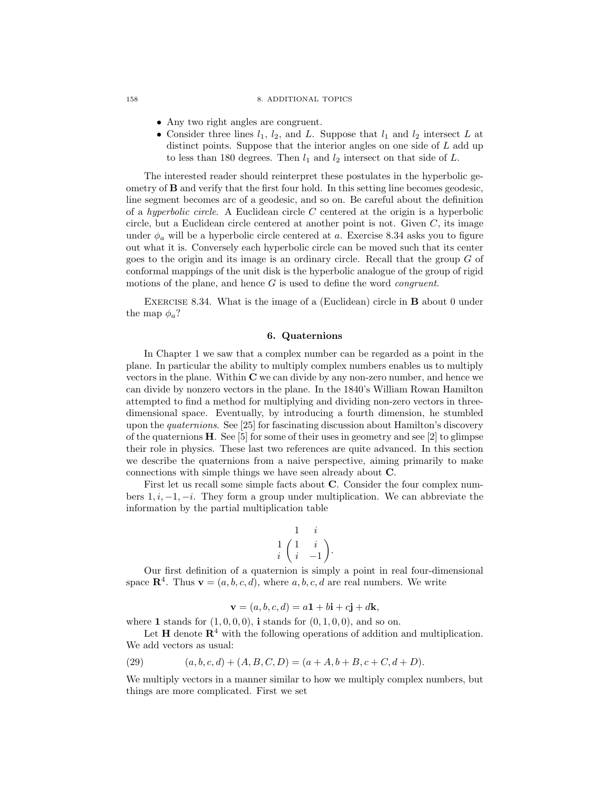#### 158 8. ADDITIONAL TOPICS

- Any two right angles are congruent.
- Consider three lines  $l_1$ ,  $l_2$ , and L. Suppose that  $l_1$  and  $l_2$  intersect L at distinct points. Suppose that the interior angles on one side of L add up to less than 180 degrees. Then  $l_1$  and  $l_2$  intersect on that side of  $L$ .

The interested reader should reinterpret these postulates in the hyperbolic geometry of  $\bf{B}$  and verify that the first four hold. In this setting line becomes geodesic, line segment becomes arc of a geodesic, and so on. Be careful about the definition of a *hyperbolic circle*. A Euclidean circle  $C$  centered at the origin is a hyperbolic circle, but a Euclidean circle centered at another point is not. Given  $C$ , its image under  $\phi_a$  will be a hyperbolic circle centered at a. Exercise 8.34 asks you to figure out what it is. Conversely each hyperbolic circle can be moved such that its center goes to the origin and its image is an ordinary circle. Recall that the group  $G$  of conformal mappings of the unit disk is the hyperbolic analogue of the group of rigid motions of the plane, and hence  $G$  is used to define the word *congruent*.

EXERCISE 8.34. What is the image of a (Euclidean) circle in **B** about 0 under the map  $\phi_a$ ?

#### 6. Quaternions

In Chapter 1 we saw that a complex number can be regarded as a point in the plane. In particular the ability to multiply complex numbers enables us to multiply vectors in the plane. Within  $C$  we can divide by any non-zero number, and hence we can divide by nonzero vectors in the plane. In the 1840's William Rowan Hamilton attempted to find a method for multiplying and dividing non-zero vectors in threedimensional space. Eventually, by introducing a fourth dimension, he stumbled upon the quaternions. See [25] for fascinating discussion about Hamilton's discovery of the quaternions  $H$ . See [5] for some of their uses in geometry and see [2] to glimpse their role in physics. These last two references are quite advanced. In this section we describe the quaternions from a naive perspective, aiming primarily to make connections with simple things we have seen already about C.

First let us recall some simple facts about C. Consider the four complex numbers  $1, i, -1, -i$ . They form a group under multiplication. We can abbreviate the information by the partial multiplication table

$$
\begin{array}{cc} & 1 & i \\ 1 & \left(\begin{array}{cc} 1 & i \\ i & -1 \end{array}\right). \end{array}
$$

Our first definition of a quaternion is simply a point in real four-dimensional space  $\mathbb{R}^4$ . Thus  $\mathbf{v} = (a, b, c, d)$ , where  $a, b, c, d$  are real numbers. We write

$$
\mathbf{v} = (a, b, c, d) = a\mathbf{1} + b\mathbf{i} + c\mathbf{j} + d\mathbf{k},
$$

where 1 stands for  $(1, 0, 0, 0)$ , i stands for  $(0, 1, 0, 0)$ , and so on.

Let  $H$  denote  $R<sup>4</sup>$  with the following operations of addition and multiplication. We add vectors as usual:

(29) 
$$
(a, b, c, d) + (A, B, C, D) = (a + A, b + B, c + C, d + D).
$$

We multiply vectors in a manner similar to how we multiply complex numbers, but things are more complicated. First we set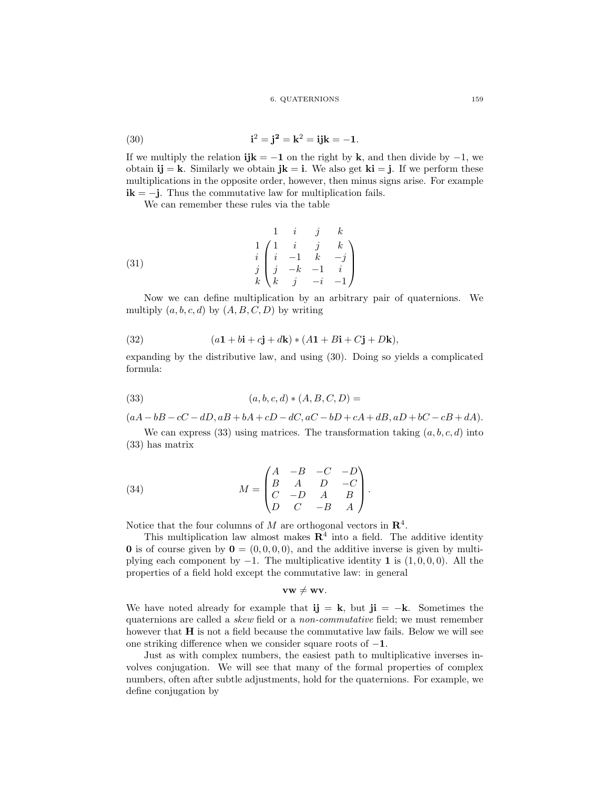#### 6. QUATERNIONS 159

(30) 
$$
\mathbf{i}^2 = \mathbf{j}^2 = \mathbf{k}^2 = \mathbf{i}\mathbf{j}\mathbf{k} = -1.
$$

If we multiply the relation  $ijk = -1$  on the right by k, and then divide by  $-1$ , we obtain  $\mathbf{i} \mathbf{j} = \mathbf{k}$ . Similarly we obtain  $\mathbf{j} \mathbf{k} = \mathbf{i}$ . We also get  $\mathbf{k} \mathbf{i} = \mathbf{j}$ . If we perform these multiplications in the opposite order, however, then minus signs arise. For example  $ik = -j$ . Thus the commutative law for multiplication fails.

We can remember these rules via the table

(31) 
$$
\begin{pmatrix}\n1 & i & j & k \\
1 & i & j & k \\
i & -1 & k & -j \\
j & k & k & j & -i & -1\n\end{pmatrix}
$$

Now we can define multiplication by an arbitrary pair of quaternions. We multiply  $(a, b, c, d)$  by  $(A, B, C, D)$  by writing

(32) 
$$
(a\mathbf{1} + b\mathbf{i} + c\mathbf{j} + d\mathbf{k}) * (A\mathbf{1} + B\mathbf{i} + C\mathbf{j} + D\mathbf{k}),
$$

expanding by the distributive law, and using (30). Doing so yields a complicated formula:

(33) 
$$
(a, b, c, d) * (A, B, C, D) =
$$

 $(aA - bB - cC - dD, aB + bA + cD - dC, aC - bD + cA + dB, aD + bC - cB + dA).$ 

We can express (33) using matrices. The transformation taking  $(a, b, c, d)$  into (33) has matrix

(34) 
$$
M = \begin{pmatrix} A & -B & -C & -D \\ B & A & D & -C \\ C & -D & A & B \\ D & C & -B & A \end{pmatrix}.
$$

Notice that the four columns of M are orthogonal vectors in  $\mathbb{R}^4$ .

This multiplication law almost makes  $\mathbb{R}^4$  into a field. The additive identity 0 is of course given by  $0 = (0, 0, 0, 0)$ , and the additive inverse is given by multiplying each component by  $-1$ . The multiplicative identity 1 is  $(1, 0, 0, 0)$ . All the properties of a field hold except the commutative law: in general

 $vw \neq wv.$ 

We have noted already for example that ij = k, but ji =  $-k$ . Sometimes the quaternions are called a skew field or a non-commutative field; we must remember however that **H** is not a field because the commutative law fails. Below we will see one striking difference when we consider square roots of −1.

Just as with complex numbers, the easiest path to multiplicative inverses involves conjugation. We will see that many of the formal properties of complex numbers, often after subtle adjustments, hold for the quaternions. For example, we define conjugation by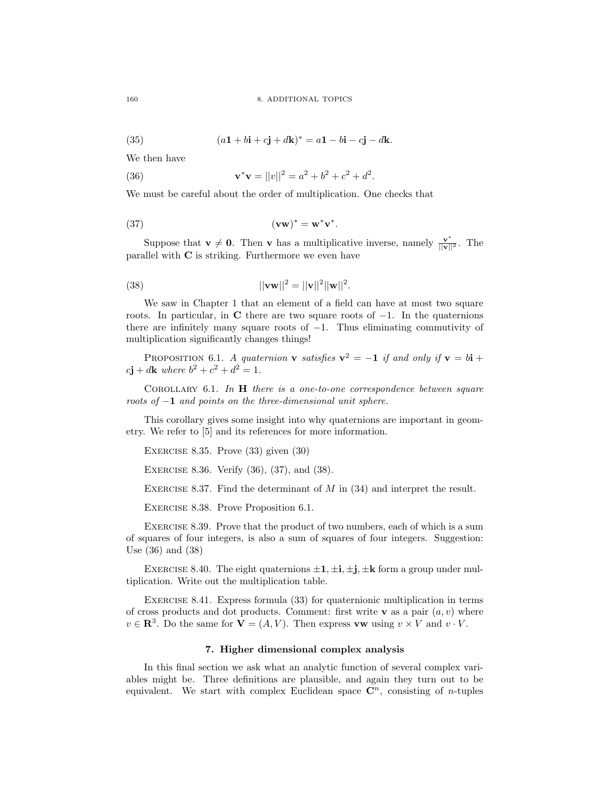(35) 
$$
(a\mathbf{1} + b\mathbf{i} + c\mathbf{j} + d\mathbf{k})^* = a\mathbf{1} - b\mathbf{i} - c\mathbf{j} - d\mathbf{k}.
$$

We then have

(36) 
$$
\mathbf{v}^* \mathbf{v} = ||v||^2 = a^2 + b^2 + c^2 + d^2.
$$

We must be careful about the order of multiplication. One checks that

$$
(\mathbf{v}\mathbf{w})^* = \mathbf{w}^* \mathbf{v}^*.
$$

Suppose that  $\mathbf{v} \neq \mathbf{0}$ . Then **v** has a multiplicative inverse, namely  $\frac{\mathbf{v}^*}{||\mathbf{v}||^2}$ . The parallel with C is striking. Furthermore we even have

(38) 
$$
||\mathbf{v}\mathbf{w}||^2 = ||\mathbf{v}||^2 ||\mathbf{w}||^2.
$$

We saw in Chapter 1 that an element of a field can have at most two square roots. In particular, in C there are two square roots of  $-1$ . In the quaternions there are infinitely many square roots of  $-1$ . Thus eliminating commutivity of multiplication significantly changes things!

PROPOSITION 6.1. A quaternion **v** satisfies  $\mathbf{v}^2 = -\mathbf{1}$  if and only if  $\mathbf{v} = b\mathbf{i} + c$  $c\mathbf{j} + d\mathbf{k}$  where  $b^2 + c^2 + d^2 = 1$ .

COROLLARY 6.1. In  $H$  there is a one-to-one correspondence between square roots of  $-1$  and points on the three-dimensional unit sphere.

This corollary gives some insight into why quaternions are important in geometry. We refer to [5] and its references for more information.

EXERCISE 8.35. Prove  $(33)$  given  $(30)$ 

EXERCISE 8.36. Verify (36), (37), and (38).

EXERCISE 8.37. Find the determinant of  $M$  in  $(34)$  and interpret the result.

Exercise 8.38. Prove Proposition 6.1.

Exercise 8.39. Prove that the product of two numbers, each of which is a sum of squares of four integers, is also a sum of squares of four integers. Suggestion: Use (36) and (38)

EXERCISE 8.40. The eight quaternions  $\pm 1, \pm i, \pm j, \pm k$  form a group under multiplication. Write out the multiplication table.

EXERCISE 8.41. Express formula (33) for quaternionic multiplication in terms of cross products and dot products. Comment: first write **v** as a pair  $(a, v)$  where  $v \in \mathbb{R}^3$ . Do the same for  $\mathbf{V} = (A, V)$ . Then express vw using  $v \times V$  and  $v \cdot V$ .

#### 7. Higher dimensional complex analysis

In this final section we ask what an analytic function of several complex variables might be. Three definitions are plausible, and again they turn out to be equivalent. We start with complex Euclidean space  $\mathbb{C}^n$ , consisting of *n*-tuples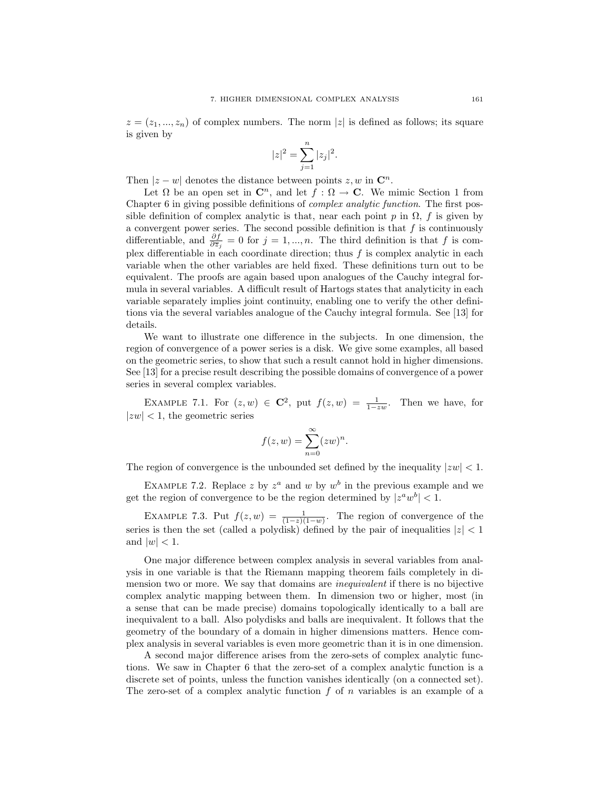$z = (z_1, ..., z_n)$  of complex numbers. The norm |z| is defined as follows; its square is given by

$$
|z|^2 = \sum_{j=1}^n |z_j|^2.
$$

Then  $|z - w|$  denotes the distance between points  $z, w$  in  $\mathbb{C}^n$ .

Let  $\Omega$  be an open set in  $\mathbb{C}^n$ , and let  $f : \Omega \to \mathbb{C}$ . We mimic Section 1 from Chapter 6 in giving possible definitions of complex analytic function. The first possible definition of complex analytic is that, near each point p in  $\Omega$ , f is given by a convergent power series. The second possible definition is that  $f$  is continuously differentiable, and  $\frac{\partial f}{\partial \overline{z}_j} = 0$  for  $j = 1, ..., n$ . The third definition is that f is complex differentiable in each coordinate direction; thus  $f$  is complex analytic in each variable when the other variables are held fixed. These definitions turn out to be equivalent. The proofs are again based upon analogues of the Cauchy integral formula in several variables. A difficult result of Hartogs states that analyticity in each variable separately implies joint continuity, enabling one to verify the other definitions via the several variables analogue of the Cauchy integral formula. See [13] for details.

We want to illustrate one difference in the subjects. In one dimension, the region of convergence of a power series is a disk. We give some examples, all based on the geometric series, to show that such a result cannot hold in higher dimensions. See [13] for a precise result describing the possible domains of convergence of a power series in several complex variables.

EXAMPLE 7.1. For  $(z, w) \in \mathbb{C}^2$ , put  $f(z, w) = \frac{1}{1 - zw}$ . Then we have, for  $|zw| < 1$ , the geometric series

$$
f(z, w) = \sum_{n=0}^{\infty} (zw)^n.
$$

The region of convergence is the unbounded set defined by the inequality  $|zw| < 1$ .

EXAMPLE 7.2. Replace z by  $z^a$  and w by  $w^b$  in the previous example and we get the region of convergence to be the region determined by  $|z^a w^b| < 1$ .

EXAMPLE 7.3. Put  $f(z, w) = \frac{1}{(1-z)(1-w)}$ . The region of convergence of the series is then the set (called a polydisk) defined by the pair of inequalities  $|z| < 1$ and  $|w| < 1$ .

One major difference between complex analysis in several variables from analysis in one variable is that the Riemann mapping theorem fails completely in dimension two or more. We say that domains are *inequivalent* if there is no bijective complex analytic mapping between them. In dimension two or higher, most (in a sense that can be made precise) domains topologically identically to a ball are inequivalent to a ball. Also polydisks and balls are inequivalent. It follows that the geometry of the boundary of a domain in higher dimensions matters. Hence complex analysis in several variables is even more geometric than it is in one dimension.

A second major difference arises from the zero-sets of complex analytic functions. We saw in Chapter 6 that the zero-set of a complex analytic function is a discrete set of points, unless the function vanishes identically (on a connected set). The zero-set of a complex analytic function  $f$  of  $n$  variables is an example of a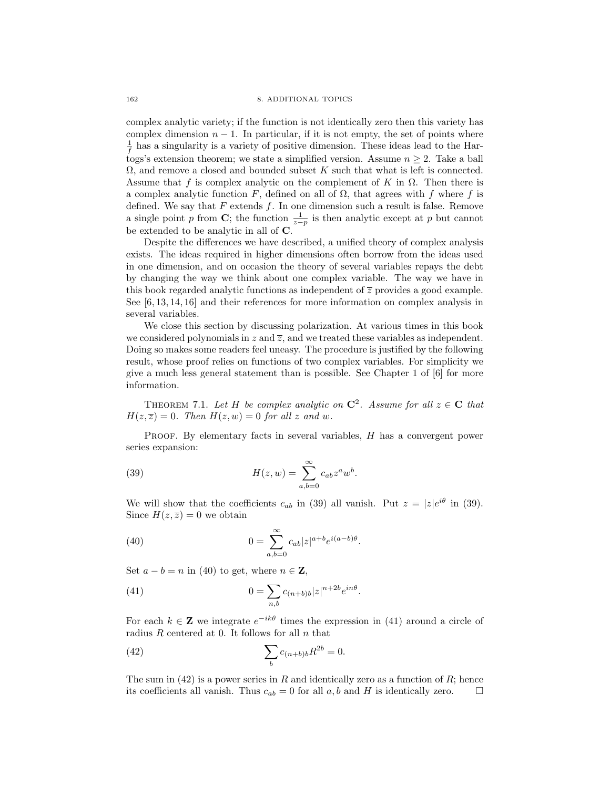complex analytic variety; if the function is not identically zero then this variety has complex dimension  $n - 1$ . In particular, if it is not empty, the set of points where  $\frac{1}{f}$  has a singularity is a variety of positive dimension. These ideas lead to the Hartogs's extension theorem; we state a simplified version. Assume  $n \geq 2$ . Take a ball  $\Omega$ , and remove a closed and bounded subset K such that what is left is connected. Assume that f is complex analytic on the complement of K in  $\Omega$ . Then there is a complex analytic function F, defined on all of  $\Omega$ , that agrees with f where f is defined. We say that  $F$  extends  $f$ . In one dimension such a result is false. Remove a single point p from C; the function  $\frac{1}{z-p}$  is then analytic except at p but cannot be extended to be analytic in all of C.

Despite the differences we have described, a unified theory of complex analysis exists. The ideas required in higher dimensions often borrow from the ideas used in one dimension, and on occasion the theory of several variables repays the debt by changing the way we think about one complex variable. The way we have in this book regarded analytic functions as independent of  $\overline{z}$  provides a good example. See [6, 13, 14, 16] and their references for more information on complex analysis in several variables.

We close this section by discussing polarization. At various times in this book we considered polynomials in z and  $\overline{z}$ , and we treated these variables as independent. Doing so makes some readers feel uneasy. The procedure is justified by the following result, whose proof relies on functions of two complex variables. For simplicity we give a much less general statement than is possible. See Chapter 1 of [6] for more information.

THEOREM 7.1. Let H be complex analytic on  $\mathbb{C}^2$ . Assume for all  $z \in \mathbb{C}$  that  $H(z,\overline{z})=0$ . Then  $H(z,w)=0$  for all z and w.

PROOF. By elementary facts in several variables, H has a convergent power series expansion:

(39) 
$$
H(z, w) = \sum_{a,b=0}^{\infty} c_{ab} z^a w^b.
$$

We will show that the coefficients  $c_{ab}$  in (39) all vanish. Put  $z = |z|e^{i\theta}$  in (39). Since  $H(z,\overline{z})=0$  we obtain

(40) 
$$
0 = \sum_{a,b=0}^{\infty} c_{ab} |z|^{a+b} e^{i(a-b)\theta}.
$$

Set  $a - b = n$  in (40) to get, where  $n \in \mathbb{Z}$ ,

(41) 
$$
0 = \sum_{n,b} c_{(n+b)b} |z|^{n+2b} e^{in\theta}.
$$

For each  $k \in \mathbf{Z}$  we integrate  $e^{-ik\theta}$  times the expression in (41) around a circle of radius  $R$  centered at 0. It follows for all  $n$  that

(42) 
$$
\sum_{b} c_{(n+b)b} R^{2b} = 0.
$$

The sum in  $(42)$  is a power series in R and identically zero as a function of R; hence its coefficients all vanish. Thus  $c_{ab} = 0$  for all a, b and H is identically zero.  $\Box$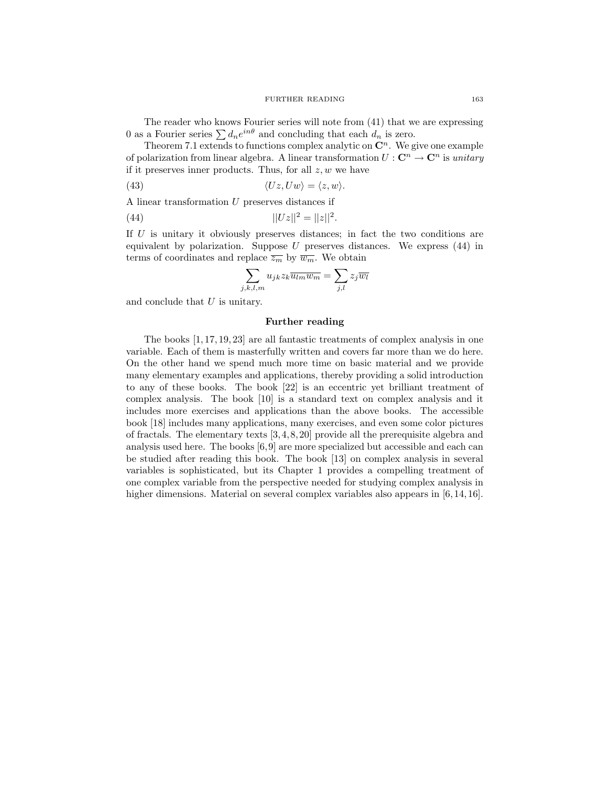#### FURTHER READING 163

The reader who knows Fourier series will note from (41) that we are expressing 0 as a Fourier series  $\sum d_n e^{in\theta}$  and concluding that each  $d_n$  is zero.

Theorem 7.1 extends to functions complex analytic on  $\mathbb{C}^n$ . We give one example of polarization from linear algebra. A linear transformation  $U: \mathbb{C}^n \to \mathbb{C}^n$  is unitary if it preserves inner products. Thus, for all  $z, w$  we have

(43) 
$$
\langle Uz, Uw \rangle = \langle z, w \rangle.
$$

A linear transformation U preserves distances if

(44) 
$$
||Uz||^2 = ||z||^2
$$

If  $U$  is unitary it obviously preserves distances; in fact the two conditions are equivalent by polarization. Suppose  $U$  preserves distances. We express  $(44)$  in terms of coordinates and replace  $\overline{z_m}$  by  $\overline{w_m}$ . We obtain

.

$$
\sum_{j,k,l,m} u_{jk} z_k \overline{u_{lm} w_m} = \sum_{j,l} z_j \overline{w_l}
$$

and conclude that  $U$  is unitary.

#### Further reading

The books [1, 17, 19, 23] are all fantastic treatments of complex analysis in one variable. Each of them is masterfully written and covers far more than we do here. On the other hand we spend much more time on basic material and we provide many elementary examples and applications, thereby providing a solid introduction to any of these books. The book [22] is an eccentric yet brilliant treatment of complex analysis. The book [10] is a standard text on complex analysis and it includes more exercises and applications than the above books. The accessible book [18] includes many applications, many exercises, and even some color pictures of fractals. The elementary texts [3, 4, 8, 20] provide all the prerequisite algebra and analysis used here. The books [6,9] are more specialized but accessible and each can be studied after reading this book. The book [13] on complex analysis in several variables is sophisticated, but its Chapter 1 provides a compelling treatment of one complex variable from the perspective needed for studying complex analysis in higher dimensions. Material on several complex variables also appears in [6,14, 16].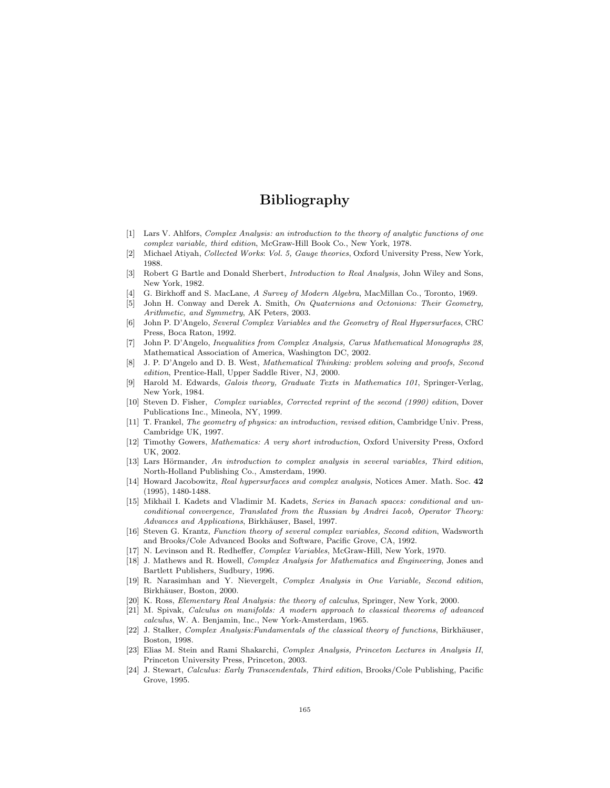# Bibliography

- [1] Lars V. Ahlfors, Complex Analysis: an introduction to the theory of analytic functions of one complex variable, third edition, McGraw-Hill Book Co., New York, 1978.
- [2] Michael Atiyah, Collected Works: Vol. 5, Gauge theories, Oxford University Press, New York, 1988.
- [3] Robert G Bartle and Donald Sherbert, Introduction to Real Analysis, John Wiley and Sons, New York, 1982.
- [4] G. Birkhoff and S. MacLane, A Survey of Modern Algebra, MacMillan Co., Toronto, 1969.
- [5] John H. Conway and Derek A. Smith, On Quaternions and Octonions: Their Geometry, Arithmetic, and Symmetry, AK Peters, 2003.
- [6] John P. D'Angelo, Several Complex Variables and the Geometry of Real Hypersurfaces, CRC Press, Boca Raton, 1992.
- [7] John P. D'Angelo, Inequalities from Complex Analysis, Carus Mathematical Monographs 28, Mathematical Association of America, Washington DC, 2002.
- [8] J. P. D'Angelo and D. B. West, Mathematical Thinking: problem solving and proofs, Second edition, Prentice-Hall, Upper Saddle River, NJ, 2000.
- [9] Harold M. Edwards, Galois theory, Graduate Texts in Mathematics 101, Springer-Verlag, New York, 1984.
- [10] Steven D. Fisher, Complex variables, Corrected reprint of the second (1990) edition, Dover Publications Inc., Mineola, NY, 1999.
- [11] T. Frankel, The geometry of physics: an introduction, revised edition, Cambridge Univ. Press, Cambridge UK, 1997.
- [12] Timothy Gowers, Mathematics: A very short introduction, Oxford University Press, Oxford UK, 2002.
- [13] Lars Hörmander, An introduction to complex analysis in several variables, Third edition, North-Holland Publishing Co., Amsterdam, 1990.
- [14] Howard Jacobowitz, Real hypersurfaces and complex analysis, Notices Amer. Math. Soc. 42 (1995), 1480-1488.
- [15] Mikhail I. Kadets and Vladimir M. Kadets, Series in Banach spaces: conditional and unconditional convergence, Translated from the Russian by Andrei Iacob, Operator Theory: Advances and Applications, Birkhäuser, Basel, 1997.
- [16] Steven G. Krantz, Function theory of several complex variables, Second edition, Wadsworth and Brooks/Cole Advanced Books and Software, Pacific Grove, CA, 1992.
- [17] N. Levinson and R. Redheffer, Complex Variables, McGraw-Hill, New York, 1970.
- [18] J. Mathews and R. Howell, Complex Analysis for Mathematics and Engineering, Jones and Bartlett Publishers, Sudbury, 1996.
- [19] R. Narasimhan and Y. Nievergelt, Complex Analysis in One Variable, Second edition, Birkhäuser, Boston, 2000.
- [20] K. Ross, Elementary Real Analysis: the theory of calculus, Springer, New York, 2000.
- [21] M. Spivak, Calculus on manifolds: A modern approach to classical theorems of advanced calculus, W. A. Benjamin, Inc., New York-Amsterdam, 1965.
- [22] J. Stalker, Complex Analysis: Fundamentals of the classical theory of functions, Birkhäuser, Boston, 1998.
- [23] Elias M. Stein and Rami Shakarchi, Complex Analysis, Princeton Lectures in Analysis II, Princeton University Press, Princeton, 2003.
- [24] J. Stewart, Calculus: Early Transcendentals, Third edition, Brooks/Cole Publishing, Pacific Grove, 1995.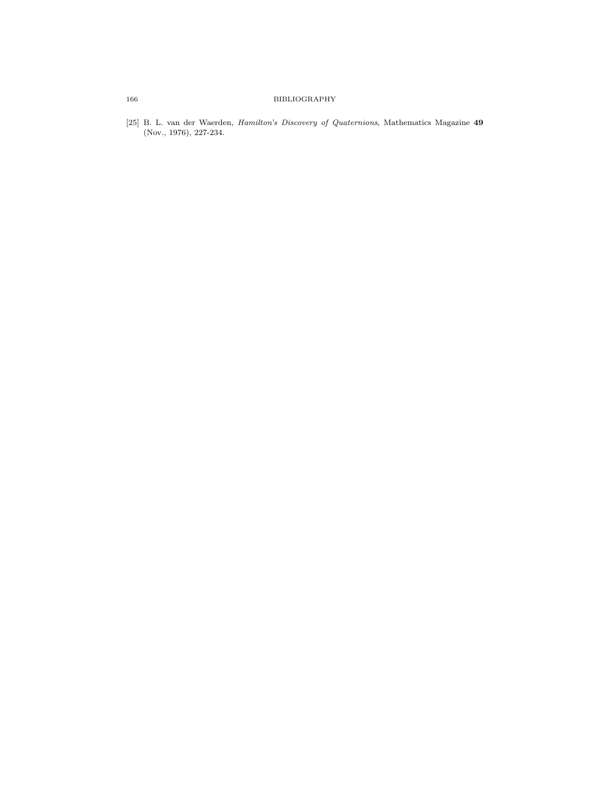## 166 BIBLIOGRAPHY

[25] B. L. van der Waerden, Hamilton's Discovery of Quaternions, Mathematics Magazine 49 (Nov., 1976), 227-234.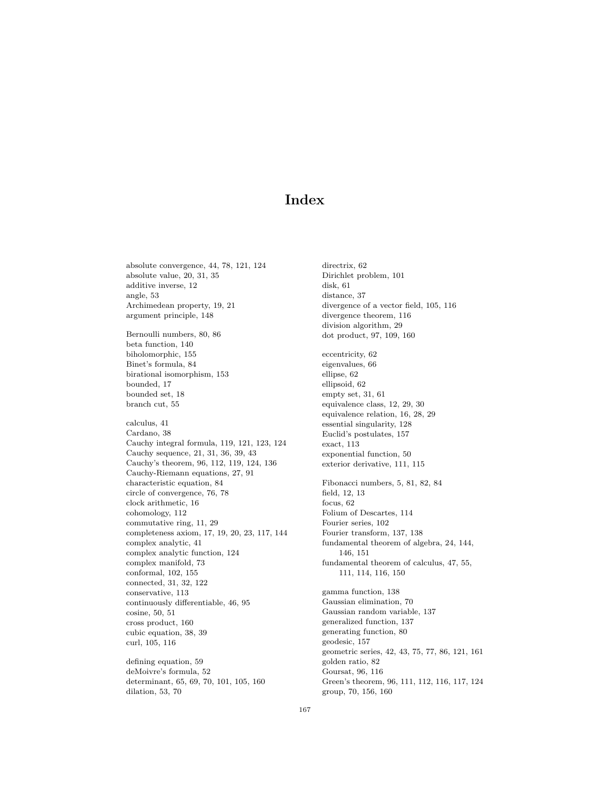# Index

absolute convergence, 44, 78, 121, 124 absolute value, 20, 31, 35 additive inverse, 12 angle, 53 Archimedean property, 19, 21 argument principle, 148 Bernoulli numbers, 80, 86 beta function, 140 biholomorphic, 155 Binet's formula, 84 birational isomorphism, 153 bounded, 17 bounded set, 18 branch cut, 55 calculus, 41 Cardano, 38 Cauchy integral formula, 119, 121, 123, 124 Cauchy sequence, 21, 31, 36, 39, 43 Cauchy's theorem, 96, 112, 119, 124, 136 Cauchy-Riemann equations, 27, 91 characteristic equation, 84 circle of convergence, 76, 78 clock arithmetic, 16 cohomology, 112 commutative ring, 11, 29 completeness axiom, 17, 19, 20, 23, 117, 144 complex analytic, 41 complex analytic function, 124 complex manifold, 73 conformal, 102, 155 connected, 31, 32, 122 conservative, 113 continuously differentiable, 46, 95 cosine, 50, 51 cross product, 160 cubic equation, 38, 39 curl, 105, 116 defining equation, 59 deMoivre's formula, 52 determinant, 65, 69, 70, 101, 105, 160

dilation, 53, 70

directrix, 62 Dirichlet problem, 101 disk, 61 distance, 37 divergence of a vector field, 105, 116 divergence theorem, 116 division algorithm, 29 dot product, 97, 109, 160 eccentricity, 62 eigenvalues, 66 ellipse, 62 ellipsoid, 62 empty set, 31, 61 equivalence class, 12, 29, 30 equivalence relation, 16, 28, 29 essential singularity, 128 Euclid's postulates, 157 exact, 113 exponential function, 50 exterior derivative, 111, 115 Fibonacci numbers, 5, 81, 82, 84 field, 12, 13 focus, 62 Folium of Descartes, 114 Fourier series, 102 Fourier transform, 137, 138 fundamental theorem of algebra, 24, 144, 146, 151 fundamental theorem of calculus, 47, 55, 111, 114, 116, 150 gamma function, 138 Gaussian elimination, 70 Gaussian random variable, 137 generalized function, 137 generating function, 80 geodesic, 157 geometric series, 42, 43, 75, 77, 86, 121, 161 golden ratio, 82 Goursat, 96, 116 Green's theorem, 96, 111, 112, 116, 117, 124 group, 70, 156, 160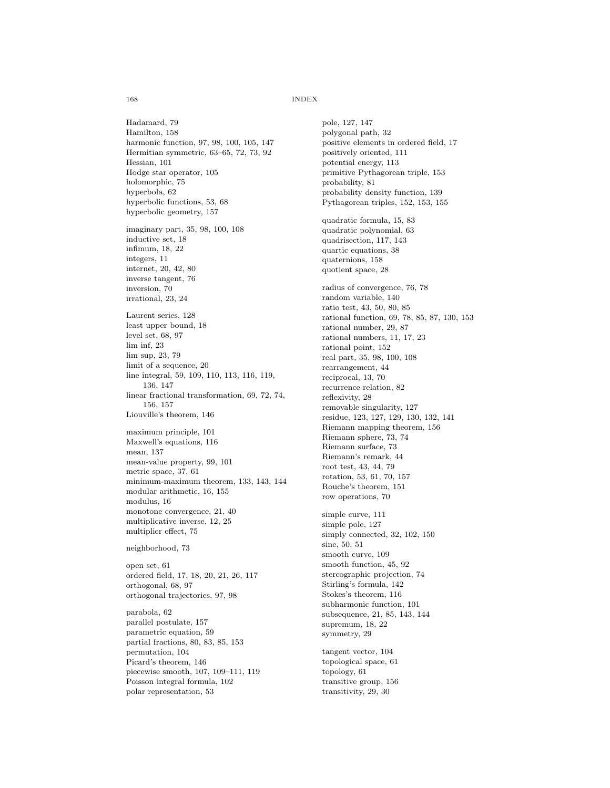#### 168 INDEX

pole, 127, 147 polygonal path, 32

positively oriented, 111

positive elements in ordered field, 17

Hadamard, 79 Hamilton, 158 harmonic function, 97, 98, 100, 105, 147 Hermitian symmetric, 63–65, 72, 73, 92 Hessian, 101 Hodge star operator, 105 holomorphic, 75 hyperbola, 62 hyperbolic functions, 53, 68 hyperbolic geometry, 157 imaginary part, 35, 98, 100, 108 inductive set, 18 infimum, 18, 22 integers, 11 internet, 20, 42, 80 inverse tangent, 76 inversion, 70 irrational, 23, 24 Laurent series, 128 least upper bound, 18 level set, 68, 97 lim inf, 23 lim sup, 23, 79 limit of a sequence, 20 line integral, 59, 109, 110, 113, 116, 119, 136, 147 linear fractional transformation, 69, 72, 74, 156, 157 Liouville's theorem, 146 maximum principle, 101 Maxwell's equations, 116 mean, 137 mean-value property, 99, 101 metric space, 37, 61 minimum-maximum theorem, 133, 143, 144 modular arithmetic, 16, 155 modulus, 16 monotone convergence, 21, 40 multiplicative inverse, 12, 25 multiplier effect, 75 neighborhood, 73 open set, 61 ordered field, 17, 18, 20, 21, 26, 117 orthogonal, 68, 97 orthogonal trajectories, 97, 98 parabola, 62 parallel postulate, 157 parametric equation, 59 partial fractions, 80, 83, 85, 153 permutation, 104

Picard's theorem, 146

piecewise smooth, 107, 109–111, 119 Poisson integral formula, 102 polar representation, 53

potential energy, 113 primitive Pythagorean triple, 153 probability, 81 probability density function, 139 Pythagorean triples, 152, 153, 155 quadratic formula, 15, 83 quadratic polynomial, 63 quadrisection, 117, 143 quartic equations, 38 quaternions, 158 quotient space, 28 radius of convergence, 76, 78 random variable, 140 ratio test, 43, 50, 80, 85 rational function, 69, 78, 85, 87, 130, 153 rational number, 29, 87 rational numbers, 11, 17, 23 rational point, 152 real part, 35, 98, 100, 108 rearrangement, 44 reciprocal, 13, 70 recurrence relation, 82 reflexivity, 28 removable singularity, 127 residue, 123, 127, 129, 130, 132, 141 Riemann mapping theorem, 156 Riemann sphere, 73, 74 Riemann surface, 73 Riemann's remark, 44 root test, 43, 44, 79 rotation, 53, 61, 70, 157 Rouche's theorem, 151 row operations, 70 simple curve, 111 simple pole, 127 simply connected, 32, 102, 150 sine, 50, 51 smooth curve, 109 smooth function, 45, 92 stereographic projection, 74 Stirling's formula, 142 Stokes's theorem, 116 subharmonic function, 101 subsequence, 21, 85, 143, 144 supremum, 18, 22 symmetry, 29 tangent vector, 104 topological space, 61 topology, 61 transitive group, 156 transitivity, 29, 30